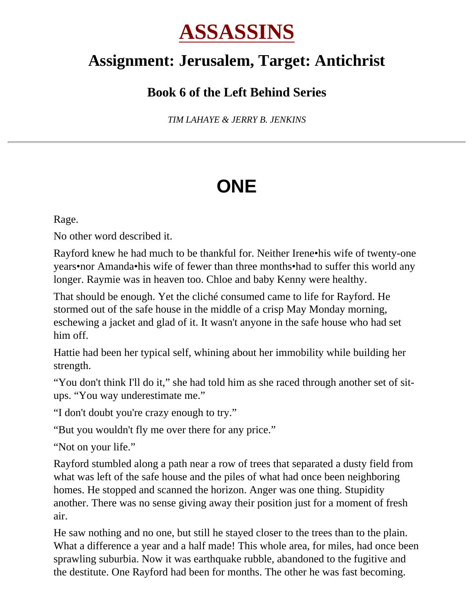## **ASSASSINS**

#### **Assignment: Jerusalem, Target: Antichrist**

#### **Book 6 of the Left Behind Series**

*TIM LAHAYE & JERRY B. JENKINS*

# **ONE**

Rage.

No other word described it.

Rayford knew he had much to be thankful for. Neither Irene•his wife of twenty-one years•nor Amanda•his wife of fewer than three months•had to suffer this world any longer. Raymie was in heaven too. Chloe and baby Kenny were healthy.

That should be enough. Yet the cliché consumed came to life for Rayford. He stormed out of the safe house in the middle of a crisp May Monday morning, eschewing a jacket and glad of it. It wasn't anyone in the safe house who had set him off.

Hattie had been her typical self, whining about her immobility while building her strength.

"You don't think I'll do it," she had told him as she raced through another set of situps. "You way underestimate me."

"I don't doubt you're crazy enough to try."

"But you wouldn't fly me over there for any price."

"Not on your life."

Rayford stumbled along a path near a row of trees that separated a dusty field from what was left of the safe house and the piles of what had once been neighboring homes. He stopped and scanned the horizon. Anger was one thing. Stupidity another. There was no sense giving away their position just for a moment of fresh air.

He saw nothing and no one, but still he stayed closer to the trees than to the plain. What a difference a year and a half made! This whole area, for miles, had once been sprawling suburbia. Now it was earthquake rubble, abandoned to the fugitive and the destitute. One Rayford had been for months. The other he was fast becoming.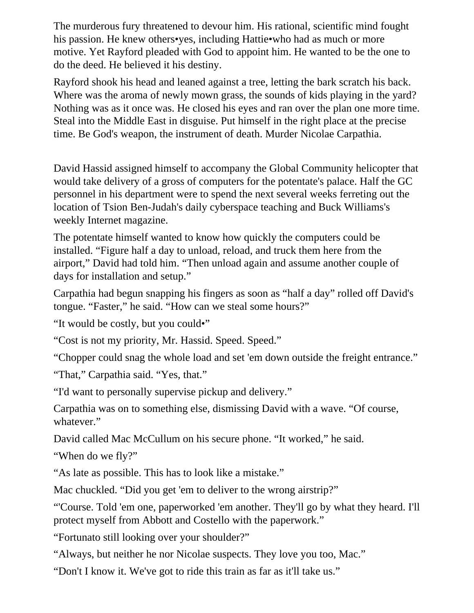The murderous fury threatened to devour him. His rational, scientific mind fought his passion. He knew others•yes, including Hattie•who had as much or more motive. Yet Rayford pleaded with God to appoint him. He wanted to be the one to do the deed. He believed it his destiny.

Rayford shook his head and leaned against a tree, letting the bark scratch his back. Where was the aroma of newly mown grass, the sounds of kids playing in the yard? Nothing was as it once was. He closed his eyes and ran over the plan one more time. Steal into the Middle East in disguise. Put himself in the right place at the precise time. Be God's weapon, the instrument of death. Murder Nicolae Carpathia.

David Hassid assigned himself to accompany the Global Community helicopter that would take delivery of a gross of computers for the potentate's palace. Half the GC personnel in his department were to spend the next several weeks ferreting out the location of Tsion Ben-Judah's daily cyberspace teaching and Buck Williams's weekly Internet magazine.

The potentate himself wanted to know how quickly the computers could be installed. "Figure half a day to unload, reload, and truck them here from the airport," David had told him. "Then unload again and assume another couple of days for installation and setup."

Carpathia had begun snapping his fingers as soon as "half a day" rolled off David's tongue. "Faster," he said. "How can we steal some hours?"

"It would be costly, but you could•"

"Cost is not my priority, Mr. Hassid. Speed. Speed."

"Chopper could snag the whole load and set 'em down outside the freight entrance."

"That," Carpathia said. "Yes, that."

"I'd want to personally supervise pickup and delivery."

Carpathia was on to something else, dismissing David with a wave. "Of course, whatever."

David called Mac McCullum on his secure phone. "It worked," he said.

"When do we fly?"

"As late as possible. This has to look like a mistake."

Mac chuckled. "Did you get 'em to deliver to the wrong airstrip?"

"'Course. Told 'em one, paperworked 'em another. They'll go by what they heard. I'll protect myself from Abbott and Costello with the paperwork."

"Fortunato still looking over your shoulder?"

"Always, but neither he nor Nicolae suspects. They love you too, Mac."

"Don't I know it. We've got to ride this train as far as it'll take us."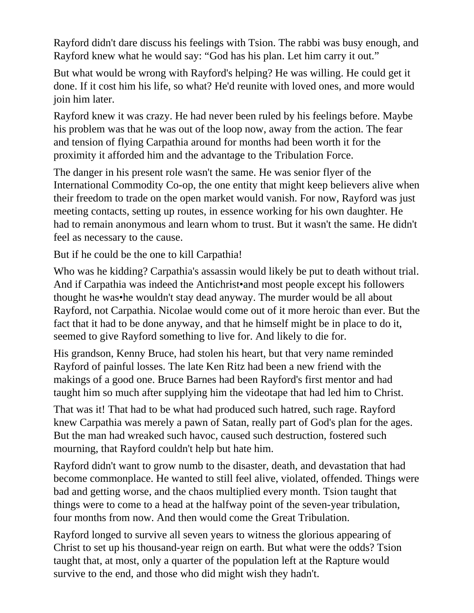Rayford didn't dare discuss his feelings with Tsion. The rabbi was busy enough, and Rayford knew what he would say: "God has his plan. Let him carry it out."

But what would be wrong with Rayford's helping? He was willing. He could get it done. If it cost him his life, so what? He'd reunite with loved ones, and more would join him later.

Rayford knew it was crazy. He had never been ruled by his feelings before. Maybe his problem was that he was out of the loop now, away from the action. The fear and tension of flying Carpathia around for months had been worth it for the proximity it afforded him and the advantage to the Tribulation Force.

The danger in his present role wasn't the same. He was senior flyer of the International Commodity Co-op, the one entity that might keep believers alive when their freedom to trade on the open market would vanish. For now, Rayford was just meeting contacts, setting up routes, in essence working for his own daughter. He had to remain anonymous and learn whom to trust. But it wasn't the same. He didn't feel as necessary to the cause.

But if he could be the one to kill Carpathia!

Who was he kidding? Carpathia's assassin would likely be put to death without trial. And if Carpathia was indeed the Antichrist•and most people except his followers thought he was•he wouldn't stay dead anyway. The murder would be all about Rayford, not Carpathia. Nicolae would come out of it more heroic than ever. But the fact that it had to be done anyway, and that he himself might be in place to do it, seemed to give Rayford something to live for. And likely to die for.

His grandson, Kenny Bruce, had stolen his heart, but that very name reminded Rayford of painful losses. The late Ken Ritz had been a new friend with the makings of a good one. Bruce Barnes had been Rayford's first mentor and had taught him so much after supplying him the videotape that had led him to Christ.

That was it! That had to be what had produced such hatred, such rage. Rayford knew Carpathia was merely a pawn of Satan, really part of God's plan for the ages. But the man had wreaked such havoc, caused such destruction, fostered such mourning, that Rayford couldn't help but hate him.

Rayford didn't want to grow numb to the disaster, death, and devastation that had become commonplace. He wanted to still feel alive, violated, offended. Things were bad and getting worse, and the chaos multiplied every month. Tsion taught that things were to come to a head at the halfway point of the seven-year tribulation, four months from now. And then would come the Great Tribulation.

Rayford longed to survive all seven years to witness the glorious appearing of Christ to set up his thousand-year reign on earth. But what were the odds? Tsion taught that, at most, only a quarter of the population left at the Rapture would survive to the end, and those who did might wish they hadn't.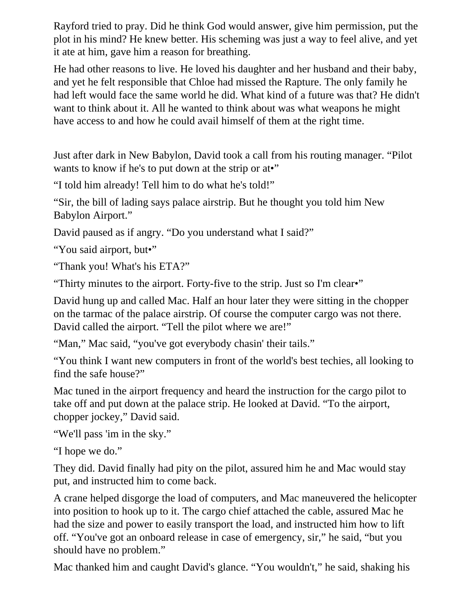Rayford tried to pray. Did he think God would answer, give him permission, put the plot in his mind? He knew better. His scheming was just a way to feel alive, and yet it ate at him, gave him a reason for breathing.

He had other reasons to live. He loved his daughter and her husband and their baby, and yet he felt responsible that Chloe had missed the Rapture. The only family he had left would face the same world he did. What kind of a future was that? He didn't want to think about it. All he wanted to think about was what weapons he might have access to and how he could avail himself of them at the right time.

Just after dark in New Babylon, David took a call from his routing manager. "Pilot wants to know if he's to put down at the strip or at<sup>\*</sup>

"I told him already! Tell him to do what he's told!"

"Sir, the bill of lading says palace airstrip. But he thought you told him New Babylon Airport."

David paused as if angry. "Do you understand what I said?"

"You said airport, but•"

"Thank you! What's his ETA?"

"Thirty minutes to the airport. Forty-five to the strip. Just so I'm clear•"

David hung up and called Mac. Half an hour later they were sitting in the chopper on the tarmac of the palace airstrip. Of course the computer cargo was not there. David called the airport. "Tell the pilot where we are!"

"Man," Mac said, "you've got everybody chasin' their tails."

"You think I want new computers in front of the world's best techies, all looking to find the safe house?"

Mac tuned in the airport frequency and heard the instruction for the cargo pilot to take off and put down at the palace strip. He looked at David. "To the airport, chopper jockey," David said.

"We'll pass 'im in the sky."

```
"I hope we do."
```
They did. David finally had pity on the pilot, assured him he and Mac would stay put, and instructed him to come back.

A crane helped disgorge the load of computers, and Mac maneuvered the helicopter into position to hook up to it. The cargo chief attached the cable, assured Mac he had the size and power to easily transport the load, and instructed him how to lift off. "You've got an onboard release in case of emergency, sir," he said, "but you should have no problem."

Mac thanked him and caught David's glance. "You wouldn't," he said, shaking his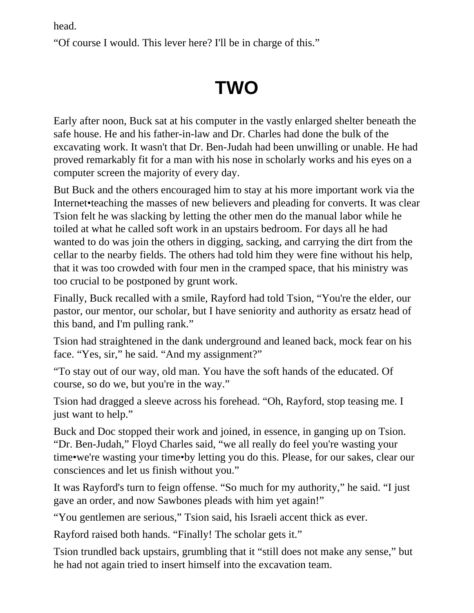head.

"Of course I would. This lever here? I'll be in charge of this."

## **TWO**

Early after noon, Buck sat at his computer in the vastly enlarged shelter beneath the safe house. He and his father-in-law and Dr. Charles had done the bulk of the excavating work. It wasn't that Dr. Ben-Judah had been unwilling or unable. He had proved remarkably fit for a man with his nose in scholarly works and his eyes on a computer screen the majority of every day.

But Buck and the others encouraged him to stay at his more important work via the Internet•teaching the masses of new believers and pleading for converts. It was clear Tsion felt he was slacking by letting the other men do the manual labor while he toiled at what he called soft work in an upstairs bedroom. For days all he had wanted to do was join the others in digging, sacking, and carrying the dirt from the cellar to the nearby fields. The others had told him they were fine without his help, that it was too crowded with four men in the cramped space, that his ministry was too crucial to be postponed by grunt work.

Finally, Buck recalled with a smile, Rayford had told Tsion, "You're the elder, our pastor, our mentor, our scholar, but I have seniority and authority as ersatz head of this band, and I'm pulling rank."

Tsion had straightened in the dank underground and leaned back, mock fear on his face. "Yes, sir," he said. "And my assignment?"

"To stay out of our way, old man. You have the soft hands of the educated. Of course, so do we, but you're in the way."

Tsion had dragged a sleeve across his forehead. "Oh, Rayford, stop teasing me. I just want to help."

Buck and Doc stopped their work and joined, in essence, in ganging up on Tsion. "Dr. Ben-Judah," Floyd Charles said, "we all really do feel you're wasting your time•we're wasting your time•by letting you do this. Please, for our sakes, clear our consciences and let us finish without you."

It was Rayford's turn to feign offense. "So much for my authority," he said. "I just gave an order, and now Sawbones pleads with him yet again!"

"You gentlemen are serious," Tsion said, his Israeli accent thick as ever.

Rayford raised both hands. "Finally! The scholar gets it."

Tsion trundled back upstairs, grumbling that it "still does not make any sense," but he had not again tried to insert himself into the excavation team.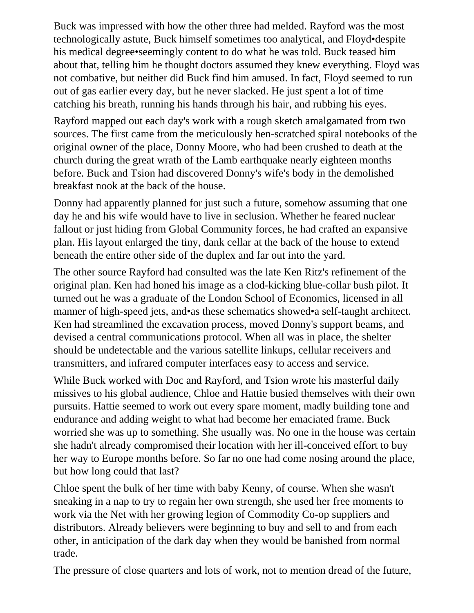Buck was impressed with how the other three had melded. Rayford was the most technologically astute, Buck himself sometimes too analytical, and Floyd•despite his medical degree•seemingly content to do what he was told. Buck teased him about that, telling him he thought doctors assumed they knew everything. Floyd was not combative, but neither did Buck find him amused. In fact, Floyd seemed to run out of gas earlier every day, but he never slacked. He just spent a lot of time catching his breath, running his hands through his hair, and rubbing his eyes.

Rayford mapped out each day's work with a rough sketch amalgamated from two sources. The first came from the meticulously hen-scratched spiral notebooks of the original owner of the place, Donny Moore, who had been crushed to death at the church during the great wrath of the Lamb earthquake nearly eighteen months before. Buck and Tsion had discovered Donny's wife's body in the demolished breakfast nook at the back of the house.

Donny had apparently planned for just such a future, somehow assuming that one day he and his wife would have to live in seclusion. Whether he feared nuclear fallout or just hiding from Global Community forces, he had crafted an expansive plan. His layout enlarged the tiny, dank cellar at the back of the house to extend beneath the entire other side of the duplex and far out into the yard.

The other source Rayford had consulted was the late Ken Ritz's refinement of the original plan. Ken had honed his image as a clod-kicking blue-collar bush pilot. It turned out he was a graduate of the London School of Economics, licensed in all manner of high-speed jets, and•as these schematics showed•a self-taught architect. Ken had streamlined the excavation process, moved Donny's support beams, and devised a central communications protocol. When all was in place, the shelter should be undetectable and the various satellite linkups, cellular receivers and transmitters, and infrared computer interfaces easy to access and service.

While Buck worked with Doc and Rayford, and Tsion wrote his masterful daily missives to his global audience, Chloe and Hattie busied themselves with their own pursuits. Hattie seemed to work out every spare moment, madly building tone and endurance and adding weight to what had become her emaciated frame. Buck worried she was up to something. She usually was. No one in the house was certain she hadn't already compromised their location with her ill-conceived effort to buy her way to Europe months before. So far no one had come nosing around the place, but how long could that last?

Chloe spent the bulk of her time with baby Kenny, of course. When she wasn't sneaking in a nap to try to regain her own strength, she used her free moments to work via the Net with her growing legion of Commodity Co-op suppliers and distributors. Already believers were beginning to buy and sell to and from each other, in anticipation of the dark day when they would be banished from normal trade.

The pressure of close quarters and lots of work, not to mention dread of the future,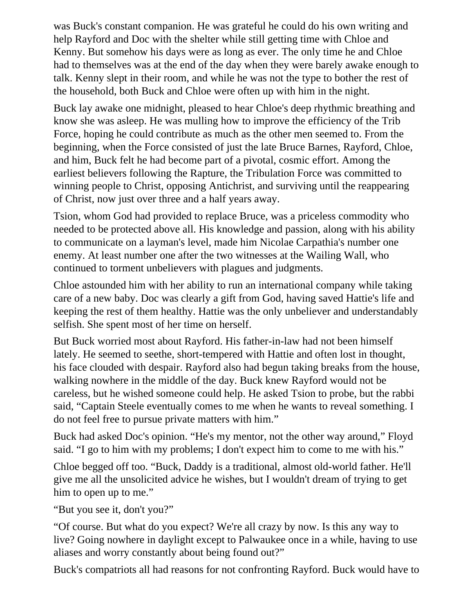was Buck's constant companion. He was grateful he could do his own writing and help Rayford and Doc with the shelter while still getting time with Chloe and Kenny. But somehow his days were as long as ever. The only time he and Chloe had to themselves was at the end of the day when they were barely awake enough to talk. Kenny slept in their room, and while he was not the type to bother the rest of the household, both Buck and Chloe were often up with him in the night.

Buck lay awake one midnight, pleased to hear Chloe's deep rhythmic breathing and know she was asleep. He was mulling how to improve the efficiency of the Trib Force, hoping he could contribute as much as the other men seemed to. From the beginning, when the Force consisted of just the late Bruce Barnes, Rayford, Chloe, and him, Buck felt he had become part of a pivotal, cosmic effort. Among the earliest believers following the Rapture, the Tribulation Force was committed to winning people to Christ, opposing Antichrist, and surviving until the reappearing of Christ, now just over three and a half years away.

Tsion, whom God had provided to replace Bruce, was a priceless commodity who needed to be protected above all. His knowledge and passion, along with his ability to communicate on a layman's level, made him Nicolae Carpathia's number one enemy. At least number one after the two witnesses at the Wailing Wall, who continued to torment unbelievers with plagues and judgments.

Chloe astounded him with her ability to run an international company while taking care of a new baby. Doc was clearly a gift from God, having saved Hattie's life and keeping the rest of them healthy. Hattie was the only unbeliever and understandably selfish. She spent most of her time on herself.

But Buck worried most about Rayford. His father-in-law had not been himself lately. He seemed to seethe, short-tempered with Hattie and often lost in thought, his face clouded with despair. Rayford also had begun taking breaks from the house, walking nowhere in the middle of the day. Buck knew Rayford would not be careless, but he wished someone could help. He asked Tsion to probe, but the rabbi said, "Captain Steele eventually comes to me when he wants to reveal something. I do not feel free to pursue private matters with him."

Buck had asked Doc's opinion. "He's my mentor, not the other way around," Floyd said. "I go to him with my problems; I don't expect him to come to me with his."

Chloe begged off too. "Buck, Daddy is a traditional, almost old-world father. He'll give me all the unsolicited advice he wishes, but I wouldn't dream of trying to get him to open up to me."

"But you see it, don't you?"

"Of course. But what do you expect? We're all crazy by now. Is this any way to live? Going nowhere in daylight except to Palwaukee once in a while, having to use aliases and worry constantly about being found out?"

Buck's compatriots all had reasons for not confronting Rayford. Buck would have to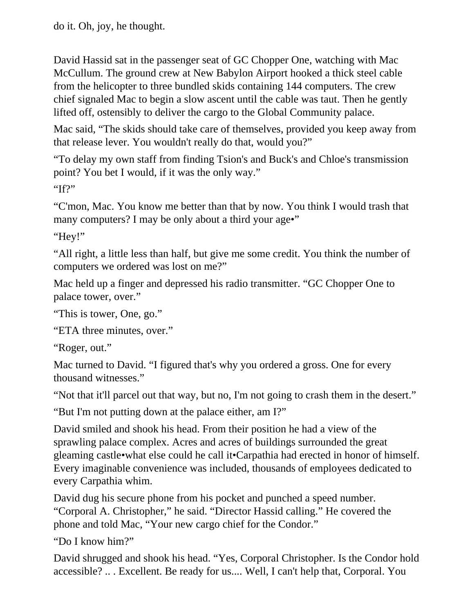do it. Oh, joy, he thought.

David Hassid sat in the passenger seat of GC Chopper One, watching with Mac McCullum. The ground crew at New Babylon Airport hooked a thick steel cable from the helicopter to three bundled skids containing 144 computers. The crew chief signaled Mac to begin a slow ascent until the cable was taut. Then he gently lifted off, ostensibly to deliver the cargo to the Global Community palace.

Mac said, "The skids should take care of themselves, provided you keep away from that release lever. You wouldn't really do that, would you?"

"To delay my own staff from finding Tsion's and Buck's and Chloe's transmission point? You bet I would, if it was the only way." "If?"

"C'mon, Mac. You know me better than that by now. You think I would trash that many computers? I may be only about a third your age<sup>\*</sup>

"Hey!"

"All right, a little less than half, but give me some credit. You think the number of computers we ordered was lost on me?"

Mac held up a finger and depressed his radio transmitter. "GC Chopper One to palace tower, over."

"This is tower, One, go."

"ETA three minutes, over."

"Roger, out."

Mac turned to David. "I figured that's why you ordered a gross. One for every thousand witnesses."

"Not that it'll parcel out that way, but no, I'm not going to crash them in the desert."

"But I'm not putting down at the palace either, am I?"

David smiled and shook his head. From their position he had a view of the sprawling palace complex. Acres and acres of buildings surrounded the great gleaming castle•what else could he call it•Carpathia had erected in honor of himself. Every imaginable convenience was included, thousands of employees dedicated to every Carpathia whim.

David dug his secure phone from his pocket and punched a speed number. "Corporal A. Christopher," he said. "Director Hassid calling." He covered the phone and told Mac, "Your new cargo chief for the Condor."

"Do I know him?"

David shrugged and shook his head. "Yes, Corporal Christopher. Is the Condor hold accessible? .. . Excellent. Be ready for us.... Well, I can't help that, Corporal. You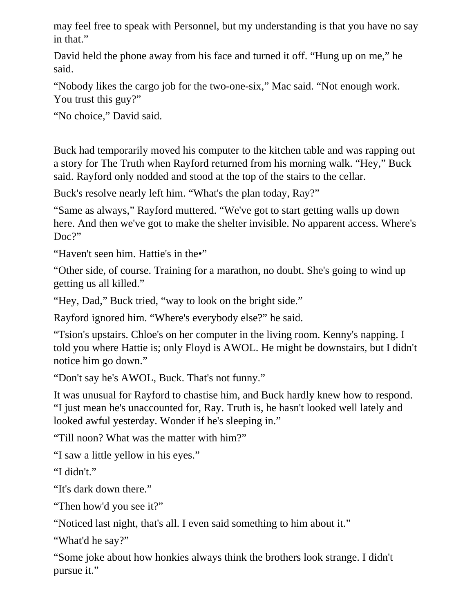may feel free to speak with Personnel, but my understanding is that you have no say in that."

David held the phone away from his face and turned it off. "Hung up on me," he said.

"Nobody likes the cargo job for the two-one-six," Mac said. "Not enough work. You trust this guy?"

"No choice," David said.

Buck had temporarily moved his computer to the kitchen table and was rapping out a story for The Truth when Rayford returned from his morning walk. "Hey," Buck said. Rayford only nodded and stood at the top of the stairs to the cellar.

Buck's resolve nearly left him. "What's the plan today, Ray?"

"Same as always," Rayford muttered. "We've got to start getting walls up down here. And then we've got to make the shelter invisible. No apparent access. Where's Doc?"

"Haven't seen him. Hattie's in the•"

"Other side, of course. Training for a marathon, no doubt. She's going to wind up getting us all killed."

"Hey, Dad," Buck tried, "way to look on the bright side."

Rayford ignored him. "Where's everybody else?" he said.

"Tsion's upstairs. Chloe's on her computer in the living room. Kenny's napping. I told you where Hattie is; only Floyd is AWOL. He might be downstairs, but I didn't notice him go down."

"Don't say he's AWOL, Buck. That's not funny."

It was unusual for Rayford to chastise him, and Buck hardly knew how to respond. "I just mean he's unaccounted for, Ray. Truth is, he hasn't looked well lately and looked awful yesterday. Wonder if he's sleeping in."

"Till noon? What was the matter with him?"

"I saw a little yellow in his eyes."

"I didn't."

"It's dark down there."

"Then how'd you see it?"

"Noticed last night, that's all. I even said something to him about it."

"What'd he say?"

"Some joke about how honkies always think the brothers look strange. I didn't pursue it."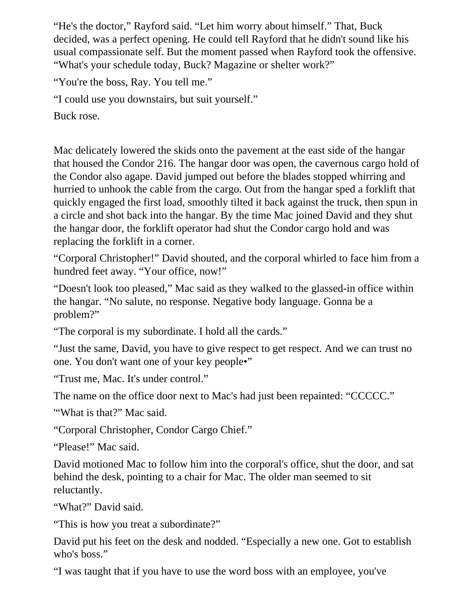"He's the doctor," Rayford said. "Let him worry about himself." That, Buck decided, was a perfect opening. He could tell Rayford that he didn't sound like his usual compassionate self. But the moment passed when Rayford took the offensive. "What's your schedule today, Buck? Magazine or shelter work?"

"You're the boss, Ray. You tell me."

"I could use you downstairs, but suit yourself."

Buck rose.

Mac delicately lowered the skids onto the pavement at the east side of the hangar that housed the Condor 216. The hangar door was open, the cavernous cargo hold of the Condor also agape. David jumped out before the blades stopped whirring and hurried to unhook the cable from the cargo. Out from the hangar sped a forklift that quickly engaged the first load, smoothly tilted it back against the truck, then spun in a circle and shot back into the hangar. By the time Mac joined David and they shut the hangar door, the forklift operator had shut the Condor cargo hold and was replacing the forklift in a corner.

"Corporal Christopher!" David shouted, and the corporal whirled to face him from a hundred feet away. "Your office, now!"

"Doesn't look too pleased," Mac said as they walked to the glassed-in office within the hangar. "No salute, no response. Negative body language. Gonna be a problem?"

"The corporal is my subordinate. I hold all the cards."

"Just the same, David, you have to give respect to get respect. And we can trust no one. You don't want one of your key people•"

"Trust me, Mac. It's under control."

The name on the office door next to Mac's had just been repainted: "CCCCC."

'"What is that?" Mac said.

"Corporal Christopher, Condor Cargo Chief."

"Please!" Mac said.

David motioned Mac to follow him into the corporal's office, shut the door, and sat behind the desk, pointing to a chair for Mac. The older man seemed to sit reluctantly.

"What?" David said.

"This is how you treat a subordinate?"

David put his feet on the desk and nodded. "Especially a new one. Got to establish who's boss."

"I was taught that if you have to use the word boss with an employee, you've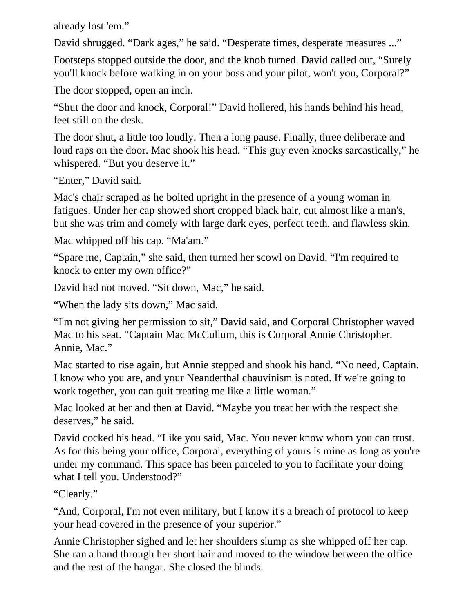already lost 'em."

David shrugged. "Dark ages," he said. "Desperate times, desperate measures ..."

Footsteps stopped outside the door, and the knob turned. David called out, "Surely you'll knock before walking in on your boss and your pilot, won't you, Corporal?"

The door stopped, open an inch.

"Shut the door and knock, Corporal!" David hollered, his hands behind his head, feet still on the desk.

The door shut, a little too loudly. Then a long pause. Finally, three deliberate and loud raps on the door. Mac shook his head. "This guy even knocks sarcastically," he whispered. "But you deserve it."

"Enter," David said.

Mac's chair scraped as he bolted upright in the presence of a young woman in fatigues. Under her cap showed short cropped black hair, cut almost like a man's, but she was trim and comely with large dark eyes, perfect teeth, and flawless skin.

Mac whipped off his cap. "Ma'am."

"Spare me, Captain," she said, then turned her scowl on David. "I'm required to knock to enter my own office?"

David had not moved. "Sit down, Mac," he said.

"When the lady sits down," Mac said.

"I'm not giving her permission to sit," David said, and Corporal Christopher waved Mac to his seat. "Captain Mac McCullum, this is Corporal Annie Christopher. Annie, Mac."

Mac started to rise again, but Annie stepped and shook his hand. "No need, Captain. I know who you are, and your Neanderthal chauvinism is noted. If we're going to work together, you can quit treating me like a little woman."

Mac looked at her and then at David. "Maybe you treat her with the respect she deserves," he said.

David cocked his head. "Like you said, Mac. You never know whom you can trust. As for this being your office, Corporal, everything of yours is mine as long as you're under my command. This space has been parceled to you to facilitate your doing what I tell you. Understood?"

"Clearly."

"And, Corporal, I'm not even military, but I know it's a breach of protocol to keep your head covered in the presence of your superior."

Annie Christopher sighed and let her shoulders slump as she whipped off her cap. She ran a hand through her short hair and moved to the window between the office and the rest of the hangar. She closed the blinds.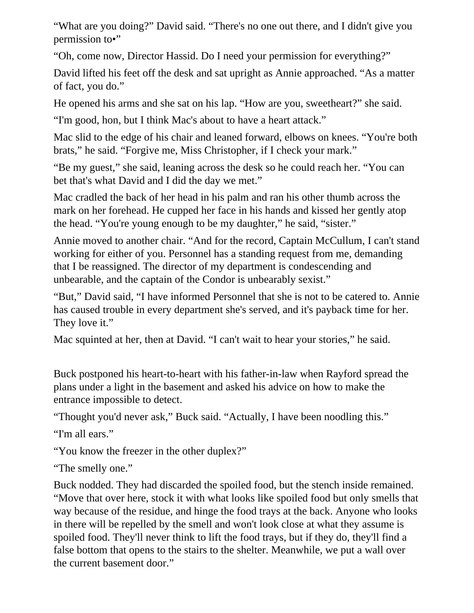"What are you doing?" David said. "There's no one out there, and I didn't give you permission to<sup>•</sup>"

"Oh, come now, Director Hassid. Do I need your permission for everything?"

David lifted his feet off the desk and sat upright as Annie approached. "As a matter of fact, you do."

He opened his arms and she sat on his lap. "How are you, sweetheart?" she said.

"I'm good, hon, but I think Mac's about to have a heart attack."

Mac slid to the edge of his chair and leaned forward, elbows on knees. "You're both brats," he said. "Forgive me, Miss Christopher, if I check your mark."

"Be my guest," she said, leaning across the desk so he could reach her. "You can bet that's what David and I did the day we met."

Mac cradled the back of her head in his palm and ran his other thumb across the mark on her forehead. He cupped her face in his hands and kissed her gently atop the head. "You're young enough to be my daughter," he said, "sister."

Annie moved to another chair. "And for the record, Captain McCullum, I can't stand working for either of you. Personnel has a standing request from me, demanding that I be reassigned. The director of my department is condescending and unbearable, and the captain of the Condor is unbearably sexist."

"But," David said, "I have informed Personnel that she is not to be catered to. Annie has caused trouble in every department she's served, and it's payback time for her. They love it."

Mac squinted at her, then at David. "I can't wait to hear your stories," he said.

Buck postponed his heart-to-heart with his father-in-law when Rayford spread the plans under a light in the basement and asked his advice on how to make the entrance impossible to detect.

"Thought you'd never ask," Buck said. "Actually, I have been noodling this."

"I'm all ears."

"You know the freezer in the other duplex?"

"The smelly one."

Buck nodded. They had discarded the spoiled food, but the stench inside remained. "Move that over here, stock it with what looks like spoiled food but only smells that way because of the residue, and hinge the food trays at the back. Anyone who looks in there will be repelled by the smell and won't look close at what they assume is spoiled food. They'll never think to lift the food trays, but if they do, they'll find a false bottom that opens to the stairs to the shelter. Meanwhile, we put a wall over the current basement door."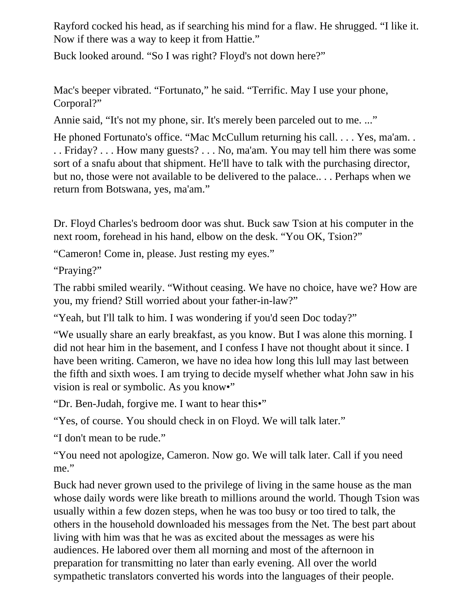Rayford cocked his head, as if searching his mind for a flaw. He shrugged. "I like it. Now if there was a way to keep it from Hattie."

Buck looked around. "So I was right? Floyd's not down here?"

Mac's beeper vibrated. "Fortunato," he said. "Terrific. May I use your phone, Corporal?"

Annie said, "It's not my phone, sir. It's merely been parceled out to me. ..."

He phoned Fortunato's office. "Mac McCullum returning his call. . . . Yes, ma'am. . . . Friday? . . . How many guests? . . . No, ma'am. You may tell him there was some sort of a snafu about that shipment. He'll have to talk with the purchasing director, but no, those were not available to be delivered to the palace.. . . Perhaps when we return from Botswana, yes, ma'am."

Dr. Floyd Charles's bedroom door was shut. Buck saw Tsion at his computer in the next room, forehead in his hand, elbow on the desk. "You OK, Tsion?"

"Cameron! Come in, please. Just resting my eyes."

"Praying?"

The rabbi smiled wearily. "Without ceasing. We have no choice, have we? How are you, my friend? Still worried about your father-in-law?"

"Yeah, but I'll talk to him. I was wondering if you'd seen Doc today?"

"We usually share an early breakfast, as you know. But I was alone this morning. I did not hear him in the basement, and I confess I have not thought about it since. I have been writing. Cameron, we have no idea how long this lull may last between the fifth and sixth woes. I am trying to decide myself whether what John saw in his vision is real or symbolic. As you know•"

"Dr. Ben-Judah, forgive me. I want to hear this•"

"Yes, of course. You should check in on Floyd. We will talk later."

"I don't mean to be rude."

"You need not apologize, Cameron. Now go. We will talk later. Call if you need me."

Buck had never grown used to the privilege of living in the same house as the man whose daily words were like breath to millions around the world. Though Tsion was usually within a few dozen steps, when he was too busy or too tired to talk, the others in the household downloaded his messages from the Net. The best part about living with him was that he was as excited about the messages as were his audiences. He labored over them all morning and most of the afternoon in preparation for transmitting no later than early evening. All over the world sympathetic translators converted his words into the languages of their people.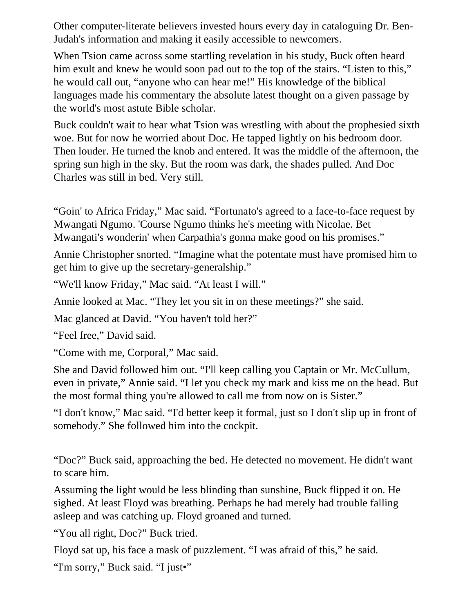Other computer-literate believers invested hours every day in cataloguing Dr. Ben-Judah's information and making it easily accessible to newcomers.

When Tsion came across some startling revelation in his study, Buck often heard him exult and knew he would soon pad out to the top of the stairs. "Listen to this," he would call out, "anyone who can hear me!" His knowledge of the biblical languages made his commentary the absolute latest thought on a given passage by the world's most astute Bible scholar.

Buck couldn't wait to hear what Tsion was wrestling with about the prophesied sixth woe. But for now he worried about Doc. He tapped lightly on his bedroom door. Then louder. He turned the knob and entered. It was the middle of the afternoon, the spring sun high in the sky. But the room was dark, the shades pulled. And Doc Charles was still in bed. Very still.

"Goin' to Africa Friday," Mac said. "Fortunato's agreed to a face-to-face request by Mwangati Ngumo. 'Course Ngumo thinks he's meeting with Nicolae. Bet Mwangati's wonderin' when Carpathia's gonna make good on his promises."

Annie Christopher snorted. "Imagine what the potentate must have promised him to get him to give up the secretary-generalship."

"We'll know Friday," Mac said. "At least I will."

Annie looked at Mac. "They let you sit in on these meetings?" she said.

Mac glanced at David. "You haven't told her?"

"Feel free," David said.

"Come with me, Corporal," Mac said.

She and David followed him out. "I'll keep calling you Captain or Mr. McCullum, even in private," Annie said. "I let you check my mark and kiss me on the head. But the most formal thing you're allowed to call me from now on is Sister."

"I don't know," Mac said. "I'd better keep it formal, just so I don't slip up in front of somebody." She followed him into the cockpit.

"Doc?" Buck said, approaching the bed. He detected no movement. He didn't want to scare him.

Assuming the light would be less blinding than sunshine, Buck flipped it on. He sighed. At least Floyd was breathing. Perhaps he had merely had trouble falling asleep and was catching up. Floyd groaned and turned.

"You all right, Doc?" Buck tried.

Floyd sat up, his face a mask of puzzlement. "I was afraid of this," he said.

"I'm sorry," Buck said. "I just•"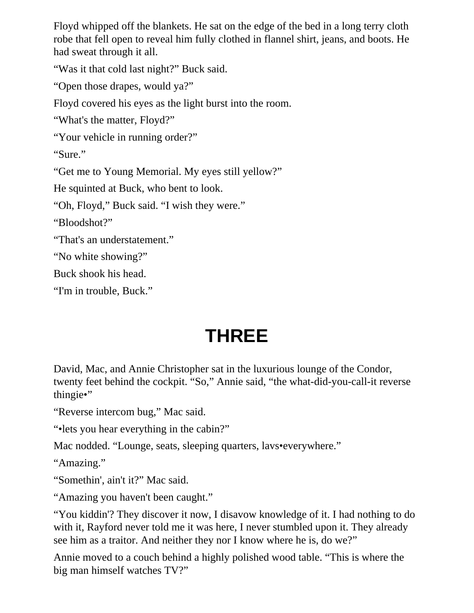Floyd whipped off the blankets. He sat on the edge of the bed in a long terry cloth robe that fell open to reveal him fully clothed in flannel shirt, jeans, and boots. He had sweat through it all.

"Was it that cold last night?" Buck said.

"Open those drapes, would ya?"

Floyd covered his eyes as the light burst into the room.

"What's the matter, Floyd?"

"Your vehicle in running order?"

"Sure."

"Get me to Young Memorial. My eyes still yellow?"

He squinted at Buck, who bent to look.

"Oh, Floyd," Buck said. "I wish they were."

"Bloodshot?"

"That's an understatement."

"No white showing?"

Buck shook his head.

"I'm in trouble, Buck."

## **THREE**

David, Mac, and Annie Christopher sat in the luxurious lounge of the Condor, twenty feet behind the cockpit. "So," Annie said, "the what-did-you-call-it reverse thingie•"

"Reverse intercom bug," Mac said.

"•lets you hear everything in the cabin?"

Mac nodded. "Lounge, seats, sleeping quarters, lavs•everywhere."

"Amazing."

"Somethin', ain't it?" Mac said.

"Amazing you haven't been caught."

"You kiddin'? They discover it now, I disavow knowledge of it. I had nothing to do with it, Rayford never told me it was here, I never stumbled upon it. They already see him as a traitor. And neither they nor I know where he is, do we?"

Annie moved to a couch behind a highly polished wood table. "This is where the big man himself watches TV?"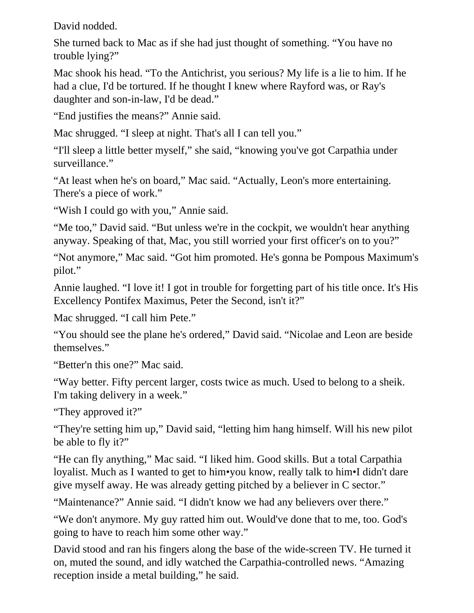David nodded.

She turned back to Mac as if she had just thought of something. "You have no trouble lying?"

Mac shook his head. "To the Antichrist, you serious? My life is a lie to him. If he had a clue, I'd be tortured. If he thought I knew where Rayford was, or Ray's daughter and son-in-law, I'd be dead."

"End justifies the means?" Annie said.

Mac shrugged. "I sleep at night. That's all I can tell you."

"I'll sleep a little better myself," she said, "knowing you've got Carpathia under surveillance."

"At least when he's on board," Mac said. "Actually, Leon's more entertaining. There's a piece of work."

"Wish I could go with you," Annie said.

"Me too," David said. "But unless we're in the cockpit, we wouldn't hear anything anyway. Speaking of that, Mac, you still worried your first officer's on to you?"

"Not anymore," Mac said. "Got him promoted. He's gonna be Pompous Maximum's pilot."

Annie laughed. "I love it! I got in trouble for forgetting part of his title once. It's His Excellency Pontifex Maximus, Peter the Second, isn't it?"

Mac shrugged. "I call him Pete."

"You should see the plane he's ordered," David said. "Nicolae and Leon are beside themselves."

"Better'n this one?" Mac said.

"Way better. Fifty percent larger, costs twice as much. Used to belong to a sheik. I'm taking delivery in a week."

"They approved it?"

"They're setting him up," David said, "letting him hang himself. Will his new pilot be able to fly it?"

"He can fly anything," Mac said. "I liked him. Good skills. But a total Carpathia loyalist. Much as I wanted to get to him•you know, really talk to him•I didn't dare give myself away. He was already getting pitched by a believer in C sector."

"Maintenance?" Annie said. "I didn't know we had any believers over there."

"We don't anymore. My guy ratted him out. Would've done that to me, too. God's going to have to reach him some other way."

David stood and ran his fingers along the base of the wide-screen TV. He turned it on, muted the sound, and idly watched the Carpathia-controlled news. "Amazing reception inside a metal building," he said.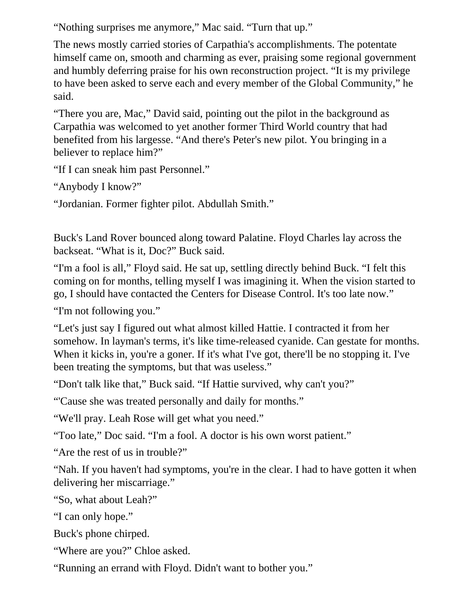"Nothing surprises me anymore," Mac said. "Turn that up."

The news mostly carried stories of Carpathia's accomplishments. The potentate himself came on, smooth and charming as ever, praising some regional government and humbly deferring praise for his own reconstruction project. "It is my privilege to have been asked to serve each and every member of the Global Community," he said.

"There you are, Mac," David said, pointing out the pilot in the background as Carpathia was welcomed to yet another former Third World country that had benefited from his largesse. "And there's Peter's new pilot. You bringing in a believer to replace him?"

"If I can sneak him past Personnel."

"Anybody I know?"

"Jordanian. Former fighter pilot. Abdullah Smith."

Buck's Land Rover bounced along toward Palatine. Floyd Charles lay across the backseat. "What is it, Doc?" Buck said.

"I'm a fool is all," Floyd said. He sat up, settling directly behind Buck. "I felt this coming on for months, telling myself I was imagining it. When the vision started to go, I should have contacted the Centers for Disease Control. It's too late now."

"I'm not following you."

"Let's just say I figured out what almost killed Hattie. I contracted it from her somehow. In layman's terms, it's like time-released cyanide. Can gestate for months. When it kicks in, you're a goner. If it's what I've got, there'll be no stopping it. I've been treating the symptoms, but that was useless."

"Don't talk like that," Buck said. "If Hattie survived, why can't you?"

"'Cause she was treated personally and daily for months."

"We'll pray. Leah Rose will get what you need."

"Too late," Doc said. "I'm a fool. A doctor is his own worst patient."

"Are the rest of us in trouble?"

"Nah. If you haven't had symptoms, you're in the clear. I had to have gotten it when delivering her miscarriage."

"So, what about Leah?"

"I can only hope."

Buck's phone chirped.

"Where are you?" Chloe asked.

"Running an errand with Floyd. Didn't want to bother you."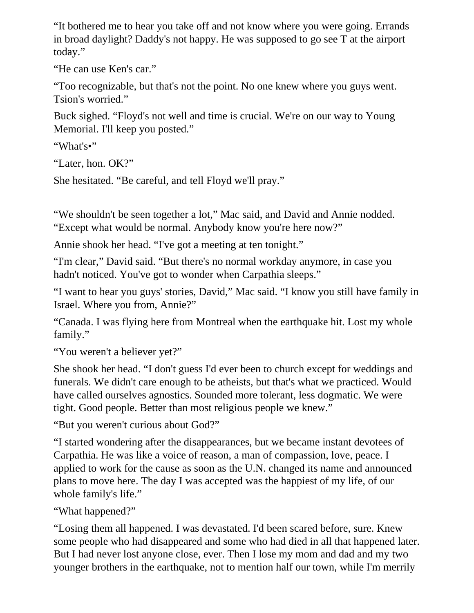"It bothered me to hear you take off and not know where you were going. Errands in broad daylight? Daddy's not happy. He was supposed to go see T at the airport today."

"He can use Ken's car."

"Too recognizable, but that's not the point. No one knew where you guys went. Tsion's worried."

Buck sighed. "Floyd's not well and time is crucial. We're on our way to Young Memorial. I'll keep you posted."

"What's•"

"Later, hon. OK?"

She hesitated. "Be careful, and tell Floyd we'll pray."

"We shouldn't be seen together a lot," Mac said, and David and Annie nodded. "Except what would be normal. Anybody know you're here now?"

Annie shook her head. "I've got a meeting at ten tonight."

"I'm clear," David said. "But there's no normal workday anymore, in case you hadn't noticed. You've got to wonder when Carpathia sleeps."

"I want to hear you guys' stories, David," Mac said. "I know you still have family in Israel. Where you from, Annie?"

"Canada. I was flying here from Montreal when the earthquake hit. Lost my whole family."

"You weren't a believer yet?"

She shook her head. "I don't guess I'd ever been to church except for weddings and funerals. We didn't care enough to be atheists, but that's what we practiced. Would have called ourselves agnostics. Sounded more tolerant, less dogmatic. We were tight. Good people. Better than most religious people we knew."

"But you weren't curious about God?"

"I started wondering after the disappearances, but we became instant devotees of Carpathia. He was like a voice of reason, a man of compassion, love, peace. I applied to work for the cause as soon as the U.N. changed its name and announced plans to move here. The day I was accepted was the happiest of my life, of our whole family's life."

"What happened?"

"Losing them all happened. I was devastated. I'd been scared before, sure. Knew some people who had disappeared and some who had died in all that happened later. But I had never lost anyone close, ever. Then I lose my mom and dad and my two younger brothers in the earthquake, not to mention half our town, while I'm merrily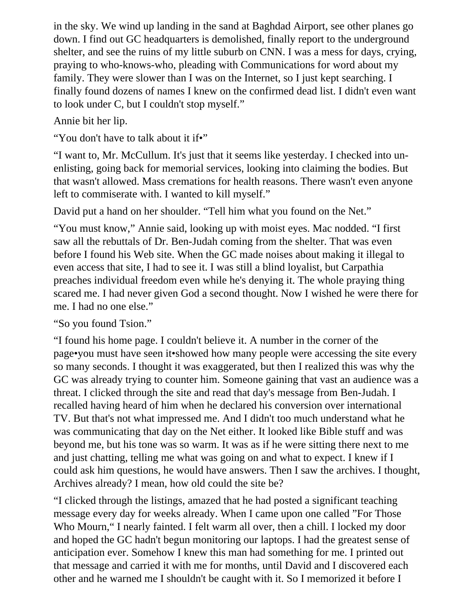in the sky. We wind up landing in the sand at Baghdad Airport, see other planes go down. I find out GC headquarters is demolished, finally report to the underground shelter, and see the ruins of my little suburb on CNN. I was a mess for days, crying, praying to who-knows-who, pleading with Communications for word about my family. They were slower than I was on the Internet, so I just kept searching. I finally found dozens of names I knew on the confirmed dead list. I didn't even want to look under C, but I couldn't stop myself."

Annie bit her lip.

"You don't have to talk about it if•"

"I want to, Mr. McCullum. It's just that it seems like yesterday. I checked into unenlisting, going back for memorial services, looking into claiming the bodies. But that wasn't allowed. Mass cremations for health reasons. There wasn't even anyone left to commiserate with. I wanted to kill myself."

David put a hand on her shoulder. "Tell him what you found on the Net."

"You must know," Annie said, looking up with moist eyes. Mac nodded. "I first saw all the rebuttals of Dr. Ben-Judah coming from the shelter. That was even before I found his Web site. When the GC made noises about making it illegal to even access that site, I had to see it. I was still a blind loyalist, but Carpathia preaches individual freedom even while he's denying it. The whole praying thing scared me. I had never given God a second thought. Now I wished he were there for me. I had no one else."

"So you found Tsion."

"I found his home page. I couldn't believe it. A number in the corner of the page•you must have seen it•showed how many people were accessing the site every so many seconds. I thought it was exaggerated, but then I realized this was why the GC was already trying to counter him. Someone gaining that vast an audience was a threat. I clicked through the site and read that day's message from Ben-Judah. I recalled having heard of him when he declared his conversion over international TV. But that's not what impressed me. And I didn't too much understand what he was communicating that day on the Net either. It looked like Bible stuff and was beyond me, but his tone was so warm. It was as if he were sitting there next to me and just chatting, telling me what was going on and what to expect. I knew if I could ask him questions, he would have answers. Then I saw the archives. I thought, Archives already? I mean, how old could the site be?

"I clicked through the listings, amazed that he had posted a significant teaching message every day for weeks already. When I came upon one called "For Those Who Mourn," I nearly fainted. I felt warm all over, then a chill. I locked my door and hoped the GC hadn't begun monitoring our laptops. I had the greatest sense of anticipation ever. Somehow I knew this man had something for me. I printed out that message and carried it with me for months, until David and I discovered each other and he warned me I shouldn't be caught with it. So I memorized it before I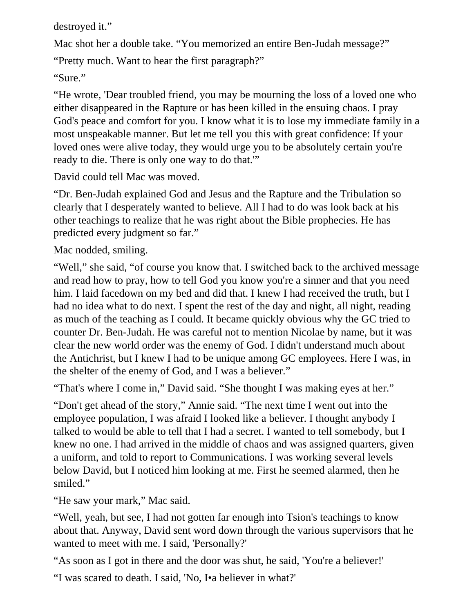destroyed it."

Mac shot her a double take. "You memorized an entire Ben-Judah message?"

"Pretty much. Want to hear the first paragraph?"

"Sure."

"He wrote, 'Dear troubled friend, you may be mourning the loss of a loved one who either disappeared in the Rapture or has been killed in the ensuing chaos. I pray God's peace and comfort for you. I know what it is to lose my immediate family in a most unspeakable manner. But let me tell you this with great confidence: If your loved ones were alive today, they would urge you to be absolutely certain you're ready to die. There is only one way to do that.'"

David could tell Mac was moved.

"Dr. Ben-Judah explained God and Jesus and the Rapture and the Tribulation so clearly that I desperately wanted to believe. All I had to do was look back at his other teachings to realize that he was right about the Bible prophecies. He has predicted every judgment so far."

Mac nodded, smiling.

"Well," she said, "of course you know that. I switched back to the archived message and read how to pray, how to tell God you know you're a sinner and that you need him. I laid facedown on my bed and did that. I knew I had received the truth, but I had no idea what to do next. I spent the rest of the day and night, all night, reading as much of the teaching as I could. It became quickly obvious why the GC tried to counter Dr. Ben-Judah. He was careful not to mention Nicolae by name, but it was clear the new world order was the enemy of God. I didn't understand much about the Antichrist, but I knew I had to be unique among GC employees. Here I was, in the shelter of the enemy of God, and I was a believer."

"That's where I come in," David said. "She thought I was making eyes at her."

"Don't get ahead of the story," Annie said. "The next time I went out into the employee population, I was afraid I looked like a believer. I thought anybody I talked to would be able to tell that I had a secret. I wanted to tell somebody, but I knew no one. I had arrived in the middle of chaos and was assigned quarters, given a uniform, and told to report to Communications. I was working several levels below David, but I noticed him looking at me. First he seemed alarmed, then he smiled."

"He saw your mark," Mac said.

"Well, yeah, but see, I had not gotten far enough into Tsion's teachings to know about that. Anyway, David sent word down through the various supervisors that he wanted to meet with me. I said, 'Personally?'

"As soon as I got in there and the door was shut, he said, 'You're a believer!'

"I was scared to death. I said, 'No, I•a believer in what?'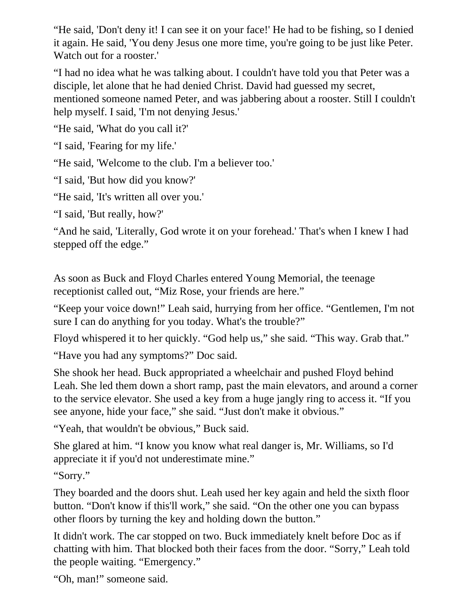"He said, 'Don't deny it! I can see it on your face!' He had to be fishing, so I denied it again. He said, 'You deny Jesus one more time, you're going to be just like Peter. Watch out for a rooster.'

"I had no idea what he was talking about. I couldn't have told you that Peter was a disciple, let alone that he had denied Christ. David had guessed my secret, mentioned someone named Peter, and was jabbering about a rooster. Still I couldn't help myself. I said, 'I'm not denying Jesus.'

"He said, 'What do you call it?'

"I said, 'Fearing for my life.'

"He said, 'Welcome to the club. I'm a believer too.'

"I said, 'But how did you know?'

"He said, 'It's written all over you.'

"I said, 'But really, how?'

"And he said, 'Literally, God wrote it on your forehead.' That's when I knew I had stepped off the edge."

As soon as Buck and Floyd Charles entered Young Memorial, the teenage receptionist called out, "Miz Rose, your friends are here."

"Keep your voice down!" Leah said, hurrying from her office. "Gentlemen, I'm not sure I can do anything for you today. What's the trouble?"

Floyd whispered it to her quickly. "God help us," she said. "This way. Grab that."

"Have you had any symptoms?" Doc said.

She shook her head. Buck appropriated a wheelchair and pushed Floyd behind Leah. She led them down a short ramp, past the main elevators, and around a corner to the service elevator. She used a key from a huge jangly ring to access it. "If you see anyone, hide your face," she said. "Just don't make it obvious."

"Yeah, that wouldn't be obvious," Buck said.

She glared at him. "I know you know what real danger is, Mr. Williams, so I'd appreciate it if you'd not underestimate mine."

"Sorry."

They boarded and the doors shut. Leah used her key again and held the sixth floor button. "Don't know if this'll work," she said. "On the other one you can bypass other floors by turning the key and holding down the button."

It didn't work. The car stopped on two. Buck immediately knelt before Doc as if chatting with him. That blocked both their faces from the door. "Sorry," Leah told the people waiting. "Emergency."

"Oh, man!" someone said.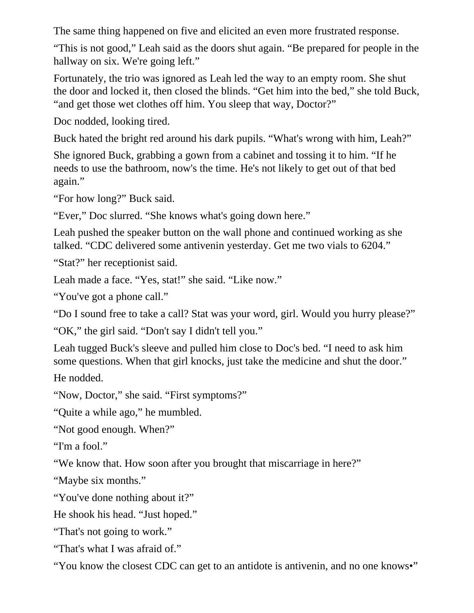The same thing happened on five and elicited an even more frustrated response.

"This is not good," Leah said as the doors shut again. "Be prepared for people in the hallway on six. We're going left."

Fortunately, the trio was ignored as Leah led the way to an empty room. She shut the door and locked it, then closed the blinds. "Get him into the bed," she told Buck, "and get those wet clothes off him. You sleep that way, Doctor?"

Doc nodded, looking tired.

Buck hated the bright red around his dark pupils. "What's wrong with him, Leah?"

She ignored Buck, grabbing a gown from a cabinet and tossing it to him. "If he needs to use the bathroom, now's the time. He's not likely to get out of that bed again."

"For how long?" Buck said.

"Ever," Doc slurred. "She knows what's going down here."

Leah pushed the speaker button on the wall phone and continued working as she talked. "CDC delivered some antivenin yesterday. Get me two vials to 6204."

"Stat?" her receptionist said.

Leah made a face. "Yes, stat!" she said. "Like now."

"You've got a phone call."

"Do I sound free to take a call? Stat was your word, girl. Would you hurry please?"

"OK," the girl said. "Don't say I didn't tell you."

Leah tugged Buck's sleeve and pulled him close to Doc's bed. "I need to ask him some questions. When that girl knocks, just take the medicine and shut the door." He nodded.

"Now, Doctor," she said. "First symptoms?"

"Quite a while ago," he mumbled.

"Not good enough. When?"

"I'm a fool."

"We know that. How soon after you brought that miscarriage in here?"

"Maybe six months."

"You've done nothing about it?"

He shook his head. "Just hoped."

"That's not going to work."

"That's what I was afraid of."

"You know the closest CDC can get to an antidote is antivenin, and no one knows•"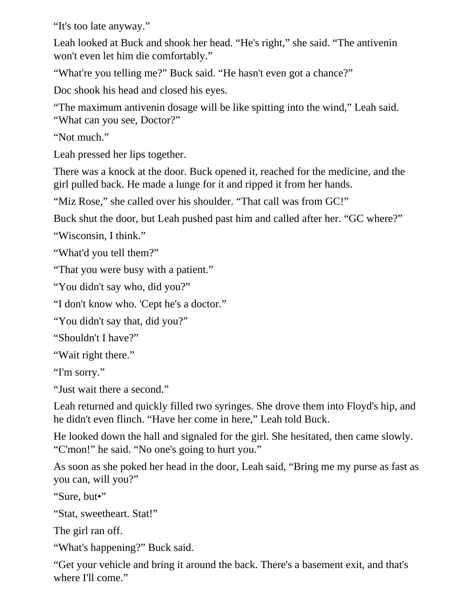"It's too late anyway."

Leah looked at Buck and shook her head. "He's right," she said. "The antivenin won't even let him die comfortably."

"What're you telling me?" Buck said. "He hasn't even got a chance?"

Doc shook his head and closed his eyes.

"The maximum antivenin dosage will be like spitting into the wind," Leah said. "What can you see, Doctor?"

"Not much."

Leah pressed her lips together.

There was a knock at the door. Buck opened it, reached for the medicine, and the girl pulled back. He made a lunge for it and ripped it from her hands.

"Miz Rose," she called over his shoulder. "That call was from GC!"

Buck shut the door, but Leah pushed past him and called after her. "GC where?"

"Wisconsin, I think."

"What'd you tell them?"

"That you were busy with a patient."

"You didn't say who, did you?"

"I don't know who. 'Cept he's a doctor."

"You didn't say that, did you?"

"Shouldn't I have?"

"Wait right there."

"I'm sorry."

"Just wait there a second."

Leah returned and quickly filled two syringes. She drove them into Floyd's hip, and he didn't even flinch. "Have her come in here," Leah told Buck.

He looked down the hall and signaled for the girl. She hesitated, then came slowly. "C'mon!" he said. "No one's going to hurt you."

As soon as she poked her head in the door, Leah said, "Bring me my purse as fast as you can, will you?"

"Sure, but•"

"Stat, sweetheart. Stat!"

The girl ran off.

"What's happening?" Buck said.

"Get your vehicle and bring it around the back. There's a basement exit, and that's where I'll come."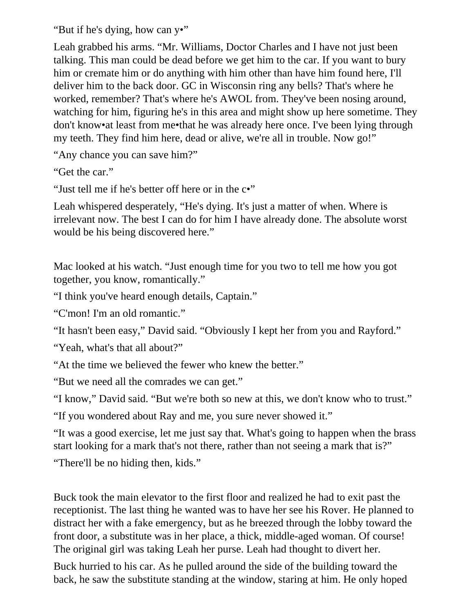"But if he's dying, how can y•"

Leah grabbed his arms. "Mr. Williams, Doctor Charles and I have not just been talking. This man could be dead before we get him to the car. If you want to bury him or cremate him or do anything with him other than have him found here, I'll deliver him to the back door. GC in Wisconsin ring any bells? That's where he worked, remember? That's where he's AWOL from. They've been nosing around, watching for him, figuring he's in this area and might show up here sometime. They don't know•at least from me•that he was already here once. I've been lying through my teeth. They find him here, dead or alive, we're all in trouble. Now go!"

"Any chance you can save him?"

"Get the car."

"Just tell me if he's better off here or in the c•"

Leah whispered desperately, "He's dying. It's just a matter of when. Where is irrelevant now. The best I can do for him I have already done. The absolute worst would be his being discovered here."

Mac looked at his watch. "Just enough time for you two to tell me how you got together, you know, romantically."

"I think you've heard enough details, Captain."

"C'mon! I'm an old romantic."

"It hasn't been easy," David said. "Obviously I kept her from you and Rayford."

"Yeah, what's that all about?"

"At the time we believed the fewer who knew the better."

"But we need all the comrades we can get."

"I know," David said. "But we're both so new at this, we don't know who to trust."

"If you wondered about Ray and me, you sure never showed it."

"It was a good exercise, let me just say that. What's going to happen when the brass start looking for a mark that's not there, rather than not seeing a mark that is?"

"There'll be no hiding then, kids."

Buck took the main elevator to the first floor and realized he had to exit past the receptionist. The last thing he wanted was to have her see his Rover. He planned to distract her with a fake emergency, but as he breezed through the lobby toward the front door, a substitute was in her place, a thick, middle-aged woman. Of course! The original girl was taking Leah her purse. Leah had thought to divert her.

Buck hurried to his car. As he pulled around the side of the building toward the back, he saw the substitute standing at the window, staring at him. He only hoped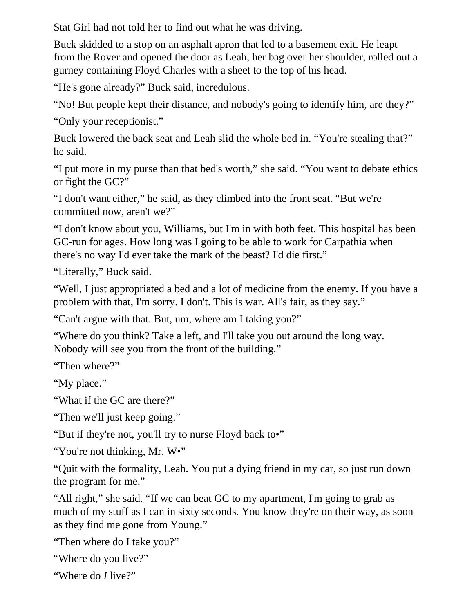Stat Girl had not told her to find out what he was driving.

Buck skidded to a stop on an asphalt apron that led to a basement exit. He leapt from the Rover and opened the door as Leah, her bag over her shoulder, rolled out a gurney containing Floyd Charles with a sheet to the top of his head.

"He's gone already?" Buck said, incredulous.

"No! But people kept their distance, and nobody's going to identify him, are they?"

"Only your receptionist."

Buck lowered the back seat and Leah slid the whole bed in. "You're stealing that?" he said.

"I put more in my purse than that bed's worth," she said. "You want to debate ethics or fight the GC?"

"I don't want either," he said, as they climbed into the front seat. "But we're committed now, aren't we?"

"I don't know about you, Williams, but I'm in with both feet. This hospital has been GC-run for ages. How long was I going to be able to work for Carpathia when there's no way I'd ever take the mark of the beast? I'd die first."

"Literally," Buck said.

"Well, I just appropriated a bed and a lot of medicine from the enemy. If you have a problem with that, I'm sorry. I don't. This is war. All's fair, as they say."

"Can't argue with that. But, um, where am I taking you?"

"Where do you think? Take a left, and I'll take you out around the long way. Nobody will see you from the front of the building."

"Then where?"

"My place."

"What if the GC are there?"

"Then we'll just keep going."

"But if they're not, you'll try to nurse Floyd back to•"

"You're not thinking, Mr. W•"

"Quit with the formality, Leah. You put a dying friend in my car, so just run down the program for me."

"All right," she said. "If we can beat GC to my apartment, I'm going to grab as much of my stuff as I can in sixty seconds. You know they're on their way, as soon as they find me gone from Young."

"Then where do I take you?"

"Where do you live?"

"Where do *I* live?"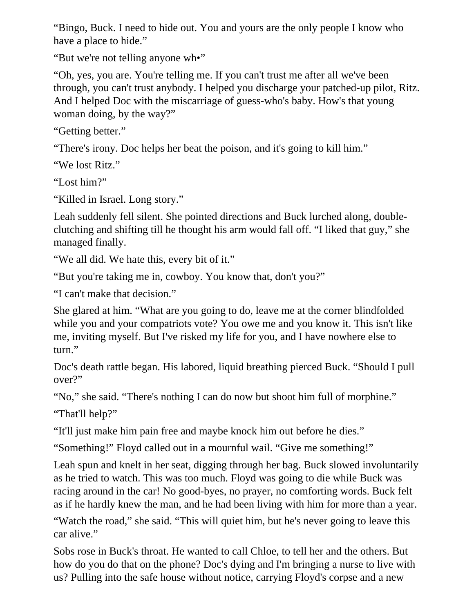"Bingo, Buck. I need to hide out. You and yours are the only people I know who have a place to hide."

"But we're not telling anyone wh•"

"Oh, yes, you are. You're telling me. If you can't trust me after all we've been through, you can't trust anybody. I helped you discharge your patched-up pilot, Ritz. And I helped Doc with the miscarriage of guess-who's baby. How's that young woman doing, by the way?"

"Getting better."

"There's irony. Doc helps her beat the poison, and it's going to kill him."

"We lost Ritz."

"Lost him?"

"Killed in Israel. Long story."

Leah suddenly fell silent. She pointed directions and Buck lurched along, doubleclutching and shifting till he thought his arm would fall off. "I liked that guy," she managed finally.

"We all did. We hate this, every bit of it."

"But you're taking me in, cowboy. You know that, don't you?"

"I can't make that decision."

She glared at him. "What are you going to do, leave me at the corner blindfolded while you and your compatriots vote? You owe me and you know it. This isn't like me, inviting myself. But I've risked my life for you, and I have nowhere else to turn."

Doc's death rattle began. His labored, liquid breathing pierced Buck. "Should I pull over?"

"No," she said. "There's nothing I can do now but shoot him full of morphine."

"That'll help?"

"It'll just make him pain free and maybe knock him out before he dies."

"Something!" Floyd called out in a mournful wail. "Give me something!"

Leah spun and knelt in her seat, digging through her bag. Buck slowed involuntarily as he tried to watch. This was too much. Floyd was going to die while Buck was racing around in the car! No good-byes, no prayer, no comforting words. Buck felt as if he hardly knew the man, and he had been living with him for more than a year.

"Watch the road," she said. "This will quiet him, but he's never going to leave this car alive."

Sobs rose in Buck's throat. He wanted to call Chloe, to tell her and the others. But how do you do that on the phone? Doc's dying and I'm bringing a nurse to live with us? Pulling into the safe house without notice, carrying Floyd's corpse and a new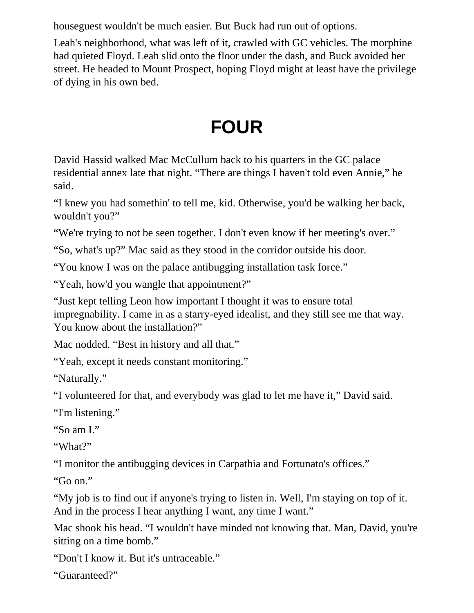houseguest wouldn't be much easier. But Buck had run out of options.

Leah's neighborhood, what was left of it, crawled with GC vehicles. The morphine had quieted Floyd. Leah slid onto the floor under the dash, and Buck avoided her street. He headed to Mount Prospect, hoping Floyd might at least have the privilege of dying in his own bed.

## **FOUR**

David Hassid walked Mac McCullum back to his quarters in the GC palace residential annex late that night. "There are things I haven't told even Annie," he said.

"I knew you had somethin' to tell me, kid. Otherwise, you'd be walking her back, wouldn't you?"

"We're trying to not be seen together. I don't even know if her meeting's over."

"So, what's up?" Mac said as they stood in the corridor outside his door.

"You know I was on the palace antibugging installation task force."

"Yeah, how'd you wangle that appointment?"

"Just kept telling Leon how important I thought it was to ensure total impregnability. I came in as a starry-eyed idealist, and they still see me that way. You know about the installation?"

Mac nodded. "Best in history and all that."

"Yeah, except it needs constant monitoring."

"Naturally."

"I volunteered for that, and everybody was glad to let me have it," David said.

"I'm listening."

"So am I."

"What?"

"I monitor the antibugging devices in Carpathia and Fortunato's offices."

"Go on."

"My job is to find out if anyone's trying to listen in. Well, I'm staying on top of it. And in the process I hear anything I want, any time I want."

Mac shook his head. "I wouldn't have minded not knowing that. Man, David, you're sitting on a time bomb."

"Don't I know it. But it's untraceable."

"Guaranteed?"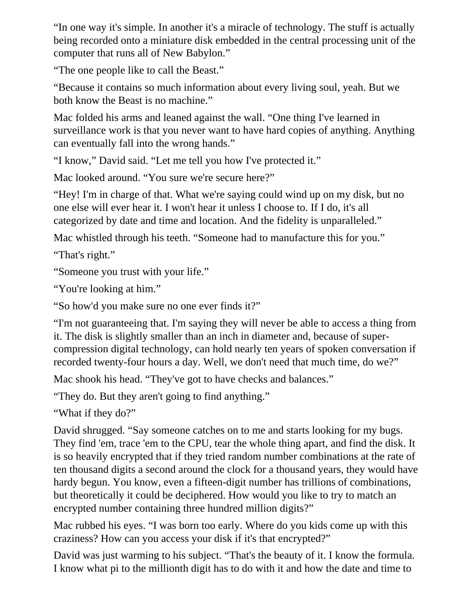"In one way it's simple. In another it's a miracle of technology. The stuff is actually being recorded onto a miniature disk embedded in the central processing unit of the computer that runs all of New Babylon."

"The one people like to call the Beast."

"Because it contains so much information about every living soul, yeah. But we both know the Beast is no machine."

Mac folded his arms and leaned against the wall. "One thing I've learned in surveillance work is that you never want to have hard copies of anything. Anything can eventually fall into the wrong hands."

"I know," David said. "Let me tell you how I've protected it."

Mac looked around. "You sure we're secure here?"

"Hey! I'm in charge of that. What we're saying could wind up on my disk, but no one else will ever hear it. I won't hear it unless I choose to. If I do, it's all categorized by date and time and location. And the fidelity is unparalleled."

Mac whistled through his teeth. "Someone had to manufacture this for you."

"That's right."

"Someone you trust with your life."

"You're looking at him."

"So how'd you make sure no one ever finds it?"

"I'm not guaranteeing that. I'm saying they will never be able to access a thing from it. The disk is slightly smaller than an inch in diameter and, because of supercompression digital technology, can hold nearly ten years of spoken conversation if recorded twenty-four hours a day. Well, we don't need that much time, do we?"

Mac shook his head. "They've got to have checks and balances."

"They do. But they aren't going to find anything."

"What if they do?"

David shrugged. "Say someone catches on to me and starts looking for my bugs. They find 'em, trace 'em to the CPU, tear the whole thing apart, and find the disk. It is so heavily encrypted that if they tried random number combinations at the rate of ten thousand digits a second around the clock for a thousand years, they would have hardy begun. You know, even a fifteen-digit number has trillions of combinations, but theoretically it could be deciphered. How would you like to try to match an encrypted number containing three hundred million digits?"

Mac rubbed his eyes. "I was born too early. Where do you kids come up with this craziness? How can you access your disk if it's that encrypted?"

David was just warming to his subject. "That's the beauty of it. I know the formula. I know what pi to the millionth digit has to do with it and how the date and time to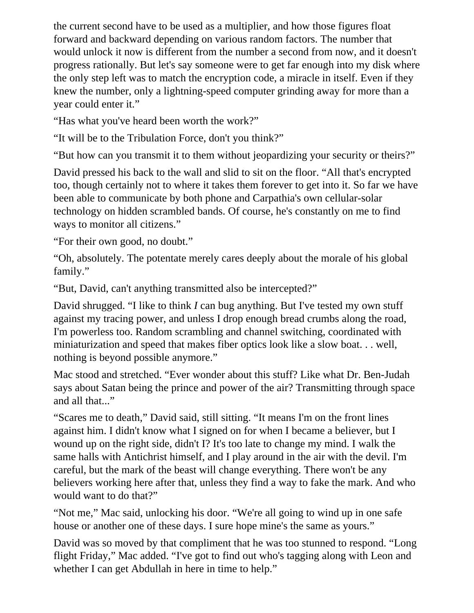the current second have to be used as a multiplier, and how those figures float forward and backward depending on various random factors. The number that would unlock it now is different from the number a second from now, and it doesn't progress rationally. But let's say someone were to get far enough into my disk where the only step left was to match the encryption code, a miracle in itself. Even if they knew the number, only a lightning-speed computer grinding away for more than a year could enter it."

"Has what you've heard been worth the work?"

"It will be to the Tribulation Force, don't you think?"

"But how can you transmit it to them without jeopardizing your security or theirs?"

David pressed his back to the wall and slid to sit on the floor. "All that's encrypted too, though certainly not to where it takes them forever to get into it. So far we have been able to communicate by both phone and Carpathia's own cellular-solar technology on hidden scrambled bands. Of course, he's constantly on me to find ways to monitor all citizens."

"For their own good, no doubt."

"Oh, absolutely. The potentate merely cares deeply about the morale of his global family."

"But, David, can't anything transmitted also be intercepted?"

David shrugged. "I like to think *I* can bug anything. But I've tested my own stuff against my tracing power, and unless I drop enough bread crumbs along the road, I'm powerless too. Random scrambling and channel switching, coordinated with miniaturization and speed that makes fiber optics look like a slow boat. . . well, nothing is beyond possible anymore."

Mac stood and stretched. "Ever wonder about this stuff? Like what Dr. Ben-Judah says about Satan being the prince and power of the air? Transmitting through space and all that..."

"Scares me to death," David said, still sitting. "It means I'm on the front lines against him. I didn't know what I signed on for when I became a believer, but I wound up on the right side, didn't I? It's too late to change my mind. I walk the same halls with Antichrist himself, and I play around in the air with the devil. I'm careful, but the mark of the beast will change everything. There won't be any believers working here after that, unless they find a way to fake the mark. And who would want to do that?"

"Not me," Mac said, unlocking his door. "We're all going to wind up in one safe house or another one of these days. I sure hope mine's the same as yours."

David was so moved by that compliment that he was too stunned to respond. "Long flight Friday," Mac added. "I've got to find out who's tagging along with Leon and whether I can get Abdullah in here in time to help."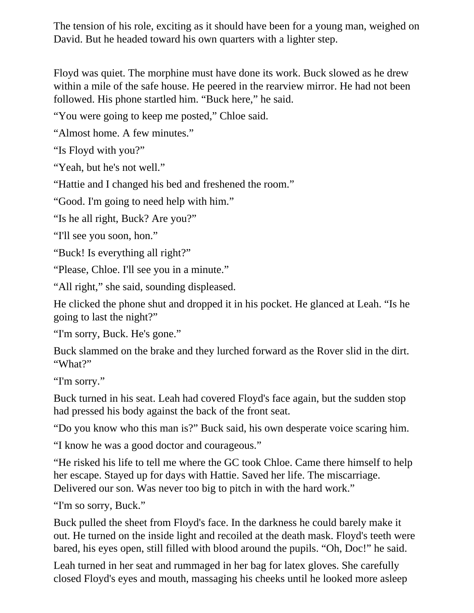The tension of his role, exciting as it should have been for a young man, weighed on David. But he headed toward his own quarters with a lighter step.

Floyd was quiet. The morphine must have done its work. Buck slowed as he drew within a mile of the safe house. He peered in the rearview mirror. He had not been followed. His phone startled him. "Buck here," he said.

"You were going to keep me posted," Chloe said.

"Almost home. A few minutes."

"Is Floyd with you?"

"Yeah, but he's not well."

"Hattie and I changed his bed and freshened the room."

"Good. I'm going to need help with him."

"Is he all right, Buck? Are you?"

"I'll see you soon, hon."

"Buck! Is everything all right?"

"Please, Chloe. I'll see you in a minute."

"All right," she said, sounding displeased.

He clicked the phone shut and dropped it in his pocket. He glanced at Leah. "Is he going to last the night?"

"I'm sorry, Buck. He's gone."

Buck slammed on the brake and they lurched forward as the Rover slid in the dirt. "What?"

"I'm sorry."

Buck turned in his seat. Leah had covered Floyd's face again, but the sudden stop had pressed his body against the back of the front seat.

"Do you know who this man is?" Buck said, his own desperate voice scaring him.

"I know he was a good doctor and courageous."

"He risked his life to tell me where the GC took Chloe. Came there himself to help her escape. Stayed up for days with Hattie. Saved her life. The miscarriage. Delivered our son. Was never too big to pitch in with the hard work."

"I'm so sorry, Buck."

Buck pulled the sheet from Floyd's face. In the darkness he could barely make it out. He turned on the inside light and recoiled at the death mask. Floyd's teeth were bared, his eyes open, still filled with blood around the pupils. "Oh, Doc!" he said.

Leah turned in her seat and rummaged in her bag for latex gloves. She carefully closed Floyd's eyes and mouth, massaging his cheeks until he looked more asleep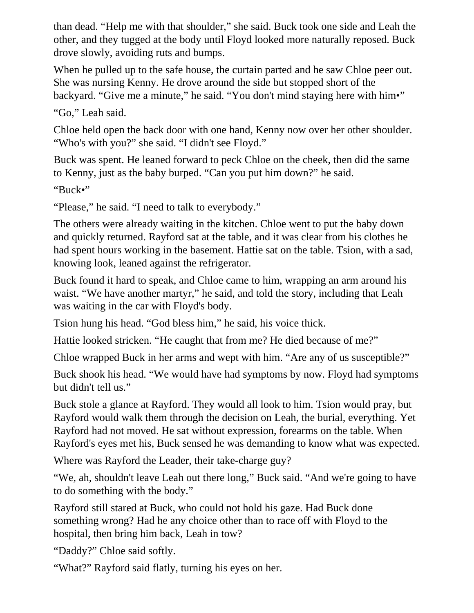than dead. "Help me with that shoulder," she said. Buck took one side and Leah the other, and they tugged at the body until Floyd looked more naturally reposed. Buck drove slowly, avoiding ruts and bumps.

When he pulled up to the safe house, the curtain parted and he saw Chloe peer out. She was nursing Kenny. He drove around the side but stopped short of the backyard. "Give me a minute," he said. "You don't mind staying here with him."

"Go," Leah said.

Chloe held open the back door with one hand, Kenny now over her other shoulder. "Who's with you?" she said. "I didn't see Floyd."

Buck was spent. He leaned forward to peck Chloe on the cheek, then did the same to Kenny, just as the baby burped. "Can you put him down?" he said.

"Buck•"

"Please," he said. "I need to talk to everybody."

The others were already waiting in the kitchen. Chloe went to put the baby down and quickly returned. Rayford sat at the table, and it was clear from his clothes he had spent hours working in the basement. Hattie sat on the table. Tsion, with a sad, knowing look, leaned against the refrigerator.

Buck found it hard to speak, and Chloe came to him, wrapping an arm around his waist. "We have another martyr," he said, and told the story, including that Leah was waiting in the car with Floyd's body.

Tsion hung his head. "God bless him," he said, his voice thick.

Hattie looked stricken. "He caught that from me? He died because of me?"

Chloe wrapped Buck in her arms and wept with him. "Are any of us susceptible?"

Buck shook his head. "We would have had symptoms by now. Floyd had symptoms but didn't tell us."

Buck stole a glance at Rayford. They would all look to him. Tsion would pray, but Rayford would walk them through the decision on Leah, the burial, everything. Yet Rayford had not moved. He sat without expression, forearms on the table. When Rayford's eyes met his, Buck sensed he was demanding to know what was expected.

Where was Rayford the Leader, their take-charge guy?

"We, ah, shouldn't leave Leah out there long," Buck said. "And we're going to have to do something with the body."

Rayford still stared at Buck, who could not hold his gaze. Had Buck done something wrong? Had he any choice other than to race off with Floyd to the hospital, then bring him back, Leah in tow?

"Daddy?" Chloe said softly.

"What?" Rayford said flatly, turning his eyes on her.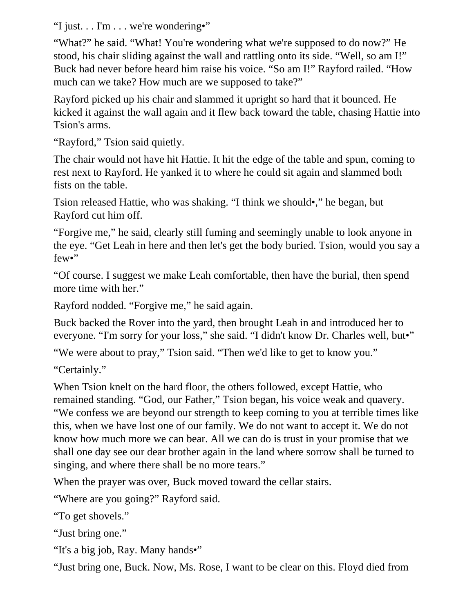"I just. . . I'm . . . we're wondering•"

"What?" he said. "What! You're wondering what we're supposed to do now?" He stood, his chair sliding against the wall and rattling onto its side. "Well, so am I!" Buck had never before heard him raise his voice. "So am I!" Rayford railed. "How much can we take? How much are we supposed to take?"

Rayford picked up his chair and slammed it upright so hard that it bounced. He kicked it against the wall again and it flew back toward the table, chasing Hattie into Tsion's arms.

"Rayford," Tsion said quietly.

The chair would not have hit Hattie. It hit the edge of the table and spun, coming to rest next to Rayford. He yanked it to where he could sit again and slammed both fists on the table.

Tsion released Hattie, who was shaking. "I think we should•," he began, but Rayford cut him off.

"Forgive me," he said, clearly still fuming and seemingly unable to look anyone in the eye. "Get Leah in here and then let's get the body buried. Tsion, would you say a few•"

"Of course. I suggest we make Leah comfortable, then have the burial, then spend more time with her."

Rayford nodded. "Forgive me," he said again.

Buck backed the Rover into the yard, then brought Leah in and introduced her to everyone. "I'm sorry for your loss," she said. "I didn't know Dr. Charles well, but•"

"We were about to pray," Tsion said. "Then we'd like to get to know you."

"Certainly."

When Tsion knelt on the hard floor, the others followed, except Hattie, who remained standing. "God, our Father," Tsion began, his voice weak and quavery. "We confess we are beyond our strength to keep coming to you at terrible times like this, when we have lost one of our family. We do not want to accept it. We do not know how much more we can bear. All we can do is trust in your promise that we shall one day see our dear brother again in the land where sorrow shall be turned to singing, and where there shall be no more tears."

When the prayer was over, Buck moved toward the cellar stairs.

"Where are you going?" Rayford said.

"To get shovels."

"Just bring one."

"It's a big job, Ray. Many hands•"

"Just bring one, Buck. Now, Ms. Rose, I want to be clear on this. Floyd died from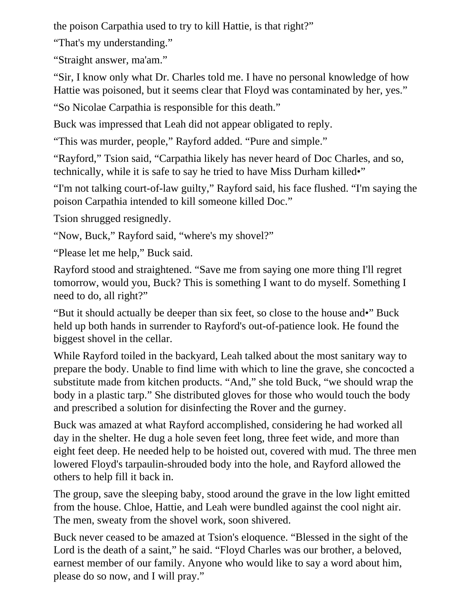the poison Carpathia used to try to kill Hattie, is that right?"

"That's my understanding."

"Straight answer, ma'am."

"Sir, I know only what Dr. Charles told me. I have no personal knowledge of how Hattie was poisoned, but it seems clear that Floyd was contaminated by her, yes."

"So Nicolae Carpathia is responsible for this death."

Buck was impressed that Leah did not appear obligated to reply.

"This was murder, people," Rayford added. "Pure and simple."

"Rayford," Tsion said, "Carpathia likely has never heard of Doc Charles, and so, technically, while it is safe to say he tried to have Miss Durham killed•"

"I'm not talking court-of-law guilty," Rayford said, his face flushed. "I'm saying the poison Carpathia intended to kill someone killed Doc."

Tsion shrugged resignedly.

"Now, Buck," Rayford said, "where's my shovel?"

"Please let me help," Buck said.

Rayford stood and straightened. "Save me from saying one more thing I'll regret tomorrow, would you, Buck? This is something I want to do myself. Something I need to do, all right?"

"But it should actually be deeper than six feet, so close to the house and•" Buck held up both hands in surrender to Rayford's out-of-patience look. He found the biggest shovel in the cellar.

While Rayford toiled in the backyard, Leah talked about the most sanitary way to prepare the body. Unable to find lime with which to line the grave, she concocted a substitute made from kitchen products. "And," she told Buck, "we should wrap the body in a plastic tarp." She distributed gloves for those who would touch the body and prescribed a solution for disinfecting the Rover and the gurney.

Buck was amazed at what Rayford accomplished, considering he had worked all day in the shelter. He dug a hole seven feet long, three feet wide, and more than eight feet deep. He needed help to be hoisted out, covered with mud. The three men lowered Floyd's tarpaulin-shrouded body into the hole, and Rayford allowed the others to help fill it back in.

The group, save the sleeping baby, stood around the grave in the low light emitted from the house. Chloe, Hattie, and Leah were bundled against the cool night air. The men, sweaty from the shovel work, soon shivered.

Buck never ceased to be amazed at Tsion's eloquence. "Blessed in the sight of the Lord is the death of a saint," he said. "Floyd Charles was our brother, a beloved, earnest member of our family. Anyone who would like to say a word about him, please do so now, and I will pray."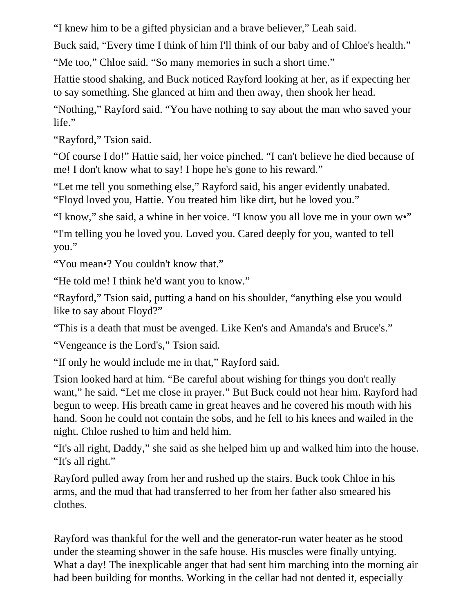"I knew him to be a gifted physician and a brave believer," Leah said.

Buck said, "Every time I think of him I'll think of our baby and of Chloe's health."

"Me too," Chloe said. "So many memories in such a short time."

Hattie stood shaking, and Buck noticed Rayford looking at her, as if expecting her to say something. She glanced at him and then away, then shook her head.

"Nothing," Rayford said. "You have nothing to say about the man who saved your life."

"Rayford," Tsion said.

"Of course I do!" Hattie said, her voice pinched. "I can't believe he died because of me! I don't know what to say! I hope he's gone to his reward."

"Let me tell you something else," Rayford said, his anger evidently unabated. "Floyd loved you, Hattie. You treated him like dirt, but he loved you."

"I know," she said, a whine in her voice. "I know you all love me in your own w•"

"I'm telling you he loved you. Loved you. Cared deeply for you, wanted to tell you."

"You mean•? You couldn't know that."

"He told me! I think he'd want you to know."

"Rayford," Tsion said, putting a hand on his shoulder, "anything else you would like to say about Floyd?"

"This is a death that must be avenged. Like Ken's and Amanda's and Bruce's."

"Vengeance is the Lord's," Tsion said.

"If only he would include me in that," Rayford said.

Tsion looked hard at him. "Be careful about wishing for things you don't really want," he said. "Let me close in prayer." But Buck could not hear him. Rayford had begun to weep. His breath came in great heaves and he covered his mouth with his hand. Soon he could not contain the sobs, and he fell to his knees and wailed in the night. Chloe rushed to him and held him.

"It's all right, Daddy," she said as she helped him up and walked him into the house. "It's all right."

Rayford pulled away from her and rushed up the stairs. Buck took Chloe in his arms, and the mud that had transferred to her from her father also smeared his clothes.

Rayford was thankful for the well and the generator-run water heater as he stood under the steaming shower in the safe house. His muscles were finally untying. What a day! The inexplicable anger that had sent him marching into the morning air had been building for months. Working in the cellar had not dented it, especially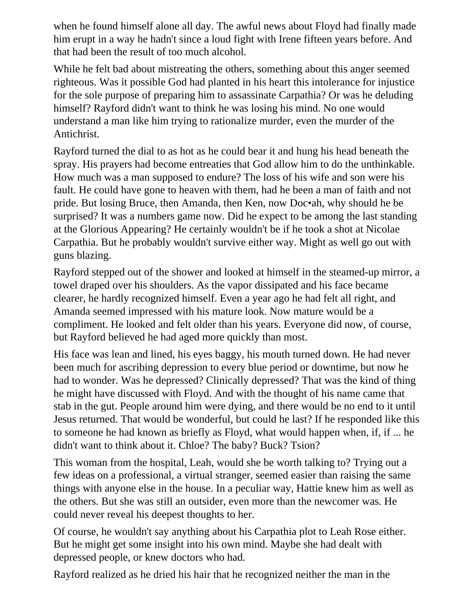when he found himself alone all day. The awful news about Floyd had finally made him erupt in a way he hadn't since a loud fight with Irene fifteen years before. And that had been the result of too much alcohol.

While he felt bad about mistreating the others, something about this anger seemed righteous. Was it possible God had planted in his heart this intolerance for injustice for the sole purpose of preparing him to assassinate Carpathia? Or was he deluding himself? Rayford didn't want to think he was losing his mind. No one would understand a man like him trying to rationalize murder, even the murder of the Antichrist.

Rayford turned the dial to as hot as he could bear it and hung his head beneath the spray. His prayers had become entreaties that God allow him to do the unthinkable. How much was a man supposed to endure? The loss of his wife and son were his fault. He could have gone to heaven with them, had he been a man of faith and not pride. But losing Bruce, then Amanda, then Ken, now Doc•ah, why should he be surprised? It was a numbers game now. Did he expect to be among the last standing at the Glorious Appearing? He certainly wouldn't be if he took a shot at Nicolae Carpathia. But he probably wouldn't survive either way. Might as well go out with guns blazing.

Rayford stepped out of the shower and looked at himself in the steamed-up mirror, a towel draped over his shoulders. As the vapor dissipated and his face became clearer, he hardly recognized himself. Even a year ago he had felt all right, and Amanda seemed impressed with his mature look. Now mature would be a compliment. He looked and felt older than his years. Everyone did now, of course, but Rayford believed he had aged more quickly than most.

His face was lean and lined, his eyes baggy, his mouth turned down. He had never been much for ascribing depression to every blue period or downtime, but now he had to wonder. Was he depressed? Clinically depressed? That was the kind of thing he might have discussed with Floyd. And with the thought of his name came that stab in the gut. People around him were dying, and there would be no end to it until Jesus returned. That would be wonderful, but could he last? If he responded like this to someone he had known as briefly as Floyd, what would happen when, if, if ... he didn't want to think about it. Chloe? The baby? Buck? Tsion?

This woman from the hospital, Leah, would she be worth talking to? Trying out a few ideas on a professional, a virtual stranger, seemed easier than raising the same things with anyone else in the house. In a peculiar way, Hattie knew him as well as the others. But she was still an outsider, even more than the newcomer was. He could never reveal his deepest thoughts to her.

Of course, he wouldn't say anything about his Carpathia plot to Leah Rose either. But he might get some insight into his own mind. Maybe she had dealt with depressed people, or knew doctors who had.

Rayford realized as he dried his hair that he recognized neither the man in the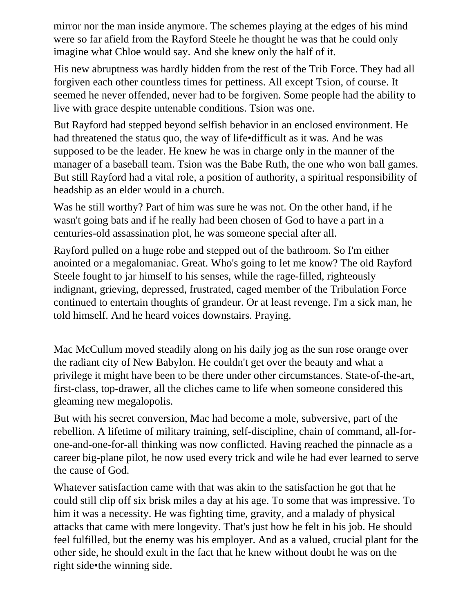mirror nor the man inside anymore. The schemes playing at the edges of his mind were so far afield from the Rayford Steele he thought he was that he could only imagine what Chloe would say. And she knew only the half of it.

His new abruptness was hardly hidden from the rest of the Trib Force. They had all forgiven each other countless times for pettiness. All except Tsion, of course. It seemed he never offended, never had to be forgiven. Some people had the ability to live with grace despite untenable conditions. Tsion was one.

But Rayford had stepped beyond selfish behavior in an enclosed environment. He had threatened the status quo, the way of life•difficult as it was. And he was supposed to be the leader. He knew he was in charge only in the manner of the manager of a baseball team. Tsion was the Babe Ruth, the one who won ball games. But still Rayford had a vital role, a position of authority, a spiritual responsibility of headship as an elder would in a church.

Was he still worthy? Part of him was sure he was not. On the other hand, if he wasn't going bats and if he really had been chosen of God to have a part in a centuries-old assassination plot, he was someone special after all.

Rayford pulled on a huge robe and stepped out of the bathroom. So I'm either anointed or a megalomaniac. Great. Who's going to let me know? The old Rayford Steele fought to jar himself to his senses, while the rage-filled, righteously indignant, grieving, depressed, frustrated, caged member of the Tribulation Force continued to entertain thoughts of grandeur. Or at least revenge. I'm a sick man, he told himself. And he heard voices downstairs. Praying.

Mac McCullum moved steadily along on his daily jog as the sun rose orange over the radiant city of New Babylon. He couldn't get over the beauty and what a privilege it might have been to be there under other circumstances. State-of-the-art, first-class, top-drawer, all the cliches came to life when someone considered this gleaming new megalopolis.

But with his secret conversion, Mac had become a mole, subversive, part of the rebellion. A lifetime of military training, self-discipline, chain of command, all-forone-and-one-for-all thinking was now conflicted. Having reached the pinnacle as a career big-plane pilot, he now used every trick and wile he had ever learned to serve the cause of God.

Whatever satisfaction came with that was akin to the satisfaction he got that he could still clip off six brisk miles a day at his age. To some that was impressive. To him it was a necessity. He was fighting time, gravity, and a malady of physical attacks that came with mere longevity. That's just how he felt in his job. He should feel fulfilled, but the enemy was his employer. And as a valued, crucial plant for the other side, he should exult in the fact that he knew without doubt he was on the right side•the winning side.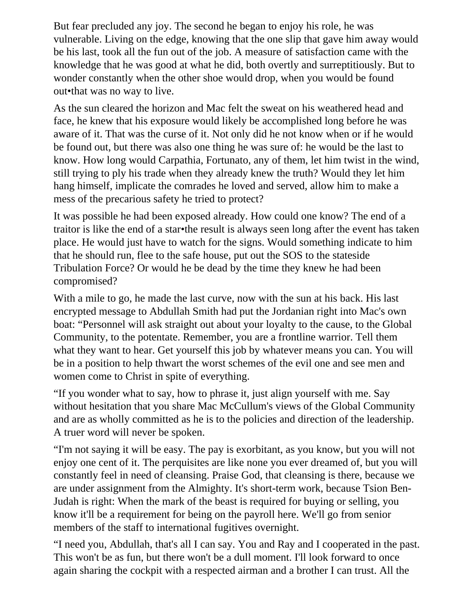But fear precluded any joy. The second he began to enjoy his role, he was vulnerable. Living on the edge, knowing that the one slip that gave him away would be his last, took all the fun out of the job. A measure of satisfaction came with the knowledge that he was good at what he did, both overtly and surreptitiously. But to wonder constantly when the other shoe would drop, when you would be found out•that was no way to live.

As the sun cleared the horizon and Mac felt the sweat on his weathered head and face, he knew that his exposure would likely be accomplished long before he was aware of it. That was the curse of it. Not only did he not know when or if he would be found out, but there was also one thing he was sure of: he would be the last to know. How long would Carpathia, Fortunato, any of them, let him twist in the wind, still trying to ply his trade when they already knew the truth? Would they let him hang himself, implicate the comrades he loved and served, allow him to make a mess of the precarious safety he tried to protect?

It was possible he had been exposed already. How could one know? The end of a traitor is like the end of a star•the result is always seen long after the event has taken place. He would just have to watch for the signs. Would something indicate to him that he should run, flee to the safe house, put out the SOS to the stateside Tribulation Force? Or would he be dead by the time they knew he had been compromised?

With a mile to go, he made the last curve, now with the sun at his back. His last encrypted message to Abdullah Smith had put the Jordanian right into Mac's own boat: "Personnel will ask straight out about your loyalty to the cause, to the Global Community, to the potentate. Remember, you are a frontline warrior. Tell them what they want to hear. Get yourself this job by whatever means you can. You will be in a position to help thwart the worst schemes of the evil one and see men and women come to Christ in spite of everything.

"If you wonder what to say, how to phrase it, just align yourself with me. Say without hesitation that you share Mac McCullum's views of the Global Community and are as wholly committed as he is to the policies and direction of the leadership. A truer word will never be spoken.

"I'm not saying it will be easy. The pay is exorbitant, as you know, but you will not enjoy one cent of it. The perquisites are like none you ever dreamed of, but you will constantly feel in need of cleansing. Praise God, that cleansing is there, because we are under assignment from the Almighty. It's short-term work, because Tsion Ben-Judah is right: When the mark of the beast is required for buying or selling, you know it'll be a requirement for being on the payroll here. We'll go from senior members of the staff to international fugitives overnight.

"I need you, Abdullah, that's all I can say. You and Ray and I cooperated in the past. This won't be as fun, but there won't be a dull moment. I'll look forward to once again sharing the cockpit with a respected airman and a brother I can trust. All the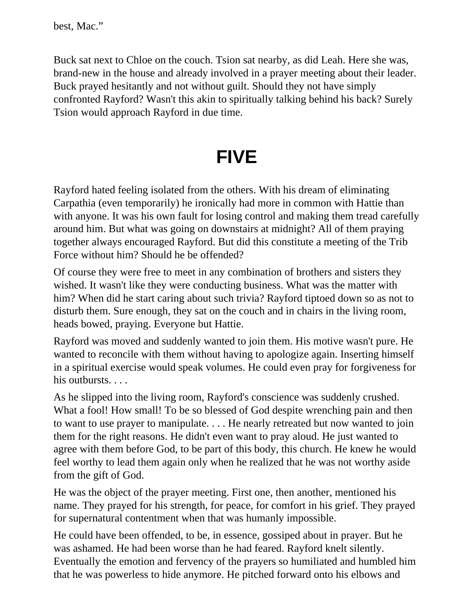Buck sat next to Chloe on the couch. Tsion sat nearby, as did Leah. Here she was, brand-new in the house and already involved in a prayer meeting about their leader. Buck prayed hesitantly and not without guilt. Should they not have simply confronted Rayford? Wasn't this akin to spiritually talking behind his back? Surely Tsion would approach Rayford in due time.

# **FIVE**

Rayford hated feeling isolated from the others. With his dream of eliminating Carpathia (even temporarily) he ironically had more in common with Hattie than with anyone. It was his own fault for losing control and making them tread carefully around him. But what was going on downstairs at midnight? All of them praying together always encouraged Rayford. But did this constitute a meeting of the Trib Force without him? Should he be offended?

Of course they were free to meet in any combination of brothers and sisters they wished. It wasn't like they were conducting business. What was the matter with him? When did he start caring about such trivia? Rayford tiptoed down so as not to disturb them. Sure enough, they sat on the couch and in chairs in the living room, heads bowed, praying. Everyone but Hattie.

Rayford was moved and suddenly wanted to join them. His motive wasn't pure. He wanted to reconcile with them without having to apologize again. Inserting himself in a spiritual exercise would speak volumes. He could even pray for forgiveness for his outbursts. . . .

As he slipped into the living room, Rayford's conscience was suddenly crushed. What a fool! How small! To be so blessed of God despite wrenching pain and then to want to use prayer to manipulate. . . . He nearly retreated but now wanted to join them for the right reasons. He didn't even want to pray aloud. He just wanted to agree with them before God, to be part of this body, this church. He knew he would feel worthy to lead them again only when he realized that he was not worthy aside from the gift of God.

He was the object of the prayer meeting. First one, then another, mentioned his name. They prayed for his strength, for peace, for comfort in his grief. They prayed for supernatural contentment when that was humanly impossible.

He could have been offended, to be, in essence, gossiped about in prayer. But he was ashamed. He had been worse than he had feared. Rayford knelt silently. Eventually the emotion and fervency of the prayers so humiliated and humbled him that he was powerless to hide anymore. He pitched forward onto his elbows and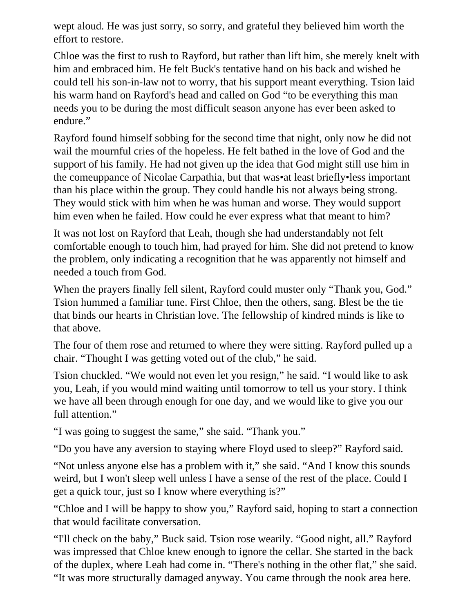wept aloud. He was just sorry, so sorry, and grateful they believed him worth the effort to restore.

Chloe was the first to rush to Rayford, but rather than lift him, she merely knelt with him and embraced him. He felt Buck's tentative hand on his back and wished he could tell his son-in-law not to worry, that his support meant everything. Tsion laid his warm hand on Rayford's head and called on God "to be everything this man needs you to be during the most difficult season anyone has ever been asked to endure."

Rayford found himself sobbing for the second time that night, only now he did not wail the mournful cries of the hopeless. He felt bathed in the love of God and the support of his family. He had not given up the idea that God might still use him in the comeuppance of Nicolae Carpathia, but that was•at least briefly•less important than his place within the group. They could handle his not always being strong. They would stick with him when he was human and worse. They would support him even when he failed. How could he ever express what that meant to him?

It was not lost on Rayford that Leah, though she had understandably not felt comfortable enough to touch him, had prayed for him. She did not pretend to know the problem, only indicating a recognition that he was apparently not himself and needed a touch from God.

When the prayers finally fell silent, Rayford could muster only "Thank you, God." Tsion hummed a familiar tune. First Chloe, then the others, sang. Blest be the tie that binds our hearts in Christian love. The fellowship of kindred minds is like to that above.

The four of them rose and returned to where they were sitting. Rayford pulled up a chair. "Thought I was getting voted out of the club," he said.

Tsion chuckled. "We would not even let you resign," he said. "I would like to ask you, Leah, if you would mind waiting until tomorrow to tell us your story. I think we have all been through enough for one day, and we would like to give you our full attention."

"I was going to suggest the same," she said. "Thank you."

"Do you have any aversion to staying where Floyd used to sleep?" Rayford said.

"Not unless anyone else has a problem with it," she said. "And I know this sounds weird, but I won't sleep well unless I have a sense of the rest of the place. Could I get a quick tour, just so I know where everything is?"

"Chloe and I will be happy to show you," Rayford said, hoping to start a connection that would facilitate conversation.

"I'll check on the baby," Buck said. Tsion rose wearily. "Good night, all." Rayford was impressed that Chloe knew enough to ignore the cellar. She started in the back of the duplex, where Leah had come in. "There's nothing in the other flat," she said. "It was more structurally damaged anyway. You came through the nook area here.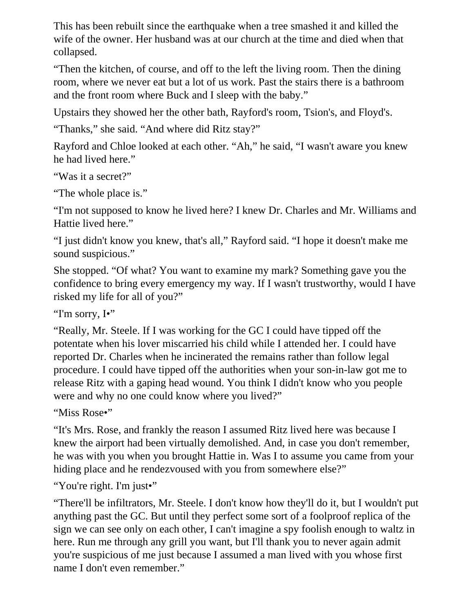This has been rebuilt since the earthquake when a tree smashed it and killed the wife of the owner. Her husband was at our church at the time and died when that collapsed.

"Then the kitchen, of course, and off to the left the living room. Then the dining room, where we never eat but a lot of us work. Past the stairs there is a bathroom and the front room where Buck and I sleep with the baby."

Upstairs they showed her the other bath, Rayford's room, Tsion's, and Floyd's.

"Thanks," she said. "And where did Ritz stay?"

Rayford and Chloe looked at each other. "Ah," he said, "I wasn't aware you knew he had lived here."

"Was it a secret?"

"The whole place is."

"I'm not supposed to know he lived here? I knew Dr. Charles and Mr. Williams and Hattie lived here."

"I just didn't know you knew, that's all," Rayford said. "I hope it doesn't make me sound suspicious."

She stopped. "Of what? You want to examine my mark? Something gave you the confidence to bring every emergency my way. If I wasn't trustworthy, would I have risked my life for all of you?"

"I'm sorry, I•"

"Really, Mr. Steele. If I was working for the GC I could have tipped off the potentate when his lover miscarried his child while I attended her. I could have reported Dr. Charles when he incinerated the remains rather than follow legal procedure. I could have tipped off the authorities when your son-in-law got me to release Ritz with a gaping head wound. You think I didn't know who you people were and why no one could know where you lived?"

"Miss Rose•"

"It's Mrs. Rose, and frankly the reason I assumed Ritz lived here was because I knew the airport had been virtually demolished. And, in case you don't remember, he was with you when you brought Hattie in. Was I to assume you came from your hiding place and he rendezvoused with you from somewhere else?"

"You're right. I'm just•"

"There'll be infiltrators, Mr. Steele. I don't know how they'll do it, but I wouldn't put anything past the GC. But until they perfect some sort of a foolproof replica of the sign we can see only on each other, I can't imagine a spy foolish enough to waltz in here. Run me through any grill you want, but I'll thank you to never again admit you're suspicious of me just because I assumed a man lived with you whose first name I don't even remember."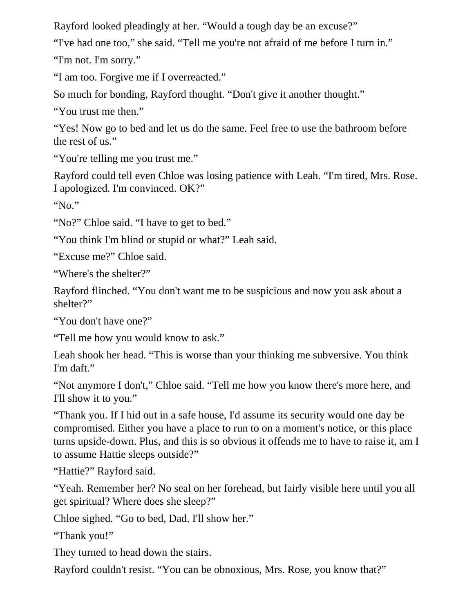Rayford looked pleadingly at her. "Would a tough day be an excuse?"

"I've had one too," she said. "Tell me you're not afraid of me before I turn in." "I'm not. I'm sorry."

"I am too. Forgive me if I overreacted."

So much for bonding, Rayford thought. "Don't give it another thought."

"You trust me then."

"Yes! Now go to bed and let us do the same. Feel free to use the bathroom before the rest of us."

"You're telling me you trust me."

Rayford could tell even Chloe was losing patience with Leah. "I'm tired, Mrs. Rose. I apologized. I'm convinced. OK?"

"No."

"No?" Chloe said. "I have to get to bed."

"You think I'm blind or stupid or what?" Leah said.

"Excuse me?" Chloe said.

"Where's the shelter?"

Rayford flinched. "You don't want me to be suspicious and now you ask about a shelter?"

"You don't have one?"

"Tell me how you would know to ask."

Leah shook her head. "This is worse than your thinking me subversive. You think I'm daft."

"Not anymore I don't," Chloe said. "Tell me how you know there's more here, and I'll show it to you."

"Thank you. If I hid out in a safe house, I'd assume its security would one day be compromised. Either you have a place to run to on a moment's notice, or this place turns upside-down. Plus, and this is so obvious it offends me to have to raise it, am I to assume Hattie sleeps outside?"

"Hattie?" Rayford said.

"Yeah. Remember her? No seal on her forehead, but fairly visible here until you all get spiritual? Where does she sleep?"

Chloe sighed. "Go to bed, Dad. I'll show her."

"Thank you!"

They turned to head down the stairs.

Rayford couldn't resist. "You can be obnoxious, Mrs. Rose, you know that?"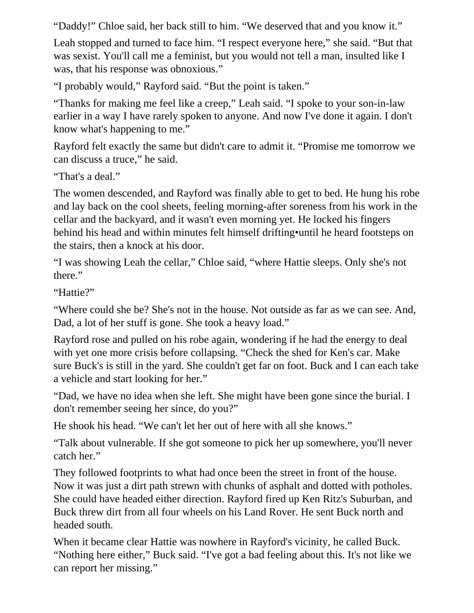"Daddy!" Chloe said, her back still to him. "We deserved that and you know it."

Leah stopped and turned to face him. "I respect everyone here," she said. "But that was sexist. You'll call me a feminist, but you would not tell a man, insulted like I was, that his response was obnoxious."

"I probably would," Rayford said. "But the point is taken."

"Thanks for making me feel like a creep," Leah said. "I spoke to your son-in-law earlier in a way I have rarely spoken to anyone. And now I've done it again. I don't know what's happening to me."

Rayford felt exactly the same but didn't care to admit it. "Promise me tomorrow we can discuss a truce," he said.

"That's a deal."

The women descended, and Rayford was finally able to get to bed. He hung his robe and lay back on the cool sheets, feeling morning-after soreness from his work in the cellar and the backyard, and it wasn't even morning yet. He locked his fingers behind his head and within minutes felt himself drifting•until he heard footsteps on the stairs, then a knock at his door.

"I was showing Leah the cellar," Chloe said, "where Hattie sleeps. Only she's not there."

"Hattie?"

"Where could she be? She's not in the house. Not outside as far as we can see. And, Dad, a lot of her stuff is gone. She took a heavy load."

Rayford rose and pulled on his robe again, wondering if he had the energy to deal with yet one more crisis before collapsing. "Check the shed for Ken's car. Make sure Buck's is still in the yard. She couldn't get far on foot. Buck and I can each take a vehicle and start looking for her."

"Dad, we have no idea when she left. She might have been gone since the burial. I don't remember seeing her since, do you?"

He shook his head. "We can't let her out of here with all she knows."

"Talk about vulnerable. If she got someone to pick her up somewhere, you'll never catch her."

They followed footprints to what had once been the street in front of the house. Now it was just a dirt path strewn with chunks of asphalt and dotted with potholes. She could have headed either direction. Rayford fired up Ken Ritz's Suburban, and Buck threw dirt from all four wheels on his Land Rover. He sent Buck north and headed south.

When it became clear Hattie was nowhere in Rayford's vicinity, he called Buck. "Nothing here either," Buck said. "I've got a bad feeling about this. It's not like we can report her missing."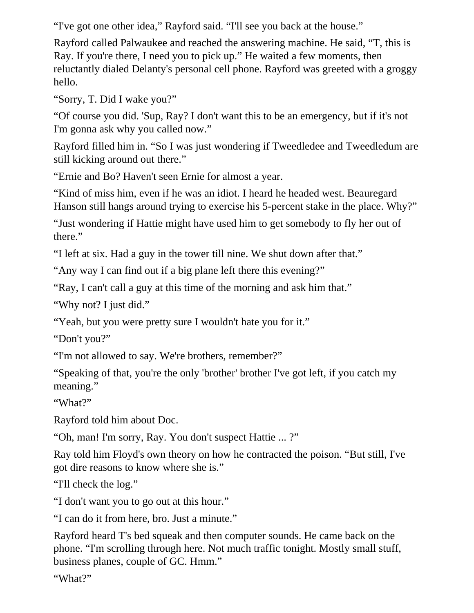"I've got one other idea," Rayford said. "I'll see you back at the house."

Rayford called Palwaukee and reached the answering machine. He said, "T, this is Ray. If you're there, I need you to pick up." He waited a few moments, then reluctantly dialed Delanty's personal cell phone. Rayford was greeted with a groggy hello.

"Sorry, T. Did I wake you?"

"Of course you did. 'Sup, Ray? I don't want this to be an emergency, but if it's not I'm gonna ask why you called now."

Rayford filled him in. "So I was just wondering if Tweedledee and Tweedledum are still kicking around out there."

"Ernie and Bo? Haven't seen Ernie for almost a year.

"Kind of miss him, even if he was an idiot. I heard he headed west. Beauregard Hanson still hangs around trying to exercise his 5-percent stake in the place. Why?"

"Just wondering if Hattie might have used him to get somebody to fly her out of there."

"I left at six. Had a guy in the tower till nine. We shut down after that."

"Any way I can find out if a big plane left there this evening?"

"Ray, I can't call a guy at this time of the morning and ask him that."

"Why not? I just did."

"Yeah, but you were pretty sure I wouldn't hate you for it."

"Don't you?"

"I'm not allowed to say. We're brothers, remember?"

"Speaking of that, you're the only 'brother' brother I've got left, if you catch my meaning."

"What?"

Rayford told him about Doc.

"Oh, man! I'm sorry, Ray. You don't suspect Hattie ... ?"

Ray told him Floyd's own theory on how he contracted the poison. "But still, I've got dire reasons to know where she is."

"I'll check the log."

"I don't want you to go out at this hour."

"I can do it from here, bro. Just a minute."

Rayford heard T's bed squeak and then computer sounds. He came back on the phone. "I'm scrolling through here. Not much traffic tonight. Mostly small stuff, business planes, couple of GC. Hmm."

"What?"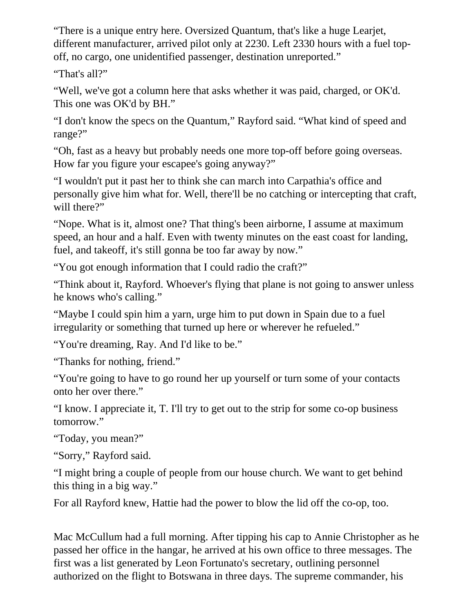"There is a unique entry here. Oversized Quantum, that's like a huge Learjet, different manufacturer, arrived pilot only at 2230. Left 2330 hours with a fuel topoff, no cargo, one unidentified passenger, destination unreported."

"That's all?"

"Well, we've got a column here that asks whether it was paid, charged, or OK'd. This one was OK'd by BH."

"I don't know the specs on the Quantum," Rayford said. "What kind of speed and range?"

"Oh, fast as a heavy but probably needs one more top-off before going overseas. How far you figure your escapee's going anyway?"

"I wouldn't put it past her to think she can march into Carpathia's office and personally give him what for. Well, there'll be no catching or intercepting that craft, will there?"

"Nope. What is it, almost one? That thing's been airborne, I assume at maximum speed, an hour and a half. Even with twenty minutes on the east coast for landing, fuel, and takeoff, it's still gonna be too far away by now."

"You got enough information that I could radio the craft?"

"Think about it, Rayford. Whoever's flying that plane is not going to answer unless he knows who's calling."

"Maybe I could spin him a yarn, urge him to put down in Spain due to a fuel irregularity or something that turned up here or wherever he refueled."

"You're dreaming, Ray. And I'd like to be."

"Thanks for nothing, friend."

"You're going to have to go round her up yourself or turn some of your contacts onto her over there."

"I know. I appreciate it, T. I'll try to get out to the strip for some co-op business tomorrow."

"Today, you mean?"

"Sorry," Rayford said.

"I might bring a couple of people from our house church. We want to get behind this thing in a big way."

For all Rayford knew, Hattie had the power to blow the lid off the co-op, too.

Mac McCullum had a full morning. After tipping his cap to Annie Christopher as he passed her office in the hangar, he arrived at his own office to three messages. The first was a list generated by Leon Fortunato's secretary, outlining personnel authorized on the flight to Botswana in three days. The supreme commander, his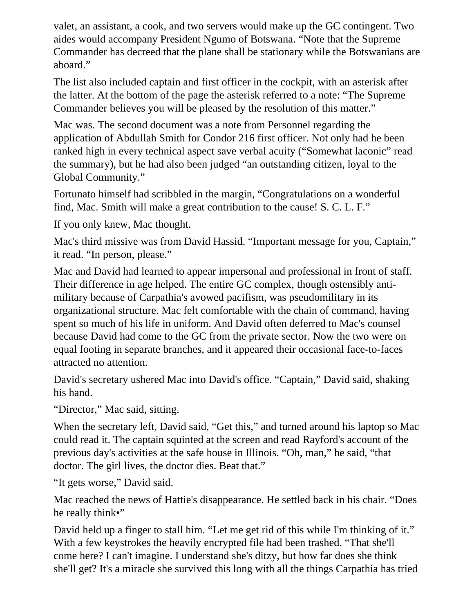valet, an assistant, a cook, and two servers would make up the GC contingent. Two aides would accompany President Ngumo of Botswana. "Note that the Supreme Commander has decreed that the plane shall be stationary while the Botswanians are aboard."

The list also included captain and first officer in the cockpit, with an asterisk after the latter. At the bottom of the page the asterisk referred to a note: "The Supreme Commander believes you will be pleased by the resolution of this matter."

Mac was. The second document was a note from Personnel regarding the application of Abdullah Smith for Condor 216 first officer. Not only had he been ranked high in every technical aspect save verbal acuity ("Somewhat laconic" read the summary), but he had also been judged "an outstanding citizen, loyal to the Global Community."

Fortunato himself had scribbled in the margin, "Congratulations on a wonderful find, Mac. Smith will make a great contribution to the cause! S. C. L. F."

If you only knew, Mac thought.

Mac's third missive was from David Hassid. "Important message for you, Captain," it read. "In person, please."

Mac and David had learned to appear impersonal and professional in front of staff. Their difference in age helped. The entire GC complex, though ostensibly antimilitary because of Carpathia's avowed pacifism, was pseudomilitary in its organizational structure. Mac felt comfortable with the chain of command, having spent so much of his life in uniform. And David often deferred to Mac's counsel because David had come to the GC from the private sector. Now the two were on equal footing in separate branches, and it appeared their occasional face-to-faces attracted no attention.

David's secretary ushered Mac into David's office. "Captain," David said, shaking his hand.

"Director," Mac said, sitting.

When the secretary left, David said, "Get this," and turned around his laptop so Mac could read it. The captain squinted at the screen and read Rayford's account of the previous day's activities at the safe house in Illinois. "Oh, man," he said, "that doctor. The girl lives, the doctor dies. Beat that."

"It gets worse," David said.

Mac reached the news of Hattie's disappearance. He settled back in his chair. "Does he really think•"

David held up a finger to stall him. "Let me get rid of this while I'm thinking of it." With a few keystrokes the heavily encrypted file had been trashed. "That she'll come here? I can't imagine. I understand she's ditzy, but how far does she think she'll get? It's a miracle she survived this long with all the things Carpathia has tried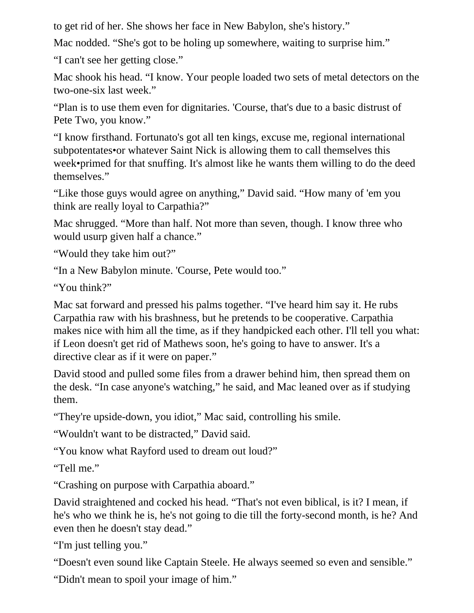to get rid of her. She shows her face in New Babylon, she's history."

Mac nodded. "She's got to be holing up somewhere, waiting to surprise him."

"I can't see her getting close."

Mac shook his head. "I know. Your people loaded two sets of metal detectors on the two-one-six last week."

"Plan is to use them even for dignitaries. 'Course, that's due to a basic distrust of Pete Two, you know."

"I know firsthand. Fortunato's got all ten kings, excuse me, regional international subpotentates•or whatever Saint Nick is allowing them to call themselves this week•primed for that snuffing. It's almost like he wants them willing to do the deed themselves."

"Like those guys would agree on anything," David said. "How many of 'em you think are really loyal to Carpathia?"

Mac shrugged. "More than half. Not more than seven, though. I know three who would usurp given half a chance."

"Would they take him out?"

"In a New Babylon minute. 'Course, Pete would too."

"You think?"

Mac sat forward and pressed his palms together. "I've heard him say it. He rubs Carpathia raw with his brashness, but he pretends to be cooperative. Carpathia makes nice with him all the time, as if they handpicked each other. I'll tell you what: if Leon doesn't get rid of Mathews soon, he's going to have to answer. It's a directive clear as if it were on paper."

David stood and pulled some files from a drawer behind him, then spread them on the desk. "In case anyone's watching," he said, and Mac leaned over as if studying them.

"They're upside-down, you idiot," Mac said, controlling his smile.

"Wouldn't want to be distracted," David said.

"You know what Rayford used to dream out loud?"

"Tell me."

"Crashing on purpose with Carpathia aboard."

David straightened and cocked his head. "That's not even biblical, is it? I mean, if he's who we think he is, he's not going to die till the forty-second month, is he? And even then he doesn't stay dead."

"I'm just telling you."

"Doesn't even sound like Captain Steele. He always seemed so even and sensible."

"Didn't mean to spoil your image of him."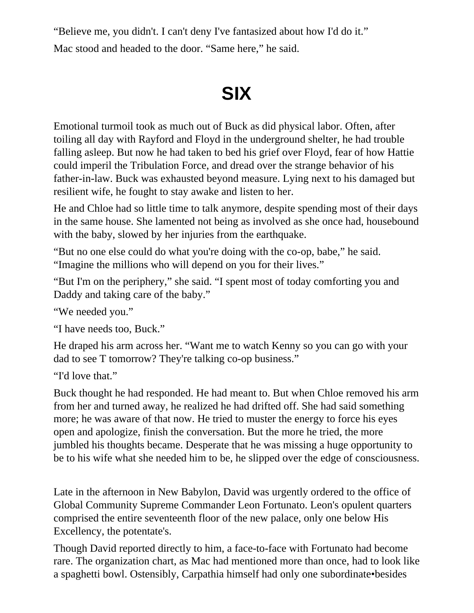"Believe me, you didn't. I can't deny I've fantasized about how I'd do it." Mac stood and headed to the door. "Same here," he said.

### **SIX**

Emotional turmoil took as much out of Buck as did physical labor. Often, after toiling all day with Rayford and Floyd in the underground shelter, he had trouble falling asleep. But now he had taken to bed his grief over Floyd, fear of how Hattie could imperil the Tribulation Force, and dread over the strange behavior of his father-in-law. Buck was exhausted beyond measure. Lying next to his damaged but resilient wife, he fought to stay awake and listen to her.

He and Chloe had so little time to talk anymore, despite spending most of their days in the same house. She lamented not being as involved as she once had, housebound with the baby, slowed by her injuries from the earthquake.

"But no one else could do what you're doing with the co-op, babe," he said. "Imagine the millions who will depend on you for their lives."

"But I'm on the periphery," she said. "I spent most of today comforting you and Daddy and taking care of the baby."

"We needed you."

"I have needs too, Buck."

He draped his arm across her. "Want me to watch Kenny so you can go with your dad to see T tomorrow? They're talking co-op business."

"I'd love that."

Buck thought he had responded. He had meant to. But when Chloe removed his arm from her and turned away, he realized he had drifted off. She had said something more; he was aware of that now. He tried to muster the energy to force his eyes open and apologize, finish the conversation. But the more he tried, the more jumbled his thoughts became. Desperate that he was missing a huge opportunity to be to his wife what she needed him to be, he slipped over the edge of consciousness.

Late in the afternoon in New Babylon, David was urgently ordered to the office of Global Community Supreme Commander Leon Fortunato. Leon's opulent quarters comprised the entire seventeenth floor of the new palace, only one below His Excellency, the potentate's.

Though David reported directly to him, a face-to-face with Fortunato had become rare. The organization chart, as Mac had mentioned more than once, had to look like a spaghetti bowl. Ostensibly, Carpathia himself had only one subordinate•besides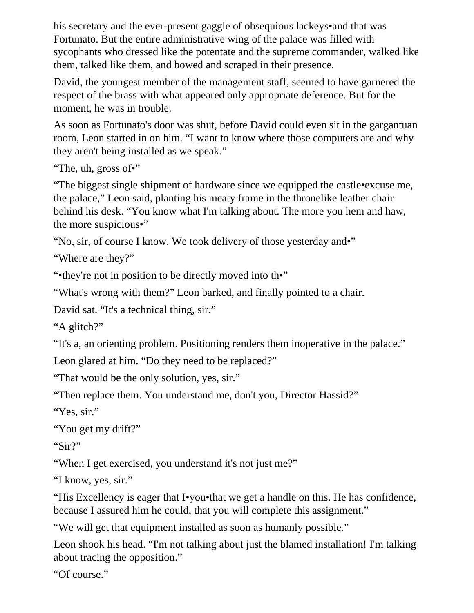his secretary and the ever-present gaggle of obsequious lackeys•and that was Fortunato. But the entire administrative wing of the palace was filled with sycophants who dressed like the potentate and the supreme commander, walked like them, talked like them, and bowed and scraped in their presence.

David, the youngest member of the management staff, seemed to have garnered the respect of the brass with what appeared only appropriate deference. But for the moment, he was in trouble.

As soon as Fortunato's door was shut, before David could even sit in the gargantuan room, Leon started in on him. "I want to know where those computers are and why they aren't being installed as we speak."

"The, uh, gross of."

"The biggest single shipment of hardware since we equipped the castle•excuse me, the palace," Leon said, planting his meaty frame in the thronelike leather chair behind his desk. "You know what I'm talking about. The more you hem and haw, the more suspicious•"

"No, sir, of course I know. We took delivery of those yesterday and•"

"Where are they?"

"•they're not in position to be directly moved into th•"

"What's wrong with them?" Leon barked, and finally pointed to a chair.

David sat. "It's a technical thing, sir."

"A glitch?"

"It's a, an orienting problem. Positioning renders them inoperative in the palace."

Leon glared at him. "Do they need to be replaced?"

"That would be the only solution, yes, sir."

"Then replace them. You understand me, don't you, Director Hassid?"

"Yes, sir."

"You get my drift?"

"Sir?"

"When I get exercised, you understand it's not just me?"

"I know, yes, sir."

"His Excellency is eager that I•you•that we get a handle on this. He has confidence, because I assured him he could, that you will complete this assignment."

"We will get that equipment installed as soon as humanly possible."

Leon shook his head. "I'm not talking about just the blamed installation! I'm talking about tracing the opposition."

"Of course."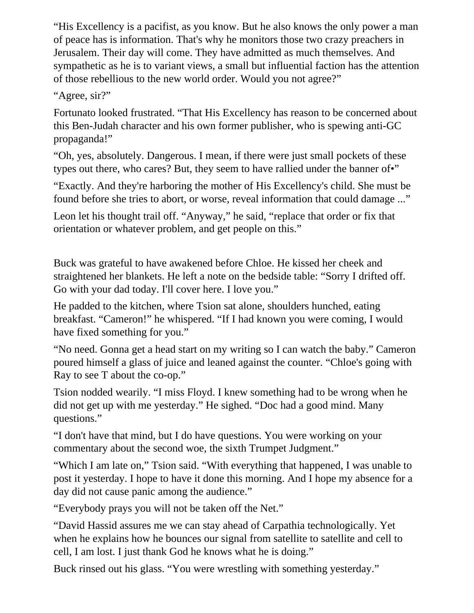"His Excellency is a pacifist, as you know. But he also knows the only power a man of peace has is information. That's why he monitors those two crazy preachers in Jerusalem. Their day will come. They have admitted as much themselves. And sympathetic as he is to variant views, a small but influential faction has the attention of those rebellious to the new world order. Would you not agree?"

"Agree, sir?"

Fortunato looked frustrated. "That His Excellency has reason to be concerned about this Ben-Judah character and his own former publisher, who is spewing anti-GC propaganda!"

"Oh, yes, absolutely. Dangerous. I mean, if there were just small pockets of these types out there, who cares? But, they seem to have rallied under the banner of.<sup>\*\*</sup>

"Exactly. And they're harboring the mother of His Excellency's child. She must be found before she tries to abort, or worse, reveal information that could damage ..."

Leon let his thought trail off. "Anyway," he said, "replace that order or fix that orientation or whatever problem, and get people on this."

Buck was grateful to have awakened before Chloe. He kissed her cheek and straightened her blankets. He left a note on the bedside table: "Sorry I drifted off. Go with your dad today. I'll cover here. I love you."

He padded to the kitchen, where Tsion sat alone, shoulders hunched, eating breakfast. "Cameron!" he whispered. "If I had known you were coming, I would have fixed something for you."

"No need. Gonna get a head start on my writing so I can watch the baby." Cameron poured himself a glass of juice and leaned against the counter. "Chloe's going with Ray to see T about the co-op."

Tsion nodded wearily. "I miss Floyd. I knew something had to be wrong when he did not get up with me yesterday." He sighed. "Doc had a good mind. Many questions."

"I don't have that mind, but I do have questions. You were working on your commentary about the second woe, the sixth Trumpet Judgment."

"Which I am late on," Tsion said. "With everything that happened, I was unable to post it yesterday. I hope to have it done this morning. And I hope my absence for a day did not cause panic among the audience."

"Everybody prays you will not be taken off the Net."

"David Hassid assures me we can stay ahead of Carpathia technologically. Yet when he explains how he bounces our signal from satellite to satellite and cell to cell, I am lost. I just thank God he knows what he is doing."

Buck rinsed out his glass. "You were wrestling with something yesterday."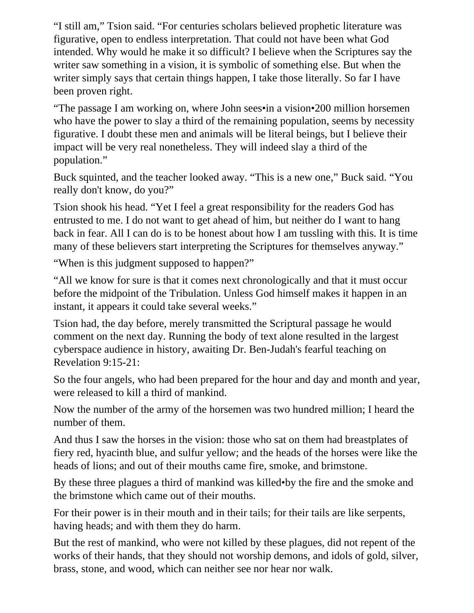"I still am," Tsion said. "For centuries scholars believed prophetic literature was figurative, open to endless interpretation. That could not have been what God intended. Why would he make it so difficult? I believe when the Scriptures say the writer saw something in a vision, it is symbolic of something else. But when the writer simply says that certain things happen, I take those literally. So far I have been proven right.

"The passage I am working on, where John sees•in a vision•200 million horsemen who have the power to slay a third of the remaining population, seems by necessity figurative. I doubt these men and animals will be literal beings, but I believe their impact will be very real nonetheless. They will indeed slay a third of the population."

Buck squinted, and the teacher looked away. "This is a new one," Buck said. "You really don't know, do you?"

Tsion shook his head. "Yet I feel a great responsibility for the readers God has entrusted to me. I do not want to get ahead of him, but neither do I want to hang back in fear. All I can do is to be honest about how I am tussling with this. It is time many of these believers start interpreting the Scriptures for themselves anyway."

"When is this judgment supposed to happen?"

"All we know for sure is that it comes next chronologically and that it must occur before the midpoint of the Tribulation. Unless God himself makes it happen in an instant, it appears it could take several weeks."

Tsion had, the day before, merely transmitted the Scriptural passage he would comment on the next day. Running the body of text alone resulted in the largest cyberspace audience in history, awaiting Dr. Ben-Judah's fearful teaching on Revelation 9:15-21:

So the four angels, who had been prepared for the hour and day and month and year, were released to kill a third of mankind.

Now the number of the army of the horsemen was two hundred million; I heard the number of them.

And thus I saw the horses in the vision: those who sat on them had breastplates of fiery red, hyacinth blue, and sulfur yellow; and the heads of the horses were like the heads of lions; and out of their mouths came fire, smoke, and brimstone.

By these three plagues a third of mankind was killed•by the fire and the smoke and the brimstone which came out of their mouths.

For their power is in their mouth and in their tails; for their tails are like serpents, having heads; and with them they do harm.

But the rest of mankind, who were not killed by these plagues, did not repent of the works of their hands, that they should not worship demons, and idols of gold, silver, brass, stone, and wood, which can neither see nor hear nor walk.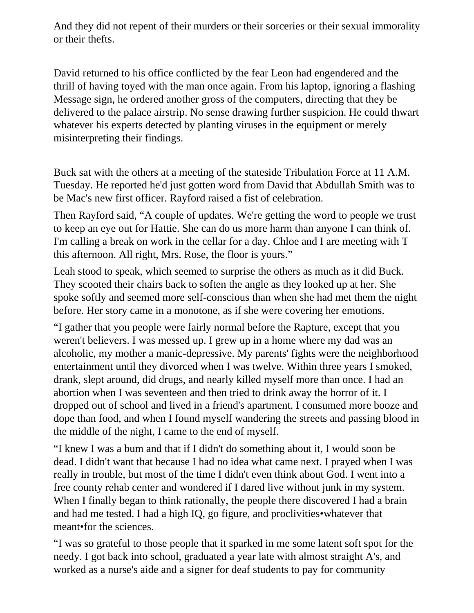And they did not repent of their murders or their sorceries or their sexual immorality or their thefts.

David returned to his office conflicted by the fear Leon had engendered and the thrill of having toyed with the man once again. From his laptop, ignoring a flashing Message sign, he ordered another gross of the computers, directing that they be delivered to the palace airstrip. No sense drawing further suspicion. He could thwart whatever his experts detected by planting viruses in the equipment or merely misinterpreting their findings.

Buck sat with the others at a meeting of the stateside Tribulation Force at 11 A.M. Tuesday. He reported he'd just gotten word from David that Abdullah Smith was to be Mac's new first officer. Rayford raised a fist of celebration.

Then Rayford said, "A couple of updates. We're getting the word to people we trust to keep an eye out for Hattie. She can do us more harm than anyone I can think of. I'm calling a break on work in the cellar for a day. Chloe and I are meeting with T this afternoon. All right, Mrs. Rose, the floor is yours."

Leah stood to speak, which seemed to surprise the others as much as it did Buck. They scooted their chairs back to soften the angle as they looked up at her. She spoke softly and seemed more self-conscious than when she had met them the night before. Her story came in a monotone, as if she were covering her emotions.

"I gather that you people were fairly normal before the Rapture, except that you weren't believers. I was messed up. I grew up in a home where my dad was an alcoholic, my mother a manic-depressive. My parents' fights were the neighborhood entertainment until they divorced when I was twelve. Within three years I smoked, drank, slept around, did drugs, and nearly killed myself more than once. I had an abortion when I was seventeen and then tried to drink away the horror of it. I dropped out of school and lived in a friend's apartment. I consumed more booze and dope than food, and when I found myself wandering the streets and passing blood in the middle of the night, I came to the end of myself.

"I knew I was a bum and that if I didn't do something about it, I would soon be dead. I didn't want that because I had no idea what came next. I prayed when I was really in trouble, but most of the time I didn't even think about God. I went into a free county rehab center and wondered if I dared live without junk in my system. When I finally began to think rationally, the people there discovered I had a brain and had me tested. I had a high IQ, go figure, and proclivities•whatever that meant•for the sciences.

"I was so grateful to those people that it sparked in me some latent soft spot for the needy. I got back into school, graduated a year late with almost straight A's, and worked as a nurse's aide and a signer for deaf students to pay for community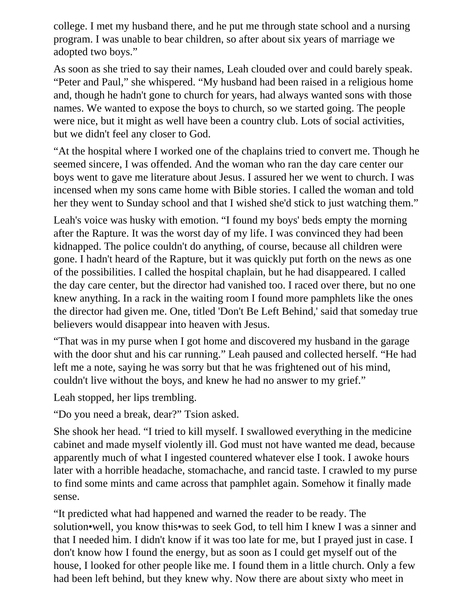college. I met my husband there, and he put me through state school and a nursing program. I was unable to bear children, so after about six years of marriage we adopted two boys."

As soon as she tried to say their names, Leah clouded over and could barely speak. "Peter and Paul," she whispered. "My husband had been raised in a religious home and, though he hadn't gone to church for years, had always wanted sons with those names. We wanted to expose the boys to church, so we started going. The people were nice, but it might as well have been a country club. Lots of social activities, but we didn't feel any closer to God.

"At the hospital where I worked one of the chaplains tried to convert me. Though he seemed sincere, I was offended. And the woman who ran the day care center our boys went to gave me literature about Jesus. I assured her we went to church. I was incensed when my sons came home with Bible stories. I called the woman and told her they went to Sunday school and that I wished she'd stick to just watching them."

Leah's voice was husky with emotion. "I found my boys' beds empty the morning after the Rapture. It was the worst day of my life. I was convinced they had been kidnapped. The police couldn't do anything, of course, because all children were gone. I hadn't heard of the Rapture, but it was quickly put forth on the news as one of the possibilities. I called the hospital chaplain, but he had disappeared. I called the day care center, but the director had vanished too. I raced over there, but no one knew anything. In a rack in the waiting room I found more pamphlets like the ones the director had given me. One, titled 'Don't Be Left Behind,' said that someday true believers would disappear into heaven with Jesus.

"That was in my purse when I got home and discovered my husband in the garage with the door shut and his car running." Leah paused and collected herself. "He had left me a note, saying he was sorry but that he was frightened out of his mind, couldn't live without the boys, and knew he had no answer to my grief."

Leah stopped, her lips trembling.

"Do you need a break, dear?" Tsion asked.

She shook her head. "I tried to kill myself. I swallowed everything in the medicine cabinet and made myself violently ill. God must not have wanted me dead, because apparently much of what I ingested countered whatever else I took. I awoke hours later with a horrible headache, stomachache, and rancid taste. I crawled to my purse to find some mints and came across that pamphlet again. Somehow it finally made sense.

"It predicted what had happened and warned the reader to be ready. The solution•well, you know this•was to seek God, to tell him I knew I was a sinner and that I needed him. I didn't know if it was too late for me, but I prayed just in case. I don't know how I found the energy, but as soon as I could get myself out of the house, I looked for other people like me. I found them in a little church. Only a few had been left behind, but they knew why. Now there are about sixty who meet in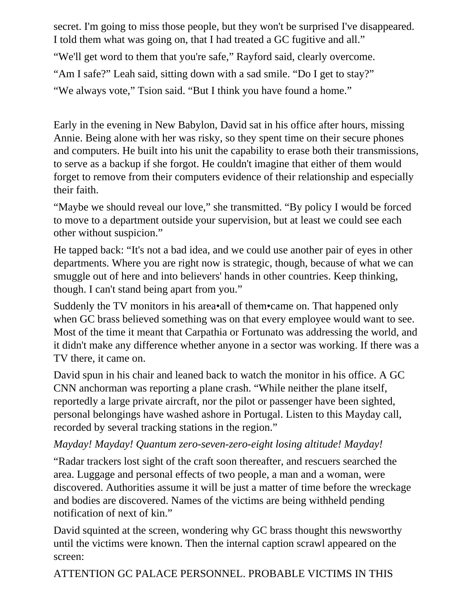secret. I'm going to miss those people, but they won't be surprised I've disappeared. I told them what was going on, that I had treated a GC fugitive and all."

"We'll get word to them that you're safe," Rayford said, clearly overcome.

"Am I safe?" Leah said, sitting down with a sad smile. "Do I get to stay?"

"We always vote," Tsion said. "But I think you have found a home."

Early in the evening in New Babylon, David sat in his office after hours, missing Annie. Being alone with her was risky, so they spent time on their secure phones and computers. He built into his unit the capability to erase both their transmissions, to serve as a backup if she forgot. He couldn't imagine that either of them would forget to remove from their computers evidence of their relationship and especially their faith.

"Maybe we should reveal our love," she transmitted. "By policy I would be forced to move to a department outside your supervision, but at least we could see each other without suspicion."

He tapped back: "It's not a bad idea, and we could use another pair of eyes in other departments. Where you are right now is strategic, though, because of what we can smuggle out of here and into believers' hands in other countries. Keep thinking, though. I can't stand being apart from you."

Suddenly the TV monitors in his area•all of them•came on. That happened only when GC brass believed something was on that every employee would want to see. Most of the time it meant that Carpathia or Fortunato was addressing the world, and it didn't make any difference whether anyone in a sector was working. If there was a TV there, it came on.

David spun in his chair and leaned back to watch the monitor in his office. A GC CNN anchorman was reporting a plane crash. "While neither the plane itself, reportedly a large private aircraft, nor the pilot or passenger have been sighted, personal belongings have washed ashore in Portugal. Listen to this Mayday call, recorded by several tracking stations in the region."

#### *Mayday! Mayday! Quantum zero-seven-zero-eight losing altitude! Mayday!*

"Radar trackers lost sight of the craft soon thereafter, and rescuers searched the area. Luggage and personal effects of two people, a man and a woman, were discovered. Authorities assume it will be just a matter of time before the wreckage and bodies are discovered. Names of the victims are being withheld pending notification of next of kin."

David squinted at the screen, wondering why GC brass thought this newsworthy until the victims were known. Then the internal caption scrawl appeared on the screen:

ATTENTION GC PALACE PERSONNEL. PROBABLE VICTIMS IN THIS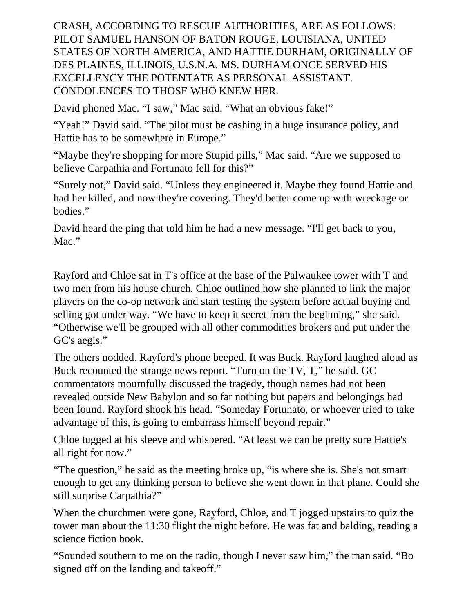CRASH, ACCORDING TO RESCUE AUTHORITIES, ARE AS FOLLOWS: PILOT SAMUEL HANSON OF BATON ROUGE, LOUISIANA, UNITED STATES OF NORTH AMERICA, AND HATTIE DURHAM, ORIGINALLY OF DES PLAINES, ILLINOIS, U.S.N.A. MS. DURHAM ONCE SERVED HIS EXCELLENCY THE POTENTATE AS PERSONAL ASSISTANT. CONDOLENCES TO THOSE WHO KNEW HER.

David phoned Mac. "I saw," Mac said. "What an obvious fake!"

"Yeah!" David said. "The pilot must be cashing in a huge insurance policy, and Hattie has to be somewhere in Europe."

"Maybe they're shopping for more Stupid pills," Mac said. "Are we supposed to believe Carpathia and Fortunato fell for this?"

"Surely not," David said. "Unless they engineered it. Maybe they found Hattie and had her killed, and now they're covering. They'd better come up with wreckage or bodies."

David heard the ping that told him he had a new message. "I'll get back to you, Mac."

Rayford and Chloe sat in T's office at the base of the Palwaukee tower with T and two men from his house church. Chloe outlined how she planned to link the major players on the co-op network and start testing the system before actual buying and selling got under way. "We have to keep it secret from the beginning," she said. "Otherwise we'll be grouped with all other commodities brokers and put under the GC's aegis."

The others nodded. Rayford's phone beeped. It was Buck. Rayford laughed aloud as Buck recounted the strange news report. "Turn on the TV, T," he said. GC commentators mournfully discussed the tragedy, though names had not been revealed outside New Babylon and so far nothing but papers and belongings had been found. Rayford shook his head. "Someday Fortunato, or whoever tried to take advantage of this, is going to embarrass himself beyond repair."

Chloe tugged at his sleeve and whispered. "At least we can be pretty sure Hattie's all right for now."

"The question," he said as the meeting broke up, "is where she is. She's not smart enough to get any thinking person to believe she went down in that plane. Could she still surprise Carpathia?"

When the churchmen were gone, Rayford, Chloe, and T jogged upstairs to quiz the tower man about the 11:30 flight the night before. He was fat and balding, reading a science fiction book.

"Sounded southern to me on the radio, though I never saw him," the man said. "Bo signed off on the landing and takeoff."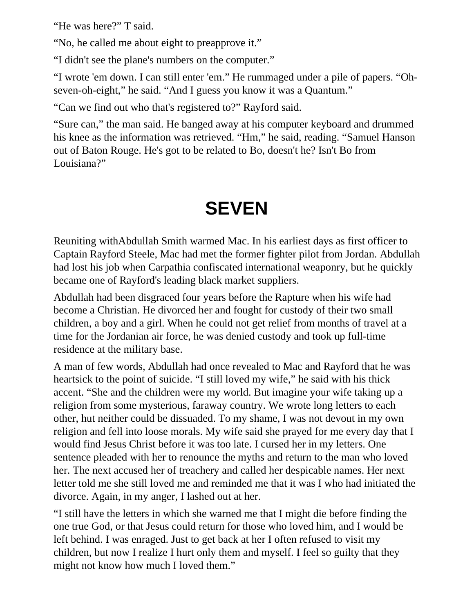"He was here?" T said.

"No, he called me about eight to preapprove it."

"I didn't see the plane's numbers on the computer."

"I wrote 'em down. I can still enter 'em." He rummaged under a pile of papers. "Ohseven-oh-eight," he said. "And I guess you know it was a Quantum."

"Can we find out who that's registered to?" Rayford said.

"Sure can," the man said. He banged away at his computer keyboard and drummed his knee as the information was retrieved. "Hm," he said, reading. "Samuel Hanson out of Baton Rouge. He's got to be related to Bo, doesn't he? Isn't Bo from Louisiana?"

## **SEVEN**

Reuniting withAbdullah Smith warmed Mac. In his earliest days as first officer to Captain Rayford Steele, Mac had met the former fighter pilot from Jordan. Abdullah had lost his job when Carpathia confiscated international weaponry, but he quickly became one of Rayford's leading black market suppliers.

Abdullah had been disgraced four years before the Rapture when his wife had become a Christian. He divorced her and fought for custody of their two small children, a boy and a girl. When he could not get relief from months of travel at a time for the Jordanian air force, he was denied custody and took up full-time residence at the military base.

A man of few words, Abdullah had once revealed to Mac and Rayford that he was heartsick to the point of suicide. "I still loved my wife," he said with his thick accent. "She and the children were my world. But imagine your wife taking up a religion from some mysterious, faraway country. We wrote long letters to each other, hut neither could be dissuaded. To my shame, I was not devout in my own religion and fell into loose morals. My wife said she prayed for me every day that I would find Jesus Christ before it was too late. I cursed her in my letters. One sentence pleaded with her to renounce the myths and return to the man who loved her. The next accused her of treachery and called her despicable names. Her next letter told me she still loved me and reminded me that it was I who had initiated the divorce. Again, in my anger, I lashed out at her.

"I still have the letters in which she warned me that I might die before finding the one true God, or that Jesus could return for those who loved him, and I would be left behind. I was enraged. Just to get back at her I often refused to visit my children, but now I realize I hurt only them and myself. I feel so guilty that they might not know how much I loved them."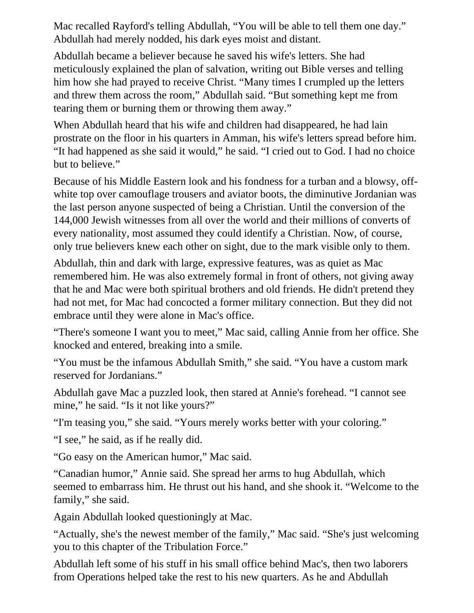Mac recalled Rayford's telling Abdullah, "You will be able to tell them one day." Abdullah had merely nodded, his dark eyes moist and distant.

Abdullah became a believer because he saved his wife's letters. She had meticulously explained the plan of salvation, writing out Bible verses and telling him how she had prayed to receive Christ. "Many times I crumpled up the letters and threw them across the room," Abdullah said. "But something kept me from tearing them or burning them or throwing them away."

When Abdullah heard that his wife and children had disappeared, he had lain prostrate on the floor in his quarters in Amman, his wife's letters spread before him. "It had happened as she said it would," he said. "I cried out to God. I had no choice but to believe."

Because of his Middle Eastern look and his fondness for a turban and a blowsy, offwhite top over camouflage trousers and aviator boots, the diminutive Jordanian was the last person anyone suspected of being a Christian. Until the conversion of the 144,000 Jewish witnesses from all over the world and their millions of converts of every nationality, most assumed they could identify a Christian. Now, of course, only true believers knew each other on sight, due to the mark visible only to them.

Abdullah, thin and dark with large, expressive features, was as quiet as Mac remembered him. He was also extremely formal in front of others, not giving away that he and Mac were both spiritual brothers and old friends. He didn't pretend they had not met, for Mac had concocted a former military connection. But they did not embrace until they were alone in Mac's office.

"There's someone I want you to meet," Mac said, calling Annie from her office. She knocked and entered, breaking into a smile.

"You must be the infamous Abdullah Smith," she said. "You have a custom mark reserved for Jordanians."

Abdullah gave Mac a puzzled look, then stared at Annie's forehead. "I cannot see mine," he said. "Is it not like yours?"

"I'm teasing you," she said. "Yours merely works better with your coloring."

"I see," he said, as if he really did.

"Go easy on the American humor," Mac said.

"Canadian humor," Annie said. She spread her arms to hug Abdullah, which seemed to embarrass him. He thrust out his hand, and she shook it. "Welcome to the family," she said.

Again Abdullah looked questioningly at Mac.

"Actually, she's the newest member of the family," Mac said. "She's just welcoming you to this chapter of the Tribulation Force."

Abdullah left some of his stuff in his small office behind Mac's, then two laborers from Operations helped take the rest to his new quarters. As he and Abdullah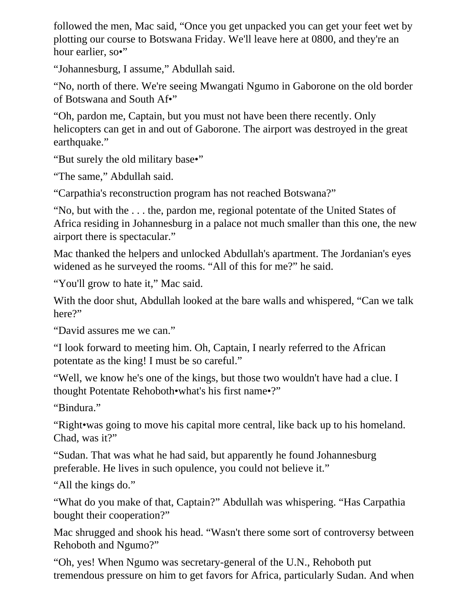followed the men, Mac said, "Once you get unpacked you can get your feet wet by plotting our course to Botswana Friday. We'll leave here at 0800, and they're an hour earlier, so•"

"Johannesburg, I assume," Abdullah said.

"No, north of there. We're seeing Mwangati Ngumo in Gaborone on the old border of Botswana and South Af•"

"Oh, pardon me, Captain, but you must not have been there recently. Only helicopters can get in and out of Gaborone. The airport was destroyed in the great earthquake."

"But surely the old military base•"

"The same," Abdullah said.

"Carpathia's reconstruction program has not reached Botswana?"

"No, but with the . . . the, pardon me, regional potentate of the United States of Africa residing in Johannesburg in a palace not much smaller than this one, the new airport there is spectacular."

Mac thanked the helpers and unlocked Abdullah's apartment. The Jordanian's eyes widened as he surveyed the rooms. "All of this for me?" he said.

"You'll grow to hate it," Mac said.

With the door shut, Abdullah looked at the bare walls and whispered, "Can we talk here?"

"David assures me we can."

"I look forward to meeting him. Oh, Captain, I nearly referred to the African potentate as the king! I must be so careful."

"Well, we know he's one of the kings, but those two wouldn't have had a clue. I thought Potentate Rehoboth•what's his first name•?"

"Bindura."

"Right•was going to move his capital more central, like back up to his homeland. Chad, was it?"

"Sudan. That was what he had said, but apparently he found Johannesburg preferable. He lives in such opulence, you could not believe it."

"All the kings do."

"What do you make of that, Captain?" Abdullah was whispering. "Has Carpathia bought their cooperation?"

Mac shrugged and shook his head. "Wasn't there some sort of controversy between Rehoboth and Ngumo?"

"Oh, yes! When Ngumo was secretary-general of the U.N., Rehoboth put tremendous pressure on him to get favors for Africa, particularly Sudan. And when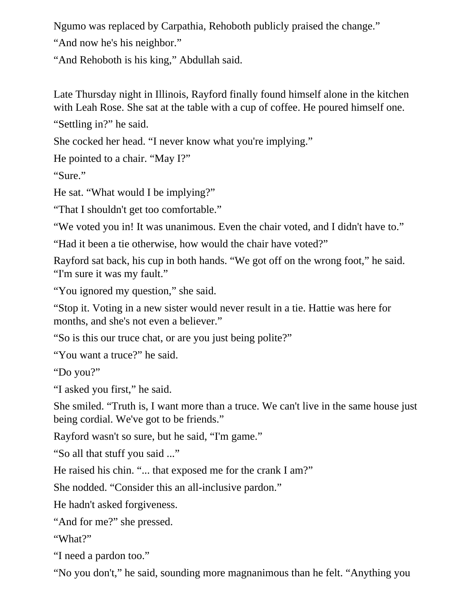Ngumo was replaced by Carpathia, Rehoboth publicly praised the change."

"And now he's his neighbor."

"And Rehoboth is his king," Abdullah said.

Late Thursday night in Illinois, Rayford finally found himself alone in the kitchen with Leah Rose. She sat at the table with a cup of coffee. He poured himself one. "Settling in?" he said.

She cocked her head. "I never know what you're implying."

He pointed to a chair. "May I?"

"Sure."

He sat. "What would I be implying?"

"That I shouldn't get too comfortable."

"We voted you in! It was unanimous. Even the chair voted, and I didn't have to."

"Had it been a tie otherwise, how would the chair have voted?"

Rayford sat back, his cup in both hands. "We got off on the wrong foot," he said. "I'm sure it was my fault."

"You ignored my question," she said.

"Stop it. Voting in a new sister would never result in a tie. Hattie was here for months, and she's not even a believer."

"So is this our truce chat, or are you just being polite?"

"You want a truce?" he said.

"Do you?"

"I asked you first," he said.

She smiled. "Truth is, I want more than a truce. We can't live in the same house just being cordial. We've got to be friends."

Rayford wasn't so sure, but he said, "I'm game."

"So all that stuff you said ..."

He raised his chin. "... that exposed me for the crank I am?"

She nodded. "Consider this an all-inclusive pardon."

He hadn't asked forgiveness.

"And for me?" she pressed.

"What?"

"I need a pardon too."

"No you don't," he said, sounding more magnanimous than he felt. "Anything you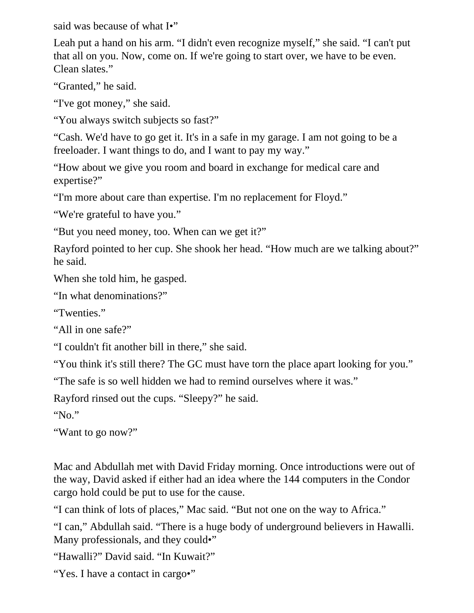said was because of what I.<sup>\*\*</sup>

Leah put a hand on his arm. "I didn't even recognize myself," she said. "I can't put that all on you. Now, come on. If we're going to start over, we have to be even. Clean slates."

"Granted," he said.

"I've got money," she said.

"You always switch subjects so fast?"

"Cash. We'd have to go get it. It's in a safe in my garage. I am not going to be a freeloader. I want things to do, and I want to pay my way."

"How about we give you room and board in exchange for medical care and expertise?"

"I'm more about care than expertise. I'm no replacement for Floyd."

"We're grateful to have you."

"But you need money, too. When can we get it?"

Rayford pointed to her cup. She shook her head. "How much are we talking about?" he said.

When she told him, he gasped.

"In what denominations?"

"Twenties."

"All in one safe?"

"I couldn't fit another bill in there," she said.

"You think it's still there? The GC must have torn the place apart looking for you."

"The safe is so well hidden we had to remind ourselves where it was."

Rayford rinsed out the cups. "Sleepy?" he said.

" $N_0$ "

"Want to go now?"

Mac and Abdullah met with David Friday morning. Once introductions were out of the way, David asked if either had an idea where the 144 computers in the Condor cargo hold could be put to use for the cause.

"I can think of lots of places," Mac said. "But not one on the way to Africa."

"I can," Abdullah said. "There is a huge body of underground believers in Hawalli. Many professionals, and they could•"

"Hawalli?" David said. "In Kuwait?"

"Yes. I have a contact in cargo"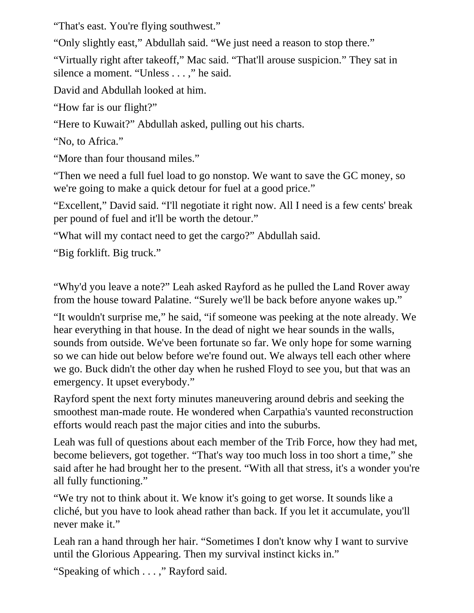"That's east. You're flying southwest."

"Only slightly east," Abdullah said. "We just need a reason to stop there."

"Virtually right after takeoff," Mac said. "That'll arouse suspicion." They sat in silence a moment. "Unless . . . ," he said.

David and Abdullah looked at him.

"How far is our flight?"

"Here to Kuwait?" Abdullah asked, pulling out his charts.

"No, to Africa."

"More than four thousand miles."

"Then we need a full fuel load to go nonstop. We want to save the GC money, so we're going to make a quick detour for fuel at a good price."

"Excellent," David said. "I'll negotiate it right now. All I need is a few cents' break per pound of fuel and it'll be worth the detour."

"What will my contact need to get the cargo?" Abdullah said.

"Big forklift. Big truck."

"Why'd you leave a note?" Leah asked Rayford as he pulled the Land Rover away from the house toward Palatine. "Surely we'll be back before anyone wakes up."

"It wouldn't surprise me," he said, "if someone was peeking at the note already. We hear everything in that house. In the dead of night we hear sounds in the walls, sounds from outside. We've been fortunate so far. We only hope for some warning so we can hide out below before we're found out. We always tell each other where we go. Buck didn't the other day when he rushed Floyd to see you, but that was an emergency. It upset everybody."

Rayford spent the next forty minutes maneuvering around debris and seeking the smoothest man-made route. He wondered when Carpathia's vaunted reconstruction efforts would reach past the major cities and into the suburbs.

Leah was full of questions about each member of the Trib Force, how they had met, become believers, got together. "That's way too much loss in too short a time," she said after he had brought her to the present. "With all that stress, it's a wonder you're all fully functioning."

"We try not to think about it. We know it's going to get worse. It sounds like a cliché, but you have to look ahead rather than back. If you let it accumulate, you'll never make it."

Leah ran a hand through her hair. "Sometimes I don't know why I want to survive until the Glorious Appearing. Then my survival instinct kicks in."

"Speaking of which . . . ," Rayford said.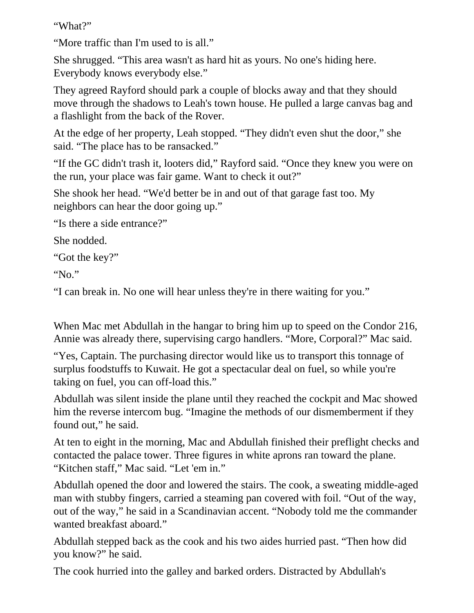"What?"

"More traffic than I'm used to is all."

She shrugged. "This area wasn't as hard hit as yours. No one's hiding here. Everybody knows everybody else."

They agreed Rayford should park a couple of blocks away and that they should move through the shadows to Leah's town house. He pulled a large canvas bag and a flashlight from the back of the Rover.

At the edge of her property, Leah stopped. "They didn't even shut the door," she said. "The place has to be ransacked."

"If the GC didn't trash it, looters did," Rayford said. "Once they knew you were on the run, your place was fair game. Want to check it out?"

She shook her head. "We'd better be in and out of that garage fast too. My neighbors can hear the door going up."

"Is there a side entrance?"

She nodded.

```
"Got the key?"
```
"No."

"I can break in. No one will hear unless they're in there waiting for you."

When Mac met Abdullah in the hangar to bring him up to speed on the Condor 216, Annie was already there, supervising cargo handlers. "More, Corporal?" Mac said.

"Yes, Captain. The purchasing director would like us to transport this tonnage of surplus foodstuffs to Kuwait. He got a spectacular deal on fuel, so while you're taking on fuel, you can off-load this."

Abdullah was silent inside the plane until they reached the cockpit and Mac showed him the reverse intercom bug. "Imagine the methods of our dismemberment if they found out," he said.

At ten to eight in the morning, Mac and Abdullah finished their preflight checks and contacted the palace tower. Three figures in white aprons ran toward the plane. "Kitchen staff," Mac said. "Let 'em in."

Abdullah opened the door and lowered the stairs. The cook, a sweating middle-aged man with stubby fingers, carried a steaming pan covered with foil. "Out of the way, out of the way," he said in a Scandinavian accent. "Nobody told me the commander wanted breakfast aboard."

Abdullah stepped back as the cook and his two aides hurried past. "Then how did you know?" he said.

The cook hurried into the galley and barked orders. Distracted by Abdullah's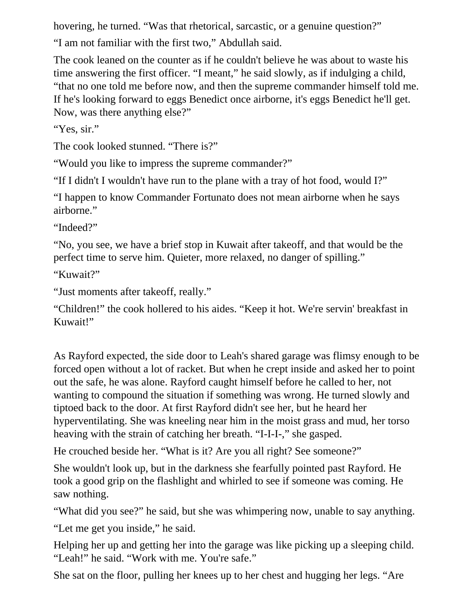hovering, he turned. "Was that rhetorical, sarcastic, or a genuine question?"

"I am not familiar with the first two," Abdullah said.

The cook leaned on the counter as if he couldn't believe he was about to waste his time answering the first officer. "I meant," he said slowly, as if indulging a child, "that no one told me before now, and then the supreme commander himself told me. If he's looking forward to eggs Benedict once airborne, it's eggs Benedict he'll get. Now, was there anything else?"

"Yes, sir."

The cook looked stunned. "There is?"

"Would you like to impress the supreme commander?"

"If I didn't I wouldn't have run to the plane with a tray of hot food, would I?"

"I happen to know Commander Fortunato does not mean airborne when he says airborne."

"Indeed?"

"No, you see, we have a brief stop in Kuwait after takeoff, and that would be the perfect time to serve him. Quieter, more relaxed, no danger of spilling."

"Kuwait?"

"Just moments after takeoff, really."

"Children!" the cook hollered to his aides. "Keep it hot. We're servin' breakfast in Kuwait!"

As Rayford expected, the side door to Leah's shared garage was flimsy enough to be forced open without a lot of racket. But when he crept inside and asked her to point out the safe, he was alone. Rayford caught himself before he called to her, not wanting to compound the situation if something was wrong. He turned slowly and tiptoed back to the door. At first Rayford didn't see her, but he heard her hyperventilating. She was kneeling near him in the moist grass and mud, her torso heaving with the strain of catching her breath. "I-I-I-," she gasped.

He crouched beside her. "What is it? Are you all right? See someone?"

She wouldn't look up, but in the darkness she fearfully pointed past Rayford. He took a good grip on the flashlight and whirled to see if someone was coming. He saw nothing.

"What did you see?" he said, but she was whimpering now, unable to say anything. "Let me get you inside," he said.

Helping her up and getting her into the garage was like picking up a sleeping child. "Leah!" he said. "Work with me. You're safe."

She sat on the floor, pulling her knees up to her chest and hugging her legs. "Are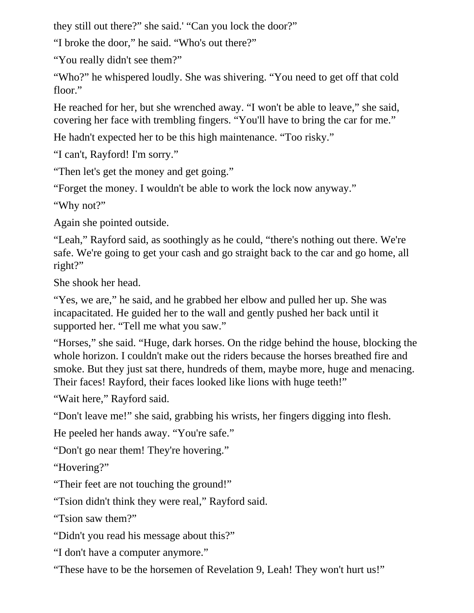they still out there?" she said.' "Can you lock the door?"

"I broke the door," he said. "Who's out there?"

"You really didn't see them?"

"Who?" he whispered loudly. She was shivering. "You need to get off that cold floor."

He reached for her, but she wrenched away. "I won't be able to leave," she said, covering her face with trembling fingers. "You'll have to bring the car for me."

He hadn't expected her to be this high maintenance. "Too risky."

"I can't, Rayford! I'm sorry."

"Then let's get the money and get going."

"Forget the money. I wouldn't be able to work the lock now anyway."

"Why not?"

Again she pointed outside.

"Leah," Rayford said, as soothingly as he could, "there's nothing out there. We're safe. We're going to get your cash and go straight back to the car and go home, all right?"

She shook her head.

"Yes, we are," he said, and he grabbed her elbow and pulled her up. She was incapacitated. He guided her to the wall and gently pushed her back until it supported her. "Tell me what you saw."

"Horses," she said. "Huge, dark horses. On the ridge behind the house, blocking the whole horizon. I couldn't make out the riders because the horses breathed fire and smoke. But they just sat there, hundreds of them, maybe more, huge and menacing. Their faces! Rayford, their faces looked like lions with huge teeth!"

"Wait here," Rayford said.

"Don't leave me!" she said, grabbing his wrists, her fingers digging into flesh.

He peeled her hands away. "You're safe."

"Don't go near them! They're hovering."

"Hovering?"

"Their feet are not touching the ground!"

"Tsion didn't think they were real," Rayford said.

"Tsion saw them?"

"Didn't you read his message about this?"

"I don't have a computer anymore."

"These have to be the horsemen of Revelation 9, Leah! They won't hurt us!"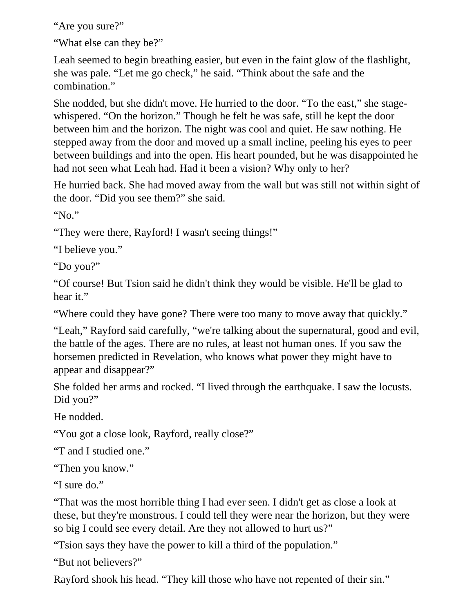"Are you sure?"

"What else can they be?"

Leah seemed to begin breathing easier, but even in the faint glow of the flashlight, she was pale. "Let me go check," he said. "Think about the safe and the combination."

She nodded, but she didn't move. He hurried to the door. "To the east," she stagewhispered. "On the horizon." Though he felt he was safe, still he kept the door between him and the horizon. The night was cool and quiet. He saw nothing. He stepped away from the door and moved up a small incline, peeling his eyes to peer between buildings and into the open. His heart pounded, but he was disappointed he had not seen what Leah had. Had it been a vision? Why only to her?

He hurried back. She had moved away from the wall but was still not within sight of the door. "Did you see them?" she said.

"No."

"They were there, Rayford! I wasn't seeing things!"

"I believe you."

"Do you?"

"Of course! But Tsion said he didn't think they would be visible. He'll be glad to hear it."

"Where could they have gone? There were too many to move away that quickly."

"Leah," Rayford said carefully, "we're talking about the supernatural, good and evil, the battle of the ages. There are no rules, at least not human ones. If you saw the horsemen predicted in Revelation, who knows what power they might have to appear and disappear?"

She folded her arms and rocked. "I lived through the earthquake. I saw the locusts. Did you?"

He nodded.

"You got a close look, Rayford, really close?"

"T and I studied one."

"Then you know."

"I sure do."

"That was the most horrible thing I had ever seen. I didn't get as close a look at these, but they're monstrous. I could tell they were near the horizon, but they were so big I could see every detail. Are they not allowed to hurt us?"

"Tsion says they have the power to kill a third of the population."

"But not believers?"

Rayford shook his head. "They kill those who have not repented of their sin."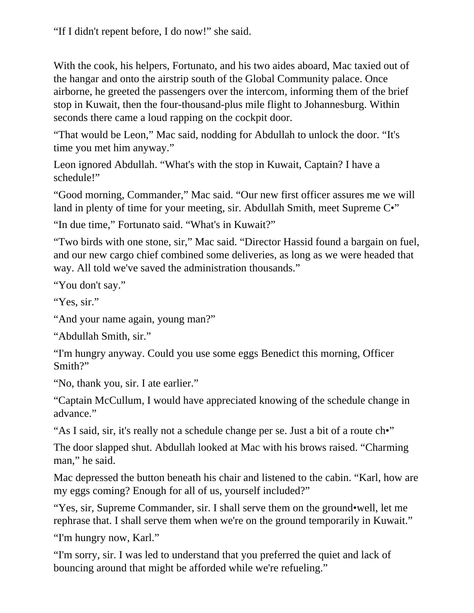"If I didn't repent before, I do now!" she said.

With the cook, his helpers, Fortunato, and his two aides aboard, Mac taxied out of the hangar and onto the airstrip south of the Global Community palace. Once airborne, he greeted the passengers over the intercom, informing them of the brief stop in Kuwait, then the four-thousand-plus mile flight to Johannesburg. Within seconds there came a loud rapping on the cockpit door.

"That would be Leon," Mac said, nodding for Abdullah to unlock the door. "It's time you met him anyway."

Leon ignored Abdullah. "What's with the stop in Kuwait, Captain? I have a schedule!"

"Good morning, Commander," Mac said. "Our new first officer assures me we will land in plenty of time for your meeting, sir. Abdullah Smith, meet Supreme C."

"In due time," Fortunato said. "What's in Kuwait?"

"Two birds with one stone, sir," Mac said. "Director Hassid found a bargain on fuel, and our new cargo chief combined some deliveries, as long as we were headed that way. All told we've saved the administration thousands."

"You don't say."

"Yes, sir."

"And your name again, young man?"

"Abdullah Smith, sir."

"I'm hungry anyway. Could you use some eggs Benedict this morning, Officer Smith?"

"No, thank you, sir. I ate earlier."

"Captain McCullum, I would have appreciated knowing of the schedule change in advance."

"As I said, sir, it's really not a schedule change per se. Just a bit of a route ch•"

The door slapped shut. Abdullah looked at Mac with his brows raised. "Charming man," he said.

Mac depressed the button beneath his chair and listened to the cabin. "Karl, how are my eggs coming? Enough for all of us, yourself included?"

"Yes, sir, Supreme Commander, sir. I shall serve them on the ground•well, let me rephrase that. I shall serve them when we're on the ground temporarily in Kuwait."

"I'm hungry now, Karl."

"I'm sorry, sir. I was led to understand that you preferred the quiet and lack of bouncing around that might be afforded while we're refueling."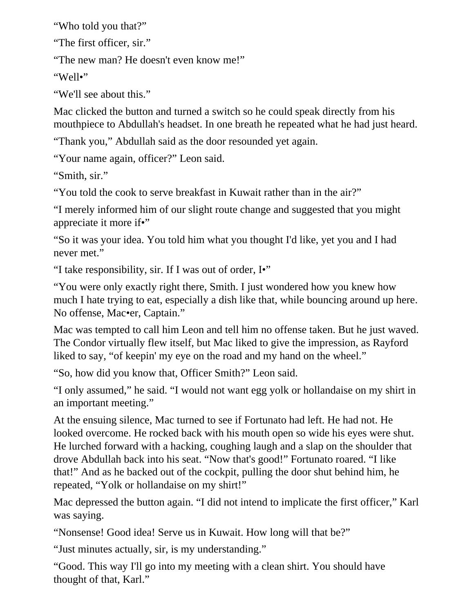"Who told you that?"

"The first officer, sir."

"The new man? He doesn't even know me!"

"Well•"

"We'll see about this."

Mac clicked the button and turned a switch so he could speak directly from his mouthpiece to Abdullah's headset. In one breath he repeated what he had just heard.

"Thank you," Abdullah said as the door resounded yet again.

"Your name again, officer?" Leon said.

"Smith, sir."

"You told the cook to serve breakfast in Kuwait rather than in the air?"

"I merely informed him of our slight route change and suggested that you might appreciate it more if•"

"So it was your idea. You told him what you thought I'd like, yet you and I had never met."

"I take responsibility, sir. If I was out of order, I•"

"You were only exactly right there, Smith. I just wondered how you knew how much I hate trying to eat, especially a dish like that, while bouncing around up here. No offense, Mac•er, Captain."

Mac was tempted to call him Leon and tell him no offense taken. But he just waved. The Condor virtually flew itself, but Mac liked to give the impression, as Rayford liked to say, "of keepin' my eye on the road and my hand on the wheel."

"So, how did you know that, Officer Smith?" Leon said.

"I only assumed," he said. "I would not want egg yolk or hollandaise on my shirt in an important meeting."

At the ensuing silence, Mac turned to see if Fortunato had left. He had not. He looked overcome. He rocked back with his mouth open so wide his eyes were shut. He lurched forward with a hacking, coughing laugh and a slap on the shoulder that drove Abdullah back into his seat. "Now that's good!" Fortunato roared. "I like that!" And as he backed out of the cockpit, pulling the door shut behind him, he repeated, "Yolk or hollandaise on my shirt!"

Mac depressed the button again. "I did not intend to implicate the first officer," Karl was saying.

"Nonsense! Good idea! Serve us in Kuwait. How long will that be?"

"Just minutes actually, sir, is my understanding."

"Good. This way I'll go into my meeting with a clean shirt. You should have thought of that, Karl."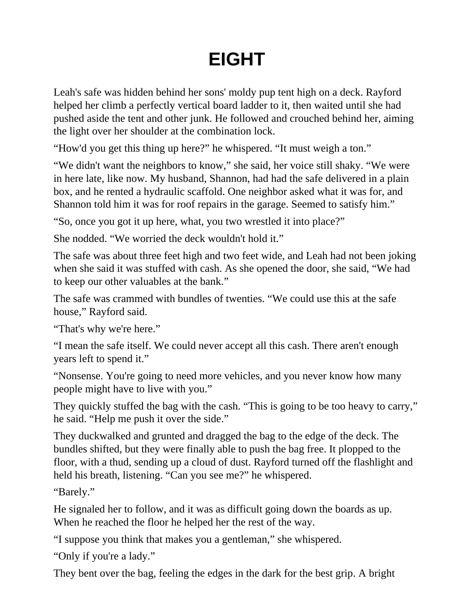# **EIGHT**

Leah's safe was hidden behind her sons' moldy pup tent high on a deck. Rayford helped her climb a perfectly vertical board ladder to it, then waited until she had pushed aside the tent and other junk. He followed and crouched behind her, aiming the light over her shoulder at the combination lock.

"How'd you get this thing up here?" he whispered. "It must weigh a ton."

"We didn't want the neighbors to know," she said, her voice still shaky. "We were in here late, like now. My husband, Shannon, had had the safe delivered in a plain box, and he rented a hydraulic scaffold. One neighbor asked what it was for, and Shannon told him it was for roof repairs in the garage. Seemed to satisfy him."

"So, once you got it up here, what, you two wrestled it into place?"

She nodded. "We worried the deck wouldn't hold it."

The safe was about three feet high and two feet wide, and Leah had not been joking when she said it was stuffed with cash. As she opened the door, she said, "We had to keep our other valuables at the bank."

The safe was crammed with bundles of twenties. "We could use this at the safe house," Rayford said.

"That's why we're here."

"I mean the safe itself. We could never accept all this cash. There aren't enough years left to spend it."

"Nonsense. You're going to need more vehicles, and you never know how many people might have to live with you."

They quickly stuffed the bag with the cash. "This is going to be too heavy to carry," he said. "Help me push it over the side."

They duckwalked and grunted and dragged the bag to the edge of the deck. The bundles shifted, but they were finally able to push the bag free. It plopped to the floor, with a thud, sending up a cloud of dust. Rayford turned off the flashlight and held his breath, listening. "Can you see me?" he whispered.

"Barely."

He signaled her to follow, and it was as difficult going down the boards as up. When he reached the floor he helped her the rest of the way.

"I suppose you think that makes you a gentleman," she whispered.

"Only if you're a lady."

They bent over the bag, feeling the edges in the dark for the best grip. A bright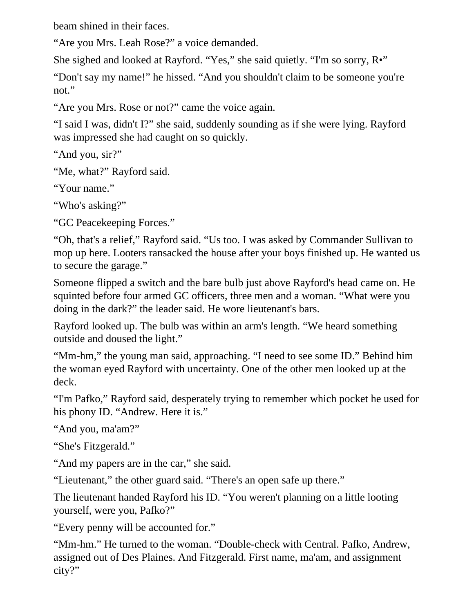beam shined in their faces.

"Are you Mrs. Leah Rose?" a voice demanded.

She sighed and looked at Rayford. "Yes," she said quietly. "I'm so sorry, R•"

"Don't say my name!" he hissed. "And you shouldn't claim to be someone you're not."

"Are you Mrs. Rose or not?" came the voice again.

"I said I was, didn't I?" she said, suddenly sounding as if she were lying. Rayford was impressed she had caught on so quickly.

"And you, sir?"

"Me, what?" Rayford said.

"Your name."

"Who's asking?"

"GC Peacekeeping Forces."

"Oh, that's a relief," Rayford said. "Us too. I was asked by Commander Sullivan to mop up here. Looters ransacked the house after your boys finished up. He wanted us to secure the garage."

Someone flipped a switch and the bare bulb just above Rayford's head came on. He squinted before four armed GC officers, three men and a woman. "What were you doing in the dark?" the leader said. He wore lieutenant's bars.

Rayford looked up. The bulb was within an arm's length. "We heard something outside and doused the light."

"Mm-hm," the young man said, approaching. "I need to see some ID." Behind him the woman eyed Rayford with uncertainty. One of the other men looked up at the deck.

"I'm Pafko," Rayford said, desperately trying to remember which pocket he used for his phony ID. "Andrew. Here it is."

"And you, ma'am?"

"She's Fitzgerald."

"And my papers are in the car," she said.

"Lieutenant," the other guard said. "There's an open safe up there."

The lieutenant handed Rayford his ID. "You weren't planning on a little looting yourself, were you, Pafko?"

"Every penny will be accounted for."

"Mm-hm." He turned to the woman. "Double-check with Central. Pafko, Andrew, assigned out of Des Plaines. And Fitzgerald. First name, ma'am, and assignment city?"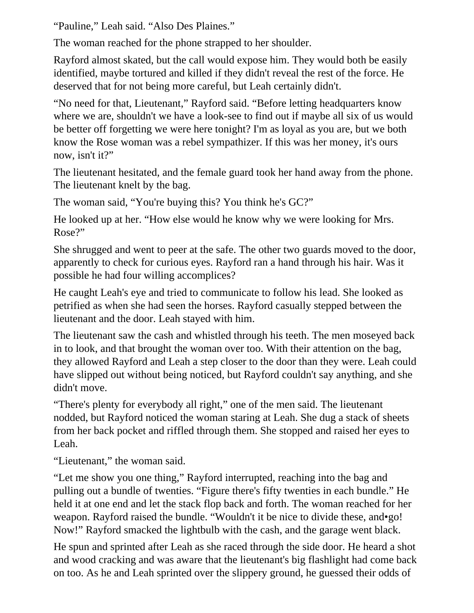"Pauline," Leah said. "Also Des Plaines."

The woman reached for the phone strapped to her shoulder.

Rayford almost skated, but the call would expose him. They would both be easily identified, maybe tortured and killed if they didn't reveal the rest of the force. He deserved that for not being more careful, but Leah certainly didn't.

"No need for that, Lieutenant," Rayford said. "Before letting headquarters know where we are, shouldn't we have a look-see to find out if maybe all six of us would be better off forgetting we were here tonight? I'm as loyal as you are, but we both know the Rose woman was a rebel sympathizer. If this was her money, it's ours now, isn't it?"

The lieutenant hesitated, and the female guard took her hand away from the phone. The lieutenant knelt by the bag.

The woman said, "You're buying this? You think he's GC?"

He looked up at her. "How else would he know why we were looking for Mrs. Rose?"

She shrugged and went to peer at the safe. The other two guards moved to the door, apparently to check for curious eyes. Rayford ran a hand through his hair. Was it possible he had four willing accomplices?

He caught Leah's eye and tried to communicate to follow his lead. She looked as petrified as when she had seen the horses. Rayford casually stepped between the lieutenant and the door. Leah stayed with him.

The lieutenant saw the cash and whistled through his teeth. The men moseyed back in to look, and that brought the woman over too. With their attention on the bag, they allowed Rayford and Leah a step closer to the door than they were. Leah could have slipped out without being noticed, but Rayford couldn't say anything, and she didn't move.

"There's plenty for everybody all right," one of the men said. The lieutenant nodded, but Rayford noticed the woman staring at Leah. She dug a stack of sheets from her back pocket and riffled through them. She stopped and raised her eyes to Leah.

"Lieutenant," the woman said.

"Let me show you one thing," Rayford interrupted, reaching into the bag and pulling out a bundle of twenties. "Figure there's fifty twenties in each bundle." He held it at one end and let the stack flop back and forth. The woman reached for her weapon. Rayford raised the bundle. "Wouldn't it be nice to divide these, and•go! Now!" Rayford smacked the lightbulb with the cash, and the garage went black.

He spun and sprinted after Leah as she raced through the side door. He heard a shot and wood cracking and was aware that the lieutenant's big flashlight had come back on too. As he and Leah sprinted over the slippery ground, he guessed their odds of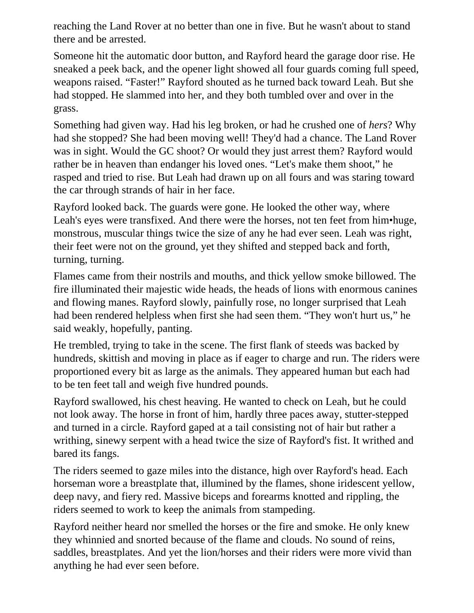reaching the Land Rover at no better than one in five. But he wasn't about to stand there and be arrested.

Someone hit the automatic door button, and Rayford heard the garage door rise. He sneaked a peek back, and the opener light showed all four guards coming full speed, weapons raised. "Faster!" Rayford shouted as he turned back toward Leah. But she had stopped. He slammed into her, and they both tumbled over and over in the grass.

Something had given way. Had his leg broken, or had he crushed one of *hers*? Why had she stopped? She had been moving well! They'd had a chance. The Land Rover was in sight. Would the GC shoot? Or would they just arrest them? Rayford would rather be in heaven than endanger his loved ones. "Let's make them shoot," he rasped and tried to rise. But Leah had drawn up on all fours and was staring toward the car through strands of hair in her face.

Rayford looked back. The guards were gone. He looked the other way, where Leah's eyes were transfixed. And there were the horses, not ten feet from him•huge, monstrous, muscular things twice the size of any he had ever seen. Leah was right, their feet were not on the ground, yet they shifted and stepped back and forth, turning, turning.

Flames came from their nostrils and mouths, and thick yellow smoke billowed. The fire illuminated their majestic wide heads, the heads of lions with enormous canines and flowing manes. Rayford slowly, painfully rose, no longer surprised that Leah had been rendered helpless when first she had seen them. "They won't hurt us," he said weakly, hopefully, panting.

He trembled, trying to take in the scene. The first flank of steeds was backed by hundreds, skittish and moving in place as if eager to charge and run. The riders were proportioned every bit as large as the animals. They appeared human but each had to be ten feet tall and weigh five hundred pounds.

Rayford swallowed, his chest heaving. He wanted to check on Leah, but he could not look away. The horse in front of him, hardly three paces away, stutter-stepped and turned in a circle. Rayford gaped at a tail consisting not of hair but rather a writhing, sinewy serpent with a head twice the size of Rayford's fist. It writhed and bared its fangs.

The riders seemed to gaze miles into the distance, high over Rayford's head. Each horseman wore a breastplate that, illumined by the flames, shone iridescent yellow, deep navy, and fiery red. Massive biceps and forearms knotted and rippling, the riders seemed to work to keep the animals from stampeding.

Rayford neither heard nor smelled the horses or the fire and smoke. He only knew they whinnied and snorted because of the flame and clouds. No sound of reins, saddles, breastplates. And yet the lion/horses and their riders were more vivid than anything he had ever seen before.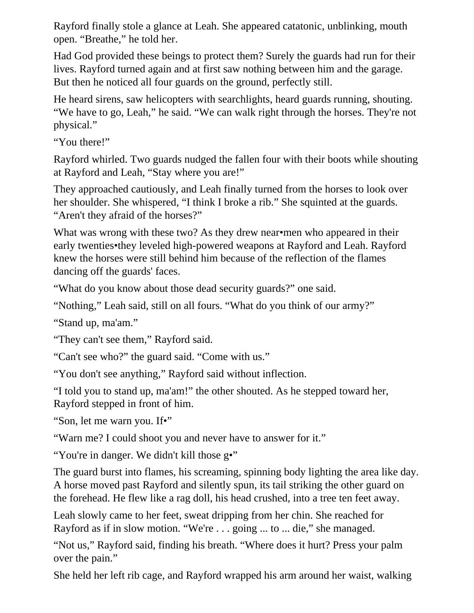Rayford finally stole a glance at Leah. She appeared catatonic, unblinking, mouth open. "Breathe," he told her.

Had God provided these beings to protect them? Surely the guards had run for their lives. Rayford turned again and at first saw nothing between him and the garage. But then he noticed all four guards on the ground, perfectly still.

He heard sirens, saw helicopters with searchlights, heard guards running, shouting. "We have to go, Leah," he said. "We can walk right through the horses. They're not physical."

"You there!"

Rayford whirled. Two guards nudged the fallen four with their boots while shouting at Rayford and Leah, "Stay where you are!"

They approached cautiously, and Leah finally turned from the horses to look over her shoulder. She whispered, "I think I broke a rib." She squinted at the guards. "Aren't they afraid of the horses?"

What was wrong with these two? As they drew near•men who appeared in their early twenties•they leveled high-powered weapons at Rayford and Leah. Rayford knew the horses were still behind him because of the reflection of the flames dancing off the guards' faces.

"What do you know about those dead security guards?" one said.

"Nothing," Leah said, still on all fours. "What do you think of our army?"

"Stand up, ma'am."

"They can't see them," Rayford said.

"Can't see who?" the guard said. "Come with us."

"You don't see anything," Rayford said without inflection.

"I told you to stand up, ma'am!" the other shouted. As he stepped toward her, Rayford stepped in front of him.

"Son, let me warn you. If•"

"Warn me? I could shoot you and never have to answer for it."

"You're in danger. We didn't kill those go"

The guard burst into flames, his screaming, spinning body lighting the area like day. A horse moved past Rayford and silently spun, its tail striking the other guard on the forehead. He flew like a rag doll, his head crushed, into a tree ten feet away.

Leah slowly came to her feet, sweat dripping from her chin. She reached for Rayford as if in slow motion. "We're . . . going ... to ... die," she managed.

"Not us," Rayford said, finding his breath. "Where does it hurt? Press your palm over the pain."

She held her left rib cage, and Rayford wrapped his arm around her waist, walking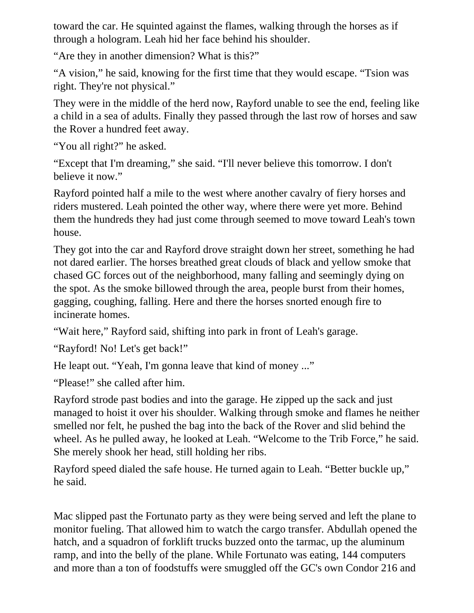toward the car. He squinted against the flames, walking through the horses as if through a hologram. Leah hid her face behind his shoulder.

"Are they in another dimension? What is this?"

"A vision," he said, knowing for the first time that they would escape. "Tsion was right. They're not physical."

They were in the middle of the herd now, Rayford unable to see the end, feeling like a child in a sea of adults. Finally they passed through the last row of horses and saw the Rover a hundred feet away.

"You all right?" he asked.

"Except that I'm dreaming," she said. "I'll never believe this tomorrow. I don't believe it now."

Rayford pointed half a mile to the west where another cavalry of fiery horses and riders mustered. Leah pointed the other way, where there were yet more. Behind them the hundreds they had just come through seemed to move toward Leah's town house.

They got into the car and Rayford drove straight down her street, something he had not dared earlier. The horses breathed great clouds of black and yellow smoke that chased GC forces out of the neighborhood, many falling and seemingly dying on the spot. As the smoke billowed through the area, people burst from their homes, gagging, coughing, falling. Here and there the horses snorted enough fire to incinerate homes.

"Wait here," Rayford said, shifting into park in front of Leah's garage.

```
"Rayford! No! Let's get back!"
```
He leapt out. "Yeah, I'm gonna leave that kind of money ..."

"Please!" she called after him.

Rayford strode past bodies and into the garage. He zipped up the sack and just managed to hoist it over his shoulder. Walking through smoke and flames he neither smelled nor felt, he pushed the bag into the back of the Rover and slid behind the wheel. As he pulled away, he looked at Leah. "Welcome to the Trib Force," he said. She merely shook her head, still holding her ribs.

Rayford speed dialed the safe house. He turned again to Leah. "Better buckle up," he said.

Mac slipped past the Fortunato party as they were being served and left the plane to monitor fueling. That allowed him to watch the cargo transfer. Abdullah opened the hatch, and a squadron of forklift trucks buzzed onto the tarmac, up the aluminum ramp, and into the belly of the plane. While Fortunato was eating, 144 computers and more than a ton of foodstuffs were smuggled off the GC's own Condor 216 and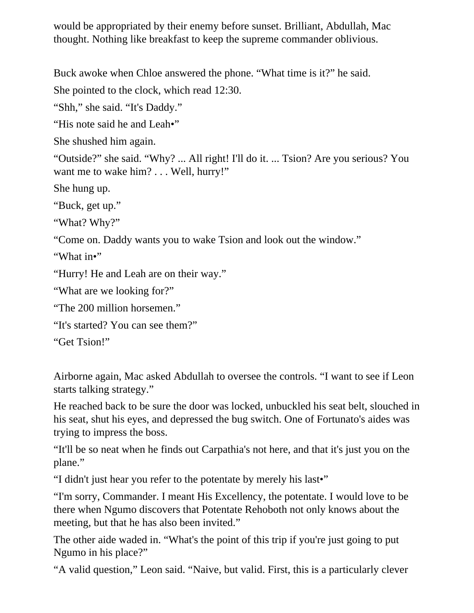would be appropriated by their enemy before sunset. Brilliant, Abdullah, Mac thought. Nothing like breakfast to keep the supreme commander oblivious.

Buck awoke when Chloe answered the phone. "What time is it?" he said.

She pointed to the clock, which read 12:30.

"Shh," she said. "It's Daddy."

"His note said he and Leah•"

She shushed him again.

"Outside?" she said. "Why? ... All right! I'll do it. ... Tsion? Are you serious? You want me to wake him? . . . Well, hurry!"

She hung up.

"Buck, get up."

"What? Why?"

"Come on. Daddy wants you to wake Tsion and look out the window."

"What in•"

"Hurry! He and Leah are on their way."

"What are we looking for?"

"The 200 million horsemen."

```
"It's started? You can see them?"
```
"Get Tsion!"

Airborne again, Mac asked Abdullah to oversee the controls. "I want to see if Leon starts talking strategy."

He reached back to be sure the door was locked, unbuckled his seat belt, slouched in his seat, shut his eyes, and depressed the bug switch. One of Fortunato's aides was trying to impress the boss.

"It'll be so neat when he finds out Carpathia's not here, and that it's just you on the plane."

"I didn't just hear you refer to the potentate by merely his last•"

"I'm sorry, Commander. I meant His Excellency, the potentate. I would love to be there when Ngumo discovers that Potentate Rehoboth not only knows about the meeting, but that he has also been invited."

The other aide waded in. "What's the point of this trip if you're just going to put Ngumo in his place?"

"A valid question," Leon said. "Naive, but valid. First, this is a particularly clever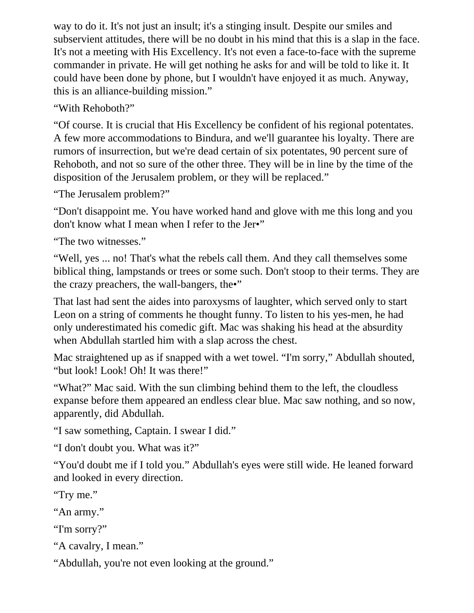way to do it. It's not just an insult; it's a stinging insult. Despite our smiles and subservient attitudes, there will be no doubt in his mind that this is a slap in the face. It's not a meeting with His Excellency. It's not even a face-to-face with the supreme commander in private. He will get nothing he asks for and will be told to like it. It could have been done by phone, but I wouldn't have enjoyed it as much. Anyway, this is an alliance-building mission."

"With Rehoboth?"

"Of course. It is crucial that His Excellency be confident of his regional potentates. A few more accommodations to Bindura, and we'll guarantee his loyalty. There are rumors of insurrection, but we're dead certain of six potentates, 90 percent sure of Rehoboth, and not so sure of the other three. They will be in line by the time of the disposition of the Jerusalem problem, or they will be replaced."

"The Jerusalem problem?"

"Don't disappoint me. You have worked hand and glove with me this long and you don't know what I mean when I refer to the Jer•"

"The two witnesses."

"Well, yes ... no! That's what the rebels call them. And they call themselves some biblical thing, lampstands or trees or some such. Don't stoop to their terms. They are the crazy preachers, the wall-bangers, the•"

That last had sent the aides into paroxysms of laughter, which served only to start Leon on a string of comments he thought funny. To listen to his yes-men, he had only underestimated his comedic gift. Mac was shaking his head at the absurdity when Abdullah startled him with a slap across the chest.

Mac straightened up as if snapped with a wet towel. "I'm sorry," Abdullah shouted, "but look! Look! Oh! It was there!"

"What?" Mac said. With the sun climbing behind them to the left, the cloudless expanse before them appeared an endless clear blue. Mac saw nothing, and so now, apparently, did Abdullah.

"I saw something, Captain. I swear I did."

"I don't doubt you. What was it?"

"You'd doubt me if I told you." Abdullah's eyes were still wide. He leaned forward and looked in every direction.

"Try me."

"An army."

"I'm sorry?"

"A cavalry, I mean."

"Abdullah, you're not even looking at the ground."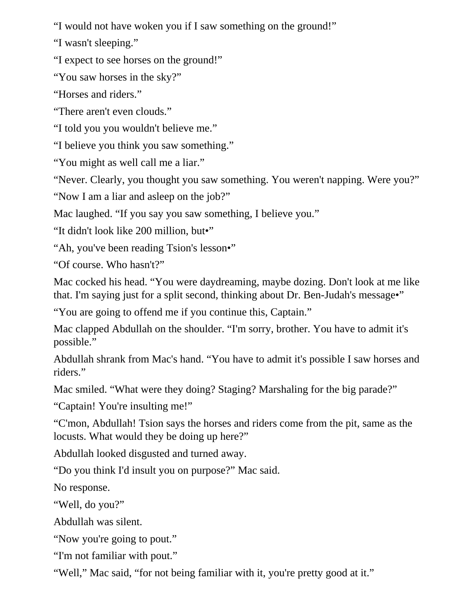"I would not have woken you if I saw something on the ground!"

"I wasn't sleeping."

"I expect to see horses on the ground!"

"You saw horses in the sky?"

"Horses and riders."

"There aren't even clouds."

"I told you you wouldn't believe me."

"I believe you think you saw something."

"You might as well call me a liar."

"Never. Clearly, you thought you saw something. You weren't napping. Were you?"

"Now I am a liar and asleep on the job?"

Mac laughed. "If you say you saw something, I believe you."

"It didn't look like 200 million, but•"

"Ah, you've been reading Tsion's lesson•"

"Of course. Who hasn't?"

Mac cocked his head. "You were daydreaming, maybe dozing. Don't look at me like that. I'm saying just for a split second, thinking about Dr. Ben-Judah's message•"

"You are going to offend me if you continue this, Captain."

Mac clapped Abdullah on the shoulder. "I'm sorry, brother. You have to admit it's possible."

Abdullah shrank from Mac's hand. "You have to admit it's possible I saw horses and riders."

Mac smiled. "What were they doing? Staging? Marshaling for the big parade?"

"Captain! You're insulting me!"

"C'mon, Abdullah! Tsion says the horses and riders come from the pit, same as the locusts. What would they be doing up here?"

Abdullah looked disgusted and turned away.

"Do you think I'd insult you on purpose?" Mac said.

No response.

"Well, do you?"

Abdullah was silent.

"Now you're going to pout."

"I'm not familiar with pout."

"Well," Mac said, "for not being familiar with it, you're pretty good at it."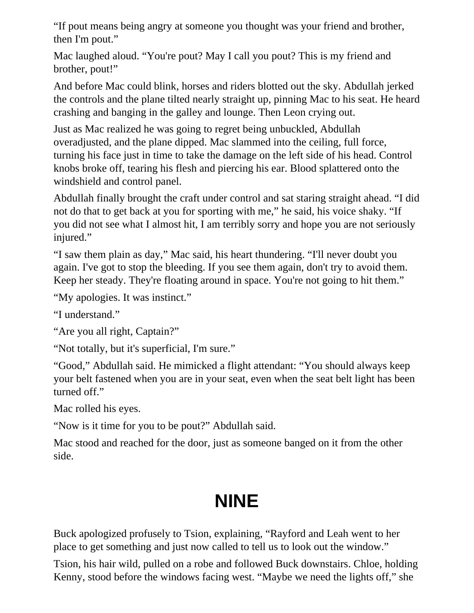"If pout means being angry at someone you thought was your friend and brother, then I'm pout."

Mac laughed aloud. "You're pout? May I call you pout? This is my friend and brother, pout!"

And before Mac could blink, horses and riders blotted out the sky. Abdullah jerked the controls and the plane tilted nearly straight up, pinning Mac to his seat. He heard crashing and banging in the galley and lounge. Then Leon crying out.

Just as Mac realized he was going to regret being unbuckled, Abdullah overadjusted, and the plane dipped. Mac slammed into the ceiling, full force, turning his face just in time to take the damage on the left side of his head. Control knobs broke off, tearing his flesh and piercing his ear. Blood splattered onto the windshield and control panel.

Abdullah finally brought the craft under control and sat staring straight ahead. "I did not do that to get back at you for sporting with me," he said, his voice shaky. "If you did not see what I almost hit, I am terribly sorry and hope you are not seriously injured."

"I saw them plain as day," Mac said, his heart thundering. "I'll never doubt you again. I've got to stop the bleeding. If you see them again, don't try to avoid them. Keep her steady. They're floating around in space. You're not going to hit them."

"My apologies. It was instinct."

"I understand."

"Are you all right, Captain?"

"Not totally, but it's superficial, I'm sure."

"Good," Abdullah said. He mimicked a flight attendant: "You should always keep your belt fastened when you are in your seat, even when the seat belt light has been turned off."

Mac rolled his eyes.

"Now is it time for you to be pout?" Abdullah said.

Mac stood and reached for the door, just as someone banged on it from the other side.

## **NINE**

Buck apologized profusely to Tsion, explaining, "Rayford and Leah went to her place to get something and just now called to tell us to look out the window."

Tsion, his hair wild, pulled on a robe and followed Buck downstairs. Chloe, holding Kenny, stood before the windows facing west. "Maybe we need the lights off," she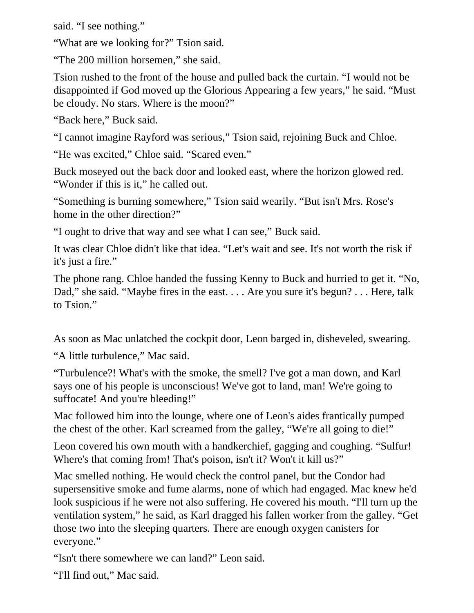said. "I see nothing."

"What are we looking for?" Tsion said.

"The 200 million horsemen," she said.

Tsion rushed to the front of the house and pulled back the curtain. "I would not be disappointed if God moved up the Glorious Appearing a few years," he said. "Must be cloudy. No stars. Where is the moon?"

"Back here," Buck said.

"I cannot imagine Rayford was serious," Tsion said, rejoining Buck and Chloe.

"He was excited," Chloe said. "Scared even."

Buck moseyed out the back door and looked east, where the horizon glowed red. "Wonder if this is it," he called out.

"Something is burning somewhere," Tsion said wearily. "But isn't Mrs. Rose's home in the other direction?"

"I ought to drive that way and see what I can see," Buck said.

It was clear Chloe didn't like that idea. "Let's wait and see. It's not worth the risk if it's just a fire."

The phone rang. Chloe handed the fussing Kenny to Buck and hurried to get it. "No, Dad," she said. "Maybe fires in the east. . . . Are you sure it's begun? . . . Here, talk to Tsion."

As soon as Mac unlatched the cockpit door, Leon barged in, disheveled, swearing.

"A little turbulence," Mac said.

"Turbulence?! What's with the smoke, the smell? I've got a man down, and Karl says one of his people is unconscious! We've got to land, man! We're going to suffocate! And you're bleeding!"

Mac followed him into the lounge, where one of Leon's aides frantically pumped the chest of the other. Karl screamed from the galley, "We're all going to die!"

Leon covered his own mouth with a handkerchief, gagging and coughing. "Sulfur! Where's that coming from! That's poison, isn't it? Won't it kill us?"

Mac smelled nothing. He would check the control panel, but the Condor had supersensitive smoke and fume alarms, none of which had engaged. Mac knew he'd look suspicious if he were not also suffering. He covered his mouth. "I'll turn up the ventilation system," he said, as Karl dragged his fallen worker from the galley. "Get those two into the sleeping quarters. There are enough oxygen canisters for everyone."

"Isn't there somewhere we can land?" Leon said.

"I'll find out," Mac said.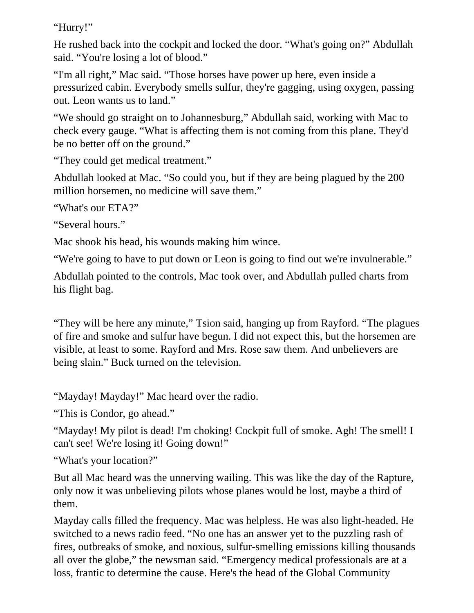"Hurry!"

He rushed back into the cockpit and locked the door. "What's going on?" Abdullah said. "You're losing a lot of blood."

"I'm all right," Mac said. "Those horses have power up here, even inside a pressurized cabin. Everybody smells sulfur, they're gagging, using oxygen, passing out. Leon wants us to land."

"We should go straight on to Johannesburg," Abdullah said, working with Mac to check every gauge. "What is affecting them is not coming from this plane. They'd be no better off on the ground."

"They could get medical treatment."

Abdullah looked at Mac. "So could you, but if they are being plagued by the 200 million horsemen, no medicine will save them."

"What's our ETA?"

"Several hours."

Mac shook his head, his wounds making him wince.

"We're going to have to put down or Leon is going to find out we're invulnerable."

Abdullah pointed to the controls, Mac took over, and Abdullah pulled charts from his flight bag.

"They will be here any minute," Tsion said, hanging up from Rayford. "The plagues of fire and smoke and sulfur have begun. I did not expect this, but the horsemen are visible, at least to some. Rayford and Mrs. Rose saw them. And unbelievers are being slain." Buck turned on the television.

"Mayday! Mayday!" Mac heard over the radio.

"This is Condor, go ahead."

"Mayday! My pilot is dead! I'm choking! Cockpit full of smoke. Agh! The smell! I can't see! We're losing it! Going down!"

"What's your location?"

But all Mac heard was the unnerving wailing. This was like the day of the Rapture, only now it was unbelieving pilots whose planes would be lost, maybe a third of them.

Mayday calls filled the frequency. Mac was helpless. He was also light-headed. He switched to a news radio feed. "No one has an answer yet to the puzzling rash of fires, outbreaks of smoke, and noxious, sulfur-smelling emissions killing thousands all over the globe," the newsman said. "Emergency medical professionals are at a loss, frantic to determine the cause. Here's the head of the Global Community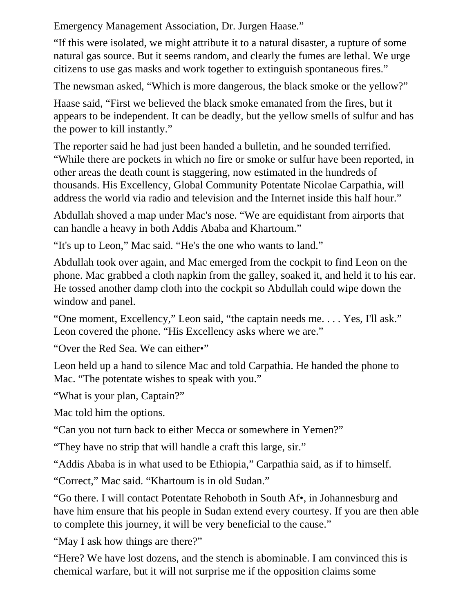Emergency Management Association, Dr. Jurgen Haase."

"If this were isolated, we might attribute it to a natural disaster, a rupture of some natural gas source. But it seems random, and clearly the fumes are lethal. We urge citizens to use gas masks and work together to extinguish spontaneous fires."

The newsman asked, "Which is more dangerous, the black smoke or the yellow?"

Haase said, "First we believed the black smoke emanated from the fires, but it appears to be independent. It can be deadly, but the yellow smells of sulfur and has the power to kill instantly."

The reporter said he had just been handed a bulletin, and he sounded terrified. "While there are pockets in which no fire or smoke or sulfur have been reported, in other areas the death count is staggering, now estimated in the hundreds of thousands. His Excellency, Global Community Potentate Nicolae Carpathia, will address the world via radio and television and the Internet inside this half hour."

Abdullah shoved a map under Mac's nose. "We are equidistant from airports that can handle a heavy in both Addis Ababa and Khartoum."

"It's up to Leon," Mac said. "He's the one who wants to land."

Abdullah took over again, and Mac emerged from the cockpit to find Leon on the phone. Mac grabbed a cloth napkin from the galley, soaked it, and held it to his ear. He tossed another damp cloth into the cockpit so Abdullah could wipe down the window and panel.

"One moment, Excellency," Leon said, "the captain needs me. . . . Yes, I'll ask." Leon covered the phone. "His Excellency asks where we are."

"Over the Red Sea. We can either•"

Leon held up a hand to silence Mac and told Carpathia. He handed the phone to Mac. "The potentate wishes to speak with you."

"What is your plan, Captain?"

Mac told him the options.

"Can you not turn back to either Mecca or somewhere in Yemen?"

"They have no strip that will handle a craft this large, sir."

"Addis Ababa is in what used to be Ethiopia," Carpathia said, as if to himself.

"Correct," Mac said. "Khartoum is in old Sudan."

"Go there. I will contact Potentate Rehoboth in South Af•, in Johannesburg and have him ensure that his people in Sudan extend every courtesy. If you are then able to complete this journey, it will be very beneficial to the cause."

"May I ask how things are there?"

"Here? We have lost dozens, and the stench is abominable. I am convinced this is chemical warfare, but it will not surprise me if the opposition claims some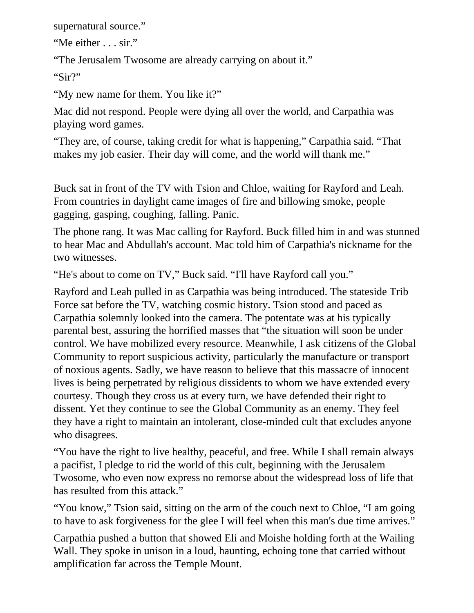supernatural source."

"Me either . . . sir."

"The Jerusalem Twosome are already carrying on about it."

"Sir?"

"My new name for them. You like it?"

Mac did not respond. People were dying all over the world, and Carpathia was playing word games.

"They are, of course, taking credit for what is happening," Carpathia said. "That makes my job easier. Their day will come, and the world will thank me."

Buck sat in front of the TV with Tsion and Chloe, waiting for Rayford and Leah. From countries in daylight came images of fire and billowing smoke, people gagging, gasping, coughing, falling. Panic.

The phone rang. It was Mac calling for Rayford. Buck filled him in and was stunned to hear Mac and Abdullah's account. Mac told him of Carpathia's nickname for the two witnesses.

"He's about to come on TV," Buck said. "I'll have Rayford call you."

Rayford and Leah pulled in as Carpathia was being introduced. The stateside Trib Force sat before the TV, watching cosmic history. Tsion stood and paced as Carpathia solemnly looked into the camera. The potentate was at his typically parental best, assuring the horrified masses that "the situation will soon be under control. We have mobilized every resource. Meanwhile, I ask citizens of the Global Community to report suspicious activity, particularly the manufacture or transport of noxious agents. Sadly, we have reason to believe that this massacre of innocent lives is being perpetrated by religious dissidents to whom we have extended every courtesy. Though they cross us at every turn, we have defended their right to dissent. Yet they continue to see the Global Community as an enemy. They feel they have a right to maintain an intolerant, close-minded cult that excludes anyone who disagrees.

"You have the right to live healthy, peaceful, and free. While I shall remain always a pacifist, I pledge to rid the world of this cult, beginning with the Jerusalem Twosome, who even now express no remorse about the widespread loss of life that has resulted from this attack."

"You know," Tsion said, sitting on the arm of the couch next to Chloe, "I am going to have to ask forgiveness for the glee I will feel when this man's due time arrives."

Carpathia pushed a button that showed Eli and Moishe holding forth at the Wailing Wall. They spoke in unison in a loud, haunting, echoing tone that carried without amplification far across the Temple Mount.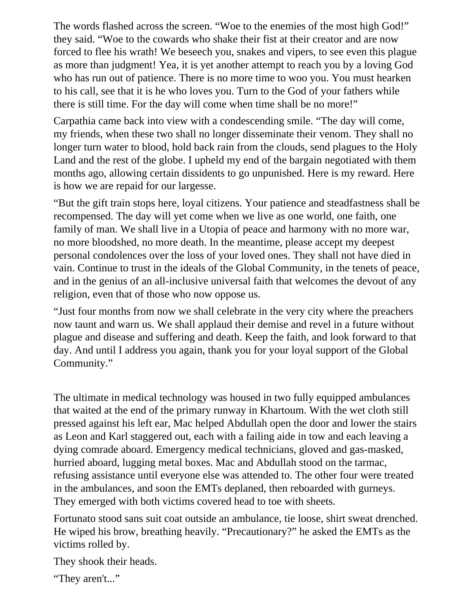The words flashed across the screen. "Woe to the enemies of the most high God!" they said. "Woe to the cowards who shake their fist at their creator and are now forced to flee his wrath! We beseech you, snakes and vipers, to see even this plague as more than judgment! Yea, it is yet another attempt to reach you by a loving God who has run out of patience. There is no more time to woo you. You must hearken to his call, see that it is he who loves you. Turn to the God of your fathers while there is still time. For the day will come when time shall be no more!"

Carpathia came back into view with a condescending smile. "The day will come, my friends, when these two shall no longer disseminate their venom. They shall no longer turn water to blood, hold back rain from the clouds, send plagues to the Holy Land and the rest of the globe. I upheld my end of the bargain negotiated with them months ago, allowing certain dissidents to go unpunished. Here is my reward. Here is how we are repaid for our largesse.

"But the gift train stops here, loyal citizens. Your patience and steadfastness shall be recompensed. The day will yet come when we live as one world, one faith, one family of man. We shall live in a Utopia of peace and harmony with no more war, no more bloodshed, no more death. In the meantime, please accept my deepest personal condolences over the loss of your loved ones. They shall not have died in vain. Continue to trust in the ideals of the Global Community, in the tenets of peace, and in the genius of an all-inclusive universal faith that welcomes the devout of any religion, even that of those who now oppose us.

"Just four months from now we shall celebrate in the very city where the preachers now taunt and warn us. We shall applaud their demise and revel in a future without plague and disease and suffering and death. Keep the faith, and look forward to that day. And until I address you again, thank you for your loyal support of the Global Community."

The ultimate in medical technology was housed in two fully equipped ambulances that waited at the end of the primary runway in Khartoum. With the wet cloth still pressed against his left ear, Mac helped Abdullah open the door and lower the stairs as Leon and Karl staggered out, each with a failing aide in tow and each leaving a dying comrade aboard. Emergency medical technicians, gloved and gas-masked, hurried aboard, lugging metal boxes. Mac and Abdullah stood on the tarmac, refusing assistance until everyone else was attended to. The other four were treated in the ambulances, and soon the EMTs deplaned, then reboarded with gurneys. They emerged with both victims covered head to toe with sheets.

Fortunato stood sans suit coat outside an ambulance, tie loose, shirt sweat drenched. He wiped his brow, breathing heavily. "Precautionary?" he asked the EMTs as the victims rolled by.

They shook their heads.

"They aren't..."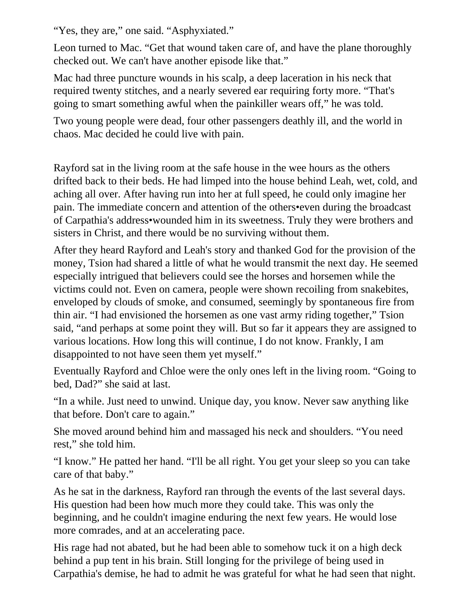"Yes, they are," one said. "Asphyxiated."

Leon turned to Mac. "Get that wound taken care of, and have the plane thoroughly checked out. We can't have another episode like that."

Mac had three puncture wounds in his scalp, a deep laceration in his neck that required twenty stitches, and a nearly severed ear requiring forty more. "That's going to smart something awful when the painkiller wears off," he was told.

Two young people were dead, four other passengers deathly ill, and the world in chaos. Mac decided he could live with pain.

Rayford sat in the living room at the safe house in the wee hours as the others drifted back to their beds. He had limped into the house behind Leah, wet, cold, and aching all over. After having run into her at full speed, he could only imagine her pain. The immediate concern and attention of the others•even during the broadcast of Carpathia's address•wounded him in its sweetness. Truly they were brothers and sisters in Christ, and there would be no surviving without them.

After they heard Rayford and Leah's story and thanked God for the provision of the money, Tsion had shared a little of what he would transmit the next day. He seemed especially intrigued that believers could see the horses and horsemen while the victims could not. Even on camera, people were shown recoiling from snakebites, enveloped by clouds of smoke, and consumed, seemingly by spontaneous fire from thin air. "I had envisioned the horsemen as one vast army riding together," Tsion said, "and perhaps at some point they will. But so far it appears they are assigned to various locations. How long this will continue, I do not know. Frankly, I am disappointed to not have seen them yet myself."

Eventually Rayford and Chloe were the only ones left in the living room. "Going to bed, Dad?" she said at last.

"In a while. Just need to unwind. Unique day, you know. Never saw anything like that before. Don't care to again."

She moved around behind him and massaged his neck and shoulders. "You need rest," she told him.

"I know." He patted her hand. "I'll be all right. You get your sleep so you can take care of that baby."

As he sat in the darkness, Rayford ran through the events of the last several days. His question had been how much more they could take. This was only the beginning, and he couldn't imagine enduring the next few years. He would lose more comrades, and at an accelerating pace.

His rage had not abated, but he had been able to somehow tuck it on a high deck behind a pup tent in his brain. Still longing for the privilege of being used in Carpathia's demise, he had to admit he was grateful for what he had seen that night.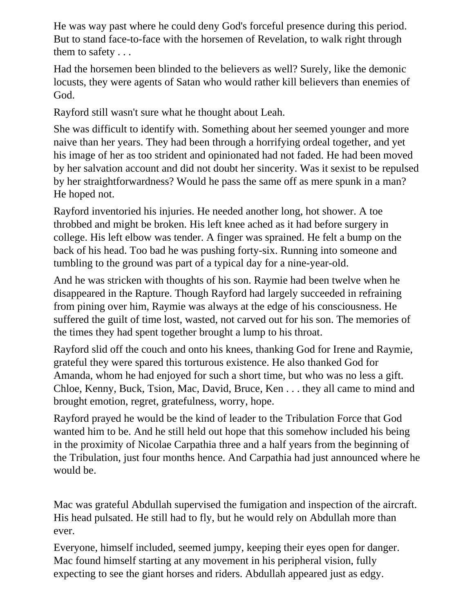He was way past where he could deny God's forceful presence during this period. But to stand face-to-face with the horsemen of Revelation, to walk right through them to safety . . .

Had the horsemen been blinded to the believers as well? Surely, like the demonic locusts, they were agents of Satan who would rather kill believers than enemies of God.

Rayford still wasn't sure what he thought about Leah.

She was difficult to identify with. Something about her seemed younger and more naive than her years. They had been through a horrifying ordeal together, and yet his image of her as too strident and opinionated had not faded. He had been moved by her salvation account and did not doubt her sincerity. Was it sexist to be repulsed by her straightforwardness? Would he pass the same off as mere spunk in a man? He hoped not.

Rayford inventoried his injuries. He needed another long, hot shower. A toe throbbed and might be broken. His left knee ached as it had before surgery in college. His left elbow was tender. A finger was sprained. He felt a bump on the back of his head. Too bad he was pushing forty-six. Running into someone and tumbling to the ground was part of a typical day for a nine-year-old.

And he was stricken with thoughts of his son. Raymie had been twelve when he disappeared in the Rapture. Though Rayford had largely succeeded in refraining from pining over him, Raymie was always at the edge of his consciousness. He suffered the guilt of time lost, wasted, not carved out for his son. The memories of the times they had spent together brought a lump to his throat.

Rayford slid off the couch and onto his knees, thanking God for Irene and Raymie, grateful they were spared this torturous existence. He also thanked God for Amanda, whom he had enjoyed for such a short time, but who was no less a gift. Chloe, Kenny, Buck, Tsion, Mac, David, Bruce, Ken . . . they all came to mind and brought emotion, regret, gratefulness, worry, hope.

Rayford prayed he would be the kind of leader to the Tribulation Force that God wanted him to be. And he still held out hope that this somehow included his being in the proximity of Nicolae Carpathia three and a half years from the beginning of the Tribulation, just four months hence. And Carpathia had just announced where he would be.

Mac was grateful Abdullah supervised the fumigation and inspection of the aircraft. His head pulsated. He still had to fly, but he would rely on Abdullah more than ever.

Everyone, himself included, seemed jumpy, keeping their eyes open for danger. Mac found himself starting at any movement in his peripheral vision, fully expecting to see the giant horses and riders. Abdullah appeared just as edgy.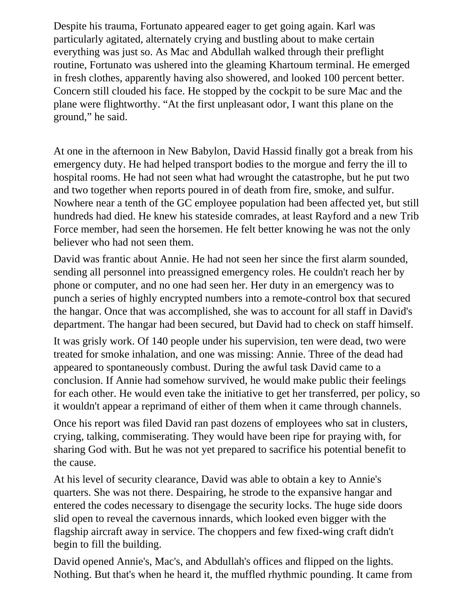Despite his trauma, Fortunato appeared eager to get going again. Karl was particularly agitated, alternately crying and bustling about to make certain everything was just so. As Mac and Abdullah walked through their preflight routine, Fortunato was ushered into the gleaming Khartoum terminal. He emerged in fresh clothes, apparently having also showered, and looked 100 percent better. Concern still clouded his face. He stopped by the cockpit to be sure Mac and the plane were flightworthy. "At the first unpleasant odor, I want this plane on the ground," he said.

At one in the afternoon in New Babylon, David Hassid finally got a break from his emergency duty. He had helped transport bodies to the morgue and ferry the ill to hospital rooms. He had not seen what had wrought the catastrophe, but he put two and two together when reports poured in of death from fire, smoke, and sulfur. Nowhere near a tenth of the GC employee population had been affected yet, but still hundreds had died. He knew his stateside comrades, at least Rayford and a new Trib Force member, had seen the horsemen. He felt better knowing he was not the only believer who had not seen them.

David was frantic about Annie. He had not seen her since the first alarm sounded, sending all personnel into preassigned emergency roles. He couldn't reach her by phone or computer, and no one had seen her. Her duty in an emergency was to punch a series of highly encrypted numbers into a remote-control box that secured the hangar. Once that was accomplished, she was to account for all staff in David's department. The hangar had been secured, but David had to check on staff himself.

It was grisly work. Of 140 people under his supervision, ten were dead, two were treated for smoke inhalation, and one was missing: Annie. Three of the dead had appeared to spontaneously combust. During the awful task David came to a conclusion. If Annie had somehow survived, he would make public their feelings for each other. He would even take the initiative to get her transferred, per policy, so it wouldn't appear a reprimand of either of them when it came through channels.

Once his report was filed David ran past dozens of employees who sat in clusters, crying, talking, commiserating. They would have been ripe for praying with, for sharing God with. But he was not yet prepared to sacrifice his potential benefit to the cause.

At his level of security clearance, David was able to obtain a key to Annie's quarters. She was not there. Despairing, he strode to the expansive hangar and entered the codes necessary to disengage the security locks. The huge side doors slid open to reveal the cavernous innards, which looked even bigger with the flagship aircraft away in service. The choppers and few fixed-wing craft didn't begin to fill the building.

David opened Annie's, Mac's, and Abdullah's offices and flipped on the lights. Nothing. But that's when he heard it, the muffled rhythmic pounding. It came from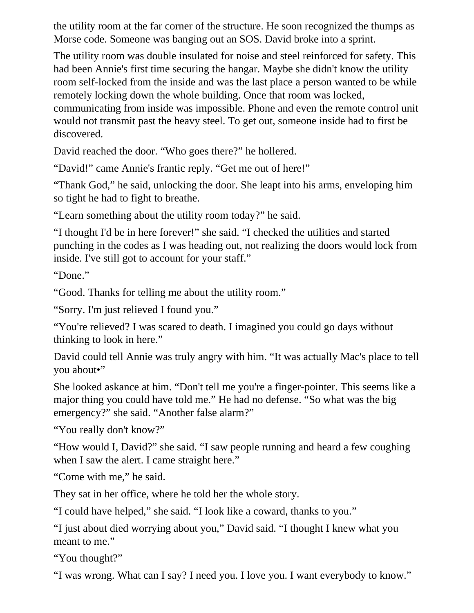the utility room at the far corner of the structure. He soon recognized the thumps as Morse code. Someone was banging out an SOS. David broke into a sprint.

The utility room was double insulated for noise and steel reinforced for safety. This had been Annie's first time securing the hangar. Maybe she didn't know the utility room self-locked from the inside and was the last place a person wanted to be while remotely locking down the whole building. Once that room was locked, communicating from inside was impossible. Phone and even the remote control unit would not transmit past the heavy steel. To get out, someone inside had to first be discovered.

David reached the door. "Who goes there?" he hollered.

"David!" came Annie's frantic reply. "Get me out of here!"

"Thank God," he said, unlocking the door. She leapt into his arms, enveloping him so tight he had to fight to breathe.

"Learn something about the utility room today?" he said.

"I thought I'd be in here forever!" she said. "I checked the utilities and started punching in the codes as I was heading out, not realizing the doors would lock from inside. I've still got to account for your staff."

"Done."

"Good. Thanks for telling me about the utility room."

"Sorry. I'm just relieved I found you."

"You're relieved? I was scared to death. I imagined you could go days without thinking to look in here."

David could tell Annie was truly angry with him. "It was actually Mac's place to tell you about•"

She looked askance at him. "Don't tell me you're a finger-pointer. This seems like a major thing you could have told me." He had no defense. "So what was the big emergency?" she said. "Another false alarm?"

"You really don't know?"

"How would I, David?" she said. "I saw people running and heard a few coughing when I saw the alert. I came straight here."

"Come with me," he said.

They sat in her office, where he told her the whole story.

"I could have helped," she said. "I look like a coward, thanks to you."

"I just about died worrying about you," David said. "I thought I knew what you meant to me."

"You thought?"

"I was wrong. What can I say? I need you. I love you. I want everybody to know."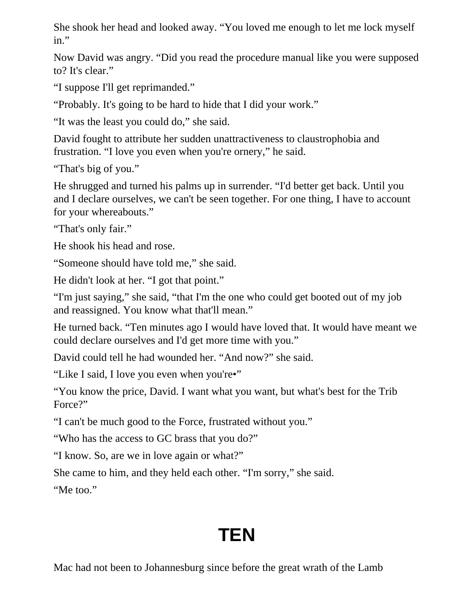She shook her head and looked away. "You loved me enough to let me lock myself in."

Now David was angry. "Did you read the procedure manual like you were supposed to? It's clear."

"I suppose I'll get reprimanded."

"Probably. It's going to be hard to hide that I did your work."

"It was the least you could do," she said.

David fought to attribute her sudden unattractiveness to claustrophobia and frustration. "I love you even when you're ornery," he said.

"That's big of you."

He shrugged and turned his palms up in surrender. "I'd better get back. Until you and I declare ourselves, we can't be seen together. For one thing, I have to account for your whereabouts."

"That's only fair."

He shook his head and rose.

"Someone should have told me," she said.

He didn't look at her. "I got that point."

"I'm just saying," she said, "that I'm the one who could get booted out of my job and reassigned. You know what that'll mean."

He turned back. "Ten minutes ago I would have loved that. It would have meant we could declare ourselves and I'd get more time with you."

David could tell he had wounded her. "And now?" she said.

"Like I said, I love you even when you're•"

"You know the price, David. I want what you want, but what's best for the Trib Force?"

"I can't be much good to the Force, frustrated without you."

"Who has the access to GC brass that you do?"

"I know. So, are we in love again or what?"

She came to him, and they held each other. "I'm sorry," she said.

"Me too."

## **TEN**

Mac had not been to Johannesburg since before the great wrath of the Lamb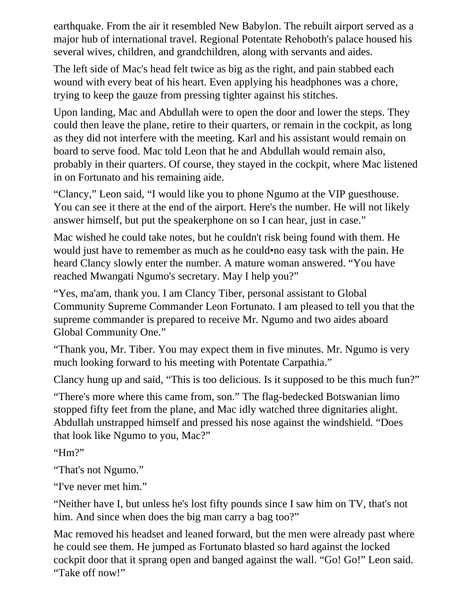earthquake. From the air it resembled New Babylon. The rebuilt airport served as a major hub of international travel. Regional Potentate Rehoboth's palace housed his several wives, children, and grandchildren, along with servants and aides.

The left side of Mac's head felt twice as big as the right, and pain stabbed each wound with every beat of his heart. Even applying his headphones was a chore, trying to keep the gauze from pressing tighter against his stitches.

Upon landing, Mac and Abdullah were to open the door and lower the steps. They could then leave the plane, retire to their quarters, or remain in the cockpit, as long as they did not interfere with the meeting. Karl and his assistant would remain on board to serve food. Mac told Leon that he and Abdullah would remain also, probably in their quarters. Of course, they stayed in the cockpit, where Mac listened in on Fortunato and his remaining aide.

"Clancy," Leon said, "I would like you to phone Ngumo at the VIP guesthouse. You can see it there at the end of the airport. Here's the number. He will not likely answer himself, but put the speakerphone on so I can hear, just in case."

Mac wished he could take notes, but he couldn't risk being found with them. He would just have to remember as much as he could•no easy task with the pain. He heard Clancy slowly enter the number. A mature woman answered. "You have reached Mwangati Ngumo's secretary. May I help you?"

"Yes, ma'am, thank you. I am Clancy Tiber, personal assistant to Global Community Supreme Commander Leon Fortunato. I am pleased to tell you that the supreme commander is prepared to receive Mr. Ngumo and two aides aboard Global Community One."

"Thank you, Mr. Tiber. You may expect them in five minutes. Mr. Ngumo is very much looking forward to his meeting with Potentate Carpathia."

Clancy hung up and said, "This is too delicious. Is it supposed to be this much fun?"

"There's more where this came from, son." The flag-bedecked Botswanian limo stopped fifty feet from the plane, and Mac idly watched three dignitaries alight. Abdullah unstrapped himself and pressed his nose against the windshield. "Does that look like Ngumo to you, Mac?"

"Hm?"

"That's not Ngumo."

"I've never met him."

"Neither have I, but unless he's lost fifty pounds since I saw him on TV, that's not him. And since when does the big man carry a bag too?"

Mac removed his headset and leaned forward, but the men were already past where he could see them. He jumped as Fortunato blasted so hard against the locked cockpit door that it sprang open and banged against the wall. "Go! Go!" Leon said. "Take off now!"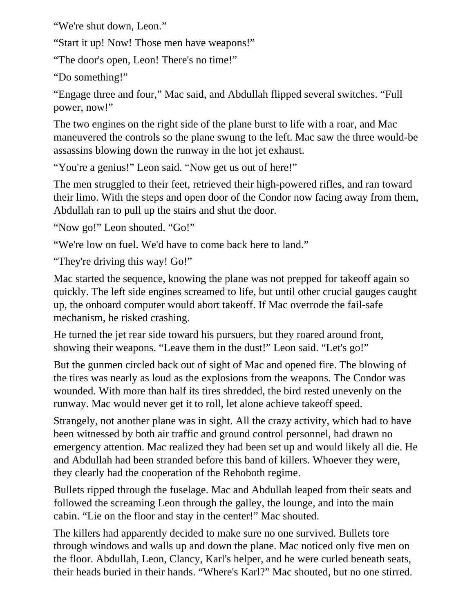"We're shut down, Leon."

"Start it up! Now! Those men have weapons!"

"The door's open, Leon! There's no time!"

"Do something!"

"Engage three and four," Mac said, and Abdullah flipped several switches. "Full power, now!"

The two engines on the right side of the plane burst to life with a roar, and Mac maneuvered the controls so the plane swung to the left. Mac saw the three would-be assassins blowing down the runway in the hot jet exhaust.

"You're a genius!" Leon said. "Now get us out of here!"

The men struggled to their feet, retrieved their high-powered rifles, and ran toward their limo. With the steps and open door of the Condor now facing away from them, Abdullah ran to pull up the stairs and shut the door.

```
"Now go!" Leon shouted. "Go!"
```
"We're low on fuel. We'd have to come back here to land."

"They're driving this way! Go!"

Mac started the sequence, knowing the plane was not prepped for takeoff again so quickly. The left side engines screamed to life, but until other crucial gauges caught up, the onboard computer would abort takeoff. If Mac overrode the fail-safe mechanism, he risked crashing.

He turned the jet rear side toward his pursuers, but they roared around front, showing their weapons. "Leave them in the dust!" Leon said. "Let's go!"

But the gunmen circled back out of sight of Mac and opened fire. The blowing of the tires was nearly as loud as the explosions from the weapons. The Condor was wounded. With more than half its tires shredded, the bird rested unevenly on the runway. Mac would never get it to roll, let alone achieve takeoff speed.

Strangely, not another plane was in sight. All the crazy activity, which had to have been witnessed by both air traffic and ground control personnel, had drawn no emergency attention. Mac realized they had been set up and would likely all die. He and Abdullah had been stranded before this band of killers. Whoever they were, they clearly had the cooperation of the Rehoboth regime.

Bullets ripped through the fuselage. Mac and Abdullah leaped from their seats and followed the screaming Leon through the galley, the lounge, and into the main cabin. "Lie on the floor and stay in the center!" Mac shouted.

The killers had apparently decided to make sure no one survived. Bullets tore through windows and walls up and down the plane. Mac noticed only five men on the floor. Abdullah, Leon, Clancy, Karl's helper, and he were curled beneath seats, their heads buried in their hands. "Where's Karl?" Mac shouted, but no one stirred.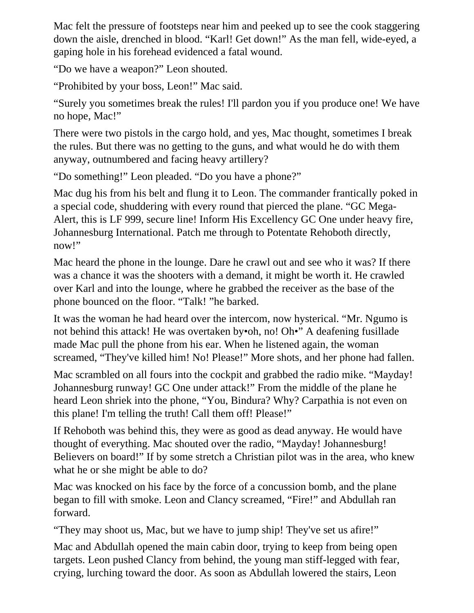Mac felt the pressure of footsteps near him and peeked up to see the cook staggering down the aisle, drenched in blood. "Karl! Get down!" As the man fell, wide-eyed, a gaping hole in his forehead evidenced a fatal wound.

"Do we have a weapon?" Leon shouted.

"Prohibited by your boss, Leon!" Mac said.

"Surely you sometimes break the rules! I'll pardon you if you produce one! We have no hope, Mac!"

There were two pistols in the cargo hold, and yes, Mac thought, sometimes I break the rules. But there was no getting to the guns, and what would he do with them anyway, outnumbered and facing heavy artillery?

"Do something!" Leon pleaded. "Do you have a phone?"

Mac dug his from his belt and flung it to Leon. The commander frantically poked in a special code, shuddering with every round that pierced the plane. "GC Mega-Alert, this is LF 999, secure line! Inform His Excellency GC One under heavy fire, Johannesburg International. Patch me through to Potentate Rehoboth directly, now!"

Mac heard the phone in the lounge. Dare he crawl out and see who it was? If there was a chance it was the shooters with a demand, it might be worth it. He crawled over Karl and into the lounge, where he grabbed the receiver as the base of the phone bounced on the floor. "Talk! "he barked.

It was the woman he had heard over the intercom, now hysterical. "Mr. Ngumo is not behind this attack! He was overtaken by•oh, no! Oh•" A deafening fusillade made Mac pull the phone from his ear. When he listened again, the woman screamed, "They've killed him! No! Please!" More shots, and her phone had fallen.

Mac scrambled on all fours into the cockpit and grabbed the radio mike. "Mayday! Johannesburg runway! GC One under attack!" From the middle of the plane he heard Leon shriek into the phone, "You, Bindura? Why? Carpathia is not even on this plane! I'm telling the truth! Call them off! Please!"

If Rehoboth was behind this, they were as good as dead anyway. He would have thought of everything. Mac shouted over the radio, "Mayday! Johannesburg! Believers on board!" If by some stretch a Christian pilot was in the area, who knew what he or she might be able to do?

Mac was knocked on his face by the force of a concussion bomb, and the plane began to fill with smoke. Leon and Clancy screamed, "Fire!" and Abdullah ran forward.

"They may shoot us, Mac, but we have to jump ship! They've set us afire!"

Mac and Abdullah opened the main cabin door, trying to keep from being open targets. Leon pushed Clancy from behind, the young man stiff-legged with fear, crying, lurching toward the door. As soon as Abdullah lowered the stairs, Leon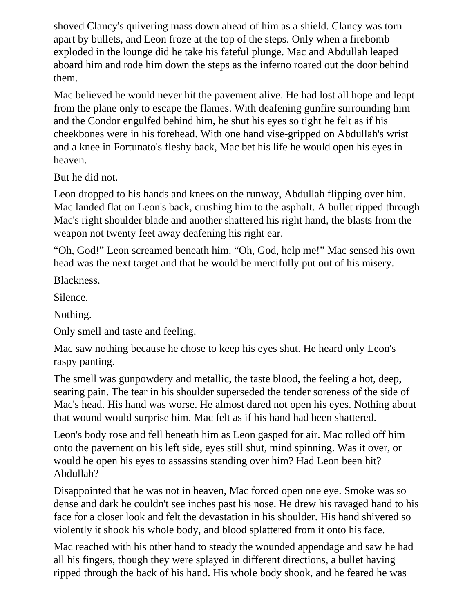shoved Clancy's quivering mass down ahead of him as a shield. Clancy was torn apart by bullets, and Leon froze at the top of the steps. Only when a firebomb exploded in the lounge did he take his fateful plunge. Mac and Abdullah leaped aboard him and rode him down the steps as the inferno roared out the door behind them.

Mac believed he would never hit the pavement alive. He had lost all hope and leapt from the plane only to escape the flames. With deafening gunfire surrounding him and the Condor engulfed behind him, he shut his eyes so tight he felt as if his cheekbones were in his forehead. With one hand vise-gripped on Abdullah's wrist and a knee in Fortunato's fleshy back, Mac bet his life he would open his eyes in heaven.

But he did not.

Leon dropped to his hands and knees on the runway, Abdullah flipping over him. Mac landed flat on Leon's back, crushing him to the asphalt. A bullet ripped through Mac's right shoulder blade and another shattered his right hand, the blasts from the weapon not twenty feet away deafening his right ear.

"Oh, God!" Leon screamed beneath him. "Oh, God, help me!" Mac sensed his own head was the next target and that he would be mercifully put out of his misery.

Blackness.

Silence.

Nothing.

Only smell and taste and feeling.

Mac saw nothing because he chose to keep his eyes shut. He heard only Leon's raspy panting.

The smell was gunpowdery and metallic, the taste blood, the feeling a hot, deep, searing pain. The tear in his shoulder superseded the tender soreness of the side of Mac's head. His hand was worse. He almost dared not open his eyes. Nothing about that wound would surprise him. Mac felt as if his hand had been shattered.

Leon's body rose and fell beneath him as Leon gasped for air. Mac rolled off him onto the pavement on his left side, eyes still shut, mind spinning. Was it over, or would he open his eyes to assassins standing over him? Had Leon been hit? Abdullah?

Disappointed that he was not in heaven, Mac forced open one eye. Smoke was so dense and dark he couldn't see inches past his nose. He drew his ravaged hand to his face for a closer look and felt the devastation in his shoulder. His hand shivered so violently it shook his whole body, and blood splattered from it onto his face.

Mac reached with his other hand to steady the wounded appendage and saw he had all his fingers, though they were splayed in different directions, a bullet having ripped through the back of his hand. His whole body shook, and he feared he was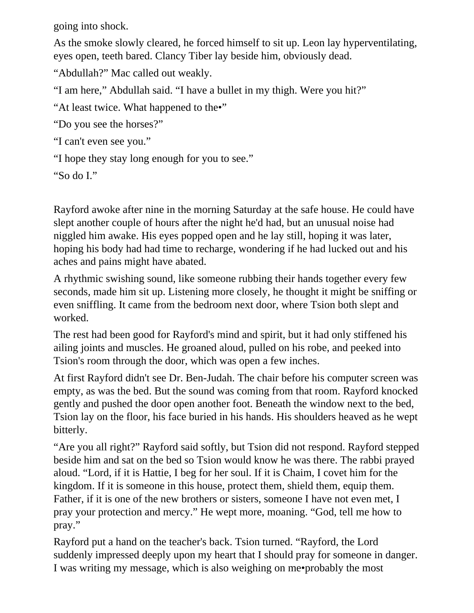going into shock.

As the smoke slowly cleared, he forced himself to sit up. Leon lay hyperventilating, eyes open, teeth bared. Clancy Tiber lay beside him, obviously dead.

"Abdullah?" Mac called out weakly.

"I am here," Abdullah said. "I have a bullet in my thigh. Were you hit?"

"At least twice. What happened to the•"

"Do you see the horses?"

"I can't even see you."

"I hope they stay long enough for you to see."

"So do I."

Rayford awoke after nine in the morning Saturday at the safe house. He could have slept another couple of hours after the night he'd had, but an unusual noise had niggled him awake. His eyes popped open and he lay still, hoping it was later, hoping his body had had time to recharge, wondering if he had lucked out and his aches and pains might have abated.

A rhythmic swishing sound, like someone rubbing their hands together every few seconds, made him sit up. Listening more closely, he thought it might be sniffing or even sniffling. It came from the bedroom next door, where Tsion both slept and worked.

The rest had been good for Rayford's mind and spirit, but it had only stiffened his ailing joints and muscles. He groaned aloud, pulled on his robe, and peeked into Tsion's room through the door, which was open a few inches.

At first Rayford didn't see Dr. Ben-Judah. The chair before his computer screen was empty, as was the bed. But the sound was coming from that room. Rayford knocked gently and pushed the door open another foot. Beneath the window next to the bed, Tsion lay on the floor, his face buried in his hands. His shoulders heaved as he wept bitterly.

"Are you all right?" Rayford said softly, but Tsion did not respond. Rayford stepped beside him and sat on the bed so Tsion would know he was there. The rabbi prayed aloud. "Lord, if it is Hattie, I beg for her soul. If it is Chaim, I covet him for the kingdom. If it is someone in this house, protect them, shield them, equip them. Father, if it is one of the new brothers or sisters, someone I have not even met, I pray your protection and mercy." He wept more, moaning. "God, tell me how to pray."

Rayford put a hand on the teacher's back. Tsion turned. "Rayford, the Lord suddenly impressed deeply upon my heart that I should pray for someone in danger. I was writing my message, which is also weighing on me•probably the most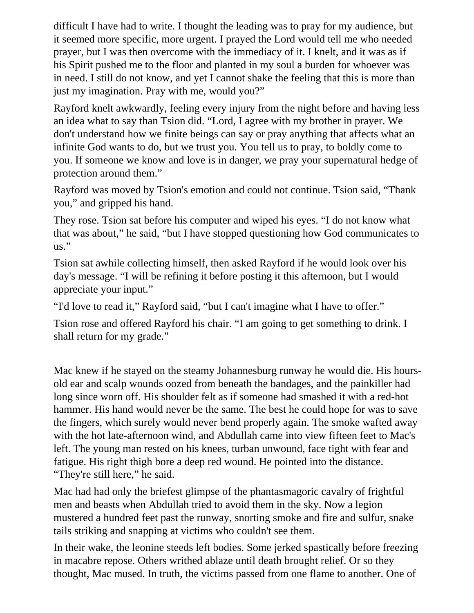difficult I have had to write. I thought the leading was to pray for my audience, but it seemed more specific, more urgent. I prayed the Lord would tell me who needed prayer, but I was then overcome with the immediacy of it. I knelt, and it was as if his Spirit pushed me to the floor and planted in my soul a burden for whoever was in need. I still do not know, and yet I cannot shake the feeling that this is more than just my imagination. Pray with me, would you?"

Rayford knelt awkwardly, feeling every injury from the night before and having less an idea what to say than Tsion did. "Lord, I agree with my brother in prayer. We don't understand how we finite beings can say or pray anything that affects what an infinite God wants to do, but we trust you. You tell us to pray, to boldly come to you. If someone we know and love is in danger, we pray your supernatural hedge of protection around them."

Rayford was moved by Tsion's emotion and could not continue. Tsion said, "Thank you," and gripped his hand.

They rose. Tsion sat before his computer and wiped his eyes. "I do not know what that was about," he said, "but I have stopped questioning how God communicates to us."

Tsion sat awhile collecting himself, then asked Rayford if he would look over his day's message. "I will be refining it before posting it this afternoon, but I would appreciate your input."

"I'd love to read it," Rayford said, "but I can't imagine what I have to offer."

Tsion rose and offered Rayford his chair. "I am going to get something to drink. I shall return for my grade."

Mac knew if he stayed on the steamy Johannesburg runway he would die. His hoursold ear and scalp wounds oozed from beneath the bandages, and the painkiller had long since worn off. His shoulder felt as if someone had smashed it with a red-hot hammer. His hand would never be the same. The best he could hope for was to save the fingers, which surely would never bend properly again. The smoke wafted away with the hot late-afternoon wind, and Abdullah came into view fifteen feet to Mac's left. The young man rested on his knees, turban unwound, face tight with fear and fatigue. His right thigh bore a deep red wound. He pointed into the distance. "They're still here," he said.

Mac had had only the briefest glimpse of the phantasmagoric cavalry of frightful men and beasts when Abdullah tried to avoid them in the sky. Now a legion mustered a hundred feet past the runway, snorting smoke and fire and sulfur, snake tails striking and snapping at victims who couldn't see them.

In their wake, the leonine steeds left bodies. Some jerked spastically before freezing in macabre repose. Others writhed ablaze until death brought relief. Or so they thought, Mac mused. In truth, the victims passed from one flame to another. One of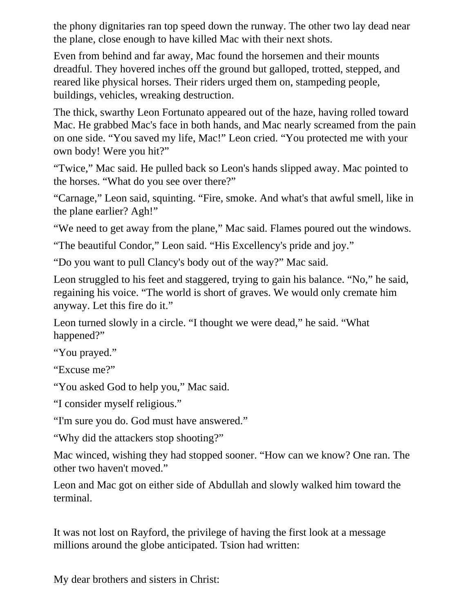the phony dignitaries ran top speed down the runway. The other two lay dead near the plane, close enough to have killed Mac with their next shots.

Even from behind and far away, Mac found the horsemen and their mounts dreadful. They hovered inches off the ground but galloped, trotted, stepped, and reared like physical horses. Their riders urged them on, stampeding people, buildings, vehicles, wreaking destruction.

The thick, swarthy Leon Fortunato appeared out of the haze, having rolled toward Mac. He grabbed Mac's face in both hands, and Mac nearly screamed from the pain on one side. "You saved my life, Mac!" Leon cried. "You protected me with your own body! Were you hit?"

"Twice," Mac said. He pulled back so Leon's hands slipped away. Mac pointed to the horses. "What do you see over there?"

"Carnage," Leon said, squinting. "Fire, smoke. And what's that awful smell, like in the plane earlier? Agh!"

"We need to get away from the plane," Mac said. Flames poured out the windows.

"The beautiful Condor," Leon said. "His Excellency's pride and joy."

"Do you want to pull Clancy's body out of the way?" Mac said.

Leon struggled to his feet and staggered, trying to gain his balance. "No," he said, regaining his voice. "The world is short of graves. We would only cremate him anyway. Let this fire do it."

Leon turned slowly in a circle. "I thought we were dead," he said. "What happened?"

"You prayed."

"Excuse me?"

"You asked God to help you," Mac said.

"I consider myself religious."

"I'm sure you do. God must have answered."

"Why did the attackers stop shooting?"

Mac winced, wishing they had stopped sooner. "How can we know? One ran. The other two haven't moved."

Leon and Mac got on either side of Abdullah and slowly walked him toward the terminal.

It was not lost on Rayford, the privilege of having the first look at a message millions around the globe anticipated. Tsion had written:

My dear brothers and sisters in Christ: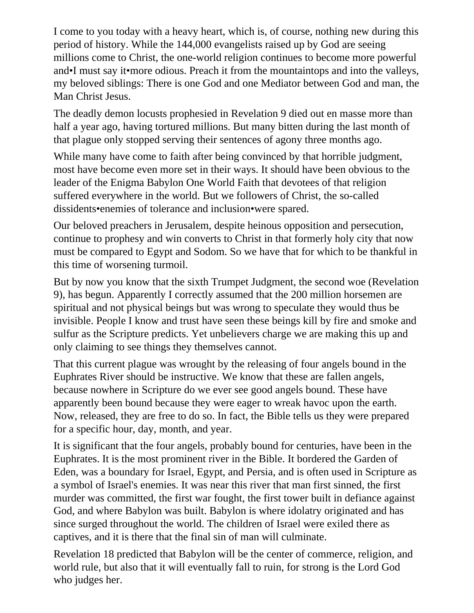I come to you today with a heavy heart, which is, of course, nothing new during this period of history. While the 144,000 evangelists raised up by God are seeing millions come to Christ, the one-world religion continues to become more powerful and•I must say it•more odious. Preach it from the mountaintops and into the valleys, my beloved siblings: There is one God and one Mediator between God and man, the Man Christ Jesus.

The deadly demon locusts prophesied in Revelation 9 died out en masse more than half a year ago, having tortured millions. But many bitten during the last month of that plague only stopped serving their sentences of agony three months ago.

While many have come to faith after being convinced by that horrible judgment, most have become even more set in their ways. It should have been obvious to the leader of the Enigma Babylon One World Faith that devotees of that religion suffered everywhere in the world. But we followers of Christ, the so-called dissidents•enemies of tolerance and inclusion•were spared.

Our beloved preachers in Jerusalem, despite heinous opposition and persecution, continue to prophesy and win converts to Christ in that formerly holy city that now must be compared to Egypt and Sodom. So we have that for which to be thankful in this time of worsening turmoil.

But by now you know that the sixth Trumpet Judgment, the second woe (Revelation 9), has begun. Apparently I correctly assumed that the 200 million horsemen are spiritual and not physical beings but was wrong to speculate they would thus be invisible. People I know and trust have seen these beings kill by fire and smoke and sulfur as the Scripture predicts. Yet unbelievers charge we are making this up and only claiming to see things they themselves cannot.

That this current plague was wrought by the releasing of four angels bound in the Euphrates River should be instructive. We know that these are fallen angels, because nowhere in Scripture do we ever see good angels bound. These have apparently been bound because they were eager to wreak havoc upon the earth. Now, released, they are free to do so. In fact, the Bible tells us they were prepared for a specific hour, day, month, and year.

It is significant that the four angels, probably bound for centuries, have been in the Euphrates. It is the most prominent river in the Bible. It bordered the Garden of Eden, was a boundary for Israel, Egypt, and Persia, and is often used in Scripture as a symbol of Israel's enemies. It was near this river that man first sinned, the first murder was committed, the first war fought, the first tower built in defiance against God, and where Babylon was built. Babylon is where idolatry originated and has since surged throughout the world. The children of Israel were exiled there as captives, and it is there that the final sin of man will culminate.

Revelation 18 predicted that Babylon will be the center of commerce, religion, and world rule, but also that it will eventually fall to ruin, for strong is the Lord God who judges her.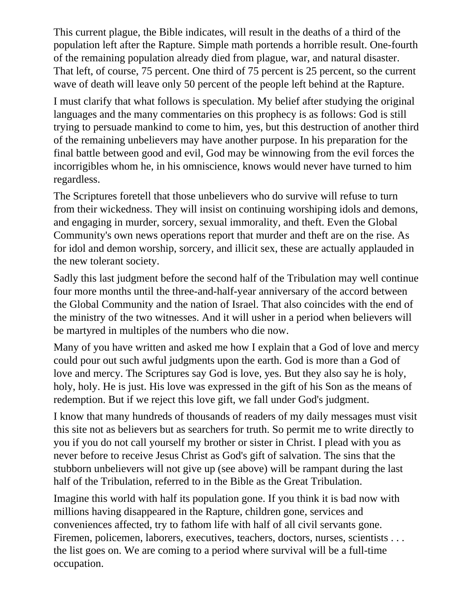This current plague, the Bible indicates, will result in the deaths of a third of the population left after the Rapture. Simple math portends a horrible result. One-fourth of the remaining population already died from plague, war, and natural disaster. That left, of course, 75 percent. One third of 75 percent is 25 percent, so the current wave of death will leave only 50 percent of the people left behind at the Rapture.

I must clarify that what follows is speculation. My belief after studying the original languages and the many commentaries on this prophecy is as follows: God is still trying to persuade mankind to come to him, yes, but this destruction of another third of the remaining unbelievers may have another purpose. In his preparation for the final battle between good and evil, God may be winnowing from the evil forces the incorrigibles whom he, in his omniscience, knows would never have turned to him regardless.

The Scriptures foretell that those unbelievers who do survive will refuse to turn from their wickedness. They will insist on continuing worshiping idols and demons, and engaging in murder, sorcery, sexual immorality, and theft. Even the Global Community's own news operations report that murder and theft are on the rise. As for idol and demon worship, sorcery, and illicit sex, these are actually applauded in the new tolerant society.

Sadly this last judgment before the second half of the Tribulation may well continue four more months until the three-and-half-year anniversary of the accord between the Global Community and the nation of Israel. That also coincides with the end of the ministry of the two witnesses. And it will usher in a period when believers will be martyred in multiples of the numbers who die now.

Many of you have written and asked me how I explain that a God of love and mercy could pour out such awful judgments upon the earth. God is more than a God of love and mercy. The Scriptures say God is love, yes. But they also say he is holy, holy, holy. He is just. His love was expressed in the gift of his Son as the means of redemption. But if we reject this love gift, we fall under God's judgment.

I know that many hundreds of thousands of readers of my daily messages must visit this site not as believers but as searchers for truth. So permit me to write directly to you if you do not call yourself my brother or sister in Christ. I plead with you as never before to receive Jesus Christ as God's gift of salvation. The sins that the stubborn unbelievers will not give up (see above) will be rampant during the last half of the Tribulation, referred to in the Bible as the Great Tribulation.

Imagine this world with half its population gone. If you think it is bad now with millions having disappeared in the Rapture, children gone, services and conveniences affected, try to fathom life with half of all civil servants gone. Firemen, policemen, laborers, executives, teachers, doctors, nurses, scientists . . . the list goes on. We are coming to a period where survival will be a full-time occupation.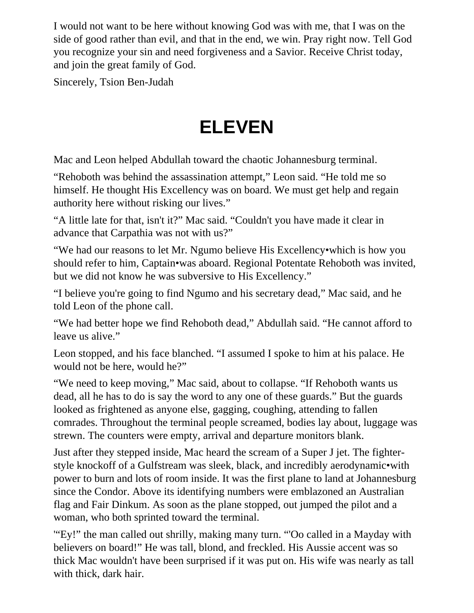I would not want to be here without knowing God was with me, that I was on the side of good rather than evil, and that in the end, we win. Pray right now. Tell God you recognize your sin and need forgiveness and a Savior. Receive Christ today, and join the great family of God.

Sincerely, Tsion Ben-Judah

## **ELEVEN**

Mac and Leon helped Abdullah toward the chaotic Johannesburg terminal.

"Rehoboth was behind the assassination attempt," Leon said. "He told me so himself. He thought His Excellency was on board. We must get help and regain authority here without risking our lives."

"A little late for that, isn't it?" Mac said. "Couldn't you have made it clear in advance that Carpathia was not with us?"

"We had our reasons to let Mr. Ngumo believe His Excellency•which is how you should refer to him, Captain•was aboard. Regional Potentate Rehoboth was invited, but we did not know he was subversive to His Excellency."

"I believe you're going to find Ngumo and his secretary dead," Mac said, and he told Leon of the phone call.

"We had better hope we find Rehoboth dead," Abdullah said. "He cannot afford to leave us alive."

Leon stopped, and his face blanched. "I assumed I spoke to him at his palace. He would not be here, would he?"

"We need to keep moving," Mac said, about to collapse. "If Rehoboth wants us dead, all he has to do is say the word to any one of these guards." But the guards looked as frightened as anyone else, gagging, coughing, attending to fallen comrades. Throughout the terminal people screamed, bodies lay about, luggage was strewn. The counters were empty, arrival and departure monitors blank.

Just after they stepped inside, Mac heard the scream of a Super J jet. The fighterstyle knockoff of a Gulfstream was sleek, black, and incredibly aerodynamic•with power to burn and lots of room inside. It was the first plane to land at Johannesburg since the Condor. Above its identifying numbers were emblazoned an Australian flag and Fair Dinkum. As soon as the plane stopped, out jumped the pilot and a woman, who both sprinted toward the terminal.

'"Ey!" the man called out shrilly, making many turn. "'Oo called in a Mayday with believers on board!" He was tall, blond, and freckled. His Aussie accent was so thick Mac wouldn't have been surprised if it was put on. His wife was nearly as tall with thick, dark hair.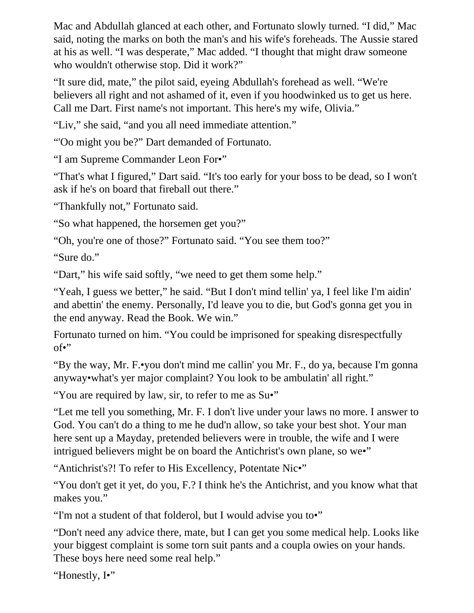Mac and Abdullah glanced at each other, and Fortunato slowly turned. "I did," Mac said, noting the marks on both the man's and his wife's foreheads. The Aussie stared at his as well. "I was desperate," Mac added. "I thought that might draw someone who wouldn't otherwise stop. Did it work?"

"It sure did, mate," the pilot said, eyeing Abdullah's forehead as well. "We're believers all right and not ashamed of it, even if you hoodwinked us to get us here. Call me Dart. First name's not important. This here's my wife, Olivia."

"Liv," she said, "and you all need immediate attention."

"'Oo might you be?" Dart demanded of Fortunato.

"I am Supreme Commander Leon For•"

"That's what I figured," Dart said. "It's too early for your boss to be dead, so I won't ask if he's on board that fireball out there."

"Thankfully not," Fortunato said.

"So what happened, the horsemen get you?"

"Oh, you're one of those?" Fortunato said. "You see them too?"

"Sure do."

"Dart," his wife said softly, "we need to get them some help."

"Yeah, I guess we better," he said. "But I don't mind tellin' ya, I feel like I'm aidin' and abettin' the enemy. Personally, I'd leave you to die, but God's gonna get you in the end anyway. Read the Book. We win."

Fortunato turned on him. "You could be imprisoned for speaking disrespectfully of•"

"By the way, Mr. F.•you don't mind me callin' you Mr. F., do ya, because I'm gonna anyway•what's yer major complaint? You look to be ambulatin' all right."

"You are required by law, sir, to refer to me as Su•"

"Let me tell you something, Mr. F. I don't live under your laws no more. I answer to God. You can't do a thing to me he dud'n allow, so take your best shot. Your man here sent up a Mayday, pretended believers were in trouble, the wife and I were intrigued believers might be on board the Antichrist's own plane, so we•"

"Antichrist's?! To refer to His Excellency, Potentate Nic•"

"You don't get it yet, do you, F.? I think he's the Antichrist, and you know what that makes you."

"I'm not a student of that folderol, but I would advise you to•"

"Don't need any advice there, mate, but I can get you some medical help. Looks like your biggest complaint is some torn suit pants and a coupla owies on your hands. These boys here need some real help."

"Honestly, I•"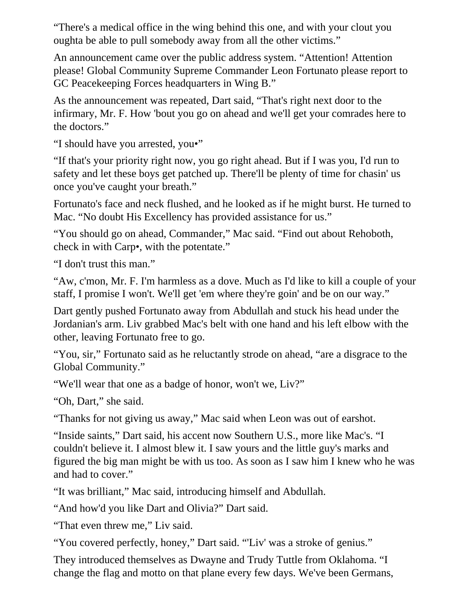"There's a medical office in the wing behind this one, and with your clout you oughta be able to pull somebody away from all the other victims."

An announcement came over the public address system. "Attention! Attention please! Global Community Supreme Commander Leon Fortunato please report to GC Peacekeeping Forces headquarters in Wing B."

As the announcement was repeated, Dart said, "That's right next door to the infirmary, Mr. F. How 'bout you go on ahead and we'll get your comrades here to the doctors."

"I should have you arrested, you•"

"If that's your priority right now, you go right ahead. But if I was you, I'd run to safety and let these boys get patched up. There'll be plenty of time for chasin' us once you've caught your breath."

Fortunato's face and neck flushed, and he looked as if he might burst. He turned to Mac. "No doubt His Excellency has provided assistance for us."

"You should go on ahead, Commander," Mac said. "Find out about Rehoboth, check in with Carp•, with the potentate."

"I don't trust this man."

"Aw, c'mon, Mr. F. I'm harmless as a dove. Much as I'd like to kill a couple of your staff, I promise I won't. We'll get 'em where they're goin' and be on our way."

Dart gently pushed Fortunato away from Abdullah and stuck his head under the Jordanian's arm. Liv grabbed Mac's belt with one hand and his left elbow with the other, leaving Fortunato free to go.

"You, sir," Fortunato said as he reluctantly strode on ahead, "are a disgrace to the Global Community."

"We'll wear that one as a badge of honor, won't we, Liv?"

"Oh, Dart," she said.

"Thanks for not giving us away," Mac said when Leon was out of earshot.

"Inside saints," Dart said, his accent now Southern U.S., more like Mac's. "I couldn't believe it. I almost blew it. I saw yours and the little guy's marks and figured the big man might be with us too. As soon as I saw him I knew who he was and had to cover."

"It was brilliant," Mac said, introducing himself and Abdullah.

"And how'd you like Dart and Olivia?" Dart said.

"That even threw me," Liv said.

"You covered perfectly, honey," Dart said. "'Liv' was a stroke of genius."

They introduced themselves as Dwayne and Trudy Tuttle from Oklahoma. "I change the flag and motto on that plane every few days. We've been Germans,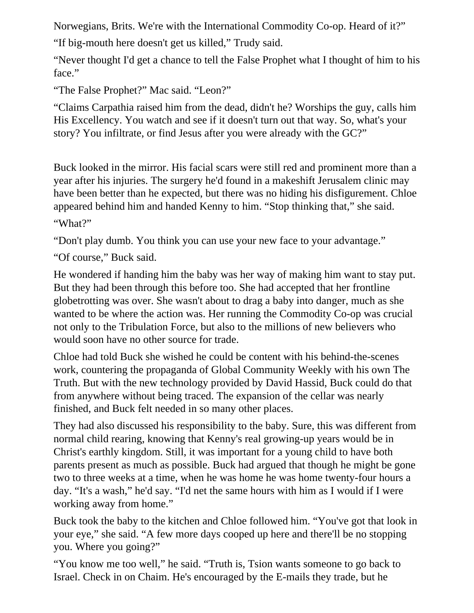Norwegians, Brits. We're with the International Commodity Co-op. Heard of it?"

"If big-mouth here doesn't get us killed," Trudy said.

"Never thought I'd get a chance to tell the False Prophet what I thought of him to his face."

"The False Prophet?" Mac said. "Leon?"

"Claims Carpathia raised him from the dead, didn't he? Worships the guy, calls him His Excellency. You watch and see if it doesn't turn out that way. So, what's your story? You infiltrate, or find Jesus after you were already with the GC?"

Buck looked in the mirror. His facial scars were still red and prominent more than a year after his injuries. The surgery he'd found in a makeshift Jerusalem clinic may have been better than he expected, but there was no hiding his disfigurement. Chloe appeared behind him and handed Kenny to him. "Stop thinking that," she said. "What?"

"Don't play dumb. You think you can use your new face to your advantage."

"Of course," Buck said.

He wondered if handing him the baby was her way of making him want to stay put. But they had been through this before too. She had accepted that her frontline globetrotting was over. She wasn't about to drag a baby into danger, much as she wanted to be where the action was. Her running the Commodity Co-op was crucial not only to the Tribulation Force, but also to the millions of new believers who would soon have no other source for trade.

Chloe had told Buck she wished he could be content with his behind-the-scenes work, countering the propaganda of Global Community Weekly with his own The Truth. But with the new technology provided by David Hassid, Buck could do that from anywhere without being traced. The expansion of the cellar was nearly finished, and Buck felt needed in so many other places.

They had also discussed his responsibility to the baby. Sure, this was different from normal child rearing, knowing that Kenny's real growing-up years would be in Christ's earthly kingdom. Still, it was important for a young child to have both parents present as much as possible. Buck had argued that though he might be gone two to three weeks at a time, when he was home he was home twenty-four hours a day. "It's a wash," he'd say. "I'd net the same hours with him as I would if I were working away from home."

Buck took the baby to the kitchen and Chloe followed him. "You've got that look in your eye," she said. "A few more days cooped up here and there'll be no stopping you. Where you going?"

"You know me too well," he said. "Truth is, Tsion wants someone to go back to Israel. Check in on Chaim. He's encouraged by the E-mails they trade, but he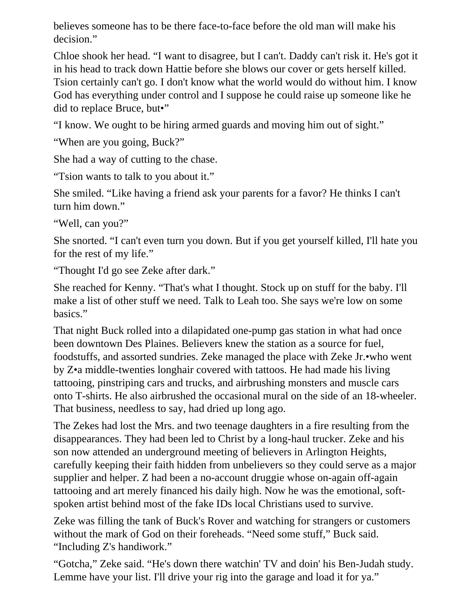believes someone has to be there face-to-face before the old man will make his decision."

Chloe shook her head. "I want to disagree, but I can't. Daddy can't risk it. He's got it in his head to track down Hattie before she blows our cover or gets herself killed. Tsion certainly can't go. I don't know what the world would do without him. I know God has everything under control and I suppose he could raise up someone like he did to replace Bruce, but•"

"I know. We ought to be hiring armed guards and moving him out of sight."

"When are you going, Buck?"

She had a way of cutting to the chase.

"Tsion wants to talk to you about it."

She smiled. "Like having a friend ask your parents for a favor? He thinks I can't turn him down."

"Well, can you?"

She snorted. "I can't even turn you down. But if you get yourself killed, I'll hate you for the rest of my life."

"Thought I'd go see Zeke after dark."

She reached for Kenny. "That's what I thought. Stock up on stuff for the baby. I'll make a list of other stuff we need. Talk to Leah too. She says we're low on some basics."

That night Buck rolled into a dilapidated one-pump gas station in what had once been downtown Des Plaines. Believers knew the station as a source for fuel, foodstuffs, and assorted sundries. Zeke managed the place with Zeke Jr.•who went by Z•a middle-twenties longhair covered with tattoos. He had made his living tattooing, pinstriping cars and trucks, and airbrushing monsters and muscle cars onto T-shirts. He also airbrushed the occasional mural on the side of an 18-wheeler. That business, needless to say, had dried up long ago.

The Zekes had lost the Mrs. and two teenage daughters in a fire resulting from the disappearances. They had been led to Christ by a long-haul trucker. Zeke and his son now attended an underground meeting of believers in Arlington Heights, carefully keeping their faith hidden from unbelievers so they could serve as a major supplier and helper. Z had been a no-account druggie whose on-again off-again tattooing and art merely financed his daily high. Now he was the emotional, softspoken artist behind most of the fake IDs local Christians used to survive.

Zeke was filling the tank of Buck's Rover and watching for strangers or customers without the mark of God on their foreheads. "Need some stuff," Buck said. "Including Z's handiwork."

"Gotcha," Zeke said. "He's down there watchin' TV and doin' his Ben-Judah study. Lemme have your list. I'll drive your rig into the garage and load it for ya."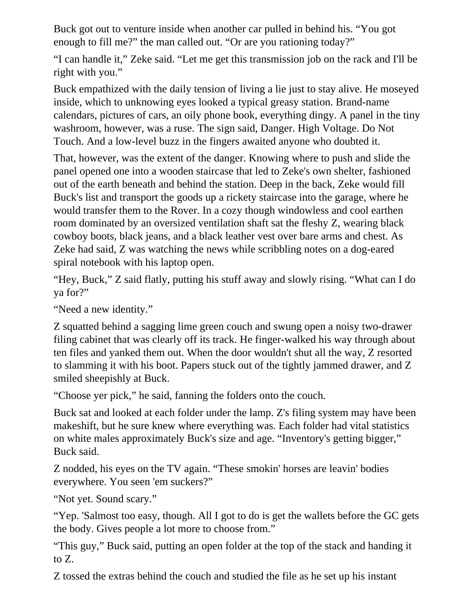Buck got out to venture inside when another car pulled in behind his. "You got enough to fill me?" the man called out. "Or are you rationing today?"

"I can handle it," Zeke said. "Let me get this transmission job on the rack and I'll be right with you."

Buck empathized with the daily tension of living a lie just to stay alive. He moseyed inside, which to unknowing eyes looked a typical greasy station. Brand-name calendars, pictures of cars, an oily phone book, everything dingy. A panel in the tiny washroom, however, was a ruse. The sign said, Danger. High Voltage. Do Not Touch. And a low-level buzz in the fingers awaited anyone who doubted it.

That, however, was the extent of the danger. Knowing where to push and slide the panel opened one into a wooden staircase that led to Zeke's own shelter, fashioned out of the earth beneath and behind the station. Deep in the back, Zeke would fill Buck's list and transport the goods up a rickety staircase into the garage, where he would transfer them to the Rover. In a cozy though windowless and cool earthen room dominated by an oversized ventilation shaft sat the fleshy Z, wearing black cowboy boots, black jeans, and a black leather vest over bare arms and chest. As Zeke had said, Z was watching the news while scribbling notes on a dog-eared spiral notebook with his laptop open.

"Hey, Buck," Z said flatly, putting his stuff away and slowly rising. "What can I do ya for?"

"Need a new identity."

Z squatted behind a sagging lime green couch and swung open a noisy two-drawer filing cabinet that was clearly off its track. He finger-walked his way through about ten files and yanked them out. When the door wouldn't shut all the way, Z resorted to slamming it with his boot. Papers stuck out of the tightly jammed drawer, and Z smiled sheepishly at Buck.

"Choose yer pick," he said, fanning the folders onto the couch.

Buck sat and looked at each folder under the lamp. Z's filing system may have been makeshift, but he sure knew where everything was. Each folder had vital statistics on white males approximately Buck's size and age. "Inventory's getting bigger," Buck said.

Z nodded, his eyes on the TV again. "These smokin' horses are leavin' bodies everywhere. You seen 'em suckers?"

"Not yet. Sound scary."

"Yep. 'Salmost too easy, though. All I got to do is get the wallets before the GC gets the body. Gives people a lot more to choose from."

"This guy," Buck said, putting an open folder at the top of the stack and handing it to Z.

Z tossed the extras behind the couch and studied the file as he set up his instant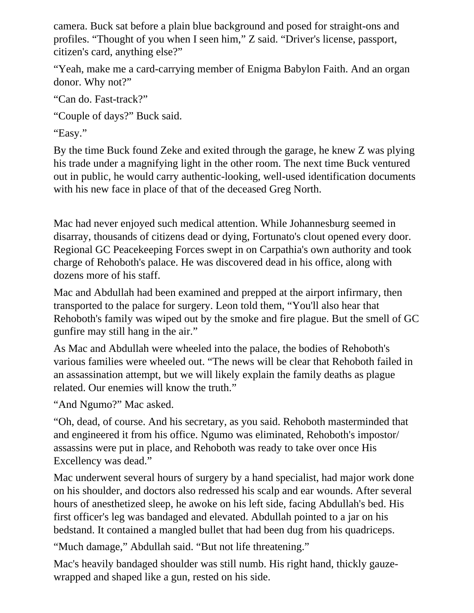camera. Buck sat before a plain blue background and posed for straight-ons and profiles. "Thought of you when I seen him," Z said. "Driver's license, passport, citizen's card, anything else?"

"Yeah, make me a card-carrying member of Enigma Babylon Faith. And an organ donor. Why not?"

"Can do. Fast-track?"

"Couple of days?" Buck said.

"Easy."

By the time Buck found Zeke and exited through the garage, he knew Z was plying his trade under a magnifying light in the other room. The next time Buck ventured out in public, he would carry authentic-looking, well-used identification documents with his new face in place of that of the deceased Greg North.

Mac had never enjoyed such medical attention. While Johannesburg seemed in disarray, thousands of citizens dead or dying, Fortunato's clout opened every door. Regional GC Peacekeeping Forces swept in on Carpathia's own authority and took charge of Rehoboth's palace. He was discovered dead in his office, along with dozens more of his staff.

Mac and Abdullah had been examined and prepped at the airport infirmary, then transported to the palace for surgery. Leon told them, "You'll also hear that Rehoboth's family was wiped out by the smoke and fire plague. But the smell of GC gunfire may still hang in the air."

As Mac and Abdullah were wheeled into the palace, the bodies of Rehoboth's various families were wheeled out. "The news will be clear that Rehoboth failed in an assassination attempt, but we will likely explain the family deaths as plague related. Our enemies will know the truth."

"And Ngumo?" Mac asked.

"Oh, dead, of course. And his secretary, as you said. Rehoboth masterminded that and engineered it from his office. Ngumo was eliminated, Rehoboth's impostor/ assassins were put in place, and Rehoboth was ready to take over once His Excellency was dead."

Mac underwent several hours of surgery by a hand specialist, had major work done on his shoulder, and doctors also redressed his scalp and ear wounds. After several hours of anesthetized sleep, he awoke on his left side, facing Abdullah's bed. His first officer's leg was bandaged and elevated. Abdullah pointed to a jar on his bedstand. It contained a mangled bullet that had been dug from his quadriceps.

"Much damage," Abdullah said. "But not life threatening."

Mac's heavily bandaged shoulder was still numb. His right hand, thickly gauzewrapped and shaped like a gun, rested on his side.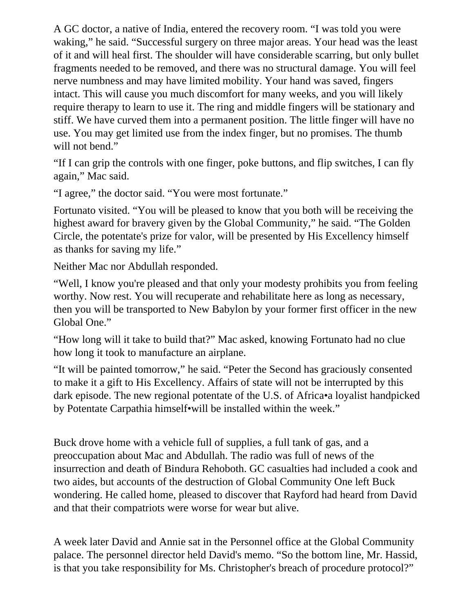A GC doctor, a native of India, entered the recovery room. "I was told you were waking," he said. "Successful surgery on three major areas. Your head was the least of it and will heal first. The shoulder will have considerable scarring, but only bullet fragments needed to be removed, and there was no structural damage. You will feel nerve numbness and may have limited mobility. Your hand was saved, fingers intact. This will cause you much discomfort for many weeks, and you will likely require therapy to learn to use it. The ring and middle fingers will be stationary and stiff. We have curved them into a permanent position. The little finger will have no use. You may get limited use from the index finger, but no promises. The thumb will not bend."

"If I can grip the controls with one finger, poke buttons, and flip switches, I can fly again," Mac said.

"I agree," the doctor said. "You were most fortunate."

Fortunato visited. "You will be pleased to know that you both will be receiving the highest award for bravery given by the Global Community," he said. "The Golden Circle, the potentate's prize for valor, will be presented by His Excellency himself as thanks for saving my life."

Neither Mac nor Abdullah responded.

"Well, I know you're pleased and that only your modesty prohibits you from feeling worthy. Now rest. You will recuperate and rehabilitate here as long as necessary, then you will be transported to New Babylon by your former first officer in the new Global One."

"How long will it take to build that?" Mac asked, knowing Fortunato had no clue how long it took to manufacture an airplane.

"It will be painted tomorrow," he said. "Peter the Second has graciously consented to make it a gift to His Excellency. Affairs of state will not be interrupted by this dark episode. The new regional potentate of the U.S. of Africa•a loyalist handpicked by Potentate Carpathia himself•will be installed within the week."

Buck drove home with a vehicle full of supplies, a full tank of gas, and a preoccupation about Mac and Abdullah. The radio was full of news of the insurrection and death of Bindura Rehoboth. GC casualties had included a cook and two aides, but accounts of the destruction of Global Community One left Buck wondering. He called home, pleased to discover that Rayford had heard from David and that their compatriots were worse for wear but alive.

A week later David and Annie sat in the Personnel office at the Global Community palace. The personnel director held David's memo. "So the bottom line, Mr. Hassid, is that you take responsibility for Ms. Christopher's breach of procedure protocol?"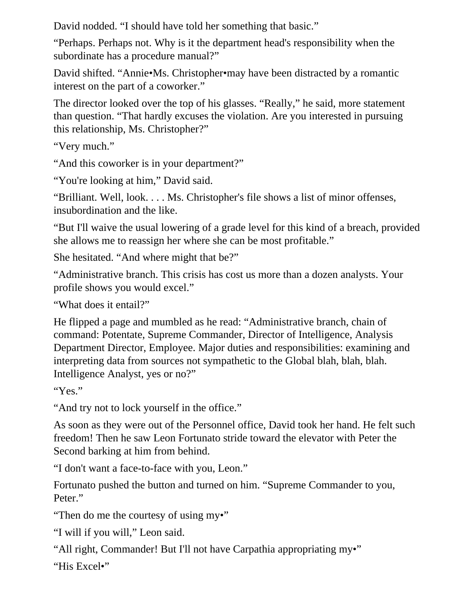David nodded. "I should have told her something that basic."

"Perhaps. Perhaps not. Why is it the department head's responsibility when the subordinate has a procedure manual?"

David shifted. "Annie•Ms. Christopher•may have been distracted by a romantic interest on the part of a coworker."

The director looked over the top of his glasses. "Really," he said, more statement than question. "That hardly excuses the violation. Are you interested in pursuing this relationship, Ms. Christopher?"

"Very much."

"And this coworker is in your department?"

"You're looking at him," David said.

"Brilliant. Well, look. . . . Ms. Christopher's file shows a list of minor offenses, insubordination and the like.

"But I'll waive the usual lowering of a grade level for this kind of a breach, provided she allows me to reassign her where she can be most profitable."

She hesitated. "And where might that be?"

"Administrative branch. This crisis has cost us more than a dozen analysts. Your profile shows you would excel."

"What does it entail?"

He flipped a page and mumbled as he read: "Administrative branch, chain of command: Potentate, Supreme Commander, Director of Intelligence, Analysis Department Director, Employee. Major duties and responsibilities: examining and interpreting data from sources not sympathetic to the Global blah, blah, blah. Intelligence Analyst, yes or no?"

"Yes"

"And try not to lock yourself in the office."

As soon as they were out of the Personnel office, David took her hand. He felt such freedom! Then he saw Leon Fortunato stride toward the elevator with Peter the Second barking at him from behind.

"I don't want a face-to-face with you, Leon."

Fortunato pushed the button and turned on him. "Supreme Commander to you, Peter."

"Then do me the courtesy of using my•"

"I will if you will," Leon said.

"All right, Commander! But I'll not have Carpathia appropriating my•"

"His Excel•"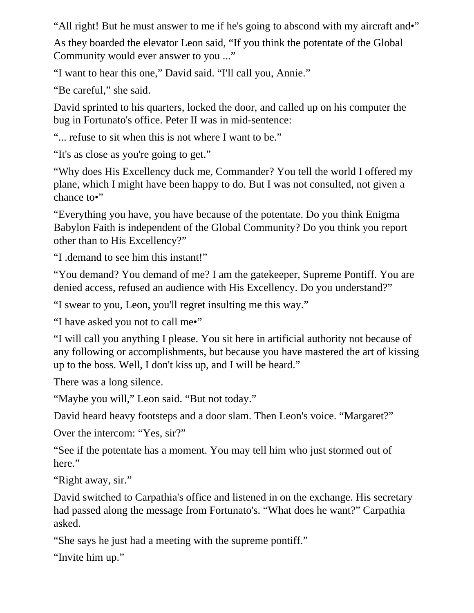"All right! But he must answer to me if he's going to abscond with my aircraft and•"

As they boarded the elevator Leon said, "If you think the potentate of the Global Community would ever answer to you ..."

"I want to hear this one," David said. "I'll call you, Annie."

"Be careful," she said.

David sprinted to his quarters, locked the door, and called up on his computer the bug in Fortunato's office. Peter II was in mid-sentence:

"... refuse to sit when this is not where I want to be."

"It's as close as you're going to get."

"Why does His Excellency duck me, Commander? You tell the world I offered my plane, which I might have been happy to do. But I was not consulted, not given a chance to•"

"Everything you have, you have because of the potentate. Do you think Enigma Babylon Faith is independent of the Global Community? Do you think you report other than to His Excellency?"

"I .demand to see him this instant!"

"You demand? You demand of me? I am the gatekeeper, Supreme Pontiff. You are denied access, refused an audience with His Excellency. Do you understand?"

"I swear to you, Leon, you'll regret insulting me this way."

"I have asked you not to call me•"

"I will call you anything I please. You sit here in artificial authority not because of any following or accomplishments, but because you have mastered the art of kissing up to the boss. Well, I don't kiss up, and I will be heard."

There was a long silence.

"Maybe you will," Leon said. "But not today."

David heard heavy footsteps and a door slam. Then Leon's voice. "Margaret?"

Over the intercom: "Yes, sir?"

"See if the potentate has a moment. You may tell him who just stormed out of here."

"Right away, sir."

David switched to Carpathia's office and listened in on the exchange. His secretary had passed along the message from Fortunato's. "What does he want?" Carpathia asked.

"She says he just had a meeting with the supreme pontiff."

"Invite him up."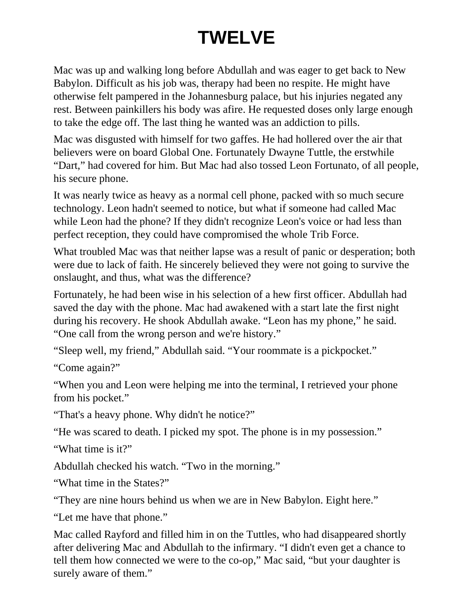## **TWELVE**

Mac was up and walking long before Abdullah and was eager to get back to New Babylon. Difficult as his job was, therapy had been no respite. He might have otherwise felt pampered in the Johannesburg palace, but his injuries negated any rest. Between painkillers his body was afire. He requested doses only large enough to take the edge off. The last thing he wanted was an addiction to pills.

Mac was disgusted with himself for two gaffes. He had hollered over the air that believers were on board Global One. Fortunately Dwayne Tuttle, the erstwhile "Dart," had covered for him. But Mac had also tossed Leon Fortunato, of all people, his secure phone.

It was nearly twice as heavy as a normal cell phone, packed with so much secure technology. Leon hadn't seemed to notice, but what if someone had called Mac while Leon had the phone? If they didn't recognize Leon's voice or had less than perfect reception, they could have compromised the whole Trib Force.

What troubled Mac was that neither lapse was a result of panic or desperation; both were due to lack of faith. He sincerely believed they were not going to survive the onslaught, and thus, what was the difference?

Fortunately, he had been wise in his selection of a hew first officer. Abdullah had saved the day with the phone. Mac had awakened with a start late the first night during his recovery. He shook Abdullah awake. "Leon has my phone," he said. "One call from the wrong person and we're history."

"Sleep well, my friend," Abdullah said. "Your roommate is a pickpocket."

"Come again?"

"When you and Leon were helping me into the terminal, I retrieved your phone from his pocket."

"That's a heavy phone. Why didn't he notice?"

"He was scared to death. I picked my spot. The phone is in my possession."

"What time is it?"

Abdullah checked his watch. "Two in the morning."

"What time in the States?"

"They are nine hours behind us when we are in New Babylon. Eight here."

"Let me have that phone."

Mac called Rayford and filled him in on the Tuttles, who had disappeared shortly after delivering Mac and Abdullah to the infirmary. "I didn't even get a chance to tell them how connected we were to the co-op," Mac said, "but your daughter is surely aware of them."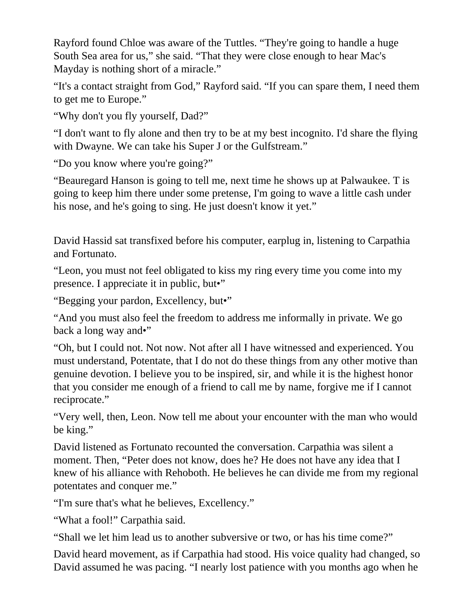Rayford found Chloe was aware of the Tuttles. "They're going to handle a huge South Sea area for us," she said. "That they were close enough to hear Mac's Mayday is nothing short of a miracle."

"It's a contact straight from God," Rayford said. "If you can spare them, I need them to get me to Europe."

"Why don't you fly yourself, Dad?"

"I don't want to fly alone and then try to be at my best incognito. I'd share the flying with Dwayne. We can take his Super J or the Gulfstream."

"Do you know where you're going?"

"Beauregard Hanson is going to tell me, next time he shows up at Palwaukee. T is going to keep him there under some pretense, I'm going to wave a little cash under his nose, and he's going to sing. He just doesn't know it yet."

David Hassid sat transfixed before his computer, earplug in, listening to Carpathia and Fortunato.

"Leon, you must not feel obligated to kiss my ring every time you come into my presence. I appreciate it in public, but•"

"Begging your pardon, Excellency, but•"

"And you must also feel the freedom to address me informally in private. We go back a long way and•"

"Oh, but I could not. Not now. Not after all I have witnessed and experienced. You must understand, Potentate, that I do not do these things from any other motive than genuine devotion. I believe you to be inspired, sir, and while it is the highest honor that you consider me enough of a friend to call me by name, forgive me if I cannot reciprocate."

"Very well, then, Leon. Now tell me about your encounter with the man who would be king."

David listened as Fortunato recounted the conversation. Carpathia was silent a moment. Then, "Peter does not know, does he? He does not have any idea that I knew of his alliance with Rehoboth. He believes he can divide me from my regional potentates and conquer me."

"I'm sure that's what he believes, Excellency."

"What a fool!" Carpathia said.

"Shall we let him lead us to another subversive or two, or has his time come?"

David heard movement, as if Carpathia had stood. His voice quality had changed, so David assumed he was pacing. "I nearly lost patience with you months ago when he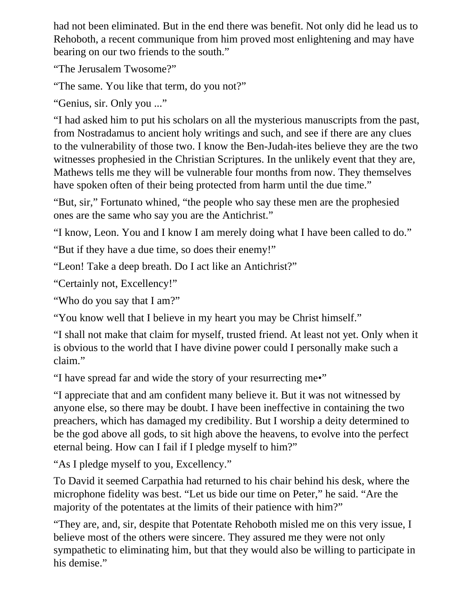had not been eliminated. But in the end there was benefit. Not only did he lead us to Rehoboth, a recent communique from him proved most enlightening and may have bearing on our two friends to the south."

"The Jerusalem Twosome?"

"The same. You like that term, do you not?"

"Genius, sir. Only you ..."

"I had asked him to put his scholars on all the mysterious manuscripts from the past, from Nostradamus to ancient holy writings and such, and see if there are any clues to the vulnerability of those two. I know the Ben-Judah-ites believe they are the two witnesses prophesied in the Christian Scriptures. In the unlikely event that they are, Mathews tells me they will be vulnerable four months from now. They themselves have spoken often of their being protected from harm until the due time."

"But, sir," Fortunato whined, "the people who say these men are the prophesied ones are the same who say you are the Antichrist."

"I know, Leon. You and I know I am merely doing what I have been called to do."

"But if they have a due time, so does their enemy!"

"Leon! Take a deep breath. Do I act like an Antichrist?"

"Certainly not, Excellency!"

"Who do you say that I am?"

"You know well that I believe in my heart you may be Christ himself."

"I shall not make that claim for myself, trusted friend. At least not yet. Only when it is obvious to the world that I have divine power could I personally make such a claim."

"I have spread far and wide the story of your resurrecting me•"

"I appreciate that and am confident many believe it. But it was not witnessed by anyone else, so there may be doubt. I have been ineffective in containing the two preachers, which has damaged my credibility. But I worship a deity determined to be the god above all gods, to sit high above the heavens, to evolve into the perfect eternal being. How can I fail if I pledge myself to him?"

"As I pledge myself to you, Excellency."

To David it seemed Carpathia had returned to his chair behind his desk, where the microphone fidelity was best. "Let us bide our time on Peter," he said. "Are the majority of the potentates at the limits of their patience with him?"

"They are, and, sir, despite that Potentate Rehoboth misled me on this very issue, I believe most of the others were sincere. They assured me they were not only sympathetic to eliminating him, but that they would also be willing to participate in his demise."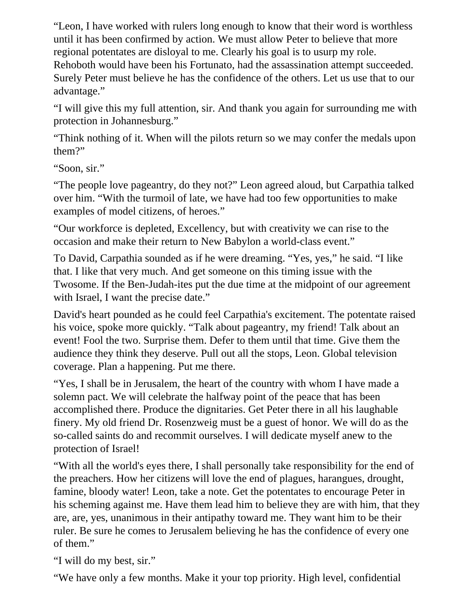"Leon, I have worked with rulers long enough to know that their word is worthless until it has been confirmed by action. We must allow Peter to believe that more regional potentates are disloyal to me. Clearly his goal is to usurp my role. Rehoboth would have been his Fortunato, had the assassination attempt succeeded. Surely Peter must believe he has the confidence of the others. Let us use that to our advantage."

"I will give this my full attention, sir. And thank you again for surrounding me with protection in Johannesburg."

"Think nothing of it. When will the pilots return so we may confer the medals upon them?"

"Soon, sir."

"The people love pageantry, do they not?" Leon agreed aloud, but Carpathia talked over him. "With the turmoil of late, we have had too few opportunities to make examples of model citizens, of heroes."

"Our workforce is depleted, Excellency, but with creativity we can rise to the occasion and make their return to New Babylon a world-class event."

To David, Carpathia sounded as if he were dreaming. "Yes, yes," he said. "I like that. I like that very much. And get someone on this timing issue with the Twosome. If the Ben-Judah-ites put the due time at the midpoint of our agreement with Israel, I want the precise date."

David's heart pounded as he could feel Carpathia's excitement. The potentate raised his voice, spoke more quickly. "Talk about pageantry, my friend! Talk about an event! Fool the two. Surprise them. Defer to them until that time. Give them the audience they think they deserve. Pull out all the stops, Leon. Global television coverage. Plan a happening. Put me there.

"Yes, I shall be in Jerusalem, the heart of the country with whom I have made a solemn pact. We will celebrate the halfway point of the peace that has been accomplished there. Produce the dignitaries. Get Peter there in all his laughable finery. My old friend Dr. Rosenzweig must be a guest of honor. We will do as the so-called saints do and recommit ourselves. I will dedicate myself anew to the protection of Israel!

"With all the world's eyes there, I shall personally take responsibility for the end of the preachers. How her citizens will love the end of plagues, harangues, drought, famine, bloody water! Leon, take a note. Get the potentates to encourage Peter in his scheming against me. Have them lead him to believe they are with him, that they are, are, yes, unanimous in their antipathy toward me. They want him to be their ruler. Be sure he comes to Jerusalem believing he has the confidence of every one of them."

"I will do my best, sir."

"We have only a few months. Make it your top priority. High level, confidential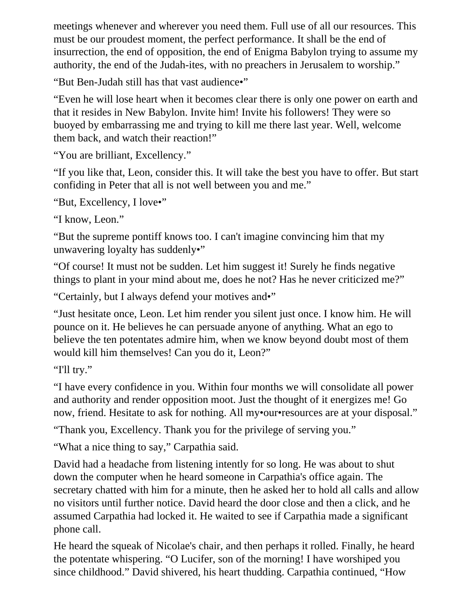meetings whenever and wherever you need them. Full use of all our resources. This must be our proudest moment, the perfect performance. It shall be the end of insurrection, the end of opposition, the end of Enigma Babylon trying to assume my authority, the end of the Judah-ites, with no preachers in Jerusalem to worship."

"But Ben-Judah still has that vast audience•"

"Even he will lose heart when it becomes clear there is only one power on earth and that it resides in New Babylon. Invite him! Invite his followers! They were so buoyed by embarrassing me and trying to kill me there last year. Well, welcome them back, and watch their reaction!"

"You are brilliant, Excellency."

"If you like that, Leon, consider this. It will take the best you have to offer. But start confiding in Peter that all is not well between you and me."

"But, Excellency, I love•"

"I know, Leon."

"But the supreme pontiff knows too. I can't imagine convincing him that my unwavering loyalty has suddenly•"

"Of course! It must not be sudden. Let him suggest it! Surely he finds negative things to plant in your mind about me, does he not? Has he never criticized me?"

"Certainly, but I always defend your motives and•"

"Just hesitate once, Leon. Let him render you silent just once. I know him. He will pounce on it. He believes he can persuade anyone of anything. What an ego to believe the ten potentates admire him, when we know beyond doubt most of them would kill him themselves! Can you do it, Leon?"

"I'll try."

"I have every confidence in you. Within four months we will consolidate all power and authority and render opposition moot. Just the thought of it energizes me! Go now, friend. Hesitate to ask for nothing. All my•our•resources are at your disposal."

"Thank you, Excellency. Thank you for the privilege of serving you."

"What a nice thing to say," Carpathia said.

David had a headache from listening intently for so long. He was about to shut down the computer when he heard someone in Carpathia's office again. The secretary chatted with him for a minute, then he asked her to hold all calls and allow no visitors until further notice. David heard the door close and then a click, and he assumed Carpathia had locked it. He waited to see if Carpathia made a significant phone call.

He heard the squeak of Nicolae's chair, and then perhaps it rolled. Finally, he heard the potentate whispering. "O Lucifer, son of the morning! I have worshiped you since childhood." David shivered, his heart thudding. Carpathia continued, "How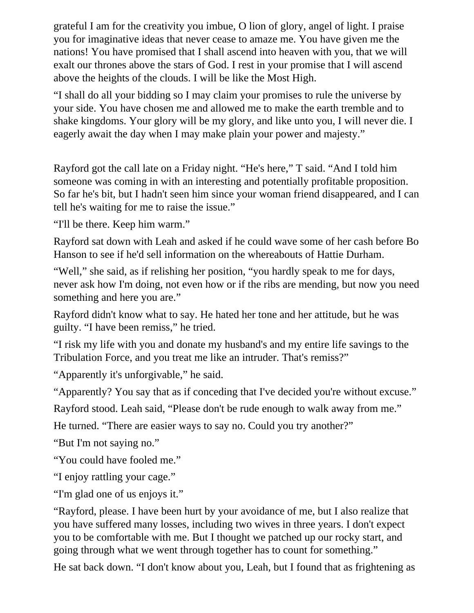grateful I am for the creativity you imbue, O lion of glory, angel of light. I praise you for imaginative ideas that never cease to amaze me. You have given me the nations! You have promised that I shall ascend into heaven with you, that we will exalt our thrones above the stars of God. I rest in your promise that I will ascend above the heights of the clouds. I will be like the Most High.

"I shall do all your bidding so I may claim your promises to rule the universe by your side. You have chosen me and allowed me to make the earth tremble and to shake kingdoms. Your glory will be my glory, and like unto you, I will never die. I eagerly await the day when I may make plain your power and majesty."

Rayford got the call late on a Friday night. "He's here," T said. "And I told him someone was coming in with an interesting and potentially profitable proposition. So far he's bit, but I hadn't seen him since your woman friend disappeared, and I can tell he's waiting for me to raise the issue."

"I'll be there. Keep him warm."

Rayford sat down with Leah and asked if he could wave some of her cash before Bo Hanson to see if he'd sell information on the whereabouts of Hattie Durham.

"Well," she said, as if relishing her position, "you hardly speak to me for days, never ask how I'm doing, not even how or if the ribs are mending, but now you need something and here you are."

Rayford didn't know what to say. He hated her tone and her attitude, but he was guilty. "I have been remiss," he tried.

"I risk my life with you and donate my husband's and my entire life savings to the Tribulation Force, and you treat me like an intruder. That's remiss?"

"Apparently it's unforgivable," he said.

"Apparently? You say that as if conceding that I've decided you're without excuse."

Rayford stood. Leah said, "Please don't be rude enough to walk away from me."

He turned. "There are easier ways to say no. Could you try another?"

"But I'm not saying no."

"You could have fooled me."

"I enjoy rattling your cage."

"I'm glad one of us enjoys it."

"Rayford, please. I have been hurt by your avoidance of me, but I also realize that you have suffered many losses, including two wives in three years. I don't expect you to be comfortable with me. But I thought we patched up our rocky start, and going through what we went through together has to count for something."

He sat back down. "I don't know about you, Leah, but I found that as frightening as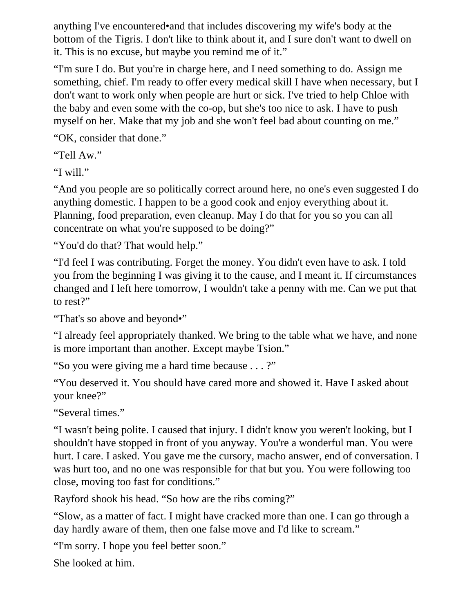anything I've encountered•and that includes discovering my wife's body at the bottom of the Tigris. I don't like to think about it, and I sure don't want to dwell on it. This is no excuse, but maybe you remind me of it."

"I'm sure I do. But you're in charge here, and I need something to do. Assign me something, chief. I'm ready to offer every medical skill I have when necessary, but I don't want to work only when people are hurt or sick. I've tried to help Chloe with the baby and even some with the co-op, but she's too nice to ask. I have to push myself on her. Make that my job and she won't feel bad about counting on me."

"OK, consider that done."

"Tell Aw."

"I will."

"And you people are so politically correct around here, no one's even suggested I do anything domestic. I happen to be a good cook and enjoy everything about it. Planning, food preparation, even cleanup. May I do that for you so you can all concentrate on what you're supposed to be doing?"

"You'd do that? That would help."

"I'd feel I was contributing. Forget the money. You didn't even have to ask. I told you from the beginning I was giving it to the cause, and I meant it. If circumstances changed and I left here tomorrow, I wouldn't take a penny with me. Can we put that to rest?"

"That's so above and beyond•"

"I already feel appropriately thanked. We bring to the table what we have, and none is more important than another. Except maybe Tsion."

"So you were giving me a hard time because . . . ?"

"You deserved it. You should have cared more and showed it. Have I asked about your knee?"

"Several times."

"I wasn't being polite. I caused that injury. I didn't know you weren't looking, but I shouldn't have stopped in front of you anyway. You're a wonderful man. You were hurt. I care. I asked. You gave me the cursory, macho answer, end of conversation. I was hurt too, and no one was responsible for that but you. You were following too close, moving too fast for conditions."

Rayford shook his head. "So how are the ribs coming?"

"Slow, as a matter of fact. I might have cracked more than one. I can go through a day hardly aware of them, then one false move and I'd like to scream."

"I'm sorry. I hope you feel better soon."

She looked at him.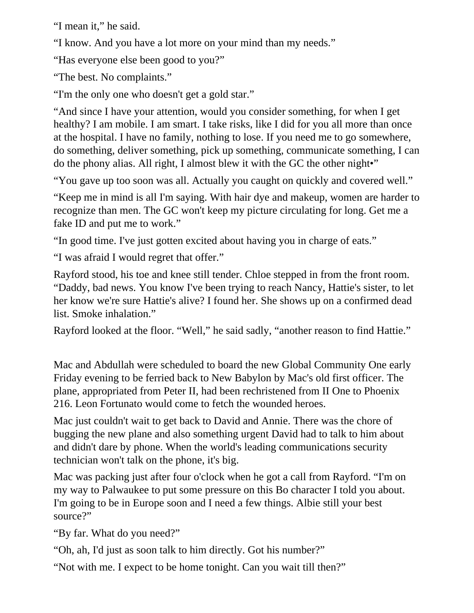"I mean it," he said.

"I know. And you have a lot more on your mind than my needs."

"Has everyone else been good to you?"

"The best. No complaints."

"I'm the only one who doesn't get a gold star."

"And since I have your attention, would you consider something, for when I get healthy? I am mobile. I am smart. I take risks, like I did for you all more than once at the hospital. I have no family, nothing to lose. If you need me to go somewhere, do something, deliver something, pick up something, communicate something, I can do the phony alias. All right, I almost blew it with the GC the other night•"

"You gave up too soon was all. Actually you caught on quickly and covered well."

"Keep me in mind is all I'm saying. With hair dye and makeup, women are harder to recognize than men. The GC won't keep my picture circulating for long. Get me a fake ID and put me to work."

"In good time. I've just gotten excited about having you in charge of eats."

"I was afraid I would regret that offer."

Rayford stood, his toe and knee still tender. Chloe stepped in from the front room. "Daddy, bad news. You know I've been trying to reach Nancy, Hattie's sister, to let her know we're sure Hattie's alive? I found her. She shows up on a confirmed dead list. Smoke inhalation."

Rayford looked at the floor. "Well," he said sadly, "another reason to find Hattie."

Mac and Abdullah were scheduled to board the new Global Community One early Friday evening to be ferried back to New Babylon by Mac's old first officer. The plane, appropriated from Peter II, had been rechristened from II One to Phoenix 216. Leon Fortunato would come to fetch the wounded heroes.

Mac just couldn't wait to get back to David and Annie. There was the chore of bugging the new plane and also something urgent David had to talk to him about and didn't dare by phone. When the world's leading communications security technician won't talk on the phone, it's big.

Mac was packing just after four o'clock when he got a call from Rayford. "I'm on my way to Palwaukee to put some pressure on this Bo character I told you about. I'm going to be in Europe soon and I need a few things. Albie still your best source?"

"By far. What do you need?"

"Oh, ah, I'd just as soon talk to him directly. Got his number?"

"Not with me. I expect to be home tonight. Can you wait till then?"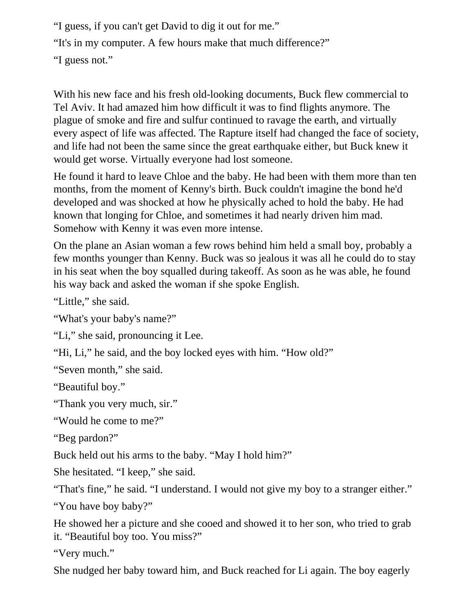"I guess, if you can't get David to dig it out for me."

"It's in my computer. A few hours make that much difference?"

"I guess not."

With his new face and his fresh old-looking documents, Buck flew commercial to Tel Aviv. It had amazed him how difficult it was to find flights anymore. The plague of smoke and fire and sulfur continued to ravage the earth, and virtually every aspect of life was affected. The Rapture itself had changed the face of society, and life had not been the same since the great earthquake either, but Buck knew it would get worse. Virtually everyone had lost someone.

He found it hard to leave Chloe and the baby. He had been with them more than ten months, from the moment of Kenny's birth. Buck couldn't imagine the bond he'd developed and was shocked at how he physically ached to hold the baby. He had known that longing for Chloe, and sometimes it had nearly driven him mad. Somehow with Kenny it was even more intense.

On the plane an Asian woman a few rows behind him held a small boy, probably a few months younger than Kenny. Buck was so jealous it was all he could do to stay in his seat when the boy squalled during takeoff. As soon as he was able, he found his way back and asked the woman if she spoke English.

"Little," she said.

"What's your baby's name?"

"Li," she said, pronouncing it Lee.

"Hi, Li," he said, and the boy locked eyes with him. "How old?"

"Seven month," she said.

"Beautiful boy."

"Thank you very much, sir."

"Would he come to me?"

"Beg pardon?"

Buck held out his arms to the baby. "May I hold him?"

She hesitated. "I keep," she said.

"That's fine," he said. "I understand. I would not give my boy to a stranger either."

"You have boy baby?"

He showed her a picture and she cooed and showed it to her son, who tried to grab it. "Beautiful boy too. You miss?"

"Very much."

She nudged her baby toward him, and Buck reached for Li again. The boy eagerly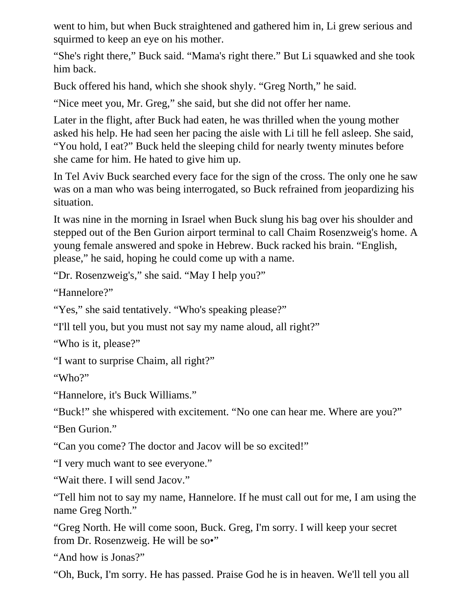went to him, but when Buck straightened and gathered him in, Li grew serious and squirmed to keep an eye on his mother.

"She's right there," Buck said. "Mama's right there." But Li squawked and she took him back.

Buck offered his hand, which she shook shyly. "Greg North," he said.

"Nice meet you, Mr. Greg," she said, but she did not offer her name.

Later in the flight, after Buck had eaten, he was thrilled when the young mother asked his help. He had seen her pacing the aisle with Li till he fell asleep. She said, "You hold, I eat?" Buck held the sleeping child for nearly twenty minutes before she came for him. He hated to give him up.

In Tel Aviv Buck searched every face for the sign of the cross. The only one he saw was on a man who was being interrogated, so Buck refrained from jeopardizing his situation.

It was nine in the morning in Israel when Buck slung his bag over his shoulder and stepped out of the Ben Gurion airport terminal to call Chaim Rosenzweig's home. A young female answered and spoke in Hebrew. Buck racked his brain. "English, please," he said, hoping he could come up with a name.

"Dr. Rosenzweig's," she said. "May I help you?"

"Hannelore?"

"Yes," she said tentatively. "Who's speaking please?"

"I'll tell you, but you must not say my name aloud, all right?"

"Who is it, please?"

"I want to surprise Chaim, all right?"

"Who?"

"Hannelore, it's Buck Williams."

"Buck!" she whispered with excitement. "No one can hear me. Where are you?"

"Ben Gurion."

"Can you come? The doctor and Jacov will be so excited!"

"I very much want to see everyone."

"Wait there. I will send Jacov."

"Tell him not to say my name, Hannelore. If he must call out for me, I am using the name Greg North."

"Greg North. He will come soon, Buck. Greg, I'm sorry. I will keep your secret from Dr. Rosenzweig. He will be so•"

"And how is Jonas?"

"Oh, Buck, I'm sorry. He has passed. Praise God he is in heaven. We'll tell you all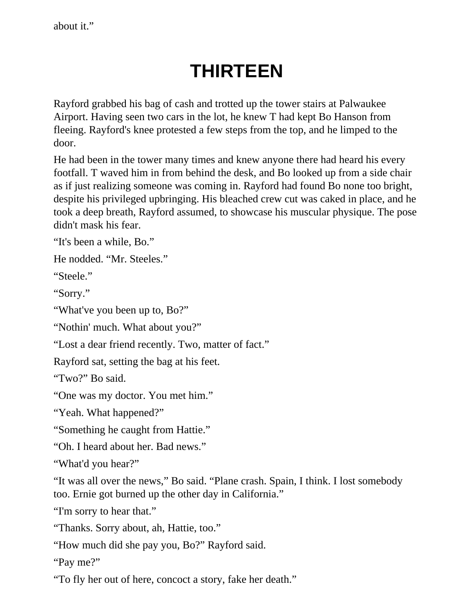## **THIRTEEN**

Rayford grabbed his bag of cash and trotted up the tower stairs at Palwaukee Airport. Having seen two cars in the lot, he knew T had kept Bo Hanson from fleeing. Rayford's knee protested a few steps from the top, and he limped to the door.

He had been in the tower many times and knew anyone there had heard his every footfall. T waved him in from behind the desk, and Bo looked up from a side chair as if just realizing someone was coming in. Rayford had found Bo none too bright, despite his privileged upbringing. His bleached crew cut was caked in place, and he took a deep breath, Rayford assumed, to showcase his muscular physique. The pose didn't mask his fear.

"It's been a while, Bo."

He nodded. "Mr. Steeles."

"Steele."

"Sorry."

"What've you been up to, Bo?"

"Nothin' much. What about you?"

"Lost a dear friend recently. Two, matter of fact."

Rayford sat, setting the bag at his feet.

"Two?" Bo said.

"One was my doctor. You met him."

"Yeah. What happened?"

"Something he caught from Hattie."

"Oh. I heard about her. Bad news."

"What'd you hear?"

"It was all over the news," Bo said. "Plane crash. Spain, I think. I lost somebody too. Ernie got burned up the other day in California."

"I'm sorry to hear that."

"Thanks. Sorry about, ah, Hattie, too."

"How much did she pay you, Bo?" Rayford said.

"Pay me?"

"To fly her out of here, concoct a story, fake her death."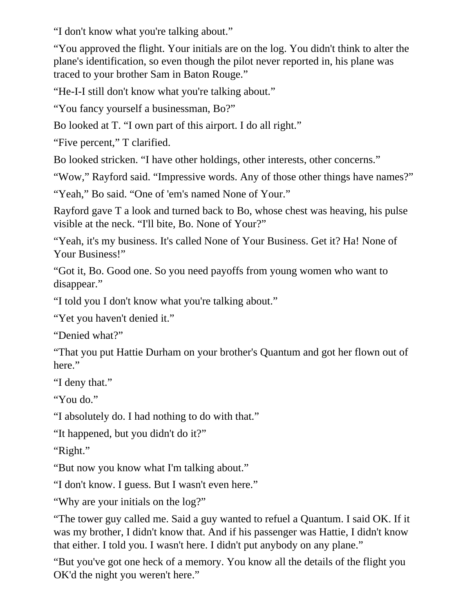"I don't know what you're talking about."

"You approved the flight. Your initials are on the log. You didn't think to alter the plane's identification, so even though the pilot never reported in, his plane was traced to your brother Sam in Baton Rouge."

"He-I-I still don't know what you're talking about."

"You fancy yourself a businessman, Bo?"

Bo looked at T. "I own part of this airport. I do all right."

"Five percent," T clarified.

Bo looked stricken. "I have other holdings, other interests, other concerns."

"Wow," Rayford said. "Impressive words. Any of those other things have names?"

"Yeah," Bo said. "One of 'em's named None of Your."

Rayford gave T a look and turned back to Bo, whose chest was heaving, his pulse visible at the neck. "I'll bite, Bo. None of Your?"

"Yeah, it's my business. It's called None of Your Business. Get it? Ha! None of Your Business!"

"Got it, Bo. Good one. So you need payoffs from young women who want to disappear."

"I told you I don't know what you're talking about."

"Yet you haven't denied it."

"Denied what?"

"That you put Hattie Durham on your brother's Quantum and got her flown out of here."

"I deny that."

"You do."

"I absolutely do. I had nothing to do with that."

"It happened, but you didn't do it?"

"Right."

"But now you know what I'm talking about."

"I don't know. I guess. But I wasn't even here."

"Why are your initials on the log?"

"The tower guy called me. Said a guy wanted to refuel a Quantum. I said OK. If it was my brother, I didn't know that. And if his passenger was Hattie, I didn't know that either. I told you. I wasn't here. I didn't put anybody on any plane."

"But you've got one heck of a memory. You know all the details of the flight you OK'd the night you weren't here."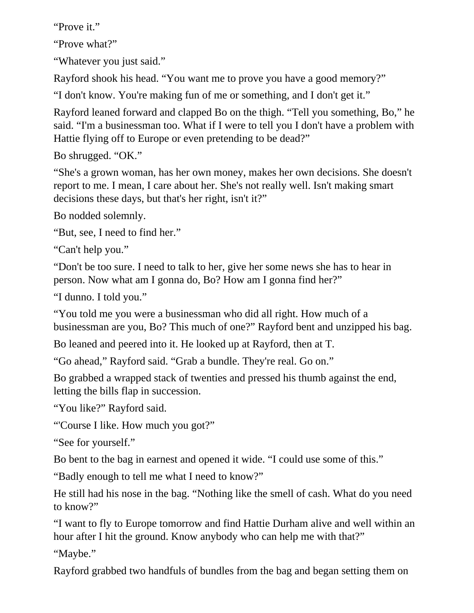"Prove it."

"Prove what?"

"Whatever you just said."

Rayford shook his head. "You want me to prove you have a good memory?"

"I don't know. You're making fun of me or something, and I don't get it."

Rayford leaned forward and clapped Bo on the thigh. "Tell you something, Bo," he said. "I'm a businessman too. What if I were to tell you I don't have a problem with Hattie flying off to Europe or even pretending to be dead?"

Bo shrugged. "OK."

"She's a grown woman, has her own money, makes her own decisions. She doesn't report to me. I mean, I care about her. She's not really well. Isn't making smart decisions these days, but that's her right, isn't it?"

Bo nodded solemnly.

"But, see, I need to find her."

"Can't help you."

"Don't be too sure. I need to talk to her, give her some news she has to hear in person. Now what am I gonna do, Bo? How am I gonna find her?"

"I dunno. I told you."

"You told me you were a businessman who did all right. How much of a businessman are you, Bo? This much of one?" Rayford bent and unzipped his bag.

Bo leaned and peered into it. He looked up at Rayford, then at T.

"Go ahead," Rayford said. "Grab a bundle. They're real. Go on."

Bo grabbed a wrapped stack of twenties and pressed his thumb against the end, letting the bills flap in succession.

"You like?" Rayford said.

"'Course I like. How much you got?"

"See for yourself."

Bo bent to the bag in earnest and opened it wide. "I could use some of this."

"Badly enough to tell me what I need to know?"

He still had his nose in the bag. "Nothing like the smell of cash. What do you need to know?"

"I want to fly to Europe tomorrow and find Hattie Durham alive and well within an hour after I hit the ground. Know anybody who can help me with that?"

"Maybe."

Rayford grabbed two handfuls of bundles from the bag and began setting them on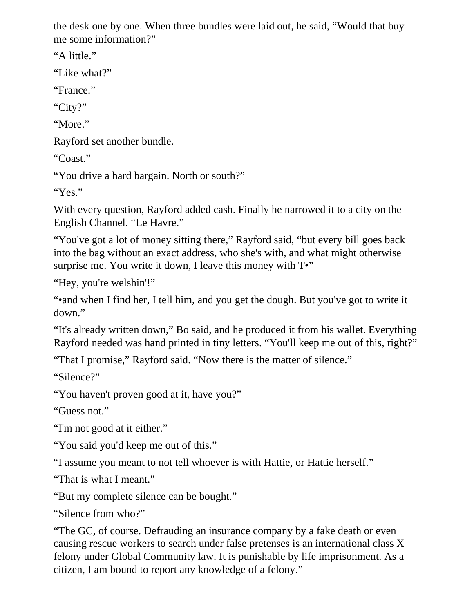the desk one by one. When three bundles were laid out, he said, "Would that buy me some information?"

"A little."

"Like what?"

"France."

"City?"

"More."

Rayford set another bundle.

"Coast."

"You drive a hard bargain. North or south?"

"Yes."

With every question, Rayford added cash. Finally he narrowed it to a city on the English Channel. "Le Havre."

"You've got a lot of money sitting there," Rayford said, "but every bill goes back into the bag without an exact address, who she's with, and what might otherwise surprise me. You write it down, I leave this money with  $T^{\bullet}$ "

"Hey, you're welshin'!"

"•and when I find her, I tell him, and you get the dough. But you've got to write it down."

"It's already written down," Bo said, and he produced it from his wallet. Everything Rayford needed was hand printed in tiny letters. "You'll keep me out of this, right?"

"That I promise," Rayford said. "Now there is the matter of silence."

"Silence?"

"You haven't proven good at it, have you?"

"Guess not."

"I'm not good at it either."

"You said you'd keep me out of this."

"I assume you meant to not tell whoever is with Hattie, or Hattie herself."

"That is what I meant."

"But my complete silence can be bought."

"Silence from who?"

"The GC, of course. Defrauding an insurance company by a fake death or even causing rescue workers to search under false pretenses is an international class X felony under Global Community law. It is punishable by life imprisonment. As a citizen, I am bound to report any knowledge of a felony."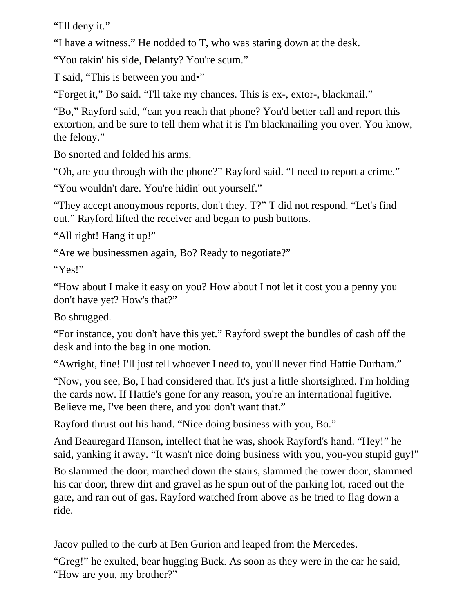"I'll deny it."

"I have a witness." He nodded to T, who was staring down at the desk.

"You takin' his side, Delanty? You're scum."

T said, "This is between you and•"

"Forget it," Bo said. "I'll take my chances. This is ex-, extor-, blackmail."

"Bo," Rayford said, "can you reach that phone? You'd better call and report this extortion, and be sure to tell them what it is I'm blackmailing you over. You know, the felony."

Bo snorted and folded his arms.

"Oh, are you through with the phone?" Rayford said. "I need to report a crime."

"You wouldn't dare. You're hidin' out yourself."

"They accept anonymous reports, don't they, T?" T did not respond. "Let's find out." Rayford lifted the receiver and began to push buttons.

"All right! Hang it up!"

"Are we businessmen again, Bo? Ready to negotiate?"

"Yes!"

"How about I make it easy on you? How about I not let it cost you a penny you don't have yet? How's that?"

Bo shrugged.

"For instance, you don't have this yet." Rayford swept the bundles of cash off the desk and into the bag in one motion.

"Awright, fine! I'll just tell whoever I need to, you'll never find Hattie Durham."

"Now, you see, Bo, I had considered that. It's just a little shortsighted. I'm holding the cards now. If Hattie's gone for any reason, you're an international fugitive. Believe me, I've been there, and you don't want that."

Rayford thrust out his hand. "Nice doing business with you, Bo."

And Beauregard Hanson, intellect that he was, shook Rayford's hand. "Hey!" he said, yanking it away. "It wasn't nice doing business with you, you-you stupid guy!"

Bo slammed the door, marched down the stairs, slammed the tower door, slammed his car door, threw dirt and gravel as he spun out of the parking lot, raced out the gate, and ran out of gas. Rayford watched from above as he tried to flag down a ride.

Jacov pulled to the curb at Ben Gurion and leaped from the Mercedes.

"Greg!" he exulted, bear hugging Buck. As soon as they were in the car he said, "How are you, my brother?"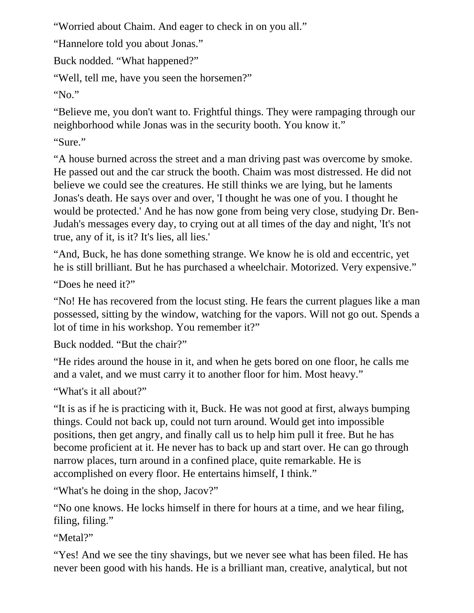"Worried about Chaim. And eager to check in on you all."

"Hannelore told you about Jonas."

Buck nodded. "What happened?"

"Well, tell me, have you seen the horsemen?"

"No."

"Believe me, you don't want to. Frightful things. They were rampaging through our neighborhood while Jonas was in the security booth. You know it."

"Sure."

"A house burned across the street and a man driving past was overcome by smoke. He passed out and the car struck the booth. Chaim was most distressed. He did not believe we could see the creatures. He still thinks we are lying, but he laments Jonas's death. He says over and over, 'I thought he was one of you. I thought he would be protected.' And he has now gone from being very close, studying Dr. Ben-Judah's messages every day, to crying out at all times of the day and night, 'It's not true, any of it, is it? It's lies, all lies.'

"And, Buck, he has done something strange. We know he is old and eccentric, yet he is still brilliant. But he has purchased a wheelchair. Motorized. Very expensive."

"Does he need it?"

"No! He has recovered from the locust sting. He fears the current plagues like a man possessed, sitting by the window, watching for the vapors. Will not go out. Spends a lot of time in his workshop. You remember it?"

Buck nodded. "But the chair?"

"He rides around the house in it, and when he gets bored on one floor, he calls me and a valet, and we must carry it to another floor for him. Most heavy."

"What's it all about?"

"It is as if he is practicing with it, Buck. He was not good at first, always bumping things. Could not back up, could not turn around. Would get into impossible positions, then get angry, and finally call us to help him pull it free. But he has become proficient at it. He never has to back up and start over. He can go through narrow places, turn around in a confined place, quite remarkable. He is accomplished on every floor. He entertains himself, I think."

"What's he doing in the shop, Jacov?"

"No one knows. He locks himself in there for hours at a time, and we hear filing, filing, filing."

"Metal?"

"Yes! And we see the tiny shavings, but we never see what has been filed. He has never been good with his hands. He is a brilliant man, creative, analytical, but not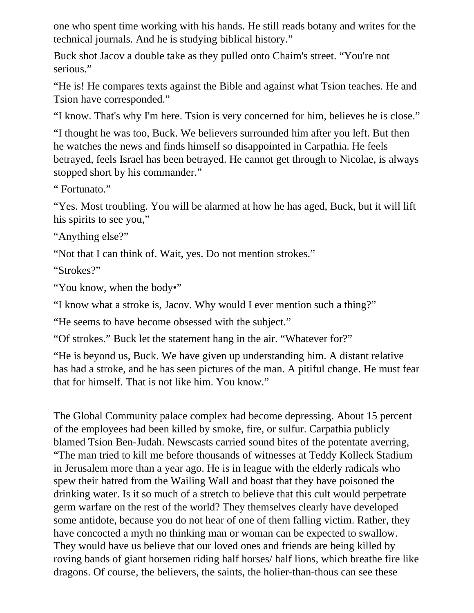one who spent time working with his hands. He still reads botany and writes for the technical journals. And he is studying biblical history."

Buck shot Jacov a double take as they pulled onto Chaim's street. "You're not serious."

"He is! He compares texts against the Bible and against what Tsion teaches. He and Tsion have corresponded."

"I know. That's why I'm here. Tsion is very concerned for him, believes he is close."

"I thought he was too, Buck. We believers surrounded him after you left. But then he watches the news and finds himself so disappointed in Carpathia. He feels betrayed, feels Israel has been betrayed. He cannot get through to Nicolae, is always stopped short by his commander."

" Fortunato."

"Yes. Most troubling. You will be alarmed at how he has aged, Buck, but it will lift his spirits to see you,"

"Anything else?"

"Not that I can think of. Wait, yes. Do not mention strokes."

"Strokes?"

"You know, when the body•"

"I know what a stroke is, Jacov. Why would I ever mention such a thing?"

"He seems to have become obsessed with the subject."

"Of strokes." Buck let the statement hang in the air. "Whatever for?"

"He is beyond us, Buck. We have given up understanding him. A distant relative has had a stroke, and he has seen pictures of the man. A pitiful change. He must fear that for himself. That is not like him. You know."

The Global Community palace complex had become depressing. About 15 percent of the employees had been killed by smoke, fire, or sulfur. Carpathia publicly blamed Tsion Ben-Judah. Newscasts carried sound bites of the potentate averring, "The man tried to kill me before thousands of witnesses at Teddy Kolleck Stadium in Jerusalem more than a year ago. He is in league with the elderly radicals who spew their hatred from the Wailing Wall and boast that they have poisoned the drinking water. Is it so much of a stretch to believe that this cult would perpetrate germ warfare on the rest of the world? They themselves clearly have developed some antidote, because you do not hear of one of them falling victim. Rather, they have concocted a myth no thinking man or woman can be expected to swallow. They would have us believe that our loved ones and friends are being killed by roving bands of giant horsemen riding half horses/ half lions, which breathe fire like dragons. Of course, the believers, the saints, the holier-than-thous can see these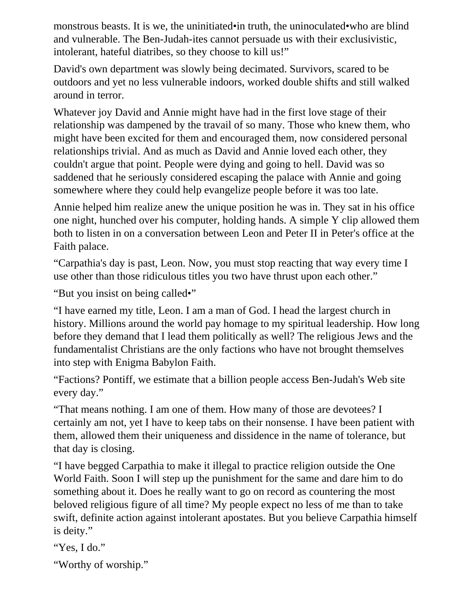monstrous beasts. It is we, the uninitiated•in truth, the uninoculated•who are blind and vulnerable. The Ben-Judah-ites cannot persuade us with their exclusivistic, intolerant, hateful diatribes, so they choose to kill us!"

David's own department was slowly being decimated. Survivors, scared to be outdoors and yet no less vulnerable indoors, worked double shifts and still walked around in terror.

Whatever joy David and Annie might have had in the first love stage of their relationship was dampened by the travail of so many. Those who knew them, who might have been excited for them and encouraged them, now considered personal relationships trivial. And as much as David and Annie loved each other, they couldn't argue that point. People were dying and going to hell. David was so saddened that he seriously considered escaping the palace with Annie and going somewhere where they could help evangelize people before it was too late.

Annie helped him realize anew the unique position he was in. They sat in his office one night, hunched over his computer, holding hands. A simple Y clip allowed them both to listen in on a conversation between Leon and Peter II in Peter's office at the Faith palace.

"Carpathia's day is past, Leon. Now, you must stop reacting that way every time I use other than those ridiculous titles you two have thrust upon each other."

"But you insist on being called•"

"I have earned my title, Leon. I am a man of God. I head the largest church in history. Millions around the world pay homage to my spiritual leadership. How long before they demand that I lead them politically as well? The religious Jews and the fundamentalist Christians are the only factions who have not brought themselves into step with Enigma Babylon Faith.

"Factions? Pontiff, we estimate that a billion people access Ben-Judah's Web site every day."

"That means nothing. I am one of them. How many of those are devotees? I certainly am not, yet I have to keep tabs on their nonsense. I have been patient with them, allowed them their uniqueness and dissidence in the name of tolerance, but that day is closing.

"I have begged Carpathia to make it illegal to practice religion outside the One World Faith. Soon I will step up the punishment for the same and dare him to do something about it. Does he really want to go on record as countering the most beloved religious figure of all time? My people expect no less of me than to take swift, definite action against intolerant apostates. But you believe Carpathia himself is deity."

"Yes, I do."

"Worthy of worship."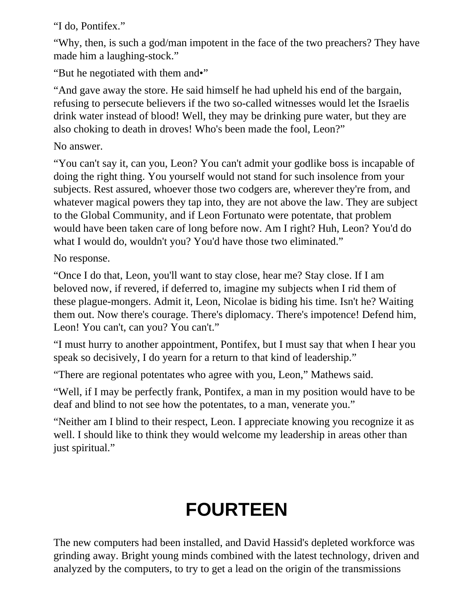"I do, Pontifex."

"Why, then, is such a god/man impotent in the face of the two preachers? They have made him a laughing-stock."

"But he negotiated with them and•"

"And gave away the store. He said himself he had upheld his end of the bargain, refusing to persecute believers if the two so-called witnesses would let the Israelis drink water instead of blood! Well, they may be drinking pure water, but they are also choking to death in droves! Who's been made the fool, Leon?"

No answer.

"You can't say it, can you, Leon? You can't admit your godlike boss is incapable of doing the right thing. You yourself would not stand for such insolence from your subjects. Rest assured, whoever those two codgers are, wherever they're from, and whatever magical powers they tap into, they are not above the law. They are subject to the Global Community, and if Leon Fortunato were potentate, that problem would have been taken care of long before now. Am I right? Huh, Leon? You'd do what I would do, wouldn't you? You'd have those two eliminated."

No response.

"Once I do that, Leon, you'll want to stay close, hear me? Stay close. If I am beloved now, if revered, if deferred to, imagine my subjects when I rid them of these plague-mongers. Admit it, Leon, Nicolae is biding his time. Isn't he? Waiting them out. Now there's courage. There's diplomacy. There's impotence! Defend him, Leon! You can't, can you? You can't."

"I must hurry to another appointment, Pontifex, but I must say that when I hear you speak so decisively, I do yearn for a return to that kind of leadership."

"There are regional potentates who agree with you, Leon," Mathews said.

"Well, if I may be perfectly frank, Pontifex, a man in my position would have to be deaf and blind to not see how the potentates, to a man, venerate you."

"Neither am I blind to their respect, Leon. I appreciate knowing you recognize it as well. I should like to think they would welcome my leadership in areas other than just spiritual."

## **FOURTEEN**

The new computers had been installed, and David Hassid's depleted workforce was grinding away. Bright young minds combined with the latest technology, driven and analyzed by the computers, to try to get a lead on the origin of the transmissions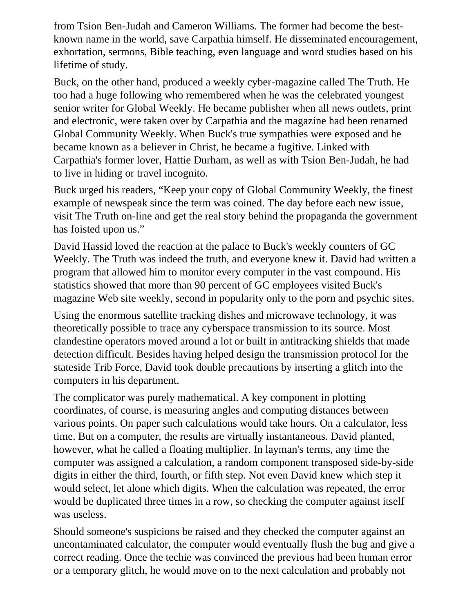from Tsion Ben-Judah and Cameron Williams. The former had become the bestknown name in the world, save Carpathia himself. He disseminated encouragement, exhortation, sermons, Bible teaching, even language and word studies based on his lifetime of study.

Buck, on the other hand, produced a weekly cyber-magazine called The Truth. He too had a huge following who remembered when he was the celebrated youngest senior writer for Global Weekly. He became publisher when all news outlets, print and electronic, were taken over by Carpathia and the magazine had been renamed Global Community Weekly. When Buck's true sympathies were exposed and he became known as a believer in Christ, he became a fugitive. Linked with Carpathia's former lover, Hattie Durham, as well as with Tsion Ben-Judah, he had to live in hiding or travel incognito.

Buck urged his readers, "Keep your copy of Global Community Weekly, the finest example of newspeak since the term was coined. The day before each new issue, visit The Truth on-line and get the real story behind the propaganda the government has foisted upon us."

David Hassid loved the reaction at the palace to Buck's weekly counters of GC Weekly. The Truth was indeed the truth, and everyone knew it. David had written a program that allowed him to monitor every computer in the vast compound. His statistics showed that more than 90 percent of GC employees visited Buck's magazine Web site weekly, second in popularity only to the porn and psychic sites.

Using the enormous satellite tracking dishes and microwave technology, it was theoretically possible to trace any cyberspace transmission to its source. Most clandestine operators moved around a lot or built in antitracking shields that made detection difficult. Besides having helped design the transmission protocol for the stateside Trib Force, David took double precautions by inserting a glitch into the computers in his department.

The complicator was purely mathematical. A key component in plotting coordinates, of course, is measuring angles and computing distances between various points. On paper such calculations would take hours. On a calculator, less time. But on a computer, the results are virtually instantaneous. David planted, however, what he called a floating multiplier. In layman's terms, any time the computer was assigned a calculation, a random component transposed side-by-side digits in either the third, fourth, or fifth step. Not even David knew which step it would select, let alone which digits. When the calculation was repeated, the error would be duplicated three times in a row, so checking the computer against itself was useless.

Should someone's suspicions be raised and they checked the computer against an uncontaminated calculator, the computer would eventually flush the bug and give a correct reading. Once the techie was convinced the previous had been human error or a temporary glitch, he would move on to the next calculation and probably not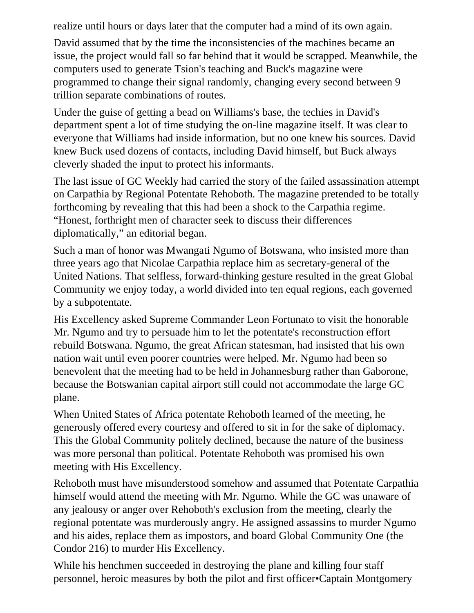realize until hours or days later that the computer had a mind of its own again.

David assumed that by the time the inconsistencies of the machines became an issue, the project would fall so far behind that it would be scrapped. Meanwhile, the computers used to generate Tsion's teaching and Buck's magazine were programmed to change their signal randomly, changing every second between 9 trillion separate combinations of routes.

Under the guise of getting a bead on Williams's base, the techies in David's department spent a lot of time studying the on-line magazine itself. It was clear to everyone that Williams had inside information, but no one knew his sources. David knew Buck used dozens of contacts, including David himself, but Buck always cleverly shaded the input to protect his informants.

The last issue of GC Weekly had carried the story of the failed assassination attempt on Carpathia by Regional Potentate Rehoboth. The magazine pretended to be totally forthcoming by revealing that this had been a shock to the Carpathia regime. "Honest, forthright men of character seek to discuss their differences diplomatically," an editorial began.

Such a man of honor was Mwangati Ngumo of Botswana, who insisted more than three years ago that Nicolae Carpathia replace him as secretary-general of the United Nations. That selfless, forward-thinking gesture resulted in the great Global Community we enjoy today, a world divided into ten equal regions, each governed by a subpotentate.

His Excellency asked Supreme Commander Leon Fortunato to visit the honorable Mr. Ngumo and try to persuade him to let the potentate's reconstruction effort rebuild Botswana. Ngumo, the great African statesman, had insisted that his own nation wait until even poorer countries were helped. Mr. Ngumo had been so benevolent that the meeting had to be held in Johannesburg rather than Gaborone, because the Botswanian capital airport still could not accommodate the large GC plane.

When United States of Africa potentate Rehoboth learned of the meeting, he generously offered every courtesy and offered to sit in for the sake of diplomacy. This the Global Community politely declined, because the nature of the business was more personal than political. Potentate Rehoboth was promised his own meeting with His Excellency.

Rehoboth must have misunderstood somehow and assumed that Potentate Carpathia himself would attend the meeting with Mr. Ngumo. While the GC was unaware of any jealousy or anger over Rehoboth's exclusion from the meeting, clearly the regional potentate was murderously angry. He assigned assassins to murder Ngumo and his aides, replace them as impostors, and board Global Community One (the Condor 216) to murder His Excellency.

While his henchmen succeeded in destroying the plane and killing four staff personnel, heroic measures by both the pilot and first officer•Captain Montgomery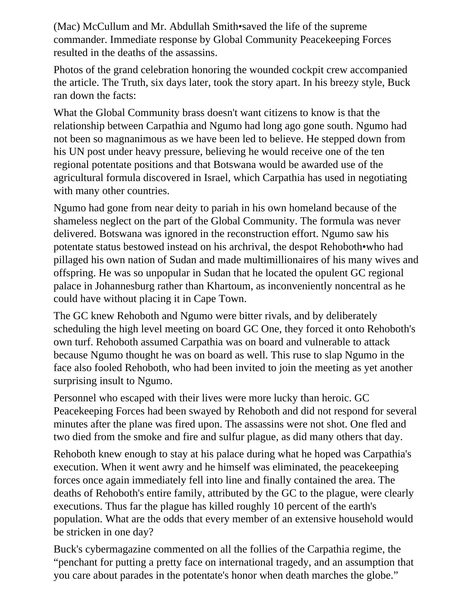(Mac) McCullum and Mr. Abdullah Smith•saved the life of the supreme commander. Immediate response by Global Community Peacekeeping Forces resulted in the deaths of the assassins.

Photos of the grand celebration honoring the wounded cockpit crew accompanied the article. The Truth, six days later, took the story apart. In his breezy style, Buck ran down the facts:

What the Global Community brass doesn't want citizens to know is that the relationship between Carpathia and Ngumo had long ago gone south. Ngumo had not been so magnanimous as we have been led to believe. He stepped down from his UN post under heavy pressure, believing he would receive one of the ten regional potentate positions and that Botswana would be awarded use of the agricultural formula discovered in Israel, which Carpathia has used in negotiating with many other countries.

Ngumo had gone from near deity to pariah in his own homeland because of the shameless neglect on the part of the Global Community. The formula was never delivered. Botswana was ignored in the reconstruction effort. Ngumo saw his potentate status bestowed instead on his archrival, the despot Rehoboth•who had pillaged his own nation of Sudan and made multimillionaires of his many wives and offspring. He was so unpopular in Sudan that he located the opulent GC regional palace in Johannesburg rather than Khartoum, as inconveniently noncentral as he could have without placing it in Cape Town.

The GC knew Rehoboth and Ngumo were bitter rivals, and by deliberately scheduling the high level meeting on board GC One, they forced it onto Rehoboth's own turf. Rehoboth assumed Carpathia was on board and vulnerable to attack because Ngumo thought he was on board as well. This ruse to slap Ngumo in the face also fooled Rehoboth, who had been invited to join the meeting as yet another surprising insult to Ngumo.

Personnel who escaped with their lives were more lucky than heroic. GC Peacekeeping Forces had been swayed by Rehoboth and did not respond for several minutes after the plane was fired upon. The assassins were not shot. One fled and two died from the smoke and fire and sulfur plague, as did many others that day.

Rehoboth knew enough to stay at his palace during what he hoped was Carpathia's execution. When it went awry and he himself was eliminated, the peacekeeping forces once again immediately fell into line and finally contained the area. The deaths of Rehoboth's entire family, attributed by the GC to the plague, were clearly executions. Thus far the plague has killed roughly 10 percent of the earth's population. What are the odds that every member of an extensive household would be stricken in one day?

Buck's cybermagazine commented on all the follies of the Carpathia regime, the "penchant for putting a pretty face on international tragedy, and an assumption that you care about parades in the potentate's honor when death marches the globe."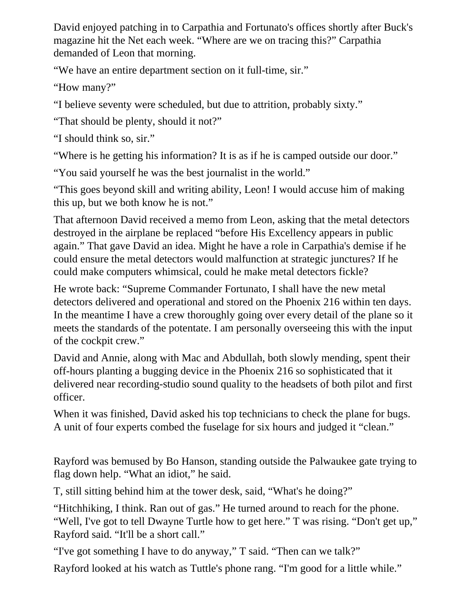David enjoyed patching in to Carpathia and Fortunato's offices shortly after Buck's magazine hit the Net each week. "Where are we on tracing this?" Carpathia demanded of Leon that morning.

"We have an entire department section on it full-time, sir."

"How many?"

"I believe seventy were scheduled, but due to attrition, probably sixty."

"That should be plenty, should it not?"

"I should think so, sir."

"Where is he getting his information? It is as if he is camped outside our door."

"You said yourself he was the best journalist in the world."

"This goes beyond skill and writing ability, Leon! I would accuse him of making this up, but we both know he is not."

That afternoon David received a memo from Leon, asking that the metal detectors destroyed in the airplane be replaced "before His Excellency appears in public again." That gave David an idea. Might he have a role in Carpathia's demise if he could ensure the metal detectors would malfunction at strategic junctures? If he could make computers whimsical, could he make metal detectors fickle?

He wrote back: "Supreme Commander Fortunato, I shall have the new metal detectors delivered and operational and stored on the Phoenix 216 within ten days. In the meantime I have a crew thoroughly going over every detail of the plane so it meets the standards of the potentate. I am personally overseeing this with the input of the cockpit crew."

David and Annie, along with Mac and Abdullah, both slowly mending, spent their off-hours planting a bugging device in the Phoenix 216 so sophisticated that it delivered near recording-studio sound quality to the headsets of both pilot and first officer.

When it was finished, David asked his top technicians to check the plane for bugs. A unit of four experts combed the fuselage for six hours and judged it "clean."

Rayford was bemused by Bo Hanson, standing outside the Palwaukee gate trying to flag down help. "What an idiot," he said.

T, still sitting behind him at the tower desk, said, "What's he doing?"

"Hitchhiking, I think. Ran out of gas." He turned around to reach for the phone. "Well, I've got to tell Dwayne Turtle how to get here." T was rising. "Don't get up," Rayford said. "It'll be a short call."

"I've got something I have to do anyway," T said. "Then can we talk?"

Rayford looked at his watch as Tuttle's phone rang. "I'm good for a little while."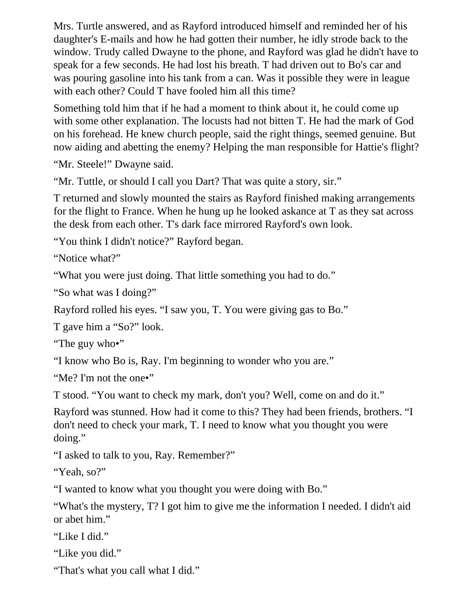Mrs. Turtle answered, and as Rayford introduced himself and reminded her of his daughter's E-mails and how he had gotten their number, he idly strode back to the window. Trudy called Dwayne to the phone, and Rayford was glad he didn't have to speak for a few seconds. He had lost his breath. T had driven out to Bo's car and was pouring gasoline into his tank from a can. Was it possible they were in league with each other? Could T have fooled him all this time?

Something told him that if he had a moment to think about it, he could come up with some other explanation. The locusts had not bitten T. He had the mark of God on his forehead. He knew church people, said the right things, seemed genuine. But now aiding and abetting the enemy? Helping the man responsible for Hattie's flight?

"Mr. Steele!" Dwayne said.

"Mr. Tuttle, or should I call you Dart? That was quite a story, sir."

T returned and slowly mounted the stairs as Rayford finished making arrangements for the flight to France. When he hung up he looked askance at T as they sat across the desk from each other. T's dark face mirrored Rayford's own look.

"You think I didn't notice?" Rayford began.

"Notice what?"

"What you were just doing. That little something you had to do."

"So what was I doing?"

Rayford rolled his eyes. "I saw you, T. You were giving gas to Bo."

T gave him a "So?" look.

"The guy who•"

"I know who Bo is, Ray. I'm beginning to wonder who you are."

"Me? I'm not the one•"

T stood. "You want to check my mark, don't you? Well, come on and do it."

Rayford was stunned. How had it come to this? They had been friends, brothers. "I don't need to check your mark, T. I need to know what you thought you were doing."

"I asked to talk to you, Ray. Remember?"

"Yeah. so?"

"I wanted to know what you thought you were doing with Bo."

"What's the mystery, T? I got him to give me the information I needed. I didn't aid or abet him."

"Like I did."

"Like you did."

"That's what you call what I did."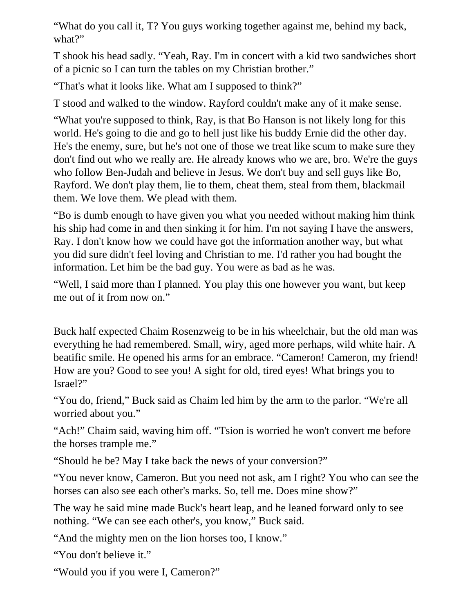"What do you call it, T? You guys working together against me, behind my back, what?"

T shook his head sadly. "Yeah, Ray. I'm in concert with a kid two sandwiches short of a picnic so I can turn the tables on my Christian brother."

"That's what it looks like. What am I supposed to think?"

T stood and walked to the window. Rayford couldn't make any of it make sense.

"What you're supposed to think, Ray, is that Bo Hanson is not likely long for this world. He's going to die and go to hell just like his buddy Ernie did the other day. He's the enemy, sure, but he's not one of those we treat like scum to make sure they don't find out who we really are. He already knows who we are, bro. We're the guys who follow Ben-Judah and believe in Jesus. We don't buy and sell guys like Bo, Rayford. We don't play them, lie to them, cheat them, steal from them, blackmail them. We love them. We plead with them.

"Bo is dumb enough to have given you what you needed without making him think his ship had come in and then sinking it for him. I'm not saying I have the answers, Ray. I don't know how we could have got the information another way, but what you did sure didn't feel loving and Christian to me. I'd rather you had bought the information. Let him be the bad guy. You were as bad as he was.

"Well, I said more than I planned. You play this one however you want, but keep me out of it from now on."

Buck half expected Chaim Rosenzweig to be in his wheelchair, but the old man was everything he had remembered. Small, wiry, aged more perhaps, wild white hair. A beatific smile. He opened his arms for an embrace. "Cameron! Cameron, my friend! How are you? Good to see you! A sight for old, tired eyes! What brings you to Israel?"

"You do, friend," Buck said as Chaim led him by the arm to the parlor. "We're all worried about you."

"Ach!" Chaim said, waving him off. "Tsion is worried he won't convert me before the horses trample me."

"Should he be? May I take back the news of your conversion?"

"You never know, Cameron. But you need not ask, am I right? You who can see the horses can also see each other's marks. So, tell me. Does mine show?"

The way he said mine made Buck's heart leap, and he leaned forward only to see nothing. "We can see each other's, you know," Buck said.

"And the mighty men on the lion horses too, I know."

"You don't believe it."

"Would you if you were I, Cameron?"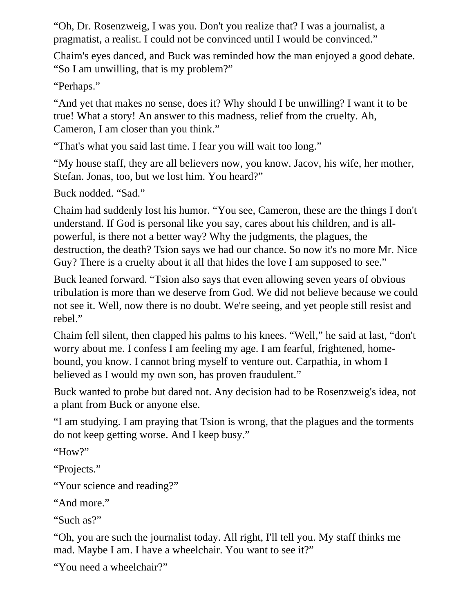"Oh, Dr. Rosenzweig, I was you. Don't you realize that? I was a journalist, a pragmatist, a realist. I could not be convinced until I would be convinced."

Chaim's eyes danced, and Buck was reminded how the man enjoyed a good debate. "So I am unwilling, that is my problem?"

"Perhaps."

"And yet that makes no sense, does it? Why should I be unwilling? I want it to be true! What a story! An answer to this madness, relief from the cruelty. Ah, Cameron, I am closer than you think."

"That's what you said last time. I fear you will wait too long."

"My house staff, they are all believers now, you know. Jacov, his wife, her mother, Stefan. Jonas, too, but we lost him. You heard?"

Buck nodded. "Sad."

Chaim had suddenly lost his humor. "You see, Cameron, these are the things I don't understand. If God is personal like you say, cares about his children, and is allpowerful, is there not a better way? Why the judgments, the plagues, the destruction, the death? Tsion says we had our chance. So now it's no more Mr. Nice Guy? There is a cruelty about it all that hides the love I am supposed to see."

Buck leaned forward. "Tsion also says that even allowing seven years of obvious tribulation is more than we deserve from God. We did not believe because we could not see it. Well, now there is no doubt. We're seeing, and yet people still resist and rebel."

Chaim fell silent, then clapped his palms to his knees. "Well," he said at last, "don't worry about me. I confess I am feeling my age. I am fearful, frightened, homebound, you know. I cannot bring myself to venture out. Carpathia, in whom I believed as I would my own son, has proven fraudulent."

Buck wanted to probe but dared not. Any decision had to be Rosenzweig's idea, not a plant from Buck or anyone else.

"I am studying. I am praying that Tsion is wrong, that the plagues and the torments do not keep getting worse. And I keep busy."

"How?"

"Projects."

"Your science and reading?"

"And more."

"Such as?"

"Oh, you are such the journalist today. All right, I'll tell you. My staff thinks me mad. Maybe I am. I have a wheelchair. You want to see it?"

"You need a wheelchair?"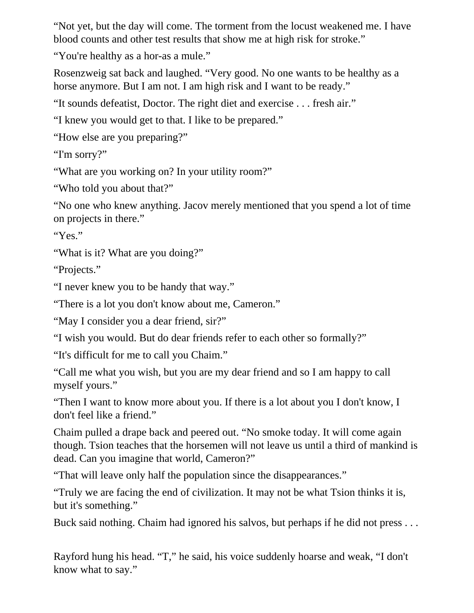"Not yet, but the day will come. The torment from the locust weakened me. I have blood counts and other test results that show me at high risk for stroke."

"You're healthy as a hor-as a mule."

Rosenzweig sat back and laughed. "Very good. No one wants to be healthy as a horse anymore. But I am not. I am high risk and I want to be ready."

"It sounds defeatist, Doctor. The right diet and exercise . . . fresh air."

"I knew you would get to that. I like to be prepared."

"How else are you preparing?"

"I'm sorry?"

"What are you working on? In your utility room?"

"Who told you about that?"

"No one who knew anything. Jacov merely mentioned that you spend a lot of time on projects in there."

"Yes."

"What is it? What are you doing?"

"Projects."

"I never knew you to be handy that way."

"There is a lot you don't know about me, Cameron."

"May I consider you a dear friend, sir?"

"I wish you would. But do dear friends refer to each other so formally?"

"It's difficult for me to call you Chaim."

"Call me what you wish, but you are my dear friend and so I am happy to call myself yours."

"Then I want to know more about you. If there is a lot about you I don't know, I don't feel like a friend."

Chaim pulled a drape back and peered out. "No smoke today. It will come again though. Tsion teaches that the horsemen will not leave us until a third of mankind is dead. Can you imagine that world, Cameron?"

"That will leave only half the population since the disappearances."

"Truly we are facing the end of civilization. It may not be what Tsion thinks it is, but it's something."

Buck said nothing. Chaim had ignored his salvos, but perhaps if he did not press . . .

Rayford hung his head. "T," he said, his voice suddenly hoarse and weak, "I don't know what to say."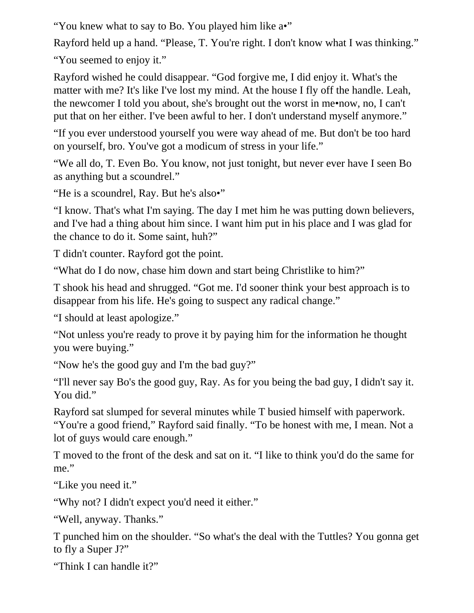"You knew what to say to Bo. You played him like a."

Rayford held up a hand. "Please, T. You're right. I don't know what I was thinking." "You seemed to enjoy it."

Rayford wished he could disappear. "God forgive me, I did enjoy it. What's the matter with me? It's like I've lost my mind. At the house I fly off the handle. Leah, the newcomer I told you about, she's brought out the worst in me•now, no, I can't put that on her either. I've been awful to her. I don't understand myself anymore."

"If you ever understood yourself you were way ahead of me. But don't be too hard on yourself, bro. You've got a modicum of stress in your life."

"We all do, T. Even Bo. You know, not just tonight, but never ever have I seen Bo as anything but a scoundrel."

"He is a scoundrel, Ray. But he's also•"

"I know. That's what I'm saying. The day I met him he was putting down believers, and I've had a thing about him since. I want him put in his place and I was glad for the chance to do it. Some saint, huh?"

T didn't counter. Rayford got the point.

"What do I do now, chase him down and start being Christlike to him?"

T shook his head and shrugged. "Got me. I'd sooner think your best approach is to disappear from his life. He's going to suspect any radical change."

"I should at least apologize."

"Not unless you're ready to prove it by paying him for the information he thought you were buying."

"Now he's the good guy and I'm the bad guy?"

"I'll never say Bo's the good guy, Ray. As for you being the bad guy, I didn't say it. You did."

Rayford sat slumped for several minutes while T busied himself with paperwork. "You're a good friend," Rayford said finally. "To be honest with me, I mean. Not a lot of guys would care enough."

T moved to the front of the desk and sat on it. "I like to think you'd do the same for me."

"Like you need it."

"Why not? I didn't expect you'd need it either."

"Well, anyway. Thanks."

T punched him on the shoulder. "So what's the deal with the Tuttles? You gonna get to fly a Super J?"

"Think I can handle it?"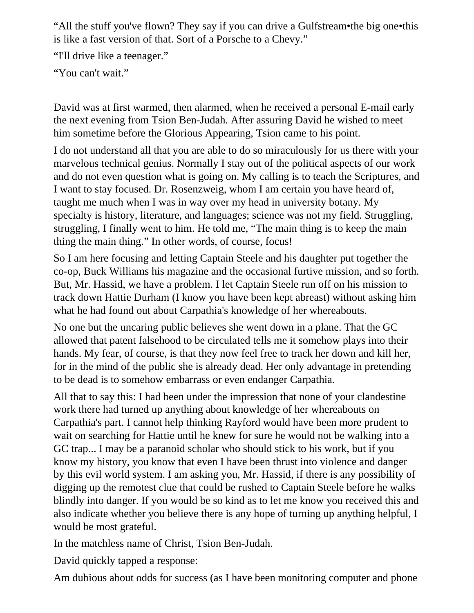"All the stuff you've flown? They say if you can drive a Gulfstream•the big one•this is like a fast version of that. Sort of a Porsche to a Chevy."

"I'll drive like a teenager."

"You can't wait."

David was at first warmed, then alarmed, when he received a personal E-mail early the next evening from Tsion Ben-Judah. After assuring David he wished to meet him sometime before the Glorious Appearing, Tsion came to his point.

I do not understand all that you are able to do so miraculously for us there with your marvelous technical genius. Normally I stay out of the political aspects of our work and do not even question what is going on. My calling is to teach the Scriptures, and I want to stay focused. Dr. Rosenzweig, whom I am certain you have heard of, taught me much when I was in way over my head in university botany. My specialty is history, literature, and languages; science was not my field. Struggling, struggling, I finally went to him. He told me, "The main thing is to keep the main thing the main thing." In other words, of course, focus!

So I am here focusing and letting Captain Steele and his daughter put together the co-op, Buck Williams his magazine and the occasional furtive mission, and so forth. But, Mr. Hassid, we have a problem. I let Captain Steele run off on his mission to track down Hattie Durham (I know you have been kept abreast) without asking him what he had found out about Carpathia's knowledge of her whereabouts.

No one but the uncaring public believes she went down in a plane. That the GC allowed that patent falsehood to be circulated tells me it somehow plays into their hands. My fear, of course, is that they now feel free to track her down and kill her, for in the mind of the public she is already dead. Her only advantage in pretending to be dead is to somehow embarrass or even endanger Carpathia.

All that to say this: I had been under the impression that none of your clandestine work there had turned up anything about knowledge of her whereabouts on Carpathia's part. I cannot help thinking Rayford would have been more prudent to wait on searching for Hattie until he knew for sure he would not be walking into a GC trap... I may be a paranoid scholar who should stick to his work, but if you know my history, you know that even I have been thrust into violence and danger by this evil world system. I am asking you, Mr. Hassid, if there is any possibility of digging up the remotest clue that could be rushed to Captain Steele before he walks blindly into danger. If you would be so kind as to let me know you received this and also indicate whether you believe there is any hope of turning up anything helpful, I would be most grateful.

In the matchless name of Christ, Tsion Ben-Judah.

David quickly tapped a response:

Am dubious about odds for success (as I have been monitoring computer and phone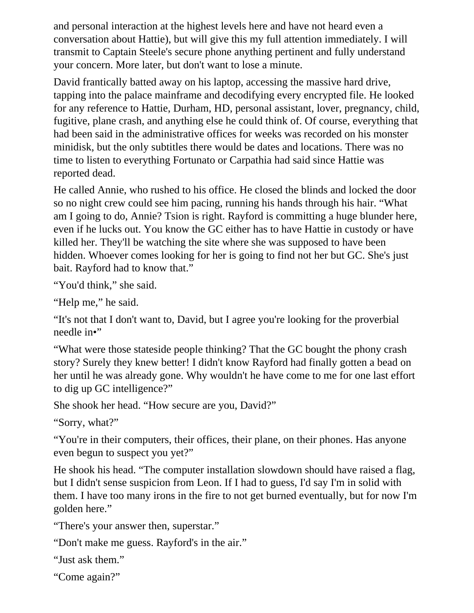and personal interaction at the highest levels here and have not heard even a conversation about Hattie), but will give this my full attention immediately. I will transmit to Captain Steele's secure phone anything pertinent and fully understand your concern. More later, but don't want to lose a minute.

David frantically batted away on his laptop, accessing the massive hard drive, tapping into the palace mainframe and decodifying every encrypted file. He looked for any reference to Hattie, Durham, HD, personal assistant, lover, pregnancy, child, fugitive, plane crash, and anything else he could think of. Of course, everything that had been said in the administrative offices for weeks was recorded on his monster minidisk, but the only subtitles there would be dates and locations. There was no time to listen to everything Fortunato or Carpathia had said since Hattie was reported dead.

He called Annie, who rushed to his office. He closed the blinds and locked the door so no night crew could see him pacing, running his hands through his hair. "What am I going to do, Annie? Tsion is right. Rayford is committing a huge blunder here, even if he lucks out. You know the GC either has to have Hattie in custody or have killed her. They'll be watching the site where she was supposed to have been hidden. Whoever comes looking for her is going to find not her but GC. She's just bait. Rayford had to know that."

"You'd think," she said.

"Help me," he said.

"It's not that I don't want to, David, but I agree you're looking for the proverbial needle in•"

"What were those stateside people thinking? That the GC bought the phony crash story? Surely they knew better! I didn't know Rayford had finally gotten a bead on her until he was already gone. Why wouldn't he have come to me for one last effort to dig up GC intelligence?"

She shook her head. "How secure are you, David?"

"Sorry, what?"

"You're in their computers, their offices, their plane, on their phones. Has anyone even begun to suspect you yet?"

He shook his head. "The computer installation slowdown should have raised a flag, but I didn't sense suspicion from Leon. If I had to guess, I'd say I'm in solid with them. I have too many irons in the fire to not get burned eventually, but for now I'm golden here."

"There's your answer then, superstar."

"Don't make me guess. Rayford's in the air."

"Just ask them."

"Come again?"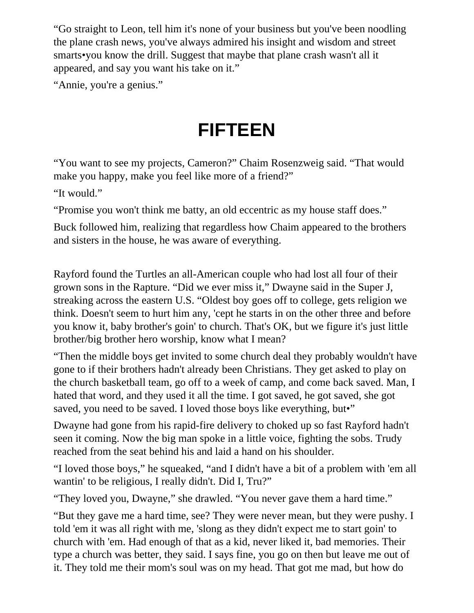"Go straight to Leon, tell him it's none of your business but you've been noodling the plane crash news, you've always admired his insight and wisdom and street smarts•you know the drill. Suggest that maybe that plane crash wasn't all it appeared, and say you want his take on it."

"Annie, you're a genius."

## **FIFTEEN**

"You want to see my projects, Cameron?" Chaim Rosenzweig said. "That would make you happy, make you feel like more of a friend?"

"It would."

"Promise you won't think me batty, an old eccentric as my house staff does."

Buck followed him, realizing that regardless how Chaim appeared to the brothers and sisters in the house, he was aware of everything.

Rayford found the Turtles an all-American couple who had lost all four of their grown sons in the Rapture. "Did we ever miss it," Dwayne said in the Super J, streaking across the eastern U.S. "Oldest boy goes off to college, gets religion we think. Doesn't seem to hurt him any, 'cept he starts in on the other three and before you know it, baby brother's goin' to church. That's OK, but we figure it's just little brother/big brother hero worship, know what I mean?

"Then the middle boys get invited to some church deal they probably wouldn't have gone to if their brothers hadn't already been Christians. They get asked to play on the church basketball team, go off to a week of camp, and come back saved. Man, I hated that word, and they used it all the time. I got saved, he got saved, she got saved, you need to be saved. I loved those boys like everything, but•"

Dwayne had gone from his rapid-fire delivery to choked up so fast Rayford hadn't seen it coming. Now the big man spoke in a little voice, fighting the sobs. Trudy reached from the seat behind his and laid a hand on his shoulder.

"I loved those boys," he squeaked, "and I didn't have a bit of a problem with 'em all wantin' to be religious, I really didn't. Did I, Tru?"

"They loved you, Dwayne," she drawled. "You never gave them a hard time."

"But they gave me a hard time, see? They were never mean, but they were pushy. I told 'em it was all right with me, 'slong as they didn't expect me to start goin' to church with 'em. Had enough of that as a kid, never liked it, bad memories. Their type a church was better, they said. I says fine, you go on then but leave me out of it. They told me their mom's soul was on my head. That got me mad, but how do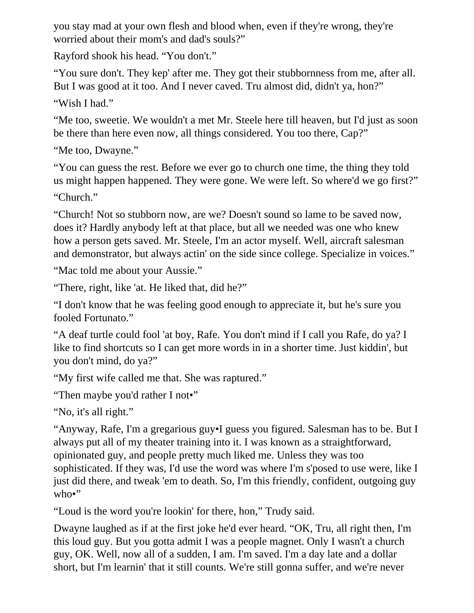you stay mad at your own flesh and blood when, even if they're wrong, they're worried about their mom's and dad's souls?"

Rayford shook his head. "You don't."

"You sure don't. They kep' after me. They got their stubbornness from me, after all. But I was good at it too. And I never caved. Tru almost did, didn't va, hon?"

"Wish I had."

"Me too, sweetie. We wouldn't a met Mr. Steele here till heaven, but I'd just as soon be there than here even now, all things considered. You too there, Cap?"

"Me too, Dwayne."

"You can guess the rest. Before we ever go to church one time, the thing they told us might happen happened. They were gone. We were left. So where'd we go first?" "Church."

"Church! Not so stubborn now, are we? Doesn't sound so lame to be saved now, does it? Hardly anybody left at that place, but all we needed was one who knew how a person gets saved. Mr. Steele, I'm an actor myself. Well, aircraft salesman and demonstrator, but always actin' on the side since college. Specialize in voices."

"Mac told me about your Aussie."

"There, right, like 'at. He liked that, did he?"

"I don't know that he was feeling good enough to appreciate it, but he's sure you fooled Fortunato."

"A deaf turtle could fool 'at boy, Rafe. You don't mind if I call you Rafe, do ya? I like to find shortcuts so I can get more words in in a shorter time. Just kiddin', but you don't mind, do ya?"

"My first wife called me that. She was raptured."

"Then maybe you'd rather I not•"

"No, it's all right."

"Anyway, Rafe, I'm a gregarious guy•I guess you figured. Salesman has to be. But I always put all of my theater training into it. I was known as a straightforward, opinionated guy, and people pretty much liked me. Unless they was too sophisticated. If they was, I'd use the word was where I'm s'posed to use were, like I just did there, and tweak 'em to death. So, I'm this friendly, confident, outgoing guy who•"

"Loud is the word you're lookin' for there, hon," Trudy said.

Dwayne laughed as if at the first joke he'd ever heard. "OK, Tru, all right then, I'm this loud guy. But you gotta admit I was a people magnet. Only I wasn't a church guy, OK. Well, now all of a sudden, I am. I'm saved. I'm a day late and a dollar short, but I'm learnin' that it still counts. We're still gonna suffer, and we're never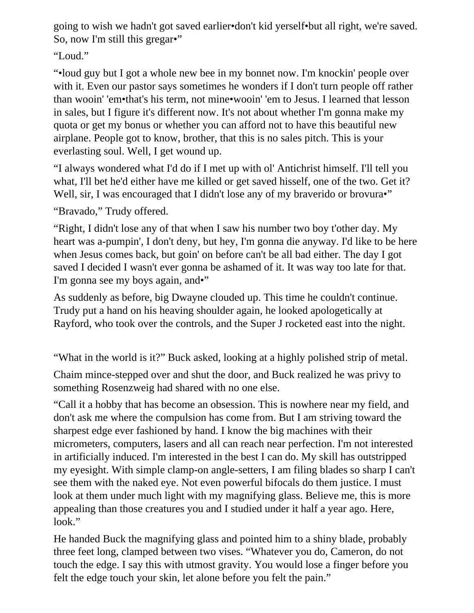going to wish we hadn't got saved earlier•don't kid yerself•but all right, we're saved. So, now I'm still this gregar•"

"Loud."

"•loud guy but I got a whole new bee in my bonnet now. I'm knockin' people over with it. Even our pastor says sometimes he wonders if I don't turn people off rather than wooin' 'em•that's his term, not mine•wooin' 'em to Jesus. I learned that lesson in sales, but I figure it's different now. It's not about whether I'm gonna make my quota or get my bonus or whether you can afford not to have this beautiful new airplane. People got to know, brother, that this is no sales pitch. This is your everlasting soul. Well, I get wound up.

"I always wondered what I'd do if I met up with ol' Antichrist himself. I'll tell you what, I'll bet he'd either have me killed or get saved hisself, one of the two. Get it? Well, sir, I was encouraged that I didn't lose any of my braverido or brovura•"

"Bravado," Trudy offered.

"Right, I didn't lose any of that when I saw his number two boy t'other day. My heart was a-pumpin', I don't deny, but hey, I'm gonna die anyway. I'd like to be here when Jesus comes back, but goin' on before can't be all bad either. The day I got saved I decided I wasn't ever gonna be ashamed of it. It was way too late for that. I'm gonna see my boys again, and<sup>\*</sup>

As suddenly as before, big Dwayne clouded up. This time he couldn't continue. Trudy put a hand on his heaving shoulder again, he looked apologetically at Rayford, who took over the controls, and the Super J rocketed east into the night.

"What in the world is it?" Buck asked, looking at a highly polished strip of metal.

Chaim mince-stepped over and shut the door, and Buck realized he was privy to something Rosenzweig had shared with no one else.

"Call it a hobby that has become an obsession. This is nowhere near my field, and don't ask me where the compulsion has come from. But I am striving toward the sharpest edge ever fashioned by hand. I know the big machines with their micrometers, computers, lasers and all can reach near perfection. I'm not interested in artificially induced. I'm interested in the best I can do. My skill has outstripped my eyesight. With simple clamp-on angle-setters, I am filing blades so sharp I can't see them with the naked eye. Not even powerful bifocals do them justice. I must look at them under much light with my magnifying glass. Believe me, this is more appealing than those creatures you and I studied under it half a year ago. Here, look."

He handed Buck the magnifying glass and pointed him to a shiny blade, probably three feet long, clamped between two vises. "Whatever you do, Cameron, do not touch the edge. I say this with utmost gravity. You would lose a finger before you felt the edge touch your skin, let alone before you felt the pain."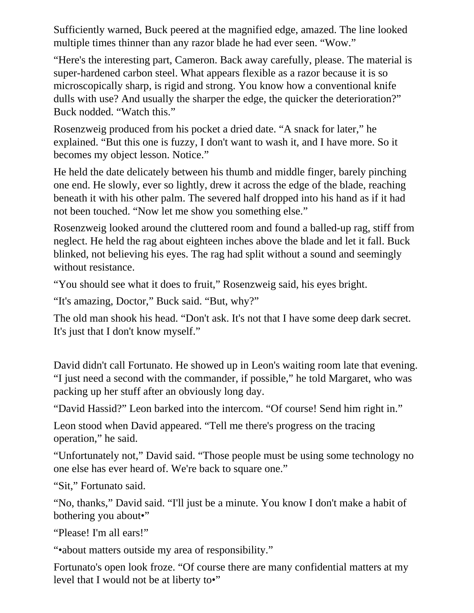Sufficiently warned, Buck peered at the magnified edge, amazed. The line looked multiple times thinner than any razor blade he had ever seen. "Wow."

"Here's the interesting part, Cameron. Back away carefully, please. The material is super-hardened carbon steel. What appears flexible as a razor because it is so microscopically sharp, is rigid and strong. You know how a conventional knife dulls with use? And usually the sharper the edge, the quicker the deterioration?" Buck nodded. "Watch this."

Rosenzweig produced from his pocket a dried date. "A snack for later," he explained. "But this one is fuzzy, I don't want to wash it, and I have more. So it becomes my object lesson. Notice."

He held the date delicately between his thumb and middle finger, barely pinching one end. He slowly, ever so lightly, drew it across the edge of the blade, reaching beneath it with his other palm. The severed half dropped into his hand as if it had not been touched. "Now let me show you something else."

Rosenzweig looked around the cluttered room and found a balled-up rag, stiff from neglect. He held the rag about eighteen inches above the blade and let it fall. Buck blinked, not believing his eyes. The rag had split without a sound and seemingly without resistance.

"You should see what it does to fruit," Rosenzweig said, his eyes bright.

"It's amazing, Doctor," Buck said. "But, why?"

The old man shook his head. "Don't ask. It's not that I have some deep dark secret. It's just that I don't know myself."

David didn't call Fortunato. He showed up in Leon's waiting room late that evening. "I just need a second with the commander, if possible," he told Margaret, who was packing up her stuff after an obviously long day.

"David Hassid?" Leon barked into the intercom. "Of course! Send him right in."

Leon stood when David appeared. "Tell me there's progress on the tracing operation," he said.

"Unfortunately not," David said. "Those people must be using some technology no one else has ever heard of. We're back to square one."

"Sit," Fortunato said.

"No, thanks," David said. "I'll just be a minute. You know I don't make a habit of bothering you about•"

"Please! I'm all ears!"

"•about matters outside my area of responsibility."

Fortunato's open look froze. "Of course there are many confidential matters at my level that I would not be at liberty to•"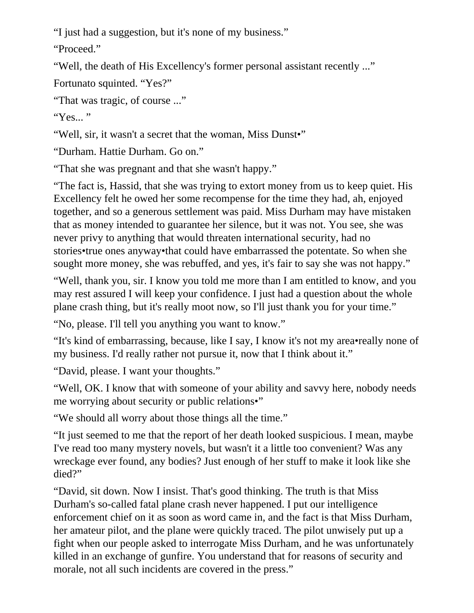"I just had a suggestion, but it's none of my business."

"Proceed."

"Well, the death of His Excellency's former personal assistant recently ..."

Fortunato squinted. "Yes?"

"That was tragic, of course ..."

"Yes..."

"Well, sir, it wasn't a secret that the woman, Miss Dunst•"

"Durham. Hattie Durham. Go on."

"That she was pregnant and that she wasn't happy."

"The fact is, Hassid, that she was trying to extort money from us to keep quiet. His Excellency felt he owed her some recompense for the time they had, ah, enjoyed together, and so a generous settlement was paid. Miss Durham may have mistaken that as money intended to guarantee her silence, but it was not. You see, she was never privy to anything that would threaten international security, had no stories•true ones anyway•that could have embarrassed the potentate. So when she sought more money, she was rebuffed, and yes, it's fair to say she was not happy."

"Well, thank you, sir. I know you told me more than I am entitled to know, and you may rest assured I will keep your confidence. I just had a question about the whole plane crash thing, but it's really moot now, so I'll just thank you for your time."

"No, please. I'll tell you anything you want to know."

"It's kind of embarrassing, because, like I say, I know it's not my area•really none of my business. I'd really rather not pursue it, now that I think about it."

"David, please. I want your thoughts."

"Well, OK. I know that with someone of your ability and savvy here, nobody needs me worrying about security or public relations•"

"We should all worry about those things all the time."

"It just seemed to me that the report of her death looked suspicious. I mean, maybe I've read too many mystery novels, but wasn't it a little too convenient? Was any wreckage ever found, any bodies? Just enough of her stuff to make it look like she died?"

"David, sit down. Now I insist. That's good thinking. The truth is that Miss Durham's so-called fatal plane crash never happened. I put our intelligence enforcement chief on it as soon as word came in, and the fact is that Miss Durham, her amateur pilot, and the plane were quickly traced. The pilot unwisely put up a fight when our people asked to interrogate Miss Durham, and he was unfortunately killed in an exchange of gunfire. You understand that for reasons of security and morale, not all such incidents are covered in the press."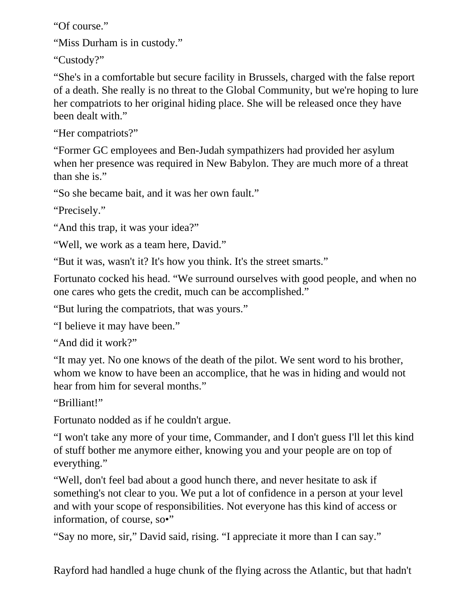"Of course."

"Miss Durham is in custody."

"Custody?"

"She's in a comfortable but secure facility in Brussels, charged with the false report of a death. She really is no threat to the Global Community, but we're hoping to lure her compatriots to her original hiding place. She will be released once they have been dealt with."

"Her compatriots?"

"Former GC employees and Ben-Judah sympathizers had provided her asylum when her presence was required in New Babylon. They are much more of a threat than she is."

"So she became bait, and it was her own fault."

"Precisely."

"And this trap, it was your idea?"

"Well, we work as a team here, David."

"But it was, wasn't it? It's how you think. It's the street smarts."

Fortunato cocked his head. "We surround ourselves with good people, and when no one cares who gets the credit, much can be accomplished."

"But luring the compatriots, that was yours."

"I believe it may have been."

"And did it work?"

"It may yet. No one knows of the death of the pilot. We sent word to his brother, whom we know to have been an accomplice, that he was in hiding and would not hear from him for several months."

"Brilliant!"

Fortunato nodded as if he couldn't argue.

"I won't take any more of your time, Commander, and I don't guess I'll let this kind of stuff bother me anymore either, knowing you and your people are on top of everything."

"Well, don't feel bad about a good hunch there, and never hesitate to ask if something's not clear to you. We put a lot of confidence in a person at your level and with your scope of responsibilities. Not everyone has this kind of access or information, of course, so•"

"Say no more, sir," David said, rising. "I appreciate it more than I can say."

Rayford had handled a huge chunk of the flying across the Atlantic, but that hadn't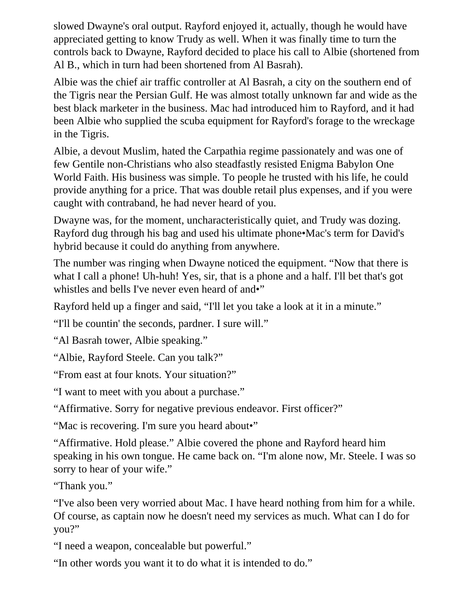slowed Dwayne's oral output. Rayford enjoyed it, actually, though he would have appreciated getting to know Trudy as well. When it was finally time to turn the controls back to Dwayne, Rayford decided to place his call to Albie (shortened from Al B., which in turn had been shortened from Al Basrah).

Albie was the chief air traffic controller at Al Basrah, a city on the southern end of the Tigris near the Persian Gulf. He was almost totally unknown far and wide as the best black marketer in the business. Mac had introduced him to Rayford, and it had been Albie who supplied the scuba equipment for Rayford's forage to the wreckage in the Tigris.

Albie, a devout Muslim, hated the Carpathia regime passionately and was one of few Gentile non-Christians who also steadfastly resisted Enigma Babylon One World Faith. His business was simple. To people he trusted with his life, he could provide anything for a price. That was double retail plus expenses, and if you were caught with contraband, he had never heard of you.

Dwayne was, for the moment, uncharacteristically quiet, and Trudy was dozing. Rayford dug through his bag and used his ultimate phone•Mac's term for David's hybrid because it could do anything from anywhere.

The number was ringing when Dwayne noticed the equipment. "Now that there is what I call a phone! Uh-huh! Yes, sir, that is a phone and a half. I'll bet that's got whistles and bells I've never even heard of and•"

Rayford held up a finger and said, "I'll let you take a look at it in a minute."

"I'll be countin' the seconds, pardner. I sure will."

"Al Basrah tower, Albie speaking."

"Albie, Rayford Steele. Can you talk?"

"From east at four knots. Your situation?"

"I want to meet with you about a purchase."

"Affirmative. Sorry for negative previous endeavor. First officer?"

"Mac is recovering. I'm sure you heard about."

"Affirmative. Hold please." Albie covered the phone and Rayford heard him speaking in his own tongue. He came back on. "I'm alone now, Mr. Steele. I was so sorry to hear of your wife."

"Thank you."

"I've also been very worried about Mac. I have heard nothing from him for a while. Of course, as captain now he doesn't need my services as much. What can I do for you?"

"I need a weapon, concealable but powerful."

"In other words you want it to do what it is intended to do."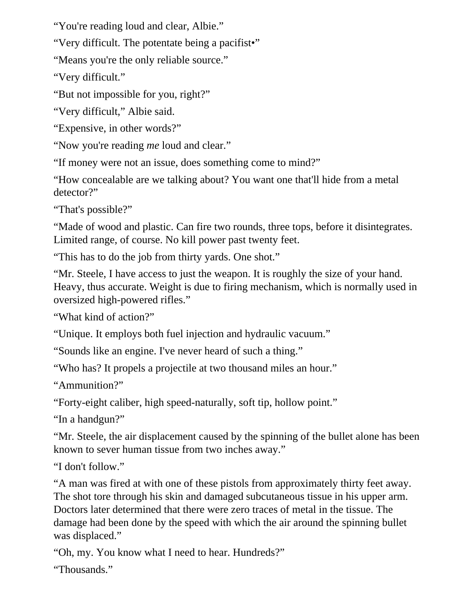"You're reading loud and clear, Albie."

"Very difficult. The potentate being a pacifist•"

"Means you're the only reliable source."

"Very difficult."

"But not impossible for you, right?"

"Very difficult," Albie said.

"Expensive, in other words?"

"Now you're reading *me* loud and clear."

"If money were not an issue, does something come to mind?"

"How concealable are we talking about? You want one that'll hide from a metal detector?"

"That's possible?"

"Made of wood and plastic. Can fire two rounds, three tops, before it disintegrates. Limited range, of course. No kill power past twenty feet.

"This has to do the job from thirty yards. One shot."

"Mr. Steele, I have access to just the weapon. It is roughly the size of your hand. Heavy, thus accurate. Weight is due to firing mechanism, which is normally used in oversized high-powered rifles."

"What kind of action?"

"Unique. It employs both fuel injection and hydraulic vacuum."

"Sounds like an engine. I've never heard of such a thing."

"Who has? It propels a projectile at two thousand miles an hour."

"Ammunition?"

"Forty-eight caliber, high speed-naturally, soft tip, hollow point."

"In a handgun?"

"Mr. Steele, the air displacement caused by the spinning of the bullet alone has been known to sever human tissue from two inches away."

"I don't follow."

"A man was fired at with one of these pistols from approximately thirty feet away. The shot tore through his skin and damaged subcutaneous tissue in his upper arm. Doctors later determined that there were zero traces of metal in the tissue. The damage had been done by the speed with which the air around the spinning bullet was displaced."

"Oh, my. You know what I need to hear. Hundreds?"

"Thousands."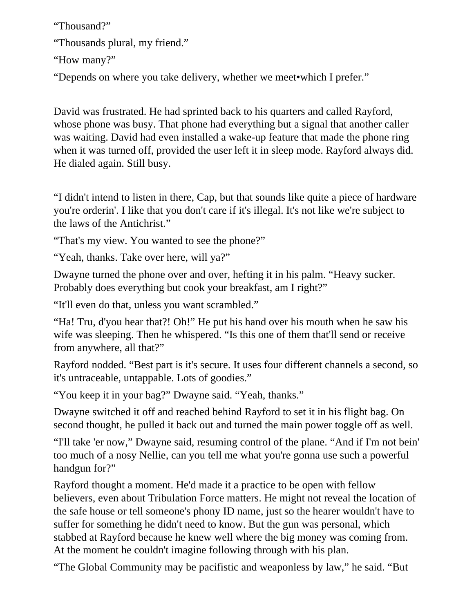"Thousand?"

"Thousands plural, my friend."

"How many?"

"Depends on where you take delivery, whether we meet•which I prefer."

David was frustrated. He had sprinted back to his quarters and called Rayford, whose phone was busy. That phone had everything but a signal that another caller was waiting. David had even installed a wake-up feature that made the phone ring when it was turned off, provided the user left it in sleep mode. Rayford always did. He dialed again. Still busy.

"I didn't intend to listen in there, Cap, but that sounds like quite a piece of hardware you're orderin'. I like that you don't care if it's illegal. It's not like we're subject to the laws of the Antichrist."

"That's my view. You wanted to see the phone?"

"Yeah, thanks. Take over here, will ya?"

Dwayne turned the phone over and over, hefting it in his palm. "Heavy sucker. Probably does everything but cook your breakfast, am I right?"

"It'll even do that, unless you want scrambled."

"Ha! Tru, d'you hear that?! Oh!" He put his hand over his mouth when he saw his wife was sleeping. Then he whispered. "Is this one of them that'll send or receive from anywhere, all that?"

Rayford nodded. "Best part is it's secure. It uses four different channels a second, so it's untraceable, untappable. Lots of goodies."

"You keep it in your bag?" Dwayne said. "Yeah, thanks."

Dwayne switched it off and reached behind Rayford to set it in his flight bag. On second thought, he pulled it back out and turned the main power toggle off as well.

"I'll take 'er now," Dwayne said, resuming control of the plane. "And if I'm not bein' too much of a nosy Nellie, can you tell me what you're gonna use such a powerful handgun for?"

Rayford thought a moment. He'd made it a practice to be open with fellow believers, even about Tribulation Force matters. He might not reveal the location of the safe house or tell someone's phony ID name, just so the hearer wouldn't have to suffer for something he didn't need to know. But the gun was personal, which stabbed at Rayford because he knew well where the big money was coming from. At the moment he couldn't imagine following through with his plan.

"The Global Community may be pacifistic and weaponless by law," he said. "But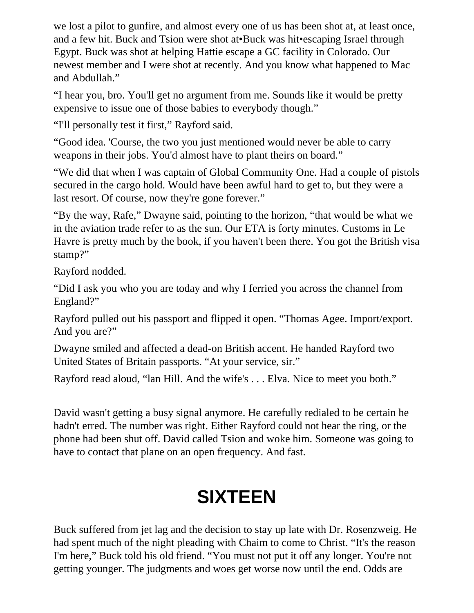we lost a pilot to gunfire, and almost every one of us has been shot at, at least once, and a few hit. Buck and Tsion were shot at•Buck was hit•escaping Israel through Egypt. Buck was shot at helping Hattie escape a GC facility in Colorado. Our newest member and I were shot at recently. And you know what happened to Mac and Abdullah."

"I hear you, bro. You'll get no argument from me. Sounds like it would be pretty expensive to issue one of those babies to everybody though."

"I'll personally test it first," Rayford said.

"Good idea. 'Course, the two you just mentioned would never be able to carry weapons in their jobs. You'd almost have to plant theirs on board."

"We did that when I was captain of Global Community One. Had a couple of pistols secured in the cargo hold. Would have been awful hard to get to, but they were a last resort. Of course, now they're gone forever."

"By the way, Rafe," Dwayne said, pointing to the horizon, "that would be what we in the aviation trade refer to as the sun. Our ETA is forty minutes. Customs in Le Havre is pretty much by the book, if you haven't been there. You got the British visa stamp?"

Rayford nodded.

"Did I ask you who you are today and why I ferried you across the channel from England?"

Rayford pulled out his passport and flipped it open. "Thomas Agee. Import/export. And you are?"

Dwayne smiled and affected a dead-on British accent. He handed Rayford two United States of Britain passports. "At your service, sir."

Rayford read aloud, "lan Hill. And the wife's . . . Elva. Nice to meet you both."

David wasn't getting a busy signal anymore. He carefully redialed to be certain he hadn't erred. The number was right. Either Rayford could not hear the ring, or the phone had been shut off. David called Tsion and woke him. Someone was going to have to contact that plane on an open frequency. And fast.

#### **SIXTEEN**

Buck suffered from jet lag and the decision to stay up late with Dr. Rosenzweig. He had spent much of the night pleading with Chaim to come to Christ. "It's the reason I'm here," Buck told his old friend. "You must not put it off any longer. You're not getting younger. The judgments and woes get worse now until the end. Odds are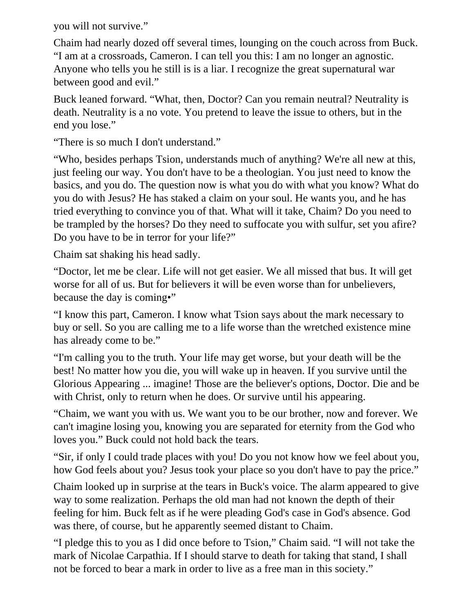you will not survive."

Chaim had nearly dozed off several times, lounging on the couch across from Buck. "I am at a crossroads, Cameron. I can tell you this: I am no longer an agnostic. Anyone who tells you he still is is a liar. I recognize the great supernatural war between good and evil."

Buck leaned forward. "What, then, Doctor? Can you remain neutral? Neutrality is death. Neutrality is a no vote. You pretend to leave the issue to others, but in the end you lose."

"There is so much I don't understand."

"Who, besides perhaps Tsion, understands much of anything? We're all new at this, just feeling our way. You don't have to be a theologian. You just need to know the basics, and you do. The question now is what you do with what you know? What do you do with Jesus? He has staked a claim on your soul. He wants you, and he has tried everything to convince you of that. What will it take, Chaim? Do you need to be trampled by the horses? Do they need to suffocate you with sulfur, set you afire? Do you have to be in terror for your life?"

Chaim sat shaking his head sadly.

"Doctor, let me be clear. Life will not get easier. We all missed that bus. It will get worse for all of us. But for believers it will be even worse than for unbelievers, because the day is coming•"

"I know this part, Cameron. I know what Tsion says about the mark necessary to buy or sell. So you are calling me to a life worse than the wretched existence mine has already come to be."

"I'm calling you to the truth. Your life may get worse, but your death will be the best! No matter how you die, you will wake up in heaven. If you survive until the Glorious Appearing ... imagine! Those are the believer's options, Doctor. Die and be with Christ, only to return when he does. Or survive until his appearing.

"Chaim, we want you with us. We want you to be our brother, now and forever. We can't imagine losing you, knowing you are separated for eternity from the God who loves you." Buck could not hold back the tears.

"Sir, if only I could trade places with you! Do you not know how we feel about you, how God feels about you? Jesus took your place so you don't have to pay the price."

Chaim looked up in surprise at the tears in Buck's voice. The alarm appeared to give way to some realization. Perhaps the old man had not known the depth of their feeling for him. Buck felt as if he were pleading God's case in God's absence. God was there, of course, but he apparently seemed distant to Chaim.

"I pledge this to you as I did once before to Tsion," Chaim said. "I will not take the mark of Nicolae Carpathia. If I should starve to death for taking that stand, I shall not be forced to bear a mark in order to live as a free man in this society."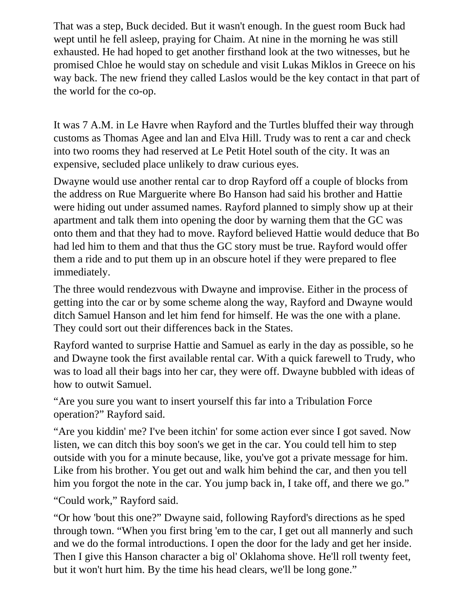That was a step, Buck decided. But it wasn't enough. In the guest room Buck had wept until he fell asleep, praying for Chaim. At nine in the morning he was still exhausted. He had hoped to get another firsthand look at the two witnesses, but he promised Chloe he would stay on schedule and visit Lukas Miklos in Greece on his way back. The new friend they called Laslos would be the key contact in that part of the world for the co-op.

It was 7 A.M. in Le Havre when Rayford and the Turtles bluffed their way through customs as Thomas Agee and lan and Elva Hill. Trudy was to rent a car and check into two rooms they had reserved at Le Petit Hotel south of the city. It was an expensive, secluded place unlikely to draw curious eyes.

Dwayne would use another rental car to drop Rayford off a couple of blocks from the address on Rue Marguerite where Bo Hanson had said his brother and Hattie were hiding out under assumed names. Rayford planned to simply show up at their apartment and talk them into opening the door by warning them that the GC was onto them and that they had to move. Rayford believed Hattie would deduce that Bo had led him to them and that thus the GC story must be true. Rayford would offer them a ride and to put them up in an obscure hotel if they were prepared to flee immediately.

The three would rendezvous with Dwayne and improvise. Either in the process of getting into the car or by some scheme along the way, Rayford and Dwayne would ditch Samuel Hanson and let him fend for himself. He was the one with a plane. They could sort out their differences back in the States.

Rayford wanted to surprise Hattie and Samuel as early in the day as possible, so he and Dwayne took the first available rental car. With a quick farewell to Trudy, who was to load all their bags into her car, they were off. Dwayne bubbled with ideas of how to outwit Samuel.

"Are you sure you want to insert yourself this far into a Tribulation Force operation?" Rayford said.

"Are you kiddin' me? I've been itchin' for some action ever since I got saved. Now listen, we can ditch this boy soon's we get in the car. You could tell him to step outside with you for a minute because, like, you've got a private message for him. Like from his brother. You get out and walk him behind the car, and then you tell him you forgot the note in the car. You jump back in, I take off, and there we go."

"Could work," Rayford said.

"Or how 'bout this one?" Dwayne said, following Rayford's directions as he sped through town. "When you first bring 'em to the car, I get out all mannerly and such and we do the formal introductions. I open the door for the lady and get her inside. Then I give this Hanson character a big ol' Oklahoma shove. He'll roll twenty feet, but it won't hurt him. By the time his head clears, we'll be long gone."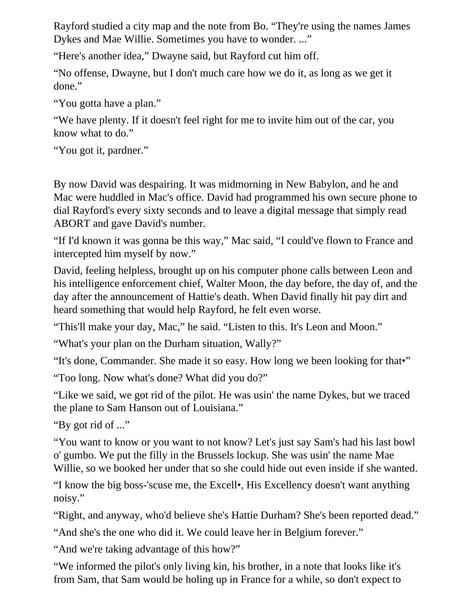Rayford studied a city map and the note from Bo. "They're using the names James Dykes and Mae Willie. Sometimes you have to wonder. ..."

"Here's another idea," Dwayne said, but Rayford cut him off.

"No offense, Dwayne, but I don't much care how we do it, as long as we get it done."

"You gotta have a plan."

"We have plenty. If it doesn't feel right for me to invite him out of the car, you know what to do."

"You got it, pardner."

By now David was despairing. It was midmorning in New Babylon, and he and Mac were huddled in Mac's office. David had programmed his own secure phone to dial Rayford's every sixty seconds and to leave a digital message that simply read ABORT and gave David's number.

"If I'd known it was gonna be this way," Mac said, "I could've flown to France and intercepted him myself by now."

David, feeling helpless, brought up on his computer phone calls between Leon and his intelligence enforcement chief, Walter Moon, the day before, the day of, and the day after the announcement of Hattie's death. When David finally hit pay dirt and heard something that would help Rayford, he felt even worse.

"This'll make your day, Mac," he said. "Listen to this. It's Leon and Moon."

"What's your plan on the Durham situation, Wally?"

"It's done, Commander. She made it so easy. How long we been looking for that•"

"Too long. Now what's done? What did you do?"

"Like we said, we got rid of the pilot. He was usin' the name Dykes, but we traced the plane to Sam Hanson out of Louisiana."

"By got rid of ..."

"You want to know or you want to not know? Let's just say Sam's had his last bowl o' gumbo. We put the filly in the Brussels lockup. She was usin' the name Mae Willie, so we booked her under that so she could hide out even inside if she wanted.

"I know the big boss-'scuse me, the Excell•, His Excellency doesn't want anything noisy."

"Right, and anyway, who'd believe she's Hattie Durham? She's been reported dead."

"And she's the one who did it. We could leave her in Belgium forever."

"And we're taking advantage of this how?"

"We informed the pilot's only living kin, his brother, in a note that looks like it's from Sam, that Sam would be holing up in France for a while, so don't expect to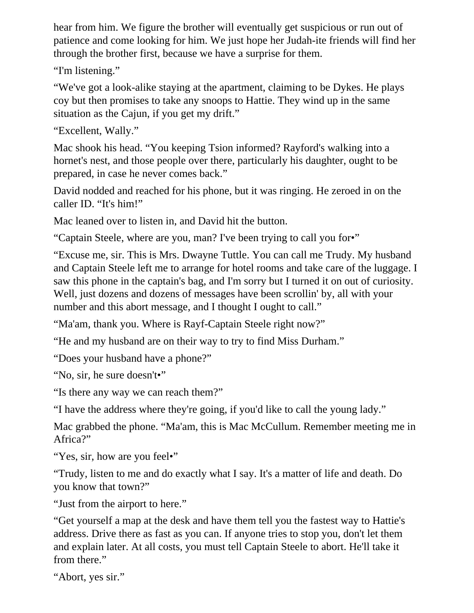hear from him. We figure the brother will eventually get suspicious or run out of patience and come looking for him. We just hope her Judah-ite friends will find her through the brother first, because we have a surprise for them.

"I'm listening."

"We've got a look-alike staying at the apartment, claiming to be Dykes. He plays coy but then promises to take any snoops to Hattie. They wind up in the same situation as the Cajun, if you get my drift."

"Excellent, Wally."

Mac shook his head. "You keeping Tsion informed? Rayford's walking into a hornet's nest, and those people over there, particularly his daughter, ought to be prepared, in case he never comes back."

David nodded and reached for his phone, but it was ringing. He zeroed in on the caller ID. "It's him!"

Mac leaned over to listen in, and David hit the button.

"Captain Steele, where are you, man? I've been trying to call you for•"

"Excuse me, sir. This is Mrs. Dwayne Tuttle. You can call me Trudy. My husband and Captain Steele left me to arrange for hotel rooms and take care of the luggage. I saw this phone in the captain's bag, and I'm sorry but I turned it on out of curiosity. Well, just dozens and dozens of messages have been scrollin' by, all with your number and this abort message, and I thought I ought to call."

"Ma'am, thank you. Where is Rayf-Captain Steele right now?"

"He and my husband are on their way to try to find Miss Durham."

"Does your husband have a phone?"

"No, sir, he sure doesn't•"

"Is there any way we can reach them?"

"I have the address where they're going, if you'd like to call the young lady."

Mac grabbed the phone. "Ma'am, this is Mac McCullum. Remember meeting me in Africa?"

"Yes, sir, how are you feel."

"Trudy, listen to me and do exactly what I say. It's a matter of life and death. Do you know that town?"

"Just from the airport to here."

"Get yourself a map at the desk and have them tell you the fastest way to Hattie's address. Drive there as fast as you can. If anyone tries to stop you, don't let them and explain later. At all costs, you must tell Captain Steele to abort. He'll take it from there."

```
"Abort, yes sir."
```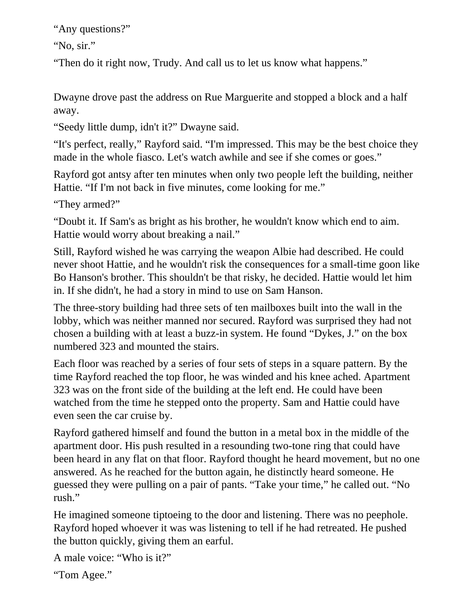"Any questions?"

"No, sir."

"Then do it right now, Trudy. And call us to let us know what happens."

Dwayne drove past the address on Rue Marguerite and stopped a block and a half away.

"Seedy little dump, idn't it?" Dwayne said.

"It's perfect, really," Rayford said. "I'm impressed. This may be the best choice they made in the whole fiasco. Let's watch awhile and see if she comes or goes."

Rayford got antsy after ten minutes when only two people left the building, neither Hattie. "If I'm not back in five minutes, come looking for me."

"They armed?"

"Doubt it. If Sam's as bright as his brother, he wouldn't know which end to aim. Hattie would worry about breaking a nail."

Still, Rayford wished he was carrying the weapon Albie had described. He could never shoot Hattie, and he wouldn't risk the consequences for a small-time goon like Bo Hanson's brother. This shouldn't be that risky, he decided. Hattie would let him in. If she didn't, he had a story in mind to use on Sam Hanson.

The three-story building had three sets of ten mailboxes built into the wall in the lobby, which was neither manned nor secured. Rayford was surprised they had not chosen a building with at least a buzz-in system. He found "Dykes, J." on the box numbered 323 and mounted the stairs.

Each floor was reached by a series of four sets of steps in a square pattern. By the time Rayford reached the top floor, he was winded and his knee ached. Apartment 323 was on the front side of the building at the left end. He could have been watched from the time he stepped onto the property. Sam and Hattie could have even seen the car cruise by.

Rayford gathered himself and found the button in a metal box in the middle of the apartment door. His push resulted in a resounding two-tone ring that could have been heard in any flat on that floor. Rayford thought he heard movement, but no one answered. As he reached for the button again, he distinctly heard someone. He guessed they were pulling on a pair of pants. "Take your time," he called out. "No rush."

He imagined someone tiptoeing to the door and listening. There was no peephole. Rayford hoped whoever it was was listening to tell if he had retreated. He pushed the button quickly, giving them an earful.

```
A male voice: "Who is it?"
```

```
"Tom Agee."
```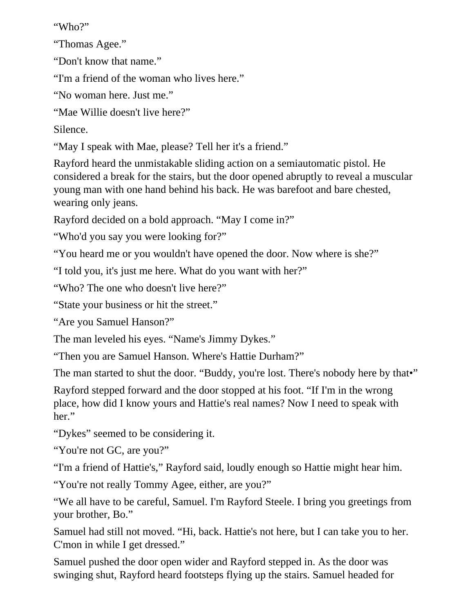"Who?"

"Thomas Agee."

"Don't know that name."

"I'm a friend of the woman who lives here."

"No woman here. Just me."

"Mae Willie doesn't live here?"

Silence.

"May I speak with Mae, please? Tell her it's a friend."

Rayford heard the unmistakable sliding action on a semiautomatic pistol. He considered a break for the stairs, but the door opened abruptly to reveal a muscular young man with one hand behind his back. He was barefoot and bare chested, wearing only jeans.

Rayford decided on a bold approach. "May I come in?"

"Who'd you say you were looking for?"

"You heard me or you wouldn't have opened the door. Now where is she?"

"I told you, it's just me here. What do you want with her?"

"Who? The one who doesn't live here?"

"State your business or hit the street."

"Are you Samuel Hanson?"

The man leveled his eyes. "Name's Jimmy Dykes."

"Then you are Samuel Hanson. Where's Hattie Durham?"

The man started to shut the door. "Buddy, you're lost. There's nobody here by that."

Rayford stepped forward and the door stopped at his foot. "If I'm in the wrong place, how did I know yours and Hattie's real names? Now I need to speak with her."

"Dykes" seemed to be considering it.

"You're not GC, are you?"

"I'm a friend of Hattie's," Rayford said, loudly enough so Hattie might hear him.

"You're not really Tommy Agee, either, are you?"

"We all have to be careful, Samuel. I'm Rayford Steele. I bring you greetings from your brother, Bo."

Samuel had still not moved. "Hi, back. Hattie's not here, but I can take you to her. C'mon in while I get dressed."

Samuel pushed the door open wider and Rayford stepped in. As the door was swinging shut, Rayford heard footsteps flying up the stairs. Samuel headed for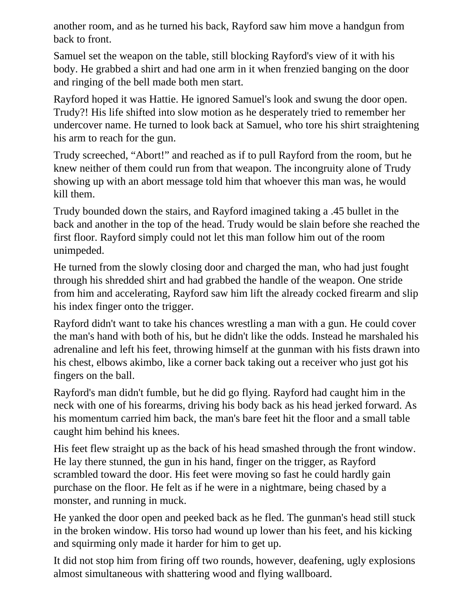another room, and as he turned his back, Rayford saw him move a handgun from back to front.

Samuel set the weapon on the table, still blocking Rayford's view of it with his body. He grabbed a shirt and had one arm in it when frenzied banging on the door and ringing of the bell made both men start.

Rayford hoped it was Hattie. He ignored Samuel's look and swung the door open. Trudy?! His life shifted into slow motion as he desperately tried to remember her undercover name. He turned to look back at Samuel, who tore his shirt straightening his arm to reach for the gun.

Trudy screeched, "Abort!" and reached as if to pull Rayford from the room, but he knew neither of them could run from that weapon. The incongruity alone of Trudy showing up with an abort message told him that whoever this man was, he would kill them.

Trudy bounded down the stairs, and Rayford imagined taking a .45 bullet in the back and another in the top of the head. Trudy would be slain before she reached the first floor. Rayford simply could not let this man follow him out of the room unimpeded.

He turned from the slowly closing door and charged the man, who had just fought through his shredded shirt and had grabbed the handle of the weapon. One stride from him and accelerating, Rayford saw him lift the already cocked firearm and slip his index finger onto the trigger.

Rayford didn't want to take his chances wrestling a man with a gun. He could cover the man's hand with both of his, but he didn't like the odds. Instead he marshaled his adrenaline and left his feet, throwing himself at the gunman with his fists drawn into his chest, elbows akimbo, like a corner back taking out a receiver who just got his fingers on the ball.

Rayford's man didn't fumble, but he did go flying. Rayford had caught him in the neck with one of his forearms, driving his body back as his head jerked forward. As his momentum carried him back, the man's bare feet hit the floor and a small table caught him behind his knees.

His feet flew straight up as the back of his head smashed through the front window. He lay there stunned, the gun in his hand, finger on the trigger, as Rayford scrambled toward the door. His feet were moving so fast he could hardly gain purchase on the floor. He felt as if he were in a nightmare, being chased by a monster, and running in muck.

He yanked the door open and peeked back as he fled. The gunman's head still stuck in the broken window. His torso had wound up lower than his feet, and his kicking and squirming only made it harder for him to get up.

It did not stop him from firing off two rounds, however, deafening, ugly explosions almost simultaneous with shattering wood and flying wallboard.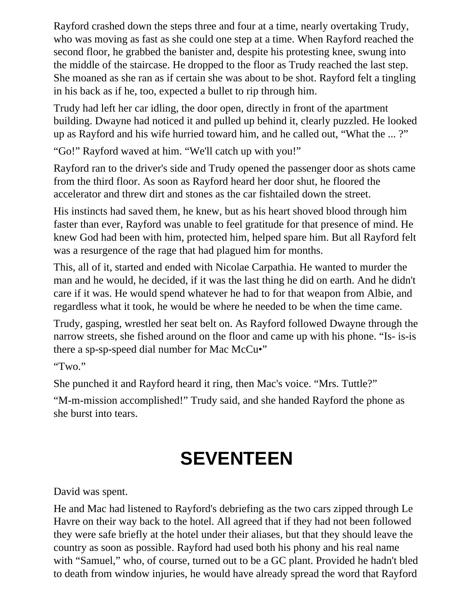Rayford crashed down the steps three and four at a time, nearly overtaking Trudy, who was moving as fast as she could one step at a time. When Rayford reached the second floor, he grabbed the banister and, despite his protesting knee, swung into the middle of the staircase. He dropped to the floor as Trudy reached the last step. She moaned as she ran as if certain she was about to be shot. Rayford felt a tingling in his back as if he, too, expected a bullet to rip through him.

Trudy had left her car idling, the door open, directly in front of the apartment building. Dwayne had noticed it and pulled up behind it, clearly puzzled. He looked up as Rayford and his wife hurried toward him, and he called out, "What the ... ?"

"Go!" Rayford waved at him. "We'll catch up with you!"

Rayford ran to the driver's side and Trudy opened the passenger door as shots came from the third floor. As soon as Rayford heard her door shut, he floored the accelerator and threw dirt and stones as the car fishtailed down the street.

His instincts had saved them, he knew, but as his heart shoved blood through him faster than ever, Rayford was unable to feel gratitude for that presence of mind. He knew God had been with him, protected him, helped spare him. But all Rayford felt was a resurgence of the rage that had plagued him for months.

This, all of it, started and ended with Nicolae Carpathia. He wanted to murder the man and he would, he decided, if it was the last thing he did on earth. And he didn't care if it was. He would spend whatever he had to for that weapon from Albie, and regardless what it took, he would be where he needed to be when the time came.

Trudy, gasping, wrestled her seat belt on. As Rayford followed Dwayne through the narrow streets, she fished around on the floor and came up with his phone. "Is- is-is there a sp-sp-speed dial number for Mac McCu•"

"Two."

She punched it and Rayford heard it ring, then Mac's voice. "Mrs. Tuttle?"

"M-m-mission accomplished!" Trudy said, and she handed Rayford the phone as she burst into tears.

# **SEVENTEEN**

David was spent.

He and Mac had listened to Rayford's debriefing as the two cars zipped through Le Havre on their way back to the hotel. All agreed that if they had not been followed they were safe briefly at the hotel under their aliases, but that they should leave the country as soon as possible. Rayford had used both his phony and his real name with "Samuel," who, of course, turned out to be a GC plant. Provided he hadn't bled to death from window injuries, he would have already spread the word that Rayford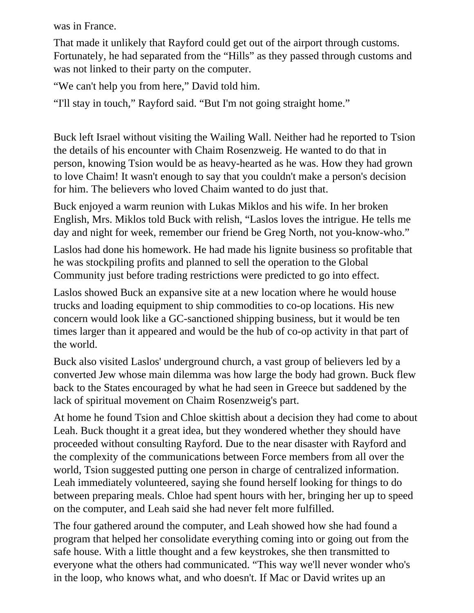was in France.

That made it unlikely that Rayford could get out of the airport through customs. Fortunately, he had separated from the "Hills" as they passed through customs and was not linked to their party on the computer.

"We can't help you from here," David told him.

"I'll stay in touch," Rayford said. "But I'm not going straight home."

Buck left Israel without visiting the Wailing Wall. Neither had he reported to Tsion the details of his encounter with Chaim Rosenzweig. He wanted to do that in person, knowing Tsion would be as heavy-hearted as he was. How they had grown to love Chaim! It wasn't enough to say that you couldn't make a person's decision for him. The believers who loved Chaim wanted to do just that.

Buck enjoyed a warm reunion with Lukas Miklos and his wife. In her broken English, Mrs. Miklos told Buck with relish, "Laslos loves the intrigue. He tells me day and night for week, remember our friend be Greg North, not you-know-who."

Laslos had done his homework. He had made his lignite business so profitable that he was stockpiling profits and planned to sell the operation to the Global Community just before trading restrictions were predicted to go into effect.

Laslos showed Buck an expansive site at a new location where he would house trucks and loading equipment to ship commodities to co-op locations. His new concern would look like a GC-sanctioned shipping business, but it would be ten times larger than it appeared and would be the hub of co-op activity in that part of the world.

Buck also visited Laslos' underground church, a vast group of believers led by a converted Jew whose main dilemma was how large the body had grown. Buck flew back to the States encouraged by what he had seen in Greece but saddened by the lack of spiritual movement on Chaim Rosenzweig's part.

At home he found Tsion and Chloe skittish about a decision they had come to about Leah. Buck thought it a great idea, but they wondered whether they should have proceeded without consulting Rayford. Due to the near disaster with Rayford and the complexity of the communications between Force members from all over the world, Tsion suggested putting one person in charge of centralized information. Leah immediately volunteered, saying she found herself looking for things to do between preparing meals. Chloe had spent hours with her, bringing her up to speed on the computer, and Leah said she had never felt more fulfilled.

The four gathered around the computer, and Leah showed how she had found a program that helped her consolidate everything coming into or going out from the safe house. With a little thought and a few keystrokes, she then transmitted to everyone what the others had communicated. "This way we'll never wonder who's in the loop, who knows what, and who doesn't. If Mac or David writes up an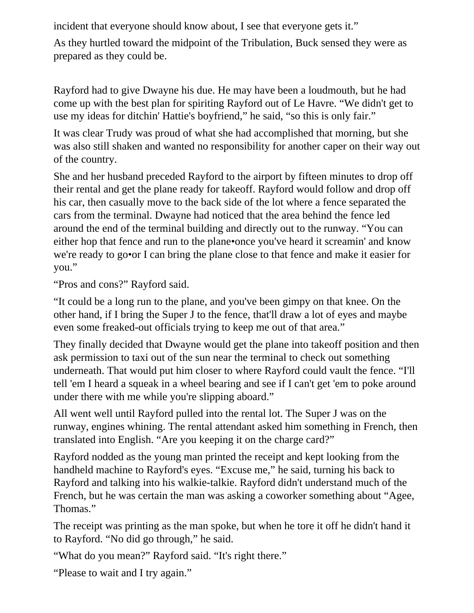incident that everyone should know about, I see that everyone gets it."

As they hurtled toward the midpoint of the Tribulation, Buck sensed they were as prepared as they could be.

Rayford had to give Dwayne his due. He may have been a loudmouth, but he had come up with the best plan for spiriting Rayford out of Le Havre. "We didn't get to use my ideas for ditchin' Hattie's boyfriend," he said, "so this is only fair."

It was clear Trudy was proud of what she had accomplished that morning, but she was also still shaken and wanted no responsibility for another caper on their way out of the country.

She and her husband preceded Rayford to the airport by fifteen minutes to drop off their rental and get the plane ready for takeoff. Rayford would follow and drop off his car, then casually move to the back side of the lot where a fence separated the cars from the terminal. Dwayne had noticed that the area behind the fence led around the end of the terminal building and directly out to the runway. "You can either hop that fence and run to the plane•once you've heard it screamin' and know we're ready to go•or I can bring the plane close to that fence and make it easier for you."

"Pros and cons?" Rayford said.

"It could be a long run to the plane, and you've been gimpy on that knee. On the other hand, if I bring the Super J to the fence, that'll draw a lot of eyes and maybe even some freaked-out officials trying to keep me out of that area."

They finally decided that Dwayne would get the plane into takeoff position and then ask permission to taxi out of the sun near the terminal to check out something underneath. That would put him closer to where Rayford could vault the fence. "I'll tell 'em I heard a squeak in a wheel bearing and see if I can't get 'em to poke around under there with me while you're slipping aboard."

All went well until Rayford pulled into the rental lot. The Super J was on the runway, engines whining. The rental attendant asked him something in French, then translated into English. "Are you keeping it on the charge card?"

Rayford nodded as the young man printed the receipt and kept looking from the handheld machine to Rayford's eyes. "Excuse me," he said, turning his back to Rayford and talking into his walkie-talkie. Rayford didn't understand much of the French, but he was certain the man was asking a coworker something about "Agee, Thomas."

The receipt was printing as the man spoke, but when he tore it off he didn't hand it to Rayford. "No did go through," he said.

"What do you mean?" Rayford said. "It's right there."

"Please to wait and I try again."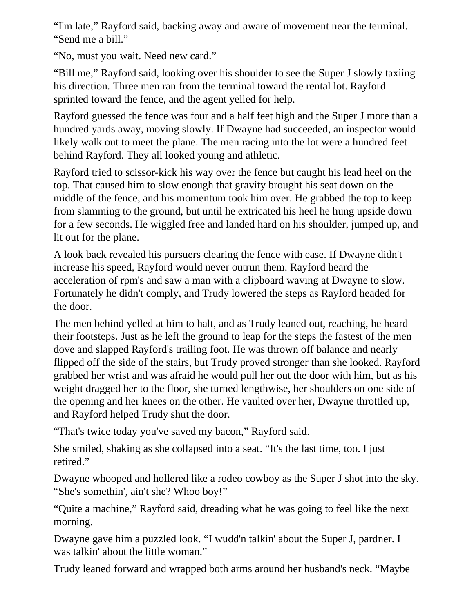"I'm late," Rayford said, backing away and aware of movement near the terminal. "Send me a bill."

"No, must you wait. Need new card."

"Bill me," Rayford said, looking over his shoulder to see the Super J slowly taxiing his direction. Three men ran from the terminal toward the rental lot. Rayford sprinted toward the fence, and the agent yelled for help.

Rayford guessed the fence was four and a half feet high and the Super J more than a hundred yards away, moving slowly. If Dwayne had succeeded, an inspector would likely walk out to meet the plane. The men racing into the lot were a hundred feet behind Rayford. They all looked young and athletic.

Rayford tried to scissor-kick his way over the fence but caught his lead heel on the top. That caused him to slow enough that gravity brought his seat down on the middle of the fence, and his momentum took him over. He grabbed the top to keep from slamming to the ground, but until he extricated his heel he hung upside down for a few seconds. He wiggled free and landed hard on his shoulder, jumped up, and lit out for the plane.

A look back revealed his pursuers clearing the fence with ease. If Dwayne didn't increase his speed, Rayford would never outrun them. Rayford heard the acceleration of rpm's and saw a man with a clipboard waving at Dwayne to slow. Fortunately he didn't comply, and Trudy lowered the steps as Rayford headed for the door.

The men behind yelled at him to halt, and as Trudy leaned out, reaching, he heard their footsteps. Just as he left the ground to leap for the steps the fastest of the men dove and slapped Rayford's trailing foot. He was thrown off balance and nearly flipped off the side of the stairs, but Trudy proved stronger than she looked. Rayford grabbed her wrist and was afraid he would pull her out the door with him, but as his weight dragged her to the floor, she turned lengthwise, her shoulders on one side of the opening and her knees on the other. He vaulted over her, Dwayne throttled up, and Rayford helped Trudy shut the door.

"That's twice today you've saved my bacon," Rayford said.

She smiled, shaking as she collapsed into a seat. "It's the last time, too. I just retired."

Dwayne whooped and hollered like a rodeo cowboy as the Super J shot into the sky. "She's somethin', ain't she? Whoo boy!"

"Quite a machine," Rayford said, dreading what he was going to feel like the next morning.

Dwayne gave him a puzzled look. "I wudd'n talkin' about the Super J, pardner. I was talkin' about the little woman."

Trudy leaned forward and wrapped both arms around her husband's neck. "Maybe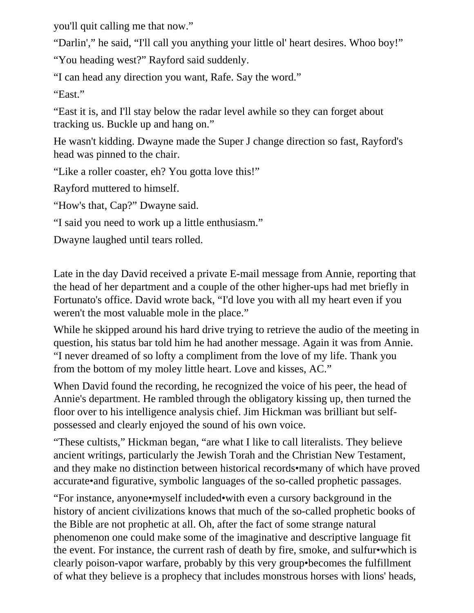you'll quit calling me that now."

"Darlin'," he said, "I'll call you anything your little ol' heart desires. Whoo boy!" "You heading west?" Rayford said suddenly.

"I can head any direction you want, Rafe. Say the word."

"East."

"East it is, and I'll stay below the radar level awhile so they can forget about tracking us. Buckle up and hang on."

He wasn't kidding. Dwayne made the Super J change direction so fast, Rayford's head was pinned to the chair.

"Like a roller coaster, eh? You gotta love this!"

Rayford muttered to himself.

"How's that, Cap?" Dwayne said.

"I said you need to work up a little enthusiasm."

Dwayne laughed until tears rolled.

Late in the day David received a private E-mail message from Annie, reporting that the head of her department and a couple of the other higher-ups had met briefly in Fortunato's office. David wrote back, "I'd love you with all my heart even if you weren't the most valuable mole in the place."

While he skipped around his hard drive trying to retrieve the audio of the meeting in question, his status bar told him he had another message. Again it was from Annie. "I never dreamed of so lofty a compliment from the love of my life. Thank you from the bottom of my moley little heart. Love and kisses, AC."

When David found the recording, he recognized the voice of his peer, the head of Annie's department. He rambled through the obligatory kissing up, then turned the floor over to his intelligence analysis chief. Jim Hickman was brilliant but selfpossessed and clearly enjoyed the sound of his own voice.

"These cultists," Hickman began, "are what I like to call literalists. They believe ancient writings, particularly the Jewish Torah and the Christian New Testament, and they make no distinction between historical records•many of which have proved accurate•and figurative, symbolic languages of the so-called prophetic passages.

"For instance, anyone•myself included•with even a cursory background in the history of ancient civilizations knows that much of the so-called prophetic books of the Bible are not prophetic at all. Oh, after the fact of some strange natural phenomenon one could make some of the imaginative and descriptive language fit the event. For instance, the current rash of death by fire, smoke, and sulfur•which is clearly poison-vapor warfare, probably by this very group•becomes the fulfillment of what they believe is a prophecy that includes monstrous horses with lions' heads,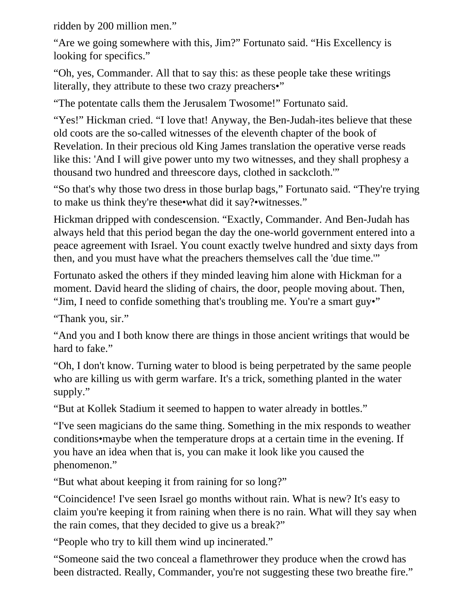ridden by 200 million men."

"Are we going somewhere with this, Jim?" Fortunato said. "His Excellency is looking for specifics."

"Oh, yes, Commander. All that to say this: as these people take these writings literally, they attribute to these two crazy preachers•"

"The potentate calls them the Jerusalem Twosome!" Fortunato said.

"Yes!" Hickman cried. "I love that! Anyway, the Ben-Judah-ites believe that these old coots are the so-called witnesses of the eleventh chapter of the book of Revelation. In their precious old King James translation the operative verse reads like this: 'And I will give power unto my two witnesses, and they shall prophesy a thousand two hundred and threescore days, clothed in sackcloth.'"

"So that's why those two dress in those burlap bags," Fortunato said. "They're trying to make us think they're these•what did it say?•witnesses."

Hickman dripped with condescension. "Exactly, Commander. And Ben-Judah has always held that this period began the day the one-world government entered into a peace agreement with Israel. You count exactly twelve hundred and sixty days from then, and you must have what the preachers themselves call the 'due time.'"

Fortunato asked the others if they minded leaving him alone with Hickman for a moment. David heard the sliding of chairs, the door, people moving about. Then, "Jim, I need to confide something that's troubling me. You're a smart guy•"

"Thank you, sir."

"And you and I both know there are things in those ancient writings that would be hard to fake."

"Oh, I don't know. Turning water to blood is being perpetrated by the same people who are killing us with germ warfare. It's a trick, something planted in the water supply."

"But at Kollek Stadium it seemed to happen to water already in bottles."

"I've seen magicians do the same thing. Something in the mix responds to weather conditions•maybe when the temperature drops at a certain time in the evening. If you have an idea when that is, you can make it look like you caused the phenomenon."

"But what about keeping it from raining for so long?"

"Coincidence! I've seen Israel go months without rain. What is new? It's easy to claim you're keeping it from raining when there is no rain. What will they say when the rain comes, that they decided to give us a break?"

"People who try to kill them wind up incinerated."

"Someone said the two conceal a flamethrower they produce when the crowd has been distracted. Really, Commander, you're not suggesting these two breathe fire."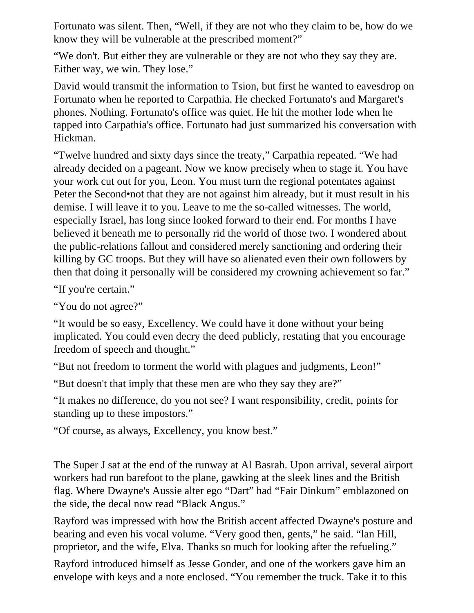Fortunato was silent. Then, "Well, if they are not who they claim to be, how do we know they will be vulnerable at the prescribed moment?"

"We don't. But either they are vulnerable or they are not who they say they are. Either way, we win. They lose."

David would transmit the information to Tsion, but first he wanted to eavesdrop on Fortunato when he reported to Carpathia. He checked Fortunato's and Margaret's phones. Nothing. Fortunato's office was quiet. He hit the mother lode when he tapped into Carpathia's office. Fortunato had just summarized his conversation with Hickman.

"Twelve hundred and sixty days since the treaty," Carpathia repeated. "We had already decided on a pageant. Now we know precisely when to stage it. You have your work cut out for you, Leon. You must turn the regional potentates against Peter the Second•not that they are not against him already, but it must result in his demise. I will leave it to you. Leave to me the so-called witnesses. The world, especially Israel, has long since looked forward to their end. For months I have believed it beneath me to personally rid the world of those two. I wondered about the public-relations fallout and considered merely sanctioning and ordering their killing by GC troops. But they will have so alienated even their own followers by then that doing it personally will be considered my crowning achievement so far."

"If you're certain."

"You do not agree?"

"It would be so easy, Excellency. We could have it done without your being implicated. You could even decry the deed publicly, restating that you encourage freedom of speech and thought."

"But not freedom to torment the world with plagues and judgments, Leon!"

"But doesn't that imply that these men are who they say they are?"

"It makes no difference, do you not see? I want responsibility, credit, points for standing up to these impostors."

"Of course, as always, Excellency, you know best."

The Super J sat at the end of the runway at Al Basrah. Upon arrival, several airport workers had run barefoot to the plane, gawking at the sleek lines and the British flag. Where Dwayne's Aussie alter ego "Dart" had "Fair Dinkum" emblazoned on the side, the decal now read "Black Angus."

Rayford was impressed with how the British accent affected Dwayne's posture and bearing and even his vocal volume. "Very good then, gents," he said. "lan Hill, proprietor, and the wife, Elva. Thanks so much for looking after the refueling."

Rayford introduced himself as Jesse Gonder, and one of the workers gave him an envelope with keys and a note enclosed. "You remember the truck. Take it to this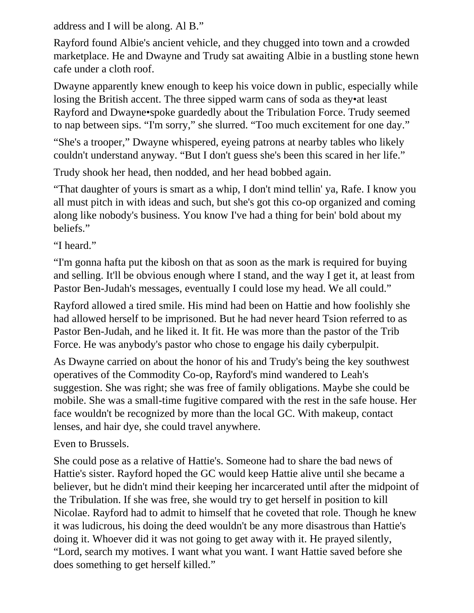address and I will be along. Al B."

Rayford found Albie's ancient vehicle, and they chugged into town and a crowded marketplace. He and Dwayne and Trudy sat awaiting Albie in a bustling stone hewn cafe under a cloth roof.

Dwayne apparently knew enough to keep his voice down in public, especially while losing the British accent. The three sipped warm cans of soda as they•at least Rayford and Dwayne•spoke guardedly about the Tribulation Force. Trudy seemed to nap between sips. "I'm sorry," she slurred. "Too much excitement for one day."

"She's a trooper," Dwayne whispered, eyeing patrons at nearby tables who likely couldn't understand anyway. "But I don't guess she's been this scared in her life."

Trudy shook her head, then nodded, and her head bobbed again.

"That daughter of yours is smart as a whip, I don't mind tellin' ya, Rafe. I know you all must pitch in with ideas and such, but she's got this co-op organized and coming along like nobody's business. You know I've had a thing for bein' bold about my beliefs."

"I heard."

"I'm gonna hafta put the kibosh on that as soon as the mark is required for buying and selling. It'll be obvious enough where I stand, and the way I get it, at least from Pastor Ben-Judah's messages, eventually I could lose my head. We all could."

Rayford allowed a tired smile. His mind had been on Hattie and how foolishly she had allowed herself to be imprisoned. But he had never heard Tsion referred to as Pastor Ben-Judah, and he liked it. It fit. He was more than the pastor of the Trib Force. He was anybody's pastor who chose to engage his daily cyberpulpit.

As Dwayne carried on about the honor of his and Trudy's being the key southwest operatives of the Commodity Co-op, Rayford's mind wandered to Leah's suggestion. She was right; she was free of family obligations. Maybe she could be mobile. She was a small-time fugitive compared with the rest in the safe house. Her face wouldn't be recognized by more than the local GC. With makeup, contact lenses, and hair dye, she could travel anywhere.

Even to Brussels.

She could pose as a relative of Hattie's. Someone had to share the bad news of Hattie's sister. Rayford hoped the GC would keep Hattie alive until she became a believer, but he didn't mind their keeping her incarcerated until after the midpoint of the Tribulation. If she was free, she would try to get herself in position to kill Nicolae. Rayford had to admit to himself that he coveted that role. Though he knew it was ludicrous, his doing the deed wouldn't be any more disastrous than Hattie's doing it. Whoever did it was not going to get away with it. He prayed silently, "Lord, search my motives. I want what you want. I want Hattie saved before she does something to get herself killed."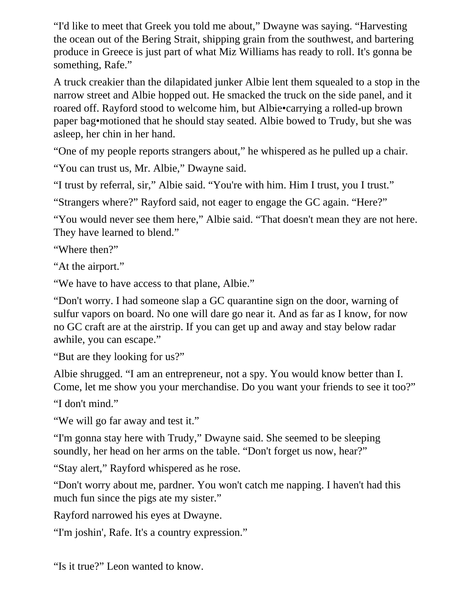"I'd like to meet that Greek you told me about," Dwayne was saying. "Harvesting the ocean out of the Bering Strait, shipping grain from the southwest, and bartering produce in Greece is just part of what Miz Williams has ready to roll. It's gonna be something, Rafe."

A truck creakier than the dilapidated junker Albie lent them squealed to a stop in the narrow street and Albie hopped out. He smacked the truck on the side panel, and it roared off. Rayford stood to welcome him, but Albie•carrying a rolled-up brown paper bag•motioned that he should stay seated. Albie bowed to Trudy, but she was asleep, her chin in her hand.

"One of my people reports strangers about," he whispered as he pulled up a chair.

"You can trust us, Mr. Albie," Dwayne said.

"I trust by referral, sir," Albie said. "You're with him. Him I trust, you I trust."

"Strangers where?" Rayford said, not eager to engage the GC again. "Here?"

"You would never see them here," Albie said. "That doesn't mean they are not here. They have learned to blend."

"Where then?"

"At the airport."

"We have to have access to that plane, Albie."

"Don't worry. I had someone slap a GC quarantine sign on the door, warning of sulfur vapors on board. No one will dare go near it. And as far as I know, for now no GC craft are at the airstrip. If you can get up and away and stay below radar awhile, you can escape."

"But are they looking for us?"

Albie shrugged. "I am an entrepreneur, not a spy. You would know better than I. Come, let me show you your merchandise. Do you want your friends to see it too?"

"I don't mind."

"We will go far away and test it."

"I'm gonna stay here with Trudy," Dwayne said. She seemed to be sleeping soundly, her head on her arms on the table. "Don't forget us now, hear?"

"Stay alert," Rayford whispered as he rose.

"Don't worry about me, pardner. You won't catch me napping. I haven't had this much fun since the pigs ate my sister."

Rayford narrowed his eyes at Dwayne.

"I'm joshin', Rafe. It's a country expression."

"Is it true?" Leon wanted to know.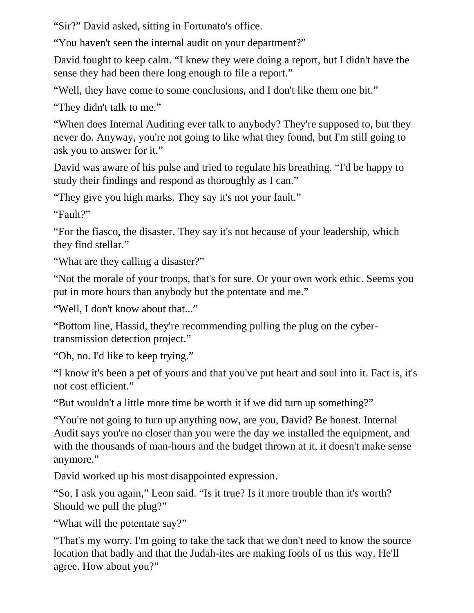"Sir?" David asked, sitting in Fortunato's office.

"You haven't seen the internal audit on your department?"

David fought to keep calm. "I knew they were doing a report, but I didn't have the sense they had been there long enough to file a report."

"Well, they have come to some conclusions, and I don't like them one bit."

"They didn't talk to me."

"When does Internal Auditing ever talk to anybody? They're supposed to, but they never do. Anyway, you're not going to like what they found, but I'm still going to ask you to answer for it."

David was aware of his pulse and tried to regulate his breathing. "I'd be happy to study their findings and respond as thoroughly as I can."

"They give you high marks. They say it's not your fault."

"Fault?"

"For the fiasco, the disaster. They say it's not because of your leadership, which they find stellar."

"What are they calling a disaster?"

"Not the morale of your troops, that's for sure. Or your own work ethic. Seems you put in more hours than anybody but the potentate and me."

"Well, I don't know about that..."

"Bottom line, Hassid, they're recommending pulling the plug on the cybertransmission detection project."

"Oh, no. I'd like to keep trying."

"I know it's been a pet of yours and that you've put heart and soul into it. Fact is, it's not cost efficient."

"But wouldn't a little more time be worth it if we did turn up something?"

"You're not going to turn up anything now, are you, David? Be honest. Internal Audit says you're no closer than you were the day we installed the equipment, and with the thousands of man-hours and the budget thrown at it, it doesn't make sense anymore."

David worked up his most disappointed expression.

"So, I ask you again," Leon said. "Is it true? Is it more trouble than it's worth? Should we pull the plug?"

"What will the potentate say?"

"That's my worry. I'm going to take the tack that we don't need to know the source location that badly and that the Judah-ites are making fools of us this way. He'll agree. How about you?"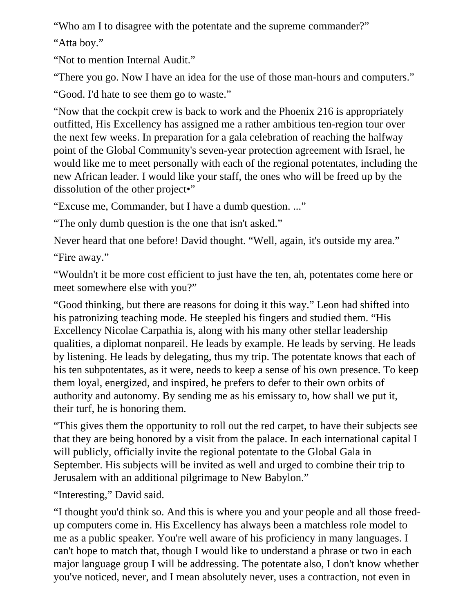"Who am I to disagree with the potentate and the supreme commander?"

"Atta boy."

"Not to mention Internal Audit."

"There you go. Now I have an idea for the use of those man-hours and computers."

"Good. I'd hate to see them go to waste."

"Now that the cockpit crew is back to work and the Phoenix 216 is appropriately outfitted, His Excellency has assigned me a rather ambitious ten-region tour over the next few weeks. In preparation for a gala celebration of reaching the halfway point of the Global Community's seven-year protection agreement with Israel, he would like me to meet personally with each of the regional potentates, including the new African leader. I would like your staff, the ones who will be freed up by the dissolution of the other project•"

"Excuse me, Commander, but I have a dumb question. ..."

"The only dumb question is the one that isn't asked."

Never heard that one before! David thought. "Well, again, it's outside my area."

"Fire away."

"Wouldn't it be more cost efficient to just have the ten, ah, potentates come here or meet somewhere else with you?"

"Good thinking, but there are reasons for doing it this way." Leon had shifted into his patronizing teaching mode. He steepled his fingers and studied them. "His Excellency Nicolae Carpathia is, along with his many other stellar leadership qualities, a diplomat nonpareil. He leads by example. He leads by serving. He leads by listening. He leads by delegating, thus my trip. The potentate knows that each of his ten subpotentates, as it were, needs to keep a sense of his own presence. To keep them loyal, energized, and inspired, he prefers to defer to their own orbits of authority and autonomy. By sending me as his emissary to, how shall we put it, their turf, he is honoring them.

"This gives them the opportunity to roll out the red carpet, to have their subjects see that they are being honored by a visit from the palace. In each international capital I will publicly, officially invite the regional potentate to the Global Gala in September. His subjects will be invited as well and urged to combine their trip to Jerusalem with an additional pilgrimage to New Babylon."

"Interesting," David said.

"I thought you'd think so. And this is where you and your people and all those freedup computers come in. His Excellency has always been a matchless role model to me as a public speaker. You're well aware of his proficiency in many languages. I can't hope to match that, though I would like to understand a phrase or two in each major language group I will be addressing. The potentate also, I don't know whether you've noticed, never, and I mean absolutely never, uses a contraction, not even in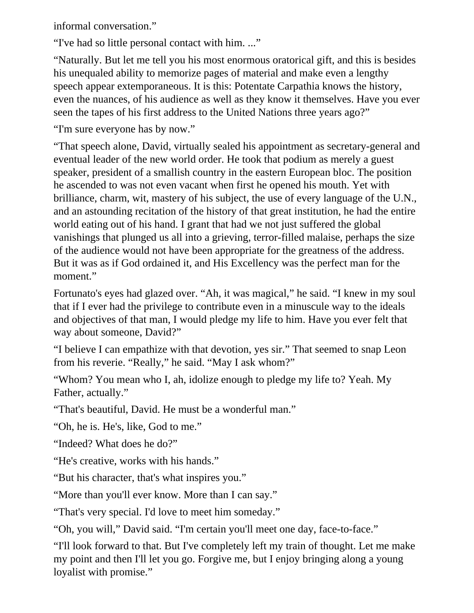informal conversation."

"I've had so little personal contact with him. ..."

"Naturally. But let me tell you his most enormous oratorical gift, and this is besides his unequaled ability to memorize pages of material and make even a lengthy speech appear extemporaneous. It is this: Potentate Carpathia knows the history, even the nuances, of his audience as well as they know it themselves. Have you ever seen the tapes of his first address to the United Nations three years ago?"

"I'm sure everyone has by now."

"That speech alone, David, virtually sealed his appointment as secretary-general and eventual leader of the new world order. He took that podium as merely a guest speaker, president of a smallish country in the eastern European bloc. The position he ascended to was not even vacant when first he opened his mouth. Yet with brilliance, charm, wit, mastery of his subject, the use of every language of the U.N., and an astounding recitation of the history of that great institution, he had the entire world eating out of his hand. I grant that had we not just suffered the global vanishings that plunged us all into a grieving, terror-filled malaise, perhaps the size of the audience would not have been appropriate for the greatness of the address. But it was as if God ordained it, and His Excellency was the perfect man for the moment."

Fortunato's eyes had glazed over. "Ah, it was magical," he said. "I knew in my soul that if I ever had the privilege to contribute even in a minuscule way to the ideals and objectives of that man, I would pledge my life to him. Have you ever felt that way about someone, David?"

"I believe I can empathize with that devotion, yes sir." That seemed to snap Leon from his reverie. "Really," he said. "May I ask whom?"

"Whom? You mean who I, ah, idolize enough to pledge my life to? Yeah. My Father, actually."

"That's beautiful, David. He must be a wonderful man."

"Oh, he is. He's, like, God to me."

"Indeed? What does he do?"

"He's creative, works with his hands."

"But his character, that's what inspires you."

"More than you'll ever know. More than I can say."

"That's very special. I'd love to meet him someday."

"Oh, you will," David said. "I'm certain you'll meet one day, face-to-face."

"I'll look forward to that. But I've completely left my train of thought. Let me make my point and then I'll let you go. Forgive me, but I enjoy bringing along a young loyalist with promise."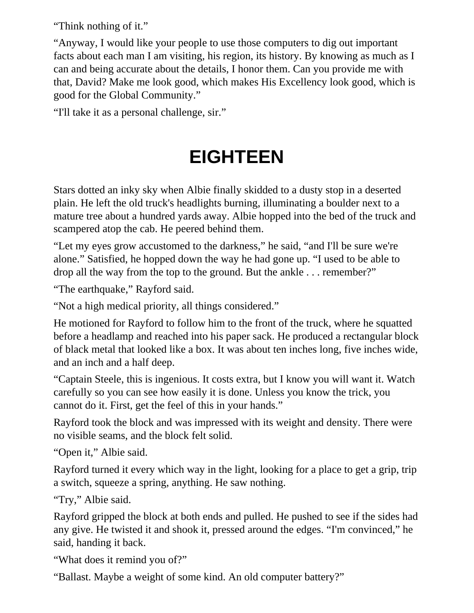"Think nothing of it."

"Anyway, I would like your people to use those computers to dig out important facts about each man I am visiting, his region, its history. By knowing as much as I can and being accurate about the details, I honor them. Can you provide me with that, David? Make me look good, which makes His Excellency look good, which is good for the Global Community."

"I'll take it as a personal challenge, sir."

## **EIGHTEEN**

Stars dotted an inky sky when Albie finally skidded to a dusty stop in a deserted plain. He left the old truck's headlights burning, illuminating a boulder next to a mature tree about a hundred yards away. Albie hopped into the bed of the truck and scampered atop the cab. He peered behind them.

"Let my eyes grow accustomed to the darkness," he said, "and I'll be sure we're alone." Satisfied, he hopped down the way he had gone up. "I used to be able to drop all the way from the top to the ground. But the ankle . . . remember?"

"The earthquake," Rayford said.

"Not a high medical priority, all things considered."

He motioned for Rayford to follow him to the front of the truck, where he squatted before a headlamp and reached into his paper sack. He produced a rectangular block of black metal that looked like a box. It was about ten inches long, five inches wide, and an inch and a half deep.

"Captain Steele, this is ingenious. It costs extra, but I know you will want it. Watch carefully so you can see how easily it is done. Unless you know the trick, you cannot do it. First, get the feel of this in your hands."

Rayford took the block and was impressed with its weight and density. There were no visible seams, and the block felt solid.

"Open it," Albie said.

Rayford turned it every which way in the light, looking for a place to get a grip, trip a switch, squeeze a spring, anything. He saw nothing.

"Try," Albie said.

Rayford gripped the block at both ends and pulled. He pushed to see if the sides had any give. He twisted it and shook it, pressed around the edges. "I'm convinced," he said, handing it back.

"What does it remind you of?"

"Ballast. Maybe a weight of some kind. An old computer battery?"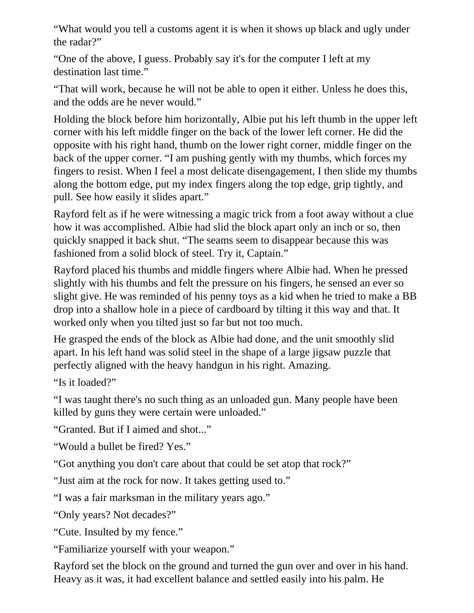"What would you tell a customs agent it is when it shows up black and ugly under the radar?"

"One of the above, I guess. Probably say it's for the computer I left at my destination last time."

"That will work, because he will not be able to open it either. Unless he does this, and the odds are he never would."

Holding the block before him horizontally, Albie put his left thumb in the upper left corner with his left middle finger on the back of the lower left corner. He did the opposite with his right hand, thumb on the lower right corner, middle finger on the back of the upper corner. "I am pushing gently with my thumbs, which forces my fingers to resist. When I feel a most delicate disengagement, I then slide my thumbs along the bottom edge, put my index fingers along the top edge, grip tightly, and pull. See how easily it slides apart."

Rayford felt as if he were witnessing a magic trick from a foot away without a clue how it was accomplished. Albie had slid the block apart only an inch or so, then quickly snapped it back shut. "The seams seem to disappear because this was fashioned from a solid block of steel. Try it, Captain."

Rayford placed his thumbs and middle fingers where Albie had. When he pressed slightly with his thumbs and felt the pressure on his fingers, he sensed an ever so slight give. He was reminded of his penny toys as a kid when he tried to make a BB drop into a shallow hole in a piece of cardboard by tilting it this way and that. It worked only when you tilted just so far but not too much.

He grasped the ends of the block as Albie had done, and the unit smoothly slid apart. In his left hand was solid steel in the shape of a large jigsaw puzzle that perfectly aligned with the heavy handgun in his right. Amazing.

"Is it loaded?"

"I was taught there's no such thing as an unloaded gun. Many people have been killed by guns they were certain were unloaded."

"Granted. But if I aimed and shot..."

"Would a bullet be fired? Yes."

"Got anything you don't care about that could be set atop that rock?"

"Just aim at the rock for now. It takes getting used to."

"I was a fair marksman in the military years ago."

"Only years? Not decades?"

"Cute. Insulted by my fence."

"Familiarize yourself with your weapon."

Rayford set the block on the ground and turned the gun over and over in his hand. Heavy as it was, it had excellent balance and settled easily into his palm. He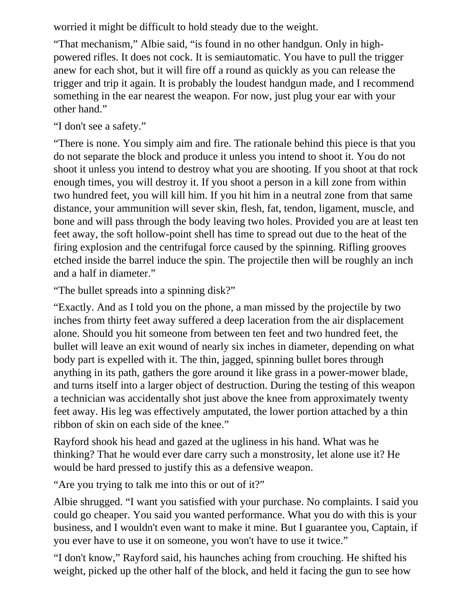worried it might be difficult to hold steady due to the weight.

"That mechanism," Albie said, "is found in no other handgun. Only in highpowered rifles. It does not cock. It is semiautomatic. You have to pull the trigger anew for each shot, but it will fire off a round as quickly as you can release the trigger and trip it again. It is probably the loudest handgun made, and I recommend something in the ear nearest the weapon. For now, just plug your ear with your other hand."

"I don't see a safety."

"There is none. You simply aim and fire. The rationale behind this piece is that you do not separate the block and produce it unless you intend to shoot it. You do not shoot it unless you intend to destroy what you are shooting. If you shoot at that rock enough times, you will destroy it. If you shoot a person in a kill zone from within two hundred feet, you will kill him. If you hit him in a neutral zone from that same distance, your ammunition will sever skin, flesh, fat, tendon, ligament, muscle, and bone and will pass through the body leaving two holes. Provided you are at least ten feet away, the soft hollow-point shell has time to spread out due to the heat of the firing explosion and the centrifugal force caused by the spinning. Rifling grooves etched inside the barrel induce the spin. The projectile then will be roughly an inch and a half in diameter."

"The bullet spreads into a spinning disk?"

"Exactly. And as I told you on the phone, a man missed by the projectile by two inches from thirty feet away suffered a deep laceration from the air displacement alone. Should you hit someone from between ten feet and two hundred feet, the bullet will leave an exit wound of nearly six inches in diameter, depending on what body part is expelled with it. The thin, jagged, spinning bullet bores through anything in its path, gathers the gore around it like grass in a power-mower blade, and turns itself into a larger object of destruction. During the testing of this weapon a technician was accidentally shot just above the knee from approximately twenty feet away. His leg was effectively amputated, the lower portion attached by a thin ribbon of skin on each side of the knee."

Rayford shook his head and gazed at the ugliness in his hand. What was he thinking? That he would ever dare carry such a monstrosity, let alone use it? He would be hard pressed to justify this as a defensive weapon.

"Are you trying to talk me into this or out of it?"

Albie shrugged. "I want you satisfied with your purchase. No complaints. I said you could go cheaper. You said you wanted performance. What you do with this is your business, and I wouldn't even want to make it mine. But I guarantee you, Captain, if you ever have to use it on someone, you won't have to use it twice."

"I don't know," Rayford said, his haunches aching from crouching. He shifted his weight, picked up the other half of the block, and held it facing the gun to see how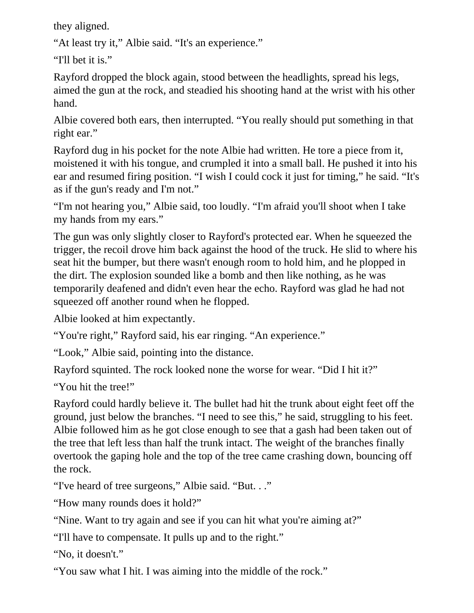they aligned.

"At least try it," Albie said. "It's an experience."

"I'll bet it is."

Rayford dropped the block again, stood between the headlights, spread his legs, aimed the gun at the rock, and steadied his shooting hand at the wrist with his other hand.

Albie covered both ears, then interrupted. "You really should put something in that right ear."

Rayford dug in his pocket for the note Albie had written. He tore a piece from it, moistened it with his tongue, and crumpled it into a small ball. He pushed it into his ear and resumed firing position. "I wish I could cock it just for timing," he said. "It's as if the gun's ready and I'm not."

"I'm not hearing you," Albie said, too loudly. "I'm afraid you'll shoot when I take my hands from my ears."

The gun was only slightly closer to Rayford's protected ear. When he squeezed the trigger, the recoil drove him back against the hood of the truck. He slid to where his seat hit the bumper, but there wasn't enough room to hold him, and he plopped in the dirt. The explosion sounded like a bomb and then like nothing, as he was temporarily deafened and didn't even hear the echo. Rayford was glad he had not squeezed off another round when he flopped.

Albie looked at him expectantly.

"You're right," Rayford said, his ear ringing. "An experience."

"Look," Albie said, pointing into the distance.

Rayford squinted. The rock looked none the worse for wear. "Did I hit it?"

"You hit the tree!"

Rayford could hardly believe it. The bullet had hit the trunk about eight feet off the ground, just below the branches. "I need to see this," he said, struggling to his feet. Albie followed him as he got close enough to see that a gash had been taken out of the tree that left less than half the trunk intact. The weight of the branches finally overtook the gaping hole and the top of the tree came crashing down, bouncing off the rock.

"I've heard of tree surgeons," Albie said. "But. . ."

"How many rounds does it hold?"

"Nine. Want to try again and see if you can hit what you're aiming at?"

"I'll have to compensate. It pulls up and to the right."

"No, it doesn't."

"You saw what I hit. I was aiming into the middle of the rock."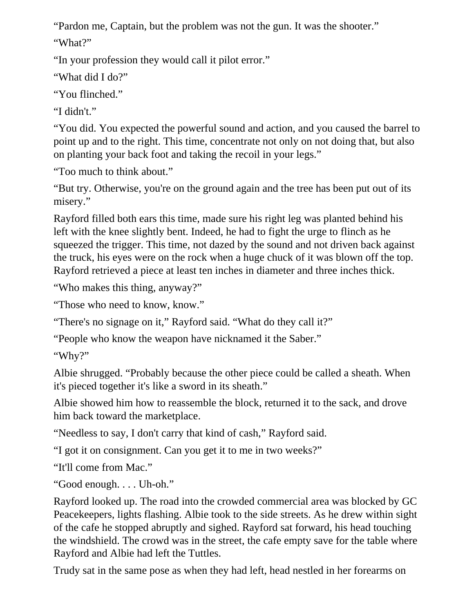"Pardon me, Captain, but the problem was not the gun. It was the shooter."

"What?"

"In your profession they would call it pilot error."

"What did I do?"

"You flinched."

"I didn't."

"You did. You expected the powerful sound and action, and you caused the barrel to point up and to the right. This time, concentrate not only on not doing that, but also on planting your back foot and taking the recoil in your legs."

"Too much to think about."

"But try. Otherwise, you're on the ground again and the tree has been put out of its misery."

Rayford filled both ears this time, made sure his right leg was planted behind his left with the knee slightly bent. Indeed, he had to fight the urge to flinch as he squeezed the trigger. This time, not dazed by the sound and not driven back against the truck, his eyes were on the rock when a huge chuck of it was blown off the top. Rayford retrieved a piece at least ten inches in diameter and three inches thick.

"Who makes this thing, anyway?"

"Those who need to know, know."

"There's no signage on it," Rayford said. "What do they call it?"

"People who know the weapon have nicknamed it the Saber."

"Why?"

Albie shrugged. "Probably because the other piece could be called a sheath. When it's pieced together it's like a sword in its sheath."

Albie showed him how to reassemble the block, returned it to the sack, and drove him back toward the marketplace.

"Needless to say, I don't carry that kind of cash," Rayford said.

"I got it on consignment. Can you get it to me in two weeks?"

"It'll come from Mac."

"Good enough. . . . Uh-oh."

Rayford looked up. The road into the crowded commercial area was blocked by GC Peacekeepers, lights flashing. Albie took to the side streets. As he drew within sight of the cafe he stopped abruptly and sighed. Rayford sat forward, his head touching the windshield. The crowd was in the street, the cafe empty save for the table where Rayford and Albie had left the Tuttles.

Trudy sat in the same pose as when they had left, head nestled in her forearms on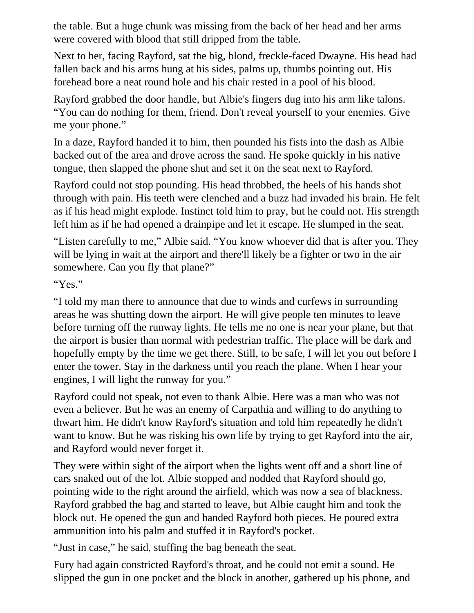the table. But a huge chunk was missing from the back of her head and her arms were covered with blood that still dripped from the table.

Next to her, facing Rayford, sat the big, blond, freckle-faced Dwayne. His head had fallen back and his arms hung at his sides, palms up, thumbs pointing out. His forehead bore a neat round hole and his chair rested in a pool of his blood.

Rayford grabbed the door handle, but Albie's fingers dug into his arm like talons. "You can do nothing for them, friend. Don't reveal yourself to your enemies. Give me your phone."

In a daze, Rayford handed it to him, then pounded his fists into the dash as Albie backed out of the area and drove across the sand. He spoke quickly in his native tongue, then slapped the phone shut and set it on the seat next to Rayford.

Rayford could not stop pounding. His head throbbed, the heels of his hands shot through with pain. His teeth were clenched and a buzz had invaded his brain. He felt as if his head might explode. Instinct told him to pray, but he could not. His strength left him as if he had opened a drainpipe and let it escape. He slumped in the seat.

"Listen carefully to me," Albie said. "You know whoever did that is after you. They will be lying in wait at the airport and there'll likely be a fighter or two in the air somewhere. Can you fly that plane?"

"Yes"

"I told my man there to announce that due to winds and curfews in surrounding areas he was shutting down the airport. He will give people ten minutes to leave before turning off the runway lights. He tells me no one is near your plane, but that the airport is busier than normal with pedestrian traffic. The place will be dark and hopefully empty by the time we get there. Still, to be safe, I will let you out before I enter the tower. Stay in the darkness until you reach the plane. When I hear your engines, I will light the runway for you."

Rayford could not speak, not even to thank Albie. Here was a man who was not even a believer. But he was an enemy of Carpathia and willing to do anything to thwart him. He didn't know Rayford's situation and told him repeatedly he didn't want to know. But he was risking his own life by trying to get Rayford into the air, and Rayford would never forget it.

They were within sight of the airport when the lights went off and a short line of cars snaked out of the lot. Albie stopped and nodded that Rayford should go, pointing wide to the right around the airfield, which was now a sea of blackness. Rayford grabbed the bag and started to leave, but Albie caught him and took the block out. He opened the gun and handed Rayford both pieces. He poured extra ammunition into his palm and stuffed it in Rayford's pocket.

"Just in case," he said, stuffing the bag beneath the seat.

Fury had again constricted Rayford's throat, and he could not emit a sound. He slipped the gun in one pocket and the block in another, gathered up his phone, and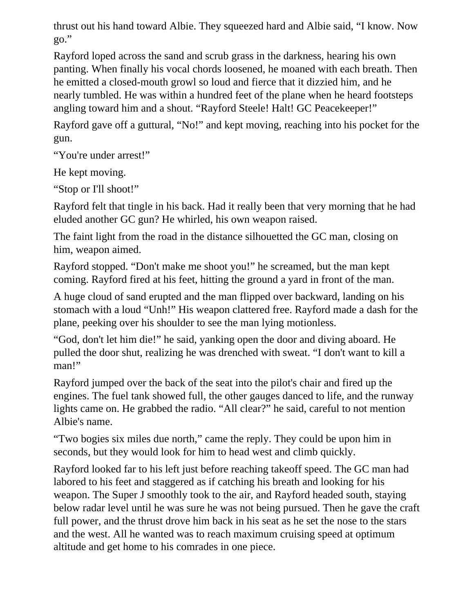thrust out his hand toward Albie. They squeezed hard and Albie said, "I know. Now go."

Rayford loped across the sand and scrub grass in the darkness, hearing his own panting. When finally his vocal chords loosened, he moaned with each breath. Then he emitted a closed-mouth growl so loud and fierce that it dizzied him, and he nearly tumbled. He was within a hundred feet of the plane when he heard footsteps angling toward him and a shout. "Rayford Steele! Halt! GC Peacekeeper!"

Rayford gave off a guttural, "No!" and kept moving, reaching into his pocket for the gun.

"You're under arrest!"

He kept moving.

"Stop or I'll shoot!"

Rayford felt that tingle in his back. Had it really been that very morning that he had eluded another GC gun? He whirled, his own weapon raised.

The faint light from the road in the distance silhouetted the GC man, closing on him, weapon aimed.

Rayford stopped. "Don't make me shoot you!" he screamed, but the man kept coming. Rayford fired at his feet, hitting the ground a yard in front of the man.

A huge cloud of sand erupted and the man flipped over backward, landing on his stomach with a loud "Unh!" His weapon clattered free. Rayford made a dash for the plane, peeking over his shoulder to see the man lying motionless.

"God, don't let him die!" he said, yanking open the door and diving aboard. He pulled the door shut, realizing he was drenched with sweat. "I don't want to kill a man!"

Rayford jumped over the back of the seat into the pilot's chair and fired up the engines. The fuel tank showed full, the other gauges danced to life, and the runway lights came on. He grabbed the radio. "All clear?" he said, careful to not mention Albie's name.

"Two bogies six miles due north," came the reply. They could be upon him in seconds, but they would look for him to head west and climb quickly.

Rayford looked far to his left just before reaching takeoff speed. The GC man had labored to his feet and staggered as if catching his breath and looking for his weapon. The Super J smoothly took to the air, and Rayford headed south, staying below radar level until he was sure he was not being pursued. Then he gave the craft full power, and the thrust drove him back in his seat as he set the nose to the stars and the west. All he wanted was to reach maximum cruising speed at optimum altitude and get home to his comrades in one piece.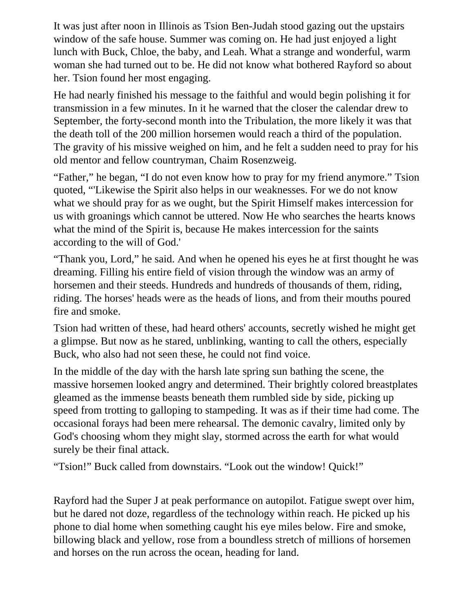It was just after noon in Illinois as Tsion Ben-Judah stood gazing out the upstairs window of the safe house. Summer was coming on. He had just enjoyed a light lunch with Buck, Chloe, the baby, and Leah. What a strange and wonderful, warm woman she had turned out to be. He did not know what bothered Rayford so about her. Tsion found her most engaging.

He had nearly finished his message to the faithful and would begin polishing it for transmission in a few minutes. In it he warned that the closer the calendar drew to September, the forty-second month into the Tribulation, the more likely it was that the death toll of the 200 million horsemen would reach a third of the population. The gravity of his missive weighed on him, and he felt a sudden need to pray for his old mentor and fellow countryman, Chaim Rosenzweig.

"Father," he began, "I do not even know how to pray for my friend anymore." Tsion quoted, "'Likewise the Spirit also helps in our weaknesses. For we do not know what we should pray for as we ought, but the Spirit Himself makes intercession for us with groanings which cannot be uttered. Now He who searches the hearts knows what the mind of the Spirit is, because He makes intercession for the saints according to the will of God.'

"Thank you, Lord," he said. And when he opened his eyes he at first thought he was dreaming. Filling his entire field of vision through the window was an army of horsemen and their steeds. Hundreds and hundreds of thousands of them, riding, riding. The horses' heads were as the heads of lions, and from their mouths poured fire and smoke.

Tsion had written of these, had heard others' accounts, secretly wished he might get a glimpse. But now as he stared, unblinking, wanting to call the others, especially Buck, who also had not seen these, he could not find voice.

In the middle of the day with the harsh late spring sun bathing the scene, the massive horsemen looked angry and determined. Their brightly colored breastplates gleamed as the immense beasts beneath them rumbled side by side, picking up speed from trotting to galloping to stampeding. It was as if their time had come. The occasional forays had been mere rehearsal. The demonic cavalry, limited only by God's choosing whom they might slay, stormed across the earth for what would surely be their final attack.

"Tsion!" Buck called from downstairs. "Look out the window! Quick!"

Rayford had the Super J at peak performance on autopilot. Fatigue swept over him, but he dared not doze, regardless of the technology within reach. He picked up his phone to dial home when something caught his eye miles below. Fire and smoke, billowing black and yellow, rose from a boundless stretch of millions of horsemen and horses on the run across the ocean, heading for land.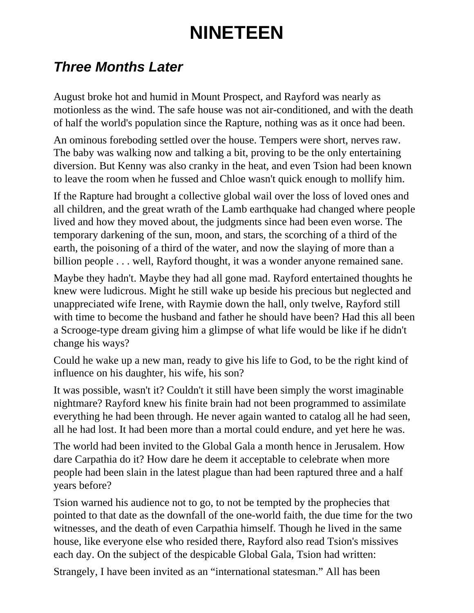## **NINETEEN**

#### **Three Months Later**

August broke hot and humid in Mount Prospect, and Rayford was nearly as motionless as the wind. The safe house was not air-conditioned, and with the death of half the world's population since the Rapture, nothing was as it once had been.

An ominous foreboding settled over the house. Tempers were short, nerves raw. The baby was walking now and talking a bit, proving to be the only entertaining diversion. But Kenny was also cranky in the heat, and even Tsion had been known to leave the room when he fussed and Chloe wasn't quick enough to mollify him.

If the Rapture had brought a collective global wail over the loss of loved ones and all children, and the great wrath of the Lamb earthquake had changed where people lived and how they moved about, the judgments since had been even worse. The temporary darkening of the sun, moon, and stars, the scorching of a third of the earth, the poisoning of a third of the water, and now the slaying of more than a billion people . . . well, Rayford thought, it was a wonder anyone remained sane.

Maybe they hadn't. Maybe they had all gone mad. Rayford entertained thoughts he knew were ludicrous. Might he still wake up beside his precious but neglected and unappreciated wife Irene, with Raymie down the hall, only twelve, Rayford still with time to become the husband and father he should have been? Had this all been a Scrooge-type dream giving him a glimpse of what life would be like if he didn't change his ways?

Could he wake up a new man, ready to give his life to God, to be the right kind of influence on his daughter, his wife, his son?

It was possible, wasn't it? Couldn't it still have been simply the worst imaginable nightmare? Rayford knew his finite brain had not been programmed to assimilate everything he had been through. He never again wanted to catalog all he had seen, all he had lost. It had been more than a mortal could endure, and yet here he was.

The world had been invited to the Global Gala a month hence in Jerusalem. How dare Carpathia do it? How dare he deem it acceptable to celebrate when more people had been slain in the latest plague than had been raptured three and a half years before?

Tsion warned his audience not to go, to not be tempted by the prophecies that pointed to that date as the downfall of the one-world faith, the due time for the two witnesses, and the death of even Carpathia himself. Though he lived in the same house, like everyone else who resided there, Rayford also read Tsion's missives each day. On the subject of the despicable Global Gala, Tsion had written:

Strangely, I have been invited as an "international statesman." All has been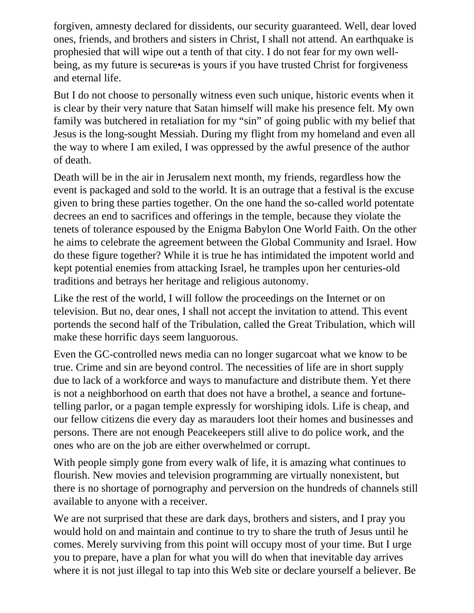forgiven, amnesty declared for dissidents, our security guaranteed. Well, dear loved ones, friends, and brothers and sisters in Christ, I shall not attend. An earthquake is prophesied that will wipe out a tenth of that city. I do not fear for my own wellbeing, as my future is secure•as is yours if you have trusted Christ for forgiveness and eternal life.

But I do not choose to personally witness even such unique, historic events when it is clear by their very nature that Satan himself will make his presence felt. My own family was butchered in retaliation for my "sin" of going public with my belief that Jesus is the long-sought Messiah. During my flight from my homeland and even all the way to where I am exiled, I was oppressed by the awful presence of the author of death.

Death will be in the air in Jerusalem next month, my friends, regardless how the event is packaged and sold to the world. It is an outrage that a festival is the excuse given to bring these parties together. On the one hand the so-called world potentate decrees an end to sacrifices and offerings in the temple, because they violate the tenets of tolerance espoused by the Enigma Babylon One World Faith. On the other he aims to celebrate the agreement between the Global Community and Israel. How do these figure together? While it is true he has intimidated the impotent world and kept potential enemies from attacking Israel, he tramples upon her centuries-old traditions and betrays her heritage and religious autonomy.

Like the rest of the world, I will follow the proceedings on the Internet or on television. But no, dear ones, I shall not accept the invitation to attend. This event portends the second half of the Tribulation, called the Great Tribulation, which will make these horrific days seem languorous.

Even the GC-controlled news media can no longer sugarcoat what we know to be true. Crime and sin are beyond control. The necessities of life are in short supply due to lack of a workforce and ways to manufacture and distribute them. Yet there is not a neighborhood on earth that does not have a brothel, a seance and fortunetelling parlor, or a pagan temple expressly for worshiping idols. Life is cheap, and our fellow citizens die every day as marauders loot their homes and businesses and persons. There are not enough Peacekeepers still alive to do police work, and the ones who are on the job are either overwhelmed or corrupt.

With people simply gone from every walk of life, it is amazing what continues to flourish. New movies and television programming are virtually nonexistent, but there is no shortage of pornography and perversion on the hundreds of channels still available to anyone with a receiver.

We are not surprised that these are dark days, brothers and sisters, and I pray you would hold on and maintain and continue to try to share the truth of Jesus until he comes. Merely surviving from this point will occupy most of your time. But I urge you to prepare, have a plan for what you will do when that inevitable day arrives where it is not just illegal to tap into this Web site or declare yourself a believer. Be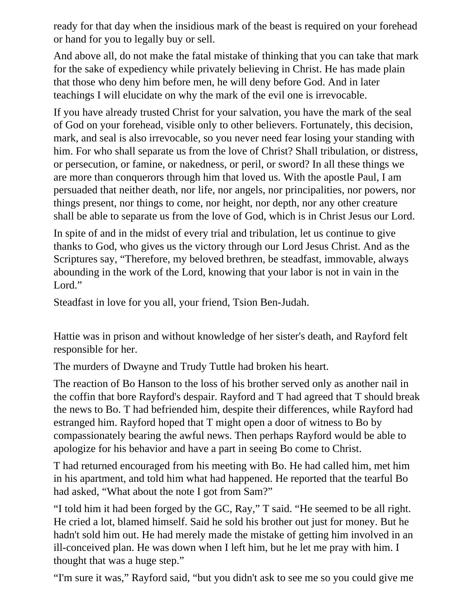ready for that day when the insidious mark of the beast is required on your forehead or hand for you to legally buy or sell.

And above all, do not make the fatal mistake of thinking that you can take that mark for the sake of expediency while privately believing in Christ. He has made plain that those who deny him before men, he will deny before God. And in later teachings I will elucidate on why the mark of the evil one is irrevocable.

If you have already trusted Christ for your salvation, you have the mark of the seal of God on your forehead, visible only to other believers. Fortunately, this decision, mark, and seal is also irrevocable, so you never need fear losing your standing with him. For who shall separate us from the love of Christ? Shall tribulation, or distress, or persecution, or famine, or nakedness, or peril, or sword? In all these things we are more than conquerors through him that loved us. With the apostle Paul, I am persuaded that neither death, nor life, nor angels, nor principalities, nor powers, nor things present, nor things to come, nor height, nor depth, nor any other creature shall be able to separate us from the love of God, which is in Christ Jesus our Lord.

In spite of and in the midst of every trial and tribulation, let us continue to give thanks to God, who gives us the victory through our Lord Jesus Christ. And as the Scriptures say, "Therefore, my beloved brethren, be steadfast, immovable, always abounding in the work of the Lord, knowing that your labor is not in vain in the Lord."

Steadfast in love for you all, your friend, Tsion Ben-Judah.

Hattie was in prison and without knowledge of her sister's death, and Rayford felt responsible for her.

The murders of Dwayne and Trudy Tuttle had broken his heart.

The reaction of Bo Hanson to the loss of his brother served only as another nail in the coffin that bore Rayford's despair. Rayford and T had agreed that T should break the news to Bo. T had befriended him, despite their differences, while Rayford had estranged him. Rayford hoped that T might open a door of witness to Bo by compassionately bearing the awful news. Then perhaps Rayford would be able to apologize for his behavior and have a part in seeing Bo come to Christ.

T had returned encouraged from his meeting with Bo. He had called him, met him in his apartment, and told him what had happened. He reported that the tearful Bo had asked, "What about the note I got from Sam?"

"I told him it had been forged by the GC, Ray," T said. "He seemed to be all right. He cried a lot, blamed himself. Said he sold his brother out just for money. But he hadn't sold him out. He had merely made the mistake of getting him involved in an ill-conceived plan. He was down when I left him, but he let me pray with him. I thought that was a huge step."

"I'm sure it was," Rayford said, "but you didn't ask to see me so you could give me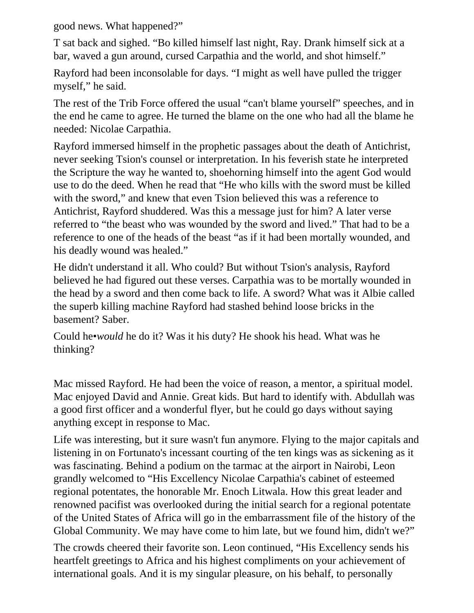good news. What happened?"

T sat back and sighed. "Bo killed himself last night, Ray. Drank himself sick at a bar, waved a gun around, cursed Carpathia and the world, and shot himself."

Rayford had been inconsolable for days. "I might as well have pulled the trigger myself," he said.

The rest of the Trib Force offered the usual "can't blame yourself" speeches, and in the end he came to agree. He turned the blame on the one who had all the blame he needed: Nicolae Carpathia.

Rayford immersed himself in the prophetic passages about the death of Antichrist, never seeking Tsion's counsel or interpretation. In his feverish state he interpreted the Scripture the way he wanted to, shoehorning himself into the agent God would use to do the deed. When he read that "He who kills with the sword must be killed with the sword," and knew that even Tsion believed this was a reference to Antichrist, Rayford shuddered. Was this a message just for him? A later verse referred to "the beast who was wounded by the sword and lived." That had to be a reference to one of the heads of the beast "as if it had been mortally wounded, and his deadly wound was healed."

He didn't understand it all. Who could? But without Tsion's analysis, Rayford believed he had figured out these verses. Carpathia was to be mortally wounded in the head by a sword and then come back to life. A sword? What was it Albie called the superb killing machine Rayford had stashed behind loose bricks in the basement? Saber.

Could he•*would* he do it? Was it his duty? He shook his head. What was he thinking?

Mac missed Rayford. He had been the voice of reason, a mentor, a spiritual model. Mac enjoyed David and Annie. Great kids. But hard to identify with. Abdullah was a good first officer and a wonderful flyer, but he could go days without saying anything except in response to Mac.

Life was interesting, but it sure wasn't fun anymore. Flying to the major capitals and listening in on Fortunato's incessant courting of the ten kings was as sickening as it was fascinating. Behind a podium on the tarmac at the airport in Nairobi, Leon grandly welcomed to "His Excellency Nicolae Carpathia's cabinet of esteemed regional potentates, the honorable Mr. Enoch Litwala. How this great leader and renowned pacifist was overlooked during the initial search for a regional potentate of the United States of Africa will go in the embarrassment file of the history of the Global Community. We may have come to him late, but we found him, didn't we?"

The crowds cheered their favorite son. Leon continued, "His Excellency sends his heartfelt greetings to Africa and his highest compliments on your achievement of international goals. And it is my singular pleasure, on his behalf, to personally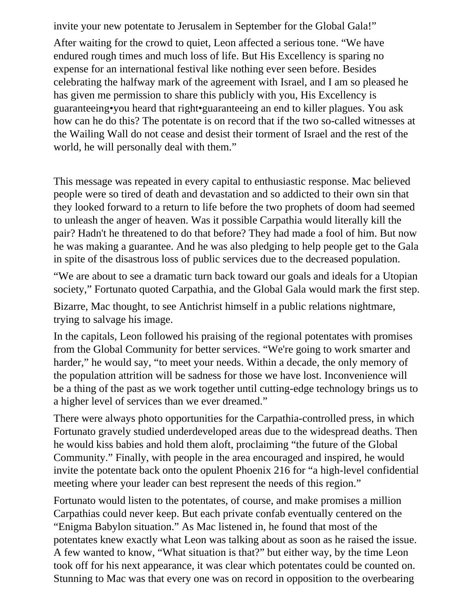invite your new potentate to Jerusalem in September for the Global Gala!" After waiting for the crowd to quiet, Leon affected a serious tone. "We have endured rough times and much loss of life. But His Excellency is sparing no expense for an international festival like nothing ever seen before. Besides celebrating the halfway mark of the agreement with Israel, and I am so pleased he has given me permission to share this publicly with you, His Excellency is guaranteeing•you heard that right•guaranteeing an end to killer plagues. You ask how can he do this? The potentate is on record that if the two so-called witnesses at the Wailing Wall do not cease and desist their torment of Israel and the rest of the world, he will personally deal with them."

This message was repeated in every capital to enthusiastic response. Mac believed people were so tired of death and devastation and so addicted to their own sin that they looked forward to a return to life before the two prophets of doom had seemed to unleash the anger of heaven. Was it possible Carpathia would literally kill the pair? Hadn't he threatened to do that before? They had made a fool of him. But now he was making a guarantee. And he was also pledging to help people get to the Gala in spite of the disastrous loss of public services due to the decreased population.

"We are about to see a dramatic turn back toward our goals and ideals for a Utopian society," Fortunato quoted Carpathia, and the Global Gala would mark the first step.

Bizarre, Mac thought, to see Antichrist himself in a public relations nightmare, trying to salvage his image.

In the capitals, Leon followed his praising of the regional potentates with promises from the Global Community for better services. "We're going to work smarter and harder," he would say, "to meet your needs. Within a decade, the only memory of the population attrition will be sadness for those we have lost. Inconvenience will be a thing of the past as we work together until cutting-edge technology brings us to a higher level of services than we ever dreamed."

There were always photo opportunities for the Carpathia-controlled press, in which Fortunato gravely studied underdeveloped areas due to the widespread deaths. Then he would kiss babies and hold them aloft, proclaiming "the future of the Global Community." Finally, with people in the area encouraged and inspired, he would invite the potentate back onto the opulent Phoenix 216 for "a high-level confidential meeting where your leader can best represent the needs of this region."

Fortunato would listen to the potentates, of course, and make promises a million Carpathias could never keep. But each private confab eventually centered on the "Enigma Babylon situation." As Mac listened in, he found that most of the potentates knew exactly what Leon was talking about as soon as he raised the issue. A few wanted to know, "What situation is that?" but either way, by the time Leon took off for his next appearance, it was clear which potentates could be counted on. Stunning to Mac was that every one was on record in opposition to the overbearing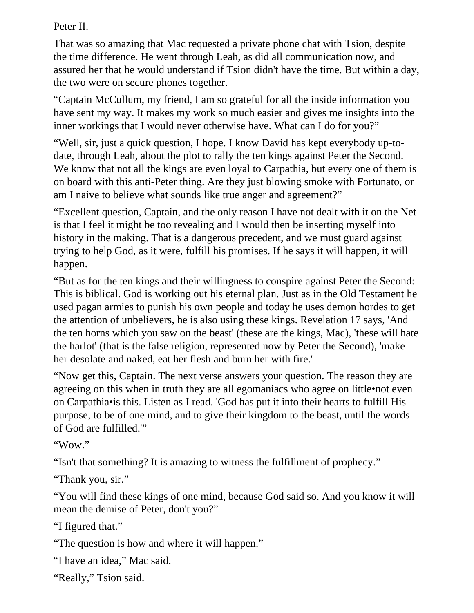#### Peter II.

That was so amazing that Mac requested a private phone chat with Tsion, despite the time difference. He went through Leah, as did all communication now, and assured her that he would understand if Tsion didn't have the time. But within a day, the two were on secure phones together.

"Captain McCullum, my friend, I am so grateful for all the inside information you have sent my way. It makes my work so much easier and gives me insights into the inner workings that I would never otherwise have. What can I do for you?"

"Well, sir, just a quick question, I hope. I know David has kept everybody up-todate, through Leah, about the plot to rally the ten kings against Peter the Second. We know that not all the kings are even loyal to Carpathia, but every one of them is on board with this anti-Peter thing. Are they just blowing smoke with Fortunato, or am I naive to believe what sounds like true anger and agreement?"

"Excellent question, Captain, and the only reason I have not dealt with it on the Net is that I feel it might be too revealing and I would then be inserting myself into history in the making. That is a dangerous precedent, and we must guard against trying to help God, as it were, fulfill his promises. If he says it will happen, it will happen.

"But as for the ten kings and their willingness to conspire against Peter the Second: This is biblical. God is working out his eternal plan. Just as in the Old Testament he used pagan armies to punish his own people and today he uses demon hordes to get the attention of unbelievers, he is also using these kings. Revelation 17 says, 'And the ten horns which you saw on the beast' (these are the kings, Mac), 'these will hate the harlot' (that is the false religion, represented now by Peter the Second), 'make her desolate and naked, eat her flesh and burn her with fire.'

"Now get this, Captain. The next verse answers your question. The reason they are agreeing on this when in truth they are all egomaniacs who agree on little•not even on Carpathia•is this. Listen as I read. 'God has put it into their hearts to fulfill His purpose, to be of one mind, and to give their kingdom to the beast, until the words of God are fulfilled.'"

"Wow."

"Isn't that something? It is amazing to witness the fulfillment of prophecy."

"Thank you, sir."

"You will find these kings of one mind, because God said so. And you know it will mean the demise of Peter, don't you?"

"I figured that."

"The question is how and where it will happen."

"I have an idea," Mac said.

"Really," Tsion said.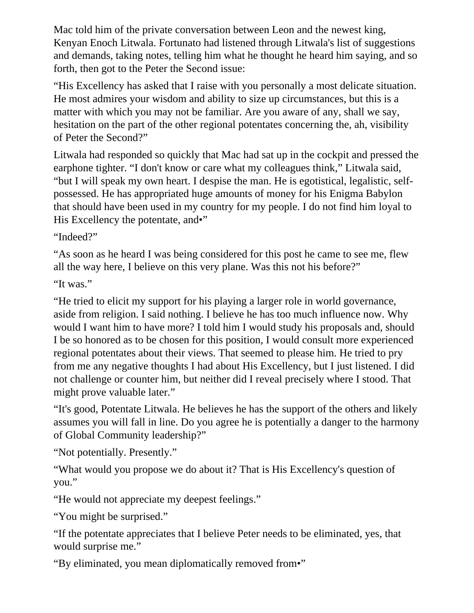Mac told him of the private conversation between Leon and the newest king, Kenyan Enoch Litwala. Fortunato had listened through Litwala's list of suggestions and demands, taking notes, telling him what he thought he heard him saying, and so forth, then got to the Peter the Second issue:

"His Excellency has asked that I raise with you personally a most delicate situation. He most admires your wisdom and ability to size up circumstances, but this is a matter with which you may not be familiar. Are you aware of any, shall we say, hesitation on the part of the other regional potentates concerning the, ah, visibility of Peter the Second?"

Litwala had responded so quickly that Mac had sat up in the cockpit and pressed the earphone tighter. "I don't know or care what my colleagues think," Litwala said, "but I will speak my own heart. I despise the man. He is egotistical, legalistic, selfpossessed. He has appropriated huge amounts of money for his Enigma Babylon that should have been used in my country for my people. I do not find him loyal to His Excellency the potentate, and•"

"Indeed?"

"As soon as he heard I was being considered for this post he came to see me, flew all the way here, I believe on this very plane. Was this not his before?"

"It was."

"He tried to elicit my support for his playing a larger role in world governance, aside from religion. I said nothing. I believe he has too much influence now. Why would I want him to have more? I told him I would study his proposals and, should I be so honored as to be chosen for this position, I would consult more experienced regional potentates about their views. That seemed to please him. He tried to pry from me any negative thoughts I had about His Excellency, but I just listened. I did not challenge or counter him, but neither did I reveal precisely where I stood. That might prove valuable later."

"It's good, Potentate Litwala. He believes he has the support of the others and likely assumes you will fall in line. Do you agree he is potentially a danger to the harmony of Global Community leadership?"

"Not potentially. Presently."

"What would you propose we do about it? That is His Excellency's question of you."

"He would not appreciate my deepest feelings."

"You might be surprised."

"If the potentate appreciates that I believe Peter needs to be eliminated, yes, that would surprise me."

"By eliminated, you mean diplomatically removed from•"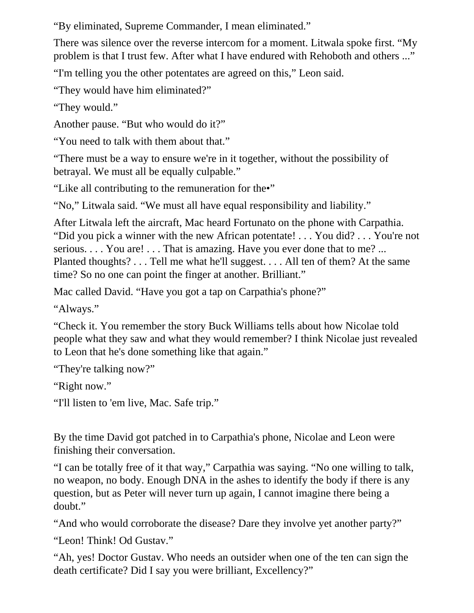"By eliminated, Supreme Commander, I mean eliminated."

There was silence over the reverse intercom for a moment. Litwala spoke first. "My problem is that I trust few. After what I have endured with Rehoboth and others ..."

"I'm telling you the other potentates are agreed on this," Leon said.

"They would have him eliminated?"

"They would."

Another pause. "But who would do it?"

"You need to talk with them about that."

"There must be a way to ensure we're in it together, without the possibility of betrayal. We must all be equally culpable."

"Like all contributing to the remuneration for the•"

"No," Litwala said. "We must all have equal responsibility and liability."

After Litwala left the aircraft, Mac heard Fortunato on the phone with Carpathia. "Did you pick a winner with the new African potentate! . . . You did? . . . You're not serious. . . . You are! . . . That is amazing. Have you ever done that to me? ... Planted thoughts? . . . Tell me what he'll suggest. . . . All ten of them? At the same time? So no one can point the finger at another. Brilliant."

Mac called David. "Have you got a tap on Carpathia's phone?"

"Always."

"Check it. You remember the story Buck Williams tells about how Nicolae told people what they saw and what they would remember? I think Nicolae just revealed to Leon that he's done something like that again."

"They're talking now?"

"Right now."

"I'll listen to 'em live, Mac. Safe trip."

By the time David got patched in to Carpathia's phone, Nicolae and Leon were finishing their conversation.

"I can be totally free of it that way," Carpathia was saying. "No one willing to talk, no weapon, no body. Enough DNA in the ashes to identify the body if there is any question, but as Peter will never turn up again, I cannot imagine there being a doubt."

"And who would corroborate the disease? Dare they involve yet another party?"

"Leon! Think! Od Gustav."

"Ah, yes! Doctor Gustav. Who needs an outsider when one of the ten can sign the death certificate? Did I say you were brilliant, Excellency?"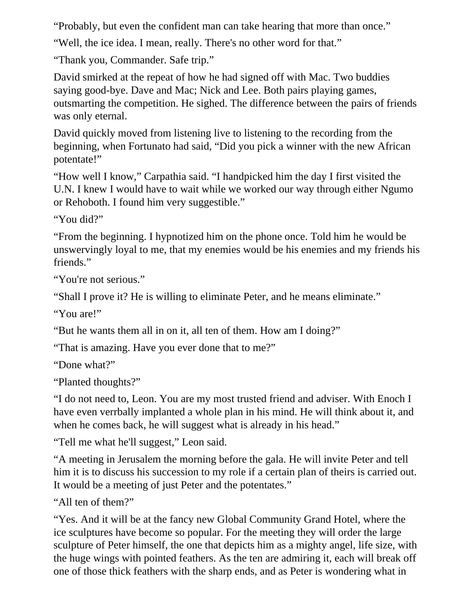"Probably, but even the confident man can take hearing that more than once."

"Well, the ice idea. I mean, really. There's no other word for that."

"Thank you, Commander. Safe trip."

David smirked at the repeat of how he had signed off with Mac. Two buddies saying good-bye. Dave and Mac; Nick and Lee. Both pairs playing games, outsmarting the competition. He sighed. The difference between the pairs of friends was only eternal.

David quickly moved from listening live to listening to the recording from the beginning, when Fortunato had said, "Did you pick a winner with the new African potentate!"

"How well I know," Carpathia said. "I handpicked him the day I first visited the U.N. I knew I would have to wait while we worked our way through either Ngumo or Rehoboth. I found him very suggestible."

"You did?"

"From the beginning. I hypnotized him on the phone once. Told him he would be unswervingly loyal to me, that my enemies would be his enemies and my friends his friends."

"You're not serious."

"Shall I prove it? He is willing to eliminate Peter, and he means eliminate."

"You are!"

"But he wants them all in on it, all ten of them. How am I doing?"

"That is amazing. Have you ever done that to me?"

"Done what?"

"Planted thoughts?"

"I do not need to, Leon. You are my most trusted friend and adviser. With Enoch I have even verrbally implanted a whole plan in his mind. He will think about it, and when he comes back, he will suggest what is already in his head."

"Tell me what he'll suggest," Leon said.

"A meeting in Jerusalem the morning before the gala. He will invite Peter and tell him it is to discuss his succession to my role if a certain plan of theirs is carried out. It would be a meeting of just Peter and the potentates."

"All ten of them?"

"Yes. And it will be at the fancy new Global Community Grand Hotel, where the ice sculptures have become so popular. For the meeting they will order the large sculpture of Peter himself, the one that depicts him as a mighty angel, life size, with the huge wings with pointed feathers. As the ten are admiring it, each will break off one of those thick feathers with the sharp ends, and as Peter is wondering what in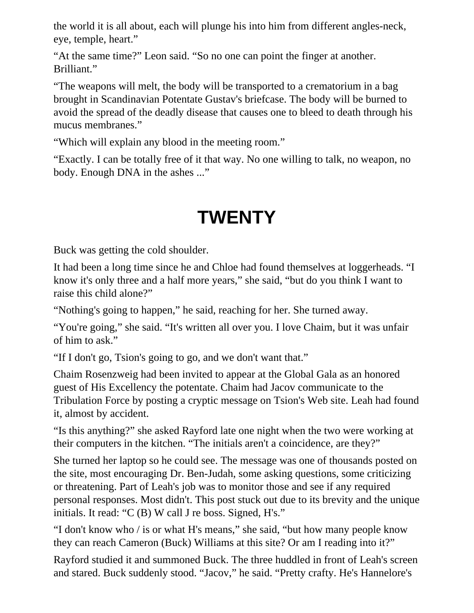the world it is all about, each will plunge his into him from different angles-neck, eye, temple, heart."

"At the same time?" Leon said. "So no one can point the finger at another. Brilliant."

"The weapons will melt, the body will be transported to a crematorium in a bag brought in Scandinavian Potentate Gustav's briefcase. The body will be burned to avoid the spread of the deadly disease that causes one to bleed to death through his mucus membranes."

"Which will explain any blood in the meeting room."

"Exactly. I can be totally free of it that way. No one willing to talk, no weapon, no body. Enough DNA in the ashes ..."

## **TWENTY**

Buck was getting the cold shoulder.

It had been a long time since he and Chloe had found themselves at loggerheads. "I know it's only three and a half more years," she said, "but do you think I want to raise this child alone?"

"Nothing's going to happen," he said, reaching for her. She turned away.

"You're going," she said. "It's written all over you. I love Chaim, but it was unfair of him to ask."

"If I don't go, Tsion's going to go, and we don't want that."

Chaim Rosenzweig had been invited to appear at the Global Gala as an honored guest of His Excellency the potentate. Chaim had Jacov communicate to the Tribulation Force by posting a cryptic message on Tsion's Web site. Leah had found it, almost by accident.

"Is this anything?" she asked Rayford late one night when the two were working at their computers in the kitchen. "The initials aren't a coincidence, are they?"

She turned her laptop so he could see. The message was one of thousands posted on the site, most encouraging Dr. Ben-Judah, some asking questions, some criticizing or threatening. Part of Leah's job was to monitor those and see if any required personal responses. Most didn't. This post stuck out due to its brevity and the unique initials. It read: "C (B) W call J re boss. Signed, H's."

"I don't know who / is or what H's means," she said, "but how many people know they can reach Cameron (Buck) Williams at this site? Or am I reading into it?"

Rayford studied it and summoned Buck. The three huddled in front of Leah's screen and stared. Buck suddenly stood. "Jacov," he said. "Pretty crafty. He's Hannelore's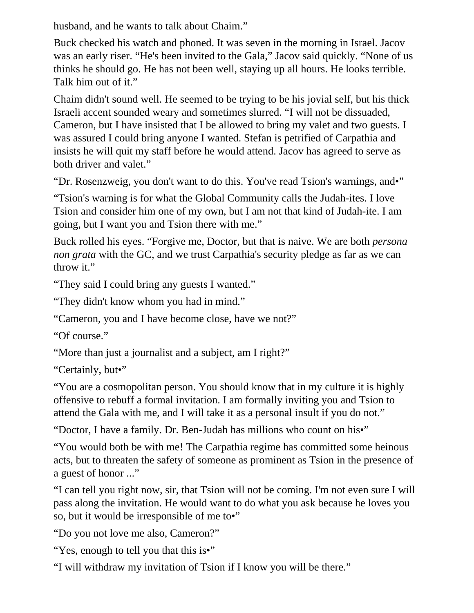husband, and he wants to talk about Chaim."

Buck checked his watch and phoned. It was seven in the morning in Israel. Jacov was an early riser. "He's been invited to the Gala," Jacov said quickly. "None of us thinks he should go. He has not been well, staying up all hours. He looks terrible. Talk him out of it."

Chaim didn't sound well. He seemed to be trying to be his jovial self, but his thick Israeli accent sounded weary and sometimes slurred. "I will not be dissuaded, Cameron, but I have insisted that I be allowed to bring my valet and two guests. I was assured I could bring anyone I wanted. Stefan is petrified of Carpathia and insists he will quit my staff before he would attend. Jacov has agreed to serve as both driver and valet."

"Dr. Rosenzweig, you don't want to do this. You've read Tsion's warnings, and•"

"Tsion's warning is for what the Global Community calls the Judah-ites. I love Tsion and consider him one of my own, but I am not that kind of Judah-ite. I am going, but I want you and Tsion there with me."

Buck rolled his eyes. "Forgive me, Doctor, but that is naive. We are both *persona non grata* with the GC, and we trust Carpathia's security pledge as far as we can throw it."

"They said I could bring any guests I wanted."

"They didn't know whom you had in mind."

"Cameron, you and I have become close, have we not?"

"Of course."

"More than just a journalist and a subject, am I right?"

"Certainly, but•"

"You are a cosmopolitan person. You should know that in my culture it is highly offensive to rebuff a formal invitation. I am formally inviting you and Tsion to attend the Gala with me, and I will take it as a personal insult if you do not."

"Doctor, I have a family. Dr. Ben-Judah has millions who count on his•"

"You would both be with me! The Carpathia regime has committed some heinous acts, but to threaten the safety of someone as prominent as Tsion in the presence of a guest of honor ..."

"I can tell you right now, sir, that Tsion will not be coming. I'm not even sure I will pass along the invitation. He would want to do what you ask because he loves you so, but it would be irresponsible of me to."

"Do you not love me also, Cameron?"

"Yes, enough to tell you that this is<sup>•"</sup>

"I will withdraw my invitation of Tsion if I know you will be there."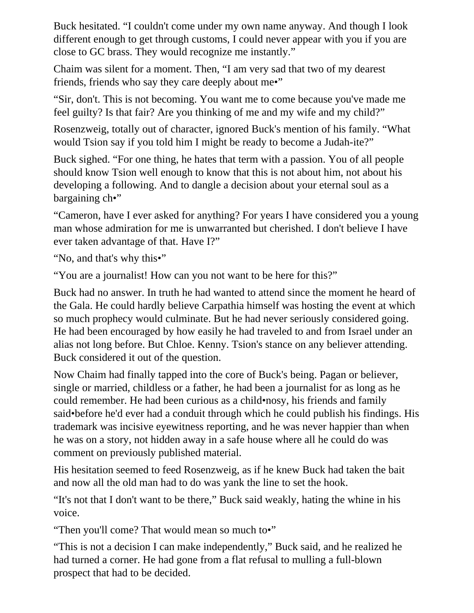Buck hesitated. "I couldn't come under my own name anyway. And though I look different enough to get through customs, I could never appear with you if you are close to GC brass. They would recognize me instantly."

Chaim was silent for a moment. Then, "I am very sad that two of my dearest friends, friends who say they care deeply about me•"

"Sir, don't. This is not becoming. You want me to come because you've made me feel guilty? Is that fair? Are you thinking of me and my wife and my child?"

Rosenzweig, totally out of character, ignored Buck's mention of his family. "What would Tsion say if you told him I might be ready to become a Judah-ite?"

Buck sighed. "For one thing, he hates that term with a passion. You of all people should know Tsion well enough to know that this is not about him, not about his developing a following. And to dangle a decision about your eternal soul as a bargaining ch•"

"Cameron, have I ever asked for anything? For years I have considered you a young man whose admiration for me is unwarranted but cherished. I don't believe I have ever taken advantage of that. Have I?"

"No, and that's why this•"

"You are a journalist! How can you not want to be here for this?"

Buck had no answer. In truth he had wanted to attend since the moment he heard of the Gala. He could hardly believe Carpathia himself was hosting the event at which so much prophecy would culminate. But he had never seriously considered going. He had been encouraged by how easily he had traveled to and from Israel under an alias not long before. But Chloe. Kenny. Tsion's stance on any believer attending. Buck considered it out of the question.

Now Chaim had finally tapped into the core of Buck's being. Pagan or believer, single or married, childless or a father, he had been a journalist for as long as he could remember. He had been curious as a child•nosy, his friends and family said•before he'd ever had a conduit through which he could publish his findings. His trademark was incisive eyewitness reporting, and he was never happier than when he was on a story, not hidden away in a safe house where all he could do was comment on previously published material.

His hesitation seemed to feed Rosenzweig, as if he knew Buck had taken the bait and now all the old man had to do was yank the line to set the hook.

"It's not that I don't want to be there," Buck said weakly, hating the whine in his voice.

"Then you'll come? That would mean so much to<sup>\*</sup>"

"This is not a decision I can make independently," Buck said, and he realized he had turned a corner. He had gone from a flat refusal to mulling a full-blown prospect that had to be decided.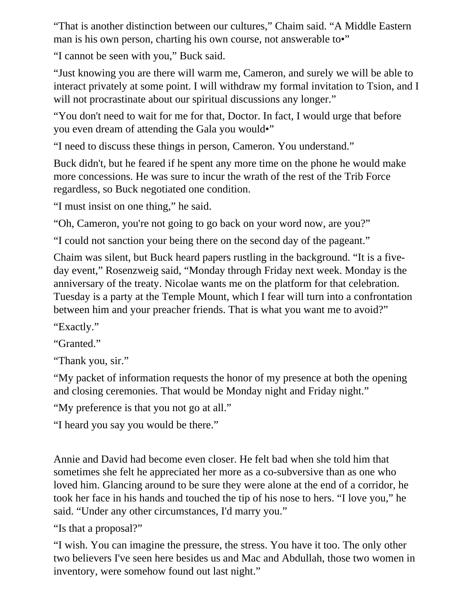"That is another distinction between our cultures," Chaim said. "A Middle Eastern man is his own person, charting his own course, not answerable to<sup>•</sup>"

"I cannot be seen with you," Buck said.

"Just knowing you are there will warm me, Cameron, and surely we will be able to interact privately at some point. I will withdraw my formal invitation to Tsion, and I will not procrastinate about our spiritual discussions any longer."

"You don't need to wait for me for that, Doctor. In fact, I would urge that before you even dream of attending the Gala you would•"

"I need to discuss these things in person, Cameron. You understand."

Buck didn't, but he feared if he spent any more time on the phone he would make more concessions. He was sure to incur the wrath of the rest of the Trib Force regardless, so Buck negotiated one condition.

"I must insist on one thing," he said.

"Oh, Cameron, you're not going to go back on your word now, are you?"

"I could not sanction your being there on the second day of the pageant."

Chaim was silent, but Buck heard papers rustling in the background. "It is a fiveday event," Rosenzweig said, "Monday through Friday next week. Monday is the anniversary of the treaty. Nicolae wants me on the platform for that celebration. Tuesday is a party at the Temple Mount, which I fear will turn into a confrontation between him and your preacher friends. That is what you want me to avoid?"

"Exactly."

"Granted."

"Thank you, sir."

"My packet of information requests the honor of my presence at both the opening and closing ceremonies. That would be Monday night and Friday night."

"My preference is that you not go at all."

"I heard you say you would be there."

Annie and David had become even closer. He felt bad when she told him that sometimes she felt he appreciated her more as a co-subversive than as one who loved him. Glancing around to be sure they were alone at the end of a corridor, he took her face in his hands and touched the tip of his nose to hers. "I love you," he said. "Under any other circumstances, I'd marry you."

"Is that a proposal?"

"I wish. You can imagine the pressure, the stress. You have it too. The only other two believers I've seen here besides us and Mac and Abdullah, those two women in inventory, were somehow found out last night."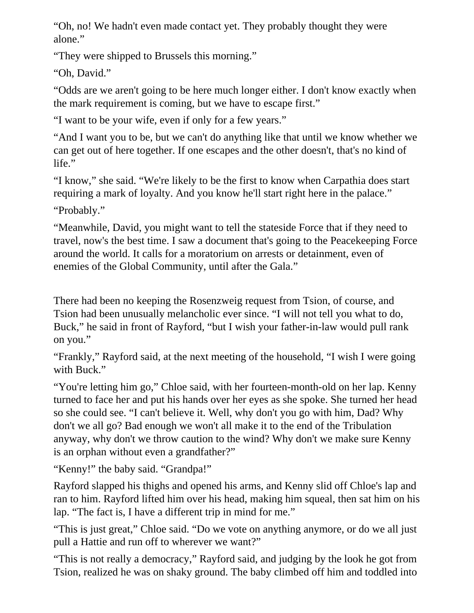"Oh, no! We hadn't even made contact yet. They probably thought they were alone."

"They were shipped to Brussels this morning."

"Oh, David."

"Odds are we aren't going to be here much longer either. I don't know exactly when the mark requirement is coming, but we have to escape first."

"I want to be your wife, even if only for a few years."

"And I want you to be, but we can't do anything like that until we know whether we can get out of here together. If one escapes and the other doesn't, that's no kind of life."

"I know," she said. "We're likely to be the first to know when Carpathia does start requiring a mark of loyalty. And you know he'll start right here in the palace."

"Probably."

"Meanwhile, David, you might want to tell the stateside Force that if they need to travel, now's the best time. I saw a document that's going to the Peacekeeping Force around the world. It calls for a moratorium on arrests or detainment, even of enemies of the Global Community, until after the Gala."

There had been no keeping the Rosenzweig request from Tsion, of course, and Tsion had been unusually melancholic ever since. "I will not tell you what to do, Buck," he said in front of Rayford, "but I wish your father-in-law would pull rank on you."

"Frankly," Rayford said, at the next meeting of the household, "I wish I were going with Buck."

"You're letting him go," Chloe said, with her fourteen-month-old on her lap. Kenny turned to face her and put his hands over her eyes as she spoke. She turned her head so she could see. "I can't believe it. Well, why don't you go with him, Dad? Why don't we all go? Bad enough we won't all make it to the end of the Tribulation anyway, why don't we throw caution to the wind? Why don't we make sure Kenny is an orphan without even a grandfather?"

"Kenny!" the baby said. "Grandpa!"

Rayford slapped his thighs and opened his arms, and Kenny slid off Chloe's lap and ran to him. Rayford lifted him over his head, making him squeal, then sat him on his lap. "The fact is, I have a different trip in mind for me."

"This is just great," Chloe said. "Do we vote on anything anymore, or do we all just pull a Hattie and run off to wherever we want?"

"This is not really a democracy," Rayford said, and judging by the look he got from Tsion, realized he was on shaky ground. The baby climbed off him and toddled into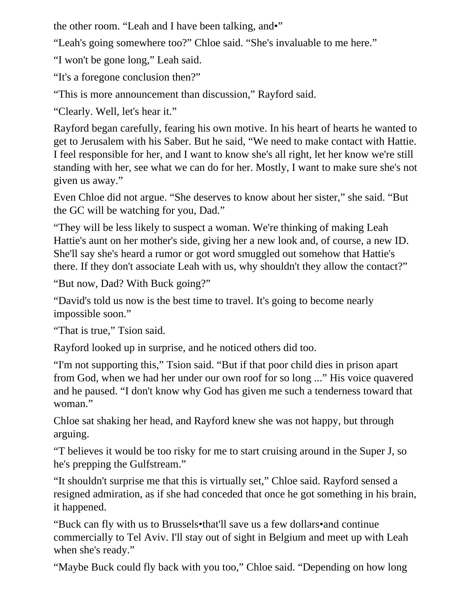the other room. "Leah and I have been talking, and•"

"Leah's going somewhere too?" Chloe said. "She's invaluable to me here."

"I won't be gone long," Leah said.

"It's a foregone conclusion then?"

"This is more announcement than discussion," Rayford said.

"Clearly. Well, let's hear it."

Rayford began carefully, fearing his own motive. In his heart of hearts he wanted to get to Jerusalem with his Saber. But he said, "We need to make contact with Hattie. I feel responsible for her, and I want to know she's all right, let her know we're still standing with her, see what we can do for her. Mostly, I want to make sure she's not given us away."

Even Chloe did not argue. "She deserves to know about her sister," she said. "But the GC will be watching for you, Dad."

"They will be less likely to suspect a woman. We're thinking of making Leah Hattie's aunt on her mother's side, giving her a new look and, of course, a new ID. She'll say she's heard a rumor or got word smuggled out somehow that Hattie's there. If they don't associate Leah with us, why shouldn't they allow the contact?"

"But now, Dad? With Buck going?"

"David's told us now is the best time to travel. It's going to become nearly impossible soon."

"That is true," Tsion said.

Rayford looked up in surprise, and he noticed others did too.

"I'm not supporting this," Tsion said. "But if that poor child dies in prison apart from God, when we had her under our own roof for so long ..." His voice quavered and he paused. "I don't know why God has given me such a tenderness toward that woman."

Chloe sat shaking her head, and Rayford knew she was not happy, but through arguing.

"T believes it would be too risky for me to start cruising around in the Super J, so he's prepping the Gulfstream."

"It shouldn't surprise me that this is virtually set," Chloe said. Rayford sensed a resigned admiration, as if she had conceded that once he got something in his brain, it happened.

"Buck can fly with us to Brussels•that'll save us a few dollars•and continue commercially to Tel Aviv. I'll stay out of sight in Belgium and meet up with Leah when she's ready."

"Maybe Buck could fly back with you too," Chloe said. "Depending on how long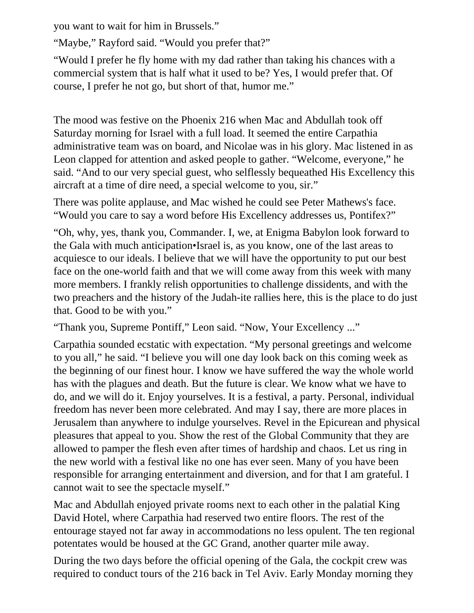you want to wait for him in Brussels."

"Maybe," Rayford said. "Would you prefer that?"

"Would I prefer he fly home with my dad rather than taking his chances with a commercial system that is half what it used to be? Yes, I would prefer that. Of course, I prefer he not go, but short of that, humor me."

The mood was festive on the Phoenix 216 when Mac and Abdullah took off Saturday morning for Israel with a full load. It seemed the entire Carpathia administrative team was on board, and Nicolae was in his glory. Mac listened in as Leon clapped for attention and asked people to gather. "Welcome, everyone," he said. "And to our very special guest, who selflessly bequeathed His Excellency this aircraft at a time of dire need, a special welcome to you, sir."

There was polite applause, and Mac wished he could see Peter Mathews's face. "Would you care to say a word before His Excellency addresses us, Pontifex?"

"Oh, why, yes, thank you, Commander. I, we, at Enigma Babylon look forward to the Gala with much anticipation•Israel is, as you know, one of the last areas to acquiesce to our ideals. I believe that we will have the opportunity to put our best face on the one-world faith and that we will come away from this week with many more members. I frankly relish opportunities to challenge dissidents, and with the two preachers and the history of the Judah-ite rallies here, this is the place to do just that. Good to be with you."

"Thank you, Supreme Pontiff," Leon said. "Now, Your Excellency ..."

Carpathia sounded ecstatic with expectation. "My personal greetings and welcome to you all," he said. "I believe you will one day look back on this coming week as the beginning of our finest hour. I know we have suffered the way the whole world has with the plagues and death. But the future is clear. We know what we have to do, and we will do it. Enjoy yourselves. It is a festival, a party. Personal, individual freedom has never been more celebrated. And may I say, there are more places in Jerusalem than anywhere to indulge yourselves. Revel in the Epicurean and physical pleasures that appeal to you. Show the rest of the Global Community that they are allowed to pamper the flesh even after times of hardship and chaos. Let us ring in the new world with a festival like no one has ever seen. Many of you have been responsible for arranging entertainment and diversion, and for that I am grateful. I cannot wait to see the spectacle myself."

Mac and Abdullah enjoyed private rooms next to each other in the palatial King David Hotel, where Carpathia had reserved two entire floors. The rest of the entourage stayed not far away in accommodations no less opulent. The ten regional potentates would be housed at the GC Grand, another quarter mile away.

During the two days before the official opening of the Gala, the cockpit crew was required to conduct tours of the 216 back in Tel Aviv. Early Monday morning they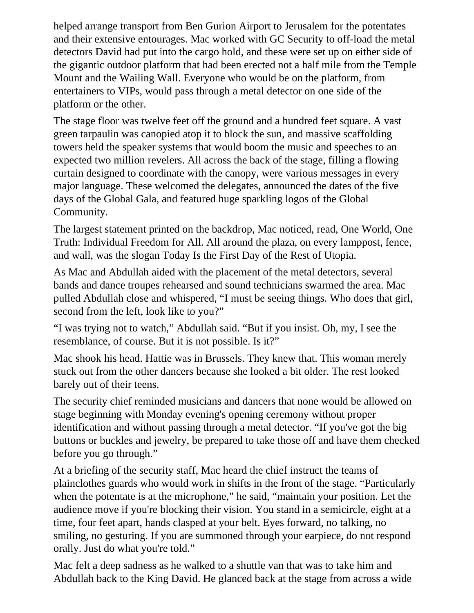helped arrange transport from Ben Gurion Airport to Jerusalem for the potentates and their extensive entourages. Mac worked with GC Security to off-load the metal detectors David had put into the cargo hold, and these were set up on either side of the gigantic outdoor platform that had been erected not a half mile from the Temple Mount and the Wailing Wall. Everyone who would be on the platform, from entertainers to VIPs, would pass through a metal detector on one side of the platform or the other.

The stage floor was twelve feet off the ground and a hundred feet square. A vast green tarpaulin was canopied atop it to block the sun, and massive scaffolding towers held the speaker systems that would boom the music and speeches to an expected two million revelers. All across the back of the stage, filling a flowing curtain designed to coordinate with the canopy, were various messages in every major language. These welcomed the delegates, announced the dates of the five days of the Global Gala, and featured huge sparkling logos of the Global Community.

The largest statement printed on the backdrop, Mac noticed, read, One World, One Truth: Individual Freedom for All. All around the plaza, on every lamppost, fence, and wall, was the slogan Today Is the First Day of the Rest of Utopia.

As Mac and Abdullah aided with the placement of the metal detectors, several bands and dance troupes rehearsed and sound technicians swarmed the area. Mac pulled Abdullah close and whispered, "I must be seeing things. Who does that girl, second from the left, look like to you?"

"I was trying not to watch," Abdullah said. "But if you insist. Oh, my, I see the resemblance, of course. But it is not possible. Is it?"

Mac shook his head. Hattie was in Brussels. They knew that. This woman merely stuck out from the other dancers because she looked a bit older. The rest looked barely out of their teens.

The security chief reminded musicians and dancers that none would be allowed on stage beginning with Monday evening's opening ceremony without proper identification and without passing through a metal detector. "If you've got the big buttons or buckles and jewelry, be prepared to take those off and have them checked before you go through."

At a briefing of the security staff, Mac heard the chief instruct the teams of plainclothes guards who would work in shifts in the front of the stage. "Particularly when the potentate is at the microphone," he said, "maintain your position. Let the audience move if you're blocking their vision. You stand in a semicircle, eight at a time, four feet apart, hands clasped at your belt. Eyes forward, no talking, no smiling, no gesturing. If you are summoned through your earpiece, do not respond orally. Just do what you're told."

Mac felt a deep sadness as he walked to a shuttle van that was to take him and Abdullah back to the King David. He glanced back at the stage from across a wide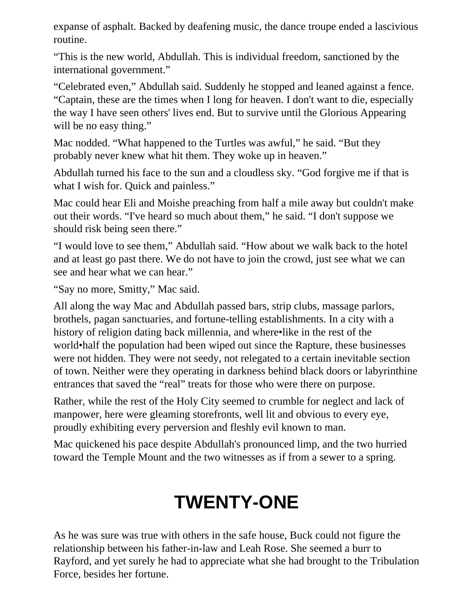expanse of asphalt. Backed by deafening music, the dance troupe ended a lascivious routine.

"This is the new world, Abdullah. This is individual freedom, sanctioned by the international government."

"Celebrated even," Abdullah said. Suddenly he stopped and leaned against a fence. "Captain, these are the times when I long for heaven. I don't want to die, especially the way I have seen others' lives end. But to survive until the Glorious Appearing will be no easy thing."

Mac nodded. "What happened to the Turtles was awful," he said. "But they probably never knew what hit them. They woke up in heaven."

Abdullah turned his face to the sun and a cloudless sky. "God forgive me if that is what I wish for. Quick and painless."

Mac could hear Eli and Moishe preaching from half a mile away but couldn't make out their words. "I've heard so much about them," he said. "I don't suppose we should risk being seen there."

"I would love to see them," Abdullah said. "How about we walk back to the hotel and at least go past there. We do not have to join the crowd, just see what we can see and hear what we can hear."

```
"Say no more, Smitty," Mac said.
```
All along the way Mac and Abdullah passed bars, strip clubs, massage parlors, brothels, pagan sanctuaries, and fortune-telling establishments. In a city with a history of religion dating back millennia, and where•like in the rest of the world•half the population had been wiped out since the Rapture, these businesses were not hidden. They were not seedy, not relegated to a certain inevitable section of town. Neither were they operating in darkness behind black doors or labyrinthine entrances that saved the "real" treats for those who were there on purpose.

Rather, while the rest of the Holy City seemed to crumble for neglect and lack of manpower, here were gleaming storefronts, well lit and obvious to every eye, proudly exhibiting every perversion and fleshly evil known to man.

Mac quickened his pace despite Abdullah's pronounced limp, and the two hurried toward the Temple Mount and the two witnesses as if from a sewer to a spring.

## **TWENTY-ONE**

As he was sure was true with others in the safe house, Buck could not figure the relationship between his father-in-law and Leah Rose. She seemed a burr to Rayford, and yet surely he had to appreciate what she had brought to the Tribulation Force, besides her fortune.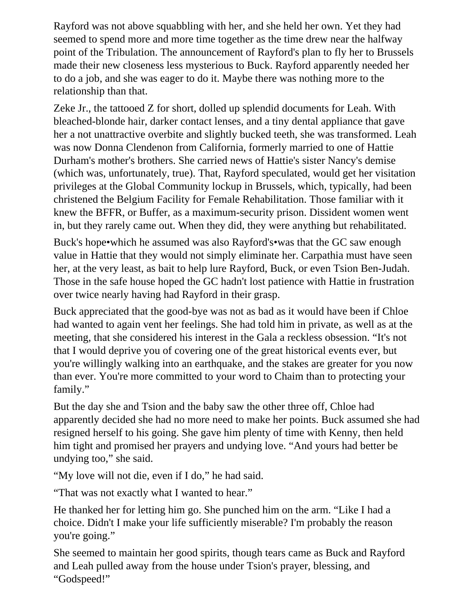Rayford was not above squabbling with her, and she held her own. Yet they had seemed to spend more and more time together as the time drew near the halfway point of the Tribulation. The announcement of Rayford's plan to fly her to Brussels made their new closeness less mysterious to Buck. Rayford apparently needed her to do a job, and she was eager to do it. Maybe there was nothing more to the relationship than that.

Zeke Jr., the tattooed Z for short, dolled up splendid documents for Leah. With bleached-blonde hair, darker contact lenses, and a tiny dental appliance that gave her a not unattractive overbite and slightly bucked teeth, she was transformed. Leah was now Donna Clendenon from California, formerly married to one of Hattie Durham's mother's brothers. She carried news of Hattie's sister Nancy's demise (which was, unfortunately, true). That, Rayford speculated, would get her visitation privileges at the Global Community lockup in Brussels, which, typically, had been christened the Belgium Facility for Female Rehabilitation. Those familiar with it knew the BFFR, or Buffer, as a maximum-security prison. Dissident women went in, but they rarely came out. When they did, they were anything but rehabilitated.

Buck's hope•which he assumed was also Rayford's•was that the GC saw enough value in Hattie that they would not simply eliminate her. Carpathia must have seen her, at the very least, as bait to help lure Rayford, Buck, or even Tsion Ben-Judah. Those in the safe house hoped the GC hadn't lost patience with Hattie in frustration over twice nearly having had Rayford in their grasp.

Buck appreciated that the good-bye was not as bad as it would have been if Chloe had wanted to again vent her feelings. She had told him in private, as well as at the meeting, that she considered his interest in the Gala a reckless obsession. "It's not that I would deprive you of covering one of the great historical events ever, but you're willingly walking into an earthquake, and the stakes are greater for you now than ever. You're more committed to your word to Chaim than to protecting your family."

But the day she and Tsion and the baby saw the other three off, Chloe had apparently decided she had no more need to make her points. Buck assumed she had resigned herself to his going. She gave him plenty of time with Kenny, then held him tight and promised her prayers and undying love. "And yours had better be undying too," she said.

"My love will not die, even if I do," he had said.

"That was not exactly what I wanted to hear."

He thanked her for letting him go. She punched him on the arm. "Like I had a choice. Didn't I make your life sufficiently miserable? I'm probably the reason you're going."

She seemed to maintain her good spirits, though tears came as Buck and Rayford and Leah pulled away from the house under Tsion's prayer, blessing, and "Godspeed!"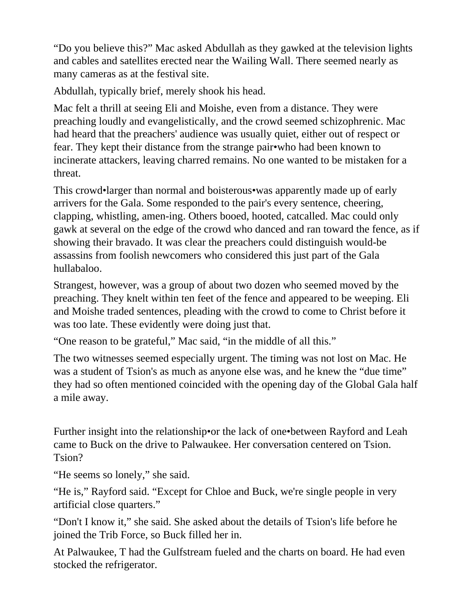"Do you believe this?" Mac asked Abdullah as they gawked at the television lights and cables and satellites erected near the Wailing Wall. There seemed nearly as many cameras as at the festival site.

Abdullah, typically brief, merely shook his head.

Mac felt a thrill at seeing Eli and Moishe, even from a distance. They were preaching loudly and evangelistically, and the crowd seemed schizophrenic. Mac had heard that the preachers' audience was usually quiet, either out of respect or fear. They kept their distance from the strange pair•who had been known to incinerate attackers, leaving charred remains. No one wanted to be mistaken for a threat.

This crowd•larger than normal and boisterous•was apparently made up of early arrivers for the Gala. Some responded to the pair's every sentence, cheering, clapping, whistling, amen-ing. Others booed, hooted, catcalled. Mac could only gawk at several on the edge of the crowd who danced and ran toward the fence, as if showing their bravado. It was clear the preachers could distinguish would-be assassins from foolish newcomers who considered this just part of the Gala hullabaloo.

Strangest, however, was a group of about two dozen who seemed moved by the preaching. They knelt within ten feet of the fence and appeared to be weeping. Eli and Moishe traded sentences, pleading with the crowd to come to Christ before it was too late. These evidently were doing just that.

"One reason to be grateful," Mac said, "in the middle of all this."

The two witnesses seemed especially urgent. The timing was not lost on Mac. He was a student of Tsion's as much as anyone else was, and he knew the "due time" they had so often mentioned coincided with the opening day of the Global Gala half a mile away.

Further insight into the relationship•or the lack of one•between Rayford and Leah came to Buck on the drive to Palwaukee. Her conversation centered on Tsion. Tsion?

"He seems so lonely," she said.

"He is," Rayford said. "Except for Chloe and Buck, we're single people in very artificial close quarters."

"Don't I know it," she said. She asked about the details of Tsion's life before he joined the Trib Force, so Buck filled her in.

At Palwaukee, T had the Gulfstream fueled and the charts on board. He had even stocked the refrigerator.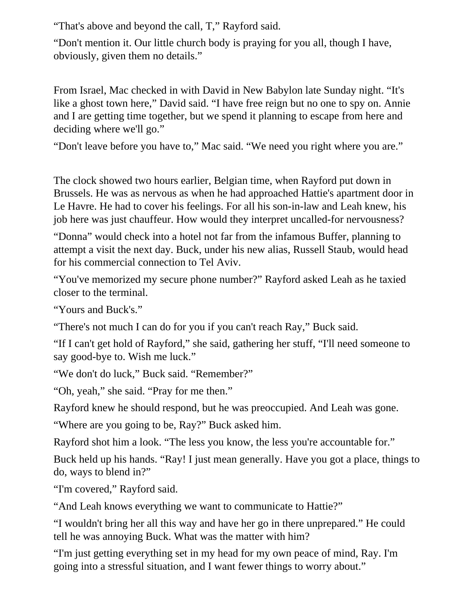"That's above and beyond the call, T," Rayford said.

"Don't mention it. Our little church body is praying for you all, though I have, obviously, given them no details."

From Israel, Mac checked in with David in New Babylon late Sunday night. "It's like a ghost town here," David said. "I have free reign but no one to spy on. Annie and I are getting time together, but we spend it planning to escape from here and deciding where we'll go."

"Don't leave before you have to," Mac said. "We need you right where you are."

The clock showed two hours earlier, Belgian time, when Rayford put down in Brussels. He was as nervous as when he had approached Hattie's apartment door in Le Havre. He had to cover his feelings. For all his son-in-law and Leah knew, his job here was just chauffeur. How would they interpret uncalled-for nervousness?

"Donna" would check into a hotel not far from the infamous Buffer, planning to attempt a visit the next day. Buck, under his new alias, Russell Staub, would head for his commercial connection to Tel Aviv.

"You've memorized my secure phone number?" Rayford asked Leah as he taxied closer to the terminal.

"Yours and Buck's."

"There's not much I can do for you if you can't reach Ray," Buck said.

"If I can't get hold of Rayford," she said, gathering her stuff, "I'll need someone to say good-bye to. Wish me luck."

"We don't do luck," Buck said. "Remember?"

"Oh, yeah," she said. "Pray for me then."

Rayford knew he should respond, but he was preoccupied. And Leah was gone.

"Where are you going to be, Ray?" Buck asked him.

Rayford shot him a look. "The less you know, the less you're accountable for."

Buck held up his hands. "Ray! I just mean generally. Have you got a place, things to do, ways to blend in?"

"I'm covered," Rayford said.

"And Leah knows everything we want to communicate to Hattie?"

"I wouldn't bring her all this way and have her go in there unprepared." He could tell he was annoying Buck. What was the matter with him?

"I'm just getting everything set in my head for my own peace of mind, Ray. I'm going into a stressful situation, and I want fewer things to worry about."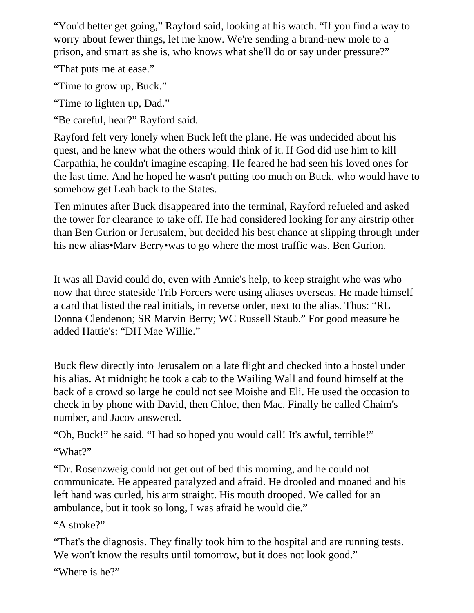"You'd better get going," Rayford said, looking at his watch. "If you find a way to worry about fewer things, let me know. We're sending a brand-new mole to a prison, and smart as she is, who knows what she'll do or say under pressure?"

"That puts me at ease."

"Time to grow up, Buck."

"Time to lighten up, Dad."

"Be careful, hear?" Rayford said.

Rayford felt very lonely when Buck left the plane. He was undecided about his quest, and he knew what the others would think of it. If God did use him to kill Carpathia, he couldn't imagine escaping. He feared he had seen his loved ones for the last time. And he hoped he wasn't putting too much on Buck, who would have to somehow get Leah back to the States.

Ten minutes after Buck disappeared into the terminal, Rayford refueled and asked the tower for clearance to take off. He had considered looking for any airstrip other than Ben Gurion or Jerusalem, but decided his best chance at slipping through under his new alias•Marv Berry•was to go where the most traffic was. Ben Gurion.

It was all David could do, even with Annie's help, to keep straight who was who now that three stateside Trib Forcers were using aliases overseas. He made himself a card that listed the real initials, in reverse order, next to the alias. Thus: "RL Donna Clendenon; SR Marvin Berry; WC Russell Staub." For good measure he added Hattie's: "DH Mae Willie."

Buck flew directly into Jerusalem on a late flight and checked into a hostel under his alias. At midnight he took a cab to the Wailing Wall and found himself at the back of a crowd so large he could not see Moishe and Eli. He used the occasion to check in by phone with David, then Chloe, then Mac. Finally he called Chaim's number, and Jacov answered.

"Oh, Buck!" he said. "I had so hoped you would call! It's awful, terrible!" "What?"

"Dr. Rosenzweig could not get out of bed this morning, and he could not communicate. He appeared paralyzed and afraid. He drooled and moaned and his left hand was curled, his arm straight. His mouth drooped. We called for an ambulance, but it took so long, I was afraid he would die."

"A stroke?"

"That's the diagnosis. They finally took him to the hospital and are running tests. We won't know the results until tomorrow, but it does not look good."

"Where is he?"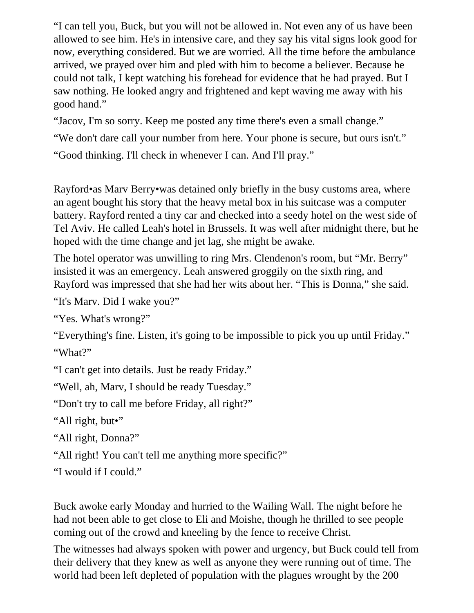"I can tell you, Buck, but you will not be allowed in. Not even any of us have been allowed to see him. He's in intensive care, and they say his vital signs look good for now, everything considered. But we are worried. All the time before the ambulance arrived, we prayed over him and pled with him to become a believer. Because he could not talk, I kept watching his forehead for evidence that he had prayed. But I saw nothing. He looked angry and frightened and kept waving me away with his good hand."

"Jacov, I'm so sorry. Keep me posted any time there's even a small change."

"We don't dare call your number from here. Your phone is secure, but ours isn't."

"Good thinking. I'll check in whenever I can. And I'll pray."

Rayford•as Marv Berry•was detained only briefly in the busy customs area, where an agent bought his story that the heavy metal box in his suitcase was a computer battery. Rayford rented a tiny car and checked into a seedy hotel on the west side of Tel Aviv. He called Leah's hotel in Brussels. It was well after midnight there, but he hoped with the time change and jet lag, she might be awake.

The hotel operator was unwilling to ring Mrs. Clendenon's room, but "Mr. Berry" insisted it was an emergency. Leah answered groggily on the sixth ring, and Rayford was impressed that she had her wits about her. "This is Donna," she said.

"It's Marv. Did I wake you?"

"Yes. What's wrong?"

"Everything's fine. Listen, it's going to be impossible to pick you up until Friday." "What?"

"I can't get into details. Just be ready Friday."

"Well, ah, Marv, I should be ready Tuesday."

"Don't try to call me before Friday, all right?"

"All right, but•"

"All right, Donna?"

"All right! You can't tell me anything more specific?"

"I would if I could."

Buck awoke early Monday and hurried to the Wailing Wall. The night before he had not been able to get close to Eli and Moishe, though he thrilled to see people coming out of the crowd and kneeling by the fence to receive Christ.

The witnesses had always spoken with power and urgency, but Buck could tell from their delivery that they knew as well as anyone they were running out of time. The world had been left depleted of population with the plagues wrought by the 200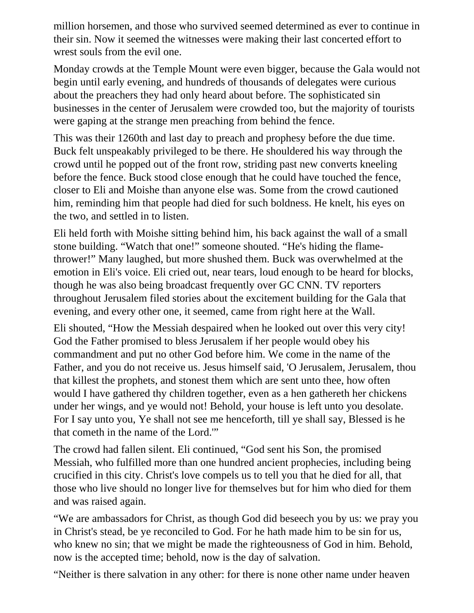million horsemen, and those who survived seemed determined as ever to continue in their sin. Now it seemed the witnesses were making their last concerted effort to wrest souls from the evil one.

Monday crowds at the Temple Mount were even bigger, because the Gala would not begin until early evening, and hundreds of thousands of delegates were curious about the preachers they had only heard about before. The sophisticated sin businesses in the center of Jerusalem were crowded too, but the majority of tourists were gaping at the strange men preaching from behind the fence.

This was their 1260th and last day to preach and prophesy before the due time. Buck felt unspeakably privileged to be there. He shouldered his way through the crowd until he popped out of the front row, striding past new converts kneeling before the fence. Buck stood close enough that he could have touched the fence, closer to Eli and Moishe than anyone else was. Some from the crowd cautioned him, reminding him that people had died for such boldness. He knelt, his eyes on the two, and settled in to listen.

Eli held forth with Moishe sitting behind him, his back against the wall of a small stone building. "Watch that one!" someone shouted. "He's hiding the flamethrower!" Many laughed, but more shushed them. Buck was overwhelmed at the emotion in Eli's voice. Eli cried out, near tears, loud enough to be heard for blocks, though he was also being broadcast frequently over GC CNN. TV reporters throughout Jerusalem filed stories about the excitement building for the Gala that evening, and every other one, it seemed, came from right here at the Wall.

Eli shouted, "How the Messiah despaired when he looked out over this very city! God the Father promised to bless Jerusalem if her people would obey his commandment and put no other God before him. We come in the name of the Father, and you do not receive us. Jesus himself said, 'O Jerusalem, Jerusalem, thou that killest the prophets, and stonest them which are sent unto thee, how often would I have gathered thy children together, even as a hen gathereth her chickens under her wings, and ye would not! Behold, your house is left unto you desolate. For I say unto you, Ye shall not see me henceforth, till ye shall say, Blessed is he that cometh in the name of the Lord.'"

The crowd had fallen silent. Eli continued, "God sent his Son, the promised Messiah, who fulfilled more than one hundred ancient prophecies, including being crucified in this city. Christ's love compels us to tell you that he died for all, that those who live should no longer live for themselves but for him who died for them and was raised again.

"We are ambassadors for Christ, as though God did beseech you by us: we pray you in Christ's stead, be ye reconciled to God. For he hath made him to be sin for us, who knew no sin; that we might be made the righteousness of God in him. Behold, now is the accepted time; behold, now is the day of salvation.

"Neither is there salvation in any other: for there is none other name under heaven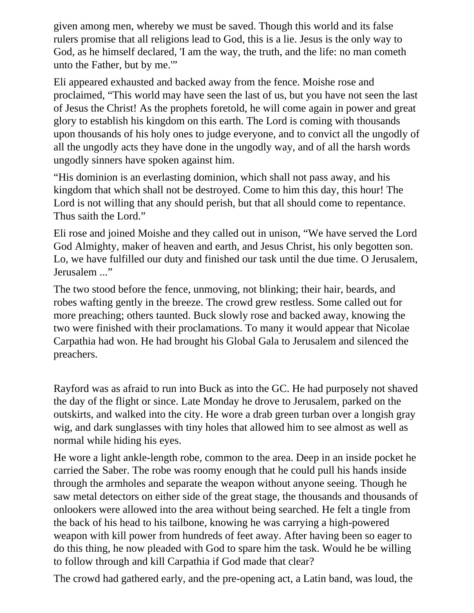given among men, whereby we must be saved. Though this world and its false rulers promise that all religions lead to God, this is a lie. Jesus is the only way to God, as he himself declared, 'I am the way, the truth, and the life: no man cometh unto the Father, but by me.'"

Eli appeared exhausted and backed away from the fence. Moishe rose and proclaimed, "This world may have seen the last of us, but you have not seen the last of Jesus the Christ! As the prophets foretold, he will come again in power and great glory to establish his kingdom on this earth. The Lord is coming with thousands upon thousands of his holy ones to judge everyone, and to convict all the ungodly of all the ungodly acts they have done in the ungodly way, and of all the harsh words ungodly sinners have spoken against him.

"His dominion is an everlasting dominion, which shall not pass away, and his kingdom that which shall not be destroyed. Come to him this day, this hour! The Lord is not willing that any should perish, but that all should come to repentance. Thus saith the Lord."

Eli rose and joined Moishe and they called out in unison, "We have served the Lord God Almighty, maker of heaven and earth, and Jesus Christ, his only begotten son. Lo, we have fulfilled our duty and finished our task until the due time. O Jerusalem, Jerusalem ..."

The two stood before the fence, unmoving, not blinking; their hair, beards, and robes wafting gently in the breeze. The crowd grew restless. Some called out for more preaching; others taunted. Buck slowly rose and backed away, knowing the two were finished with their proclamations. To many it would appear that Nicolae Carpathia had won. He had brought his Global Gala to Jerusalem and silenced the preachers.

Rayford was as afraid to run into Buck as into the GC. He had purposely not shaved the day of the flight or since. Late Monday he drove to Jerusalem, parked on the outskirts, and walked into the city. He wore a drab green turban over a longish gray wig, and dark sunglasses with tiny holes that allowed him to see almost as well as normal while hiding his eyes.

He wore a light ankle-length robe, common to the area. Deep in an inside pocket he carried the Saber. The robe was roomy enough that he could pull his hands inside through the armholes and separate the weapon without anyone seeing. Though he saw metal detectors on either side of the great stage, the thousands and thousands of onlookers were allowed into the area without being searched. He felt a tingle from the back of his head to his tailbone, knowing he was carrying a high-powered weapon with kill power from hundreds of feet away. After having been so eager to do this thing, he now pleaded with God to spare him the task. Would he be willing to follow through and kill Carpathia if God made that clear?

The crowd had gathered early, and the pre-opening act, a Latin band, was loud, the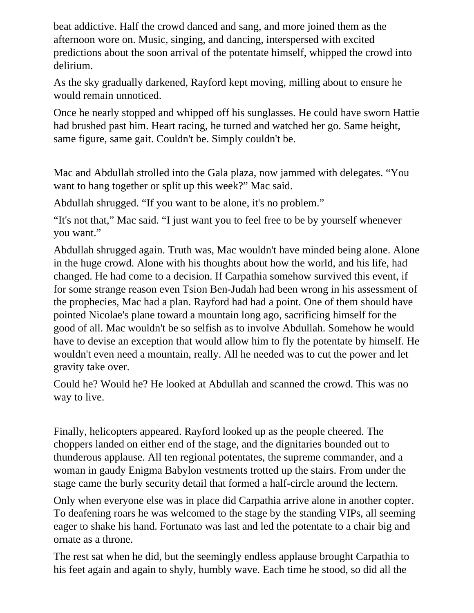beat addictive. Half the crowd danced and sang, and more joined them as the afternoon wore on. Music, singing, and dancing, interspersed with excited predictions about the soon arrival of the potentate himself, whipped the crowd into delirium.

As the sky gradually darkened, Rayford kept moving, milling about to ensure he would remain unnoticed.

Once he nearly stopped and whipped off his sunglasses. He could have sworn Hattie had brushed past him. Heart racing, he turned and watched her go. Same height, same figure, same gait. Couldn't be. Simply couldn't be.

Mac and Abdullah strolled into the Gala plaza, now jammed with delegates. "You want to hang together or split up this week?" Mac said.

Abdullah shrugged. "If you want to be alone, it's no problem."

"It's not that," Mac said. "I just want you to feel free to be by yourself whenever you want."

Abdullah shrugged again. Truth was, Mac wouldn't have minded being alone. Alone in the huge crowd. Alone with his thoughts about how the world, and his life, had changed. He had come to a decision. If Carpathia somehow survived this event, if for some strange reason even Tsion Ben-Judah had been wrong in his assessment of the prophecies, Mac had a plan. Rayford had had a point. One of them should have pointed Nicolae's plane toward a mountain long ago, sacrificing himself for the good of all. Mac wouldn't be so selfish as to involve Abdullah. Somehow he would have to devise an exception that would allow him to fly the potentate by himself. He wouldn't even need a mountain, really. All he needed was to cut the power and let gravity take over.

Could he? Would he? He looked at Abdullah and scanned the crowd. This was no way to live.

Finally, helicopters appeared. Rayford looked up as the people cheered. The choppers landed on either end of the stage, and the dignitaries bounded out to thunderous applause. All ten regional potentates, the supreme commander, and a woman in gaudy Enigma Babylon vestments trotted up the stairs. From under the stage came the burly security detail that formed a half-circle around the lectern.

Only when everyone else was in place did Carpathia arrive alone in another copter. To deafening roars he was welcomed to the stage by the standing VIPs, all seeming eager to shake his hand. Fortunato was last and led the potentate to a chair big and ornate as a throne.

The rest sat when he did, but the seemingly endless applause brought Carpathia to his feet again and again to shyly, humbly wave. Each time he stood, so did all the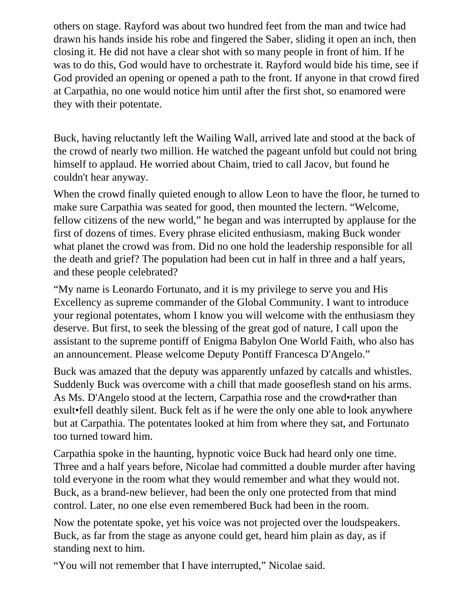others on stage. Rayford was about two hundred feet from the man and twice had drawn his hands inside his robe and fingered the Saber, sliding it open an inch, then closing it. He did not have a clear shot with so many people in front of him. If he was to do this, God would have to orchestrate it. Rayford would bide his time, see if God provided an opening or opened a path to the front. If anyone in that crowd fired at Carpathia, no one would notice him until after the first shot, so enamored were they with their potentate.

Buck, having reluctantly left the Wailing Wall, arrived late and stood at the back of the crowd of nearly two million. He watched the pageant unfold but could not bring himself to applaud. He worried about Chaim, tried to call Jacov, but found he couldn't hear anyway.

When the crowd finally quieted enough to allow Leon to have the floor, he turned to make sure Carpathia was seated for good, then mounted the lectern. "Welcome, fellow citizens of the new world," he began and was interrupted by applause for the first of dozens of times. Every phrase elicited enthusiasm, making Buck wonder what planet the crowd was from. Did no one hold the leadership responsible for all the death and grief? The population had been cut in half in three and a half years, and these people celebrated?

"My name is Leonardo Fortunato, and it is my privilege to serve you and His Excellency as supreme commander of the Global Community. I want to introduce your regional potentates, whom I know you will welcome with the enthusiasm they deserve. But first, to seek the blessing of the great god of nature, I call upon the assistant to the supreme pontiff of Enigma Babylon One World Faith, who also has an announcement. Please welcome Deputy Pontiff Francesca D'Angelo."

Buck was amazed that the deputy was apparently unfazed by catcalls and whistles. Suddenly Buck was overcome with a chill that made gooseflesh stand on his arms. As Ms. D'Angelo stood at the lectern, Carpathia rose and the crowd•rather than exult•fell deathly silent. Buck felt as if he were the only one able to look anywhere but at Carpathia. The potentates looked at him from where they sat, and Fortunato too turned toward him.

Carpathia spoke in the haunting, hypnotic voice Buck had heard only one time. Three and a half years before, Nicolae had committed a double murder after having told everyone in the room what they would remember and what they would not. Buck, as a brand-new believer, had been the only one protected from that mind control. Later, no one else even remembered Buck had been in the room.

Now the potentate spoke, yet his voice was not projected over the loudspeakers. Buck, as far from the stage as anyone could get, heard him plain as day, as if standing next to him.

"You will not remember that I have interrupted," Nicolae said.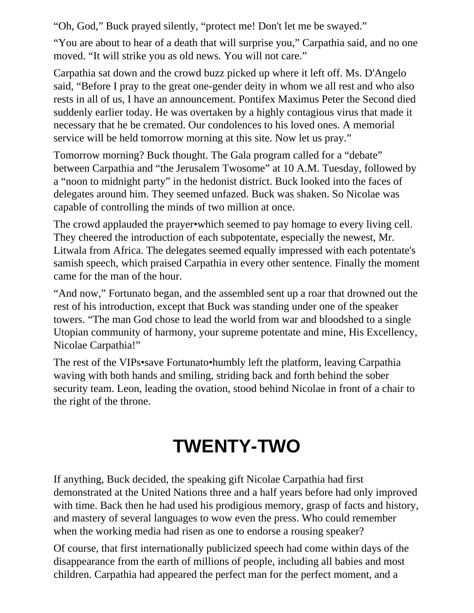"Oh, God," Buck prayed silently, "protect me! Don't let me be swayed."

"You are about to hear of a death that will surprise you," Carpathia said, and no one moved. "It will strike you as old news. You will not care."

Carpathia sat down and the crowd buzz picked up where it left off. Ms. D'Angelo said, "Before I pray to the great one-gender deity in whom we all rest and who also rests in all of us, I have an announcement. Pontifex Maximus Peter the Second died suddenly earlier today. He was overtaken by a highly contagious virus that made it necessary that he be cremated. Our condolences to his loved ones. A memorial service will be held tomorrow morning at this site. Now let us pray."

Tomorrow morning? Buck thought. The Gala program called for a "debate" between Carpathia and "the Jerusalem Twosome" at 10 A.M. Tuesday, followed by a "noon to midnight party" in the hedonist district. Buck looked into the faces of delegates around him. They seemed unfazed. Buck was shaken. So Nicolae was capable of controlling the minds of two million at once.

The crowd applauded the prayer•which seemed to pay homage to every living cell. They cheered the introduction of each subpotentate, especially the newest, Mr. Litwala from Africa. The delegates seemed equally impressed with each potentate's samish speech, which praised Carpathia in every other sentence. Finally the moment came for the man of the hour.

"And now," Fortunato began, and the assembled sent up a roar that drowned out the rest of his introduction, except that Buck was standing under one of the speaker towers. "The man God chose to lead the world from war and bloodshed to a single Utopian community of harmony, your supreme potentate and mine, His Excellency, Nicolae Carpathia!"

The rest of the VIPs•save Fortunato•humbly left the platform, leaving Carpathia waving with both hands and smiling, striding back and forth behind the sober security team. Leon, leading the ovation, stood behind Nicolae in front of a chair to the right of the throne.

## **TWENTY-TWO**

If anything, Buck decided, the speaking gift Nicolae Carpathia had first demonstrated at the United Nations three and a half years before had only improved with time. Back then he had used his prodigious memory, grasp of facts and history, and mastery of several languages to wow even the press. Who could remember when the working media had risen as one to endorse a rousing speaker?

Of course, that first internationally publicized speech had come within days of the disappearance from the earth of millions of people, including all babies and most children. Carpathia had appeared the perfect man for the perfect moment, and a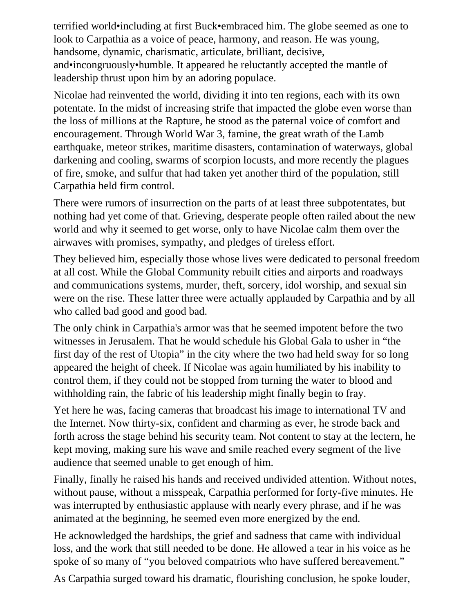terrified world•including at first Buck•embraced him. The globe seemed as one to look to Carpathia as a voice of peace, harmony, and reason. He was young, handsome, dynamic, charismatic, articulate, brilliant, decisive, and•incongruously•humble. It appeared he reluctantly accepted the mantle of leadership thrust upon him by an adoring populace.

Nicolae had reinvented the world, dividing it into ten regions, each with its own potentate. In the midst of increasing strife that impacted the globe even worse than the loss of millions at the Rapture, he stood as the paternal voice of comfort and encouragement. Through World War 3, famine, the great wrath of the Lamb earthquake, meteor strikes, maritime disasters, contamination of waterways, global darkening and cooling, swarms of scorpion locusts, and more recently the plagues of fire, smoke, and sulfur that had taken yet another third of the population, still Carpathia held firm control.

There were rumors of insurrection on the parts of at least three subpotentates, but nothing had yet come of that. Grieving, desperate people often railed about the new world and why it seemed to get worse, only to have Nicolae calm them over the airwaves with promises, sympathy, and pledges of tireless effort.

They believed him, especially those whose lives were dedicated to personal freedom at all cost. While the Global Community rebuilt cities and airports and roadways and communications systems, murder, theft, sorcery, idol worship, and sexual sin were on the rise. These latter three were actually applauded by Carpathia and by all who called bad good and good bad.

The only chink in Carpathia's armor was that he seemed impotent before the two witnesses in Jerusalem. That he would schedule his Global Gala to usher in "the first day of the rest of Utopia" in the city where the two had held sway for so long appeared the height of cheek. If Nicolae was again humiliated by his inability to control them, if they could not be stopped from turning the water to blood and withholding rain, the fabric of his leadership might finally begin to fray.

Yet here he was, facing cameras that broadcast his image to international TV and the Internet. Now thirty-six, confident and charming as ever, he strode back and forth across the stage behind his security team. Not content to stay at the lectern, he kept moving, making sure his wave and smile reached every segment of the live audience that seemed unable to get enough of him.

Finally, finally he raised his hands and received undivided attention. Without notes, without pause, without a misspeak, Carpathia performed for forty-five minutes. He was interrupted by enthusiastic applause with nearly every phrase, and if he was animated at the beginning, he seemed even more energized by the end.

He acknowledged the hardships, the grief and sadness that came with individual loss, and the work that still needed to be done. He allowed a tear in his voice as he spoke of so many of "you beloved compatriots who have suffered bereavement."

As Carpathia surged toward his dramatic, flourishing conclusion, he spoke louder,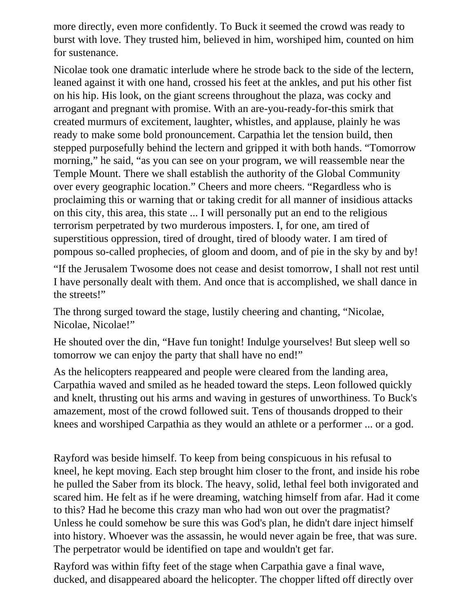more directly, even more confidently. To Buck it seemed the crowd was ready to burst with love. They trusted him, believed in him, worshiped him, counted on him for sustenance.

Nicolae took one dramatic interlude where he strode back to the side of the lectern, leaned against it with one hand, crossed his feet at the ankles, and put his other fist on his hip. His look, on the giant screens throughout the plaza, was cocky and arrogant and pregnant with promise. With an are-you-ready-for-this smirk that created murmurs of excitement, laughter, whistles, and applause, plainly he was ready to make some bold pronouncement. Carpathia let the tension build, then stepped purposefully behind the lectern and gripped it with both hands. "Tomorrow morning," he said, "as you can see on your program, we will reassemble near the Temple Mount. There we shall establish the authority of the Global Community over every geographic location." Cheers and more cheers. "Regardless who is proclaiming this or warning that or taking credit for all manner of insidious attacks on this city, this area, this state ... I will personally put an end to the religious terrorism perpetrated by two murderous imposters. I, for one, am tired of superstitious oppression, tired of drought, tired of bloody water. I am tired of pompous so-called prophecies, of gloom and doom, and of pie in the sky by and by!

"If the Jerusalem Twosome does not cease and desist tomorrow, I shall not rest until I have personally dealt with them. And once that is accomplished, we shall dance in the streets!"

The throng surged toward the stage, lustily cheering and chanting, "Nicolae, Nicolae, Nicolae!"

He shouted over the din, "Have fun tonight! Indulge yourselves! But sleep well so tomorrow we can enjoy the party that shall have no end!"

As the helicopters reappeared and people were cleared from the landing area, Carpathia waved and smiled as he headed toward the steps. Leon followed quickly and knelt, thrusting out his arms and waving in gestures of unworthiness. To Buck's amazement, most of the crowd followed suit. Tens of thousands dropped to their knees and worshiped Carpathia as they would an athlete or a performer ... or a god.

Rayford was beside himself. To keep from being conspicuous in his refusal to kneel, he kept moving. Each step brought him closer to the front, and inside his robe he pulled the Saber from its block. The heavy, solid, lethal feel both invigorated and scared him. He felt as if he were dreaming, watching himself from afar. Had it come to this? Had he become this crazy man who had won out over the pragmatist? Unless he could somehow be sure this was God's plan, he didn't dare inject himself into history. Whoever was the assassin, he would never again be free, that was sure. The perpetrator would be identified on tape and wouldn't get far.

Rayford was within fifty feet of the stage when Carpathia gave a final wave, ducked, and disappeared aboard the helicopter. The chopper lifted off directly over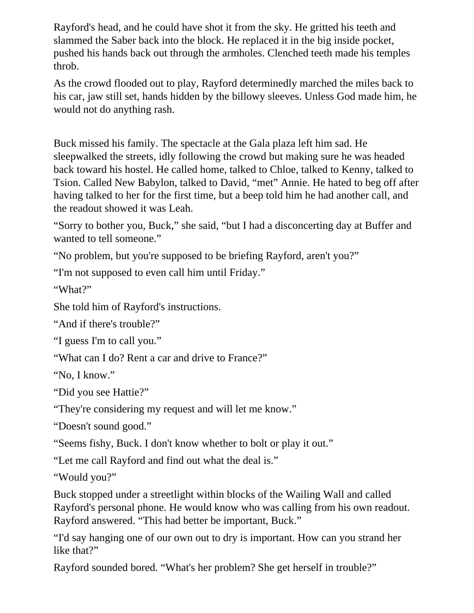Rayford's head, and he could have shot it from the sky. He gritted his teeth and slammed the Saber back into the block. He replaced it in the big inside pocket, pushed his hands back out through the armholes. Clenched teeth made his temples throb.

As the crowd flooded out to play, Rayford determinedly marched the miles back to his car, jaw still set, hands hidden by the billowy sleeves. Unless God made him, he would not do anything rash.

Buck missed his family. The spectacle at the Gala plaza left him sad. He sleepwalked the streets, idly following the crowd but making sure he was headed back toward his hostel. He called home, talked to Chloe, talked to Kenny, talked to Tsion. Called New Babylon, talked to David, "met" Annie. He hated to beg off after having talked to her for the first time, but a beep told him he had another call, and the readout showed it was Leah.

"Sorry to bother you, Buck," she said, "but I had a disconcerting day at Buffer and wanted to tell someone."

"No problem, but you're supposed to be briefing Rayford, aren't you?"

"I'm not supposed to even call him until Friday."

"What?"

She told him of Rayford's instructions.

"And if there's trouble?"

"I guess I'm to call you."

"What can I do? Rent a car and drive to France?"

"No, I know."

"Did you see Hattie?"

"They're considering my request and will let me know."

"Doesn't sound good."

"Seems fishy, Buck. I don't know whether to bolt or play it out."

"Let me call Rayford and find out what the deal is."

"Would you?"

Buck stopped under a streetlight within blocks of the Wailing Wall and called Rayford's personal phone. He would know who was calling from his own readout. Rayford answered. "This had better be important, Buck."

"I'd say hanging one of our own out to dry is important. How can you strand her like that?"

Rayford sounded bored. "What's her problem? She get herself in trouble?"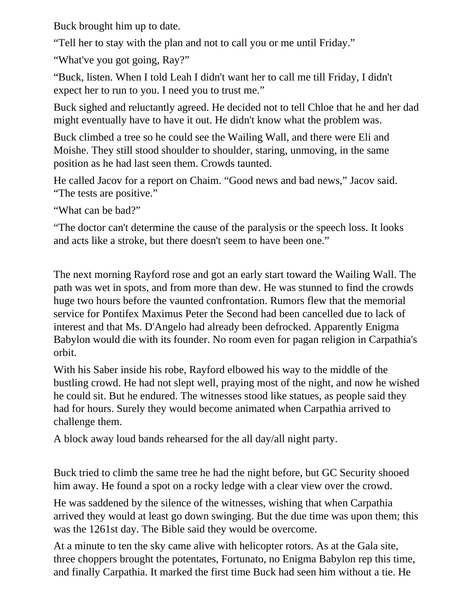Buck brought him up to date.

"Tell her to stay with the plan and not to call you or me until Friday."

"What've you got going, Ray?"

"Buck, listen. When I told Leah I didn't want her to call me till Friday, I didn't expect her to run to you. I need you to trust me."

Buck sighed and reluctantly agreed. He decided not to tell Chloe that he and her dad might eventually have to have it out. He didn't know what the problem was.

Buck climbed a tree so he could see the Wailing Wall, and there were Eli and Moishe. They still stood shoulder to shoulder, staring, unmoving, in the same position as he had last seen them. Crowds taunted.

He called Jacov for a report on Chaim. "Good news and bad news," Jacov said. "The tests are positive."

"What can be bad?"

"The doctor can't determine the cause of the paralysis or the speech loss. It looks and acts like a stroke, but there doesn't seem to have been one."

The next morning Rayford rose and got an early start toward the Wailing Wall. The path was wet in spots, and from more than dew. He was stunned to find the crowds huge two hours before the vaunted confrontation. Rumors flew that the memorial service for Pontifex Maximus Peter the Second had been cancelled due to lack of interest and that Ms. D'Angelo had already been defrocked. Apparently Enigma Babylon would die with its founder. No room even for pagan religion in Carpathia's orbit.

With his Saber inside his robe, Rayford elbowed his way to the middle of the bustling crowd. He had not slept well, praying most of the night, and now he wished he could sit. But he endured. The witnesses stood like statues, as people said they had for hours. Surely they would become animated when Carpathia arrived to challenge them.

A block away loud bands rehearsed for the all day/all night party.

Buck tried to climb the same tree he had the night before, but GC Security shooed him away. He found a spot on a rocky ledge with a clear view over the crowd.

He was saddened by the silence of the witnesses, wishing that when Carpathia arrived they would at least go down swinging. But the due time was upon them; this was the 1261st day. The Bible said they would be overcome.

At a minute to ten the sky came alive with helicopter rotors. As at the Gala site, three choppers brought the potentates, Fortunato, no Enigma Babylon rep this time, and finally Carpathia. It marked the first time Buck had seen him without a tie. He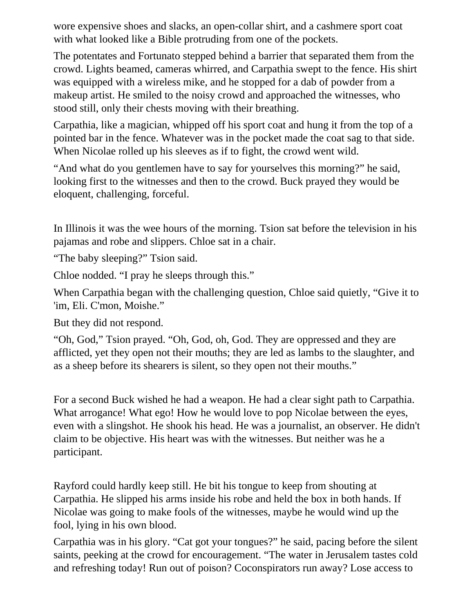wore expensive shoes and slacks, an open-collar shirt, and a cashmere sport coat with what looked like a Bible protruding from one of the pockets.

The potentates and Fortunato stepped behind a barrier that separated them from the crowd. Lights beamed, cameras whirred, and Carpathia swept to the fence. His shirt was equipped with a wireless mike, and he stopped for a dab of powder from a makeup artist. He smiled to the noisy crowd and approached the witnesses, who stood still, only their chests moving with their breathing.

Carpathia, like a magician, whipped off his sport coat and hung it from the top of a pointed bar in the fence. Whatever was in the pocket made the coat sag to that side. When Nicolae rolled up his sleeves as if to fight, the crowd went wild.

"And what do you gentlemen have to say for yourselves this morning?" he said, looking first to the witnesses and then to the crowd. Buck prayed they would be eloquent, challenging, forceful.

In Illinois it was the wee hours of the morning. Tsion sat before the television in his pajamas and robe and slippers. Chloe sat in a chair.

"The baby sleeping?" Tsion said.

Chloe nodded. "I pray he sleeps through this."

When Carpathia began with the challenging question, Chloe said quietly, "Give it to 'im, Eli. C'mon, Moishe."

But they did not respond.

"Oh, God," Tsion prayed. "Oh, God, oh, God. They are oppressed and they are afflicted, yet they open not their mouths; they are led as lambs to the slaughter, and as a sheep before its shearers is silent, so they open not their mouths."

For a second Buck wished he had a weapon. He had a clear sight path to Carpathia. What arrogance! What ego! How he would love to pop Nicolae between the eyes, even with a slingshot. He shook his head. He was a journalist, an observer. He didn't claim to be objective. His heart was with the witnesses. But neither was he a participant.

Rayford could hardly keep still. He bit his tongue to keep from shouting at Carpathia. He slipped his arms inside his robe and held the box in both hands. If Nicolae was going to make fools of the witnesses, maybe he would wind up the fool, lying in his own blood.

Carpathia was in his glory. "Cat got your tongues?" he said, pacing before the silent saints, peeking at the crowd for encouragement. "The water in Jerusalem tastes cold and refreshing today! Run out of poison? Coconspirators run away? Lose access to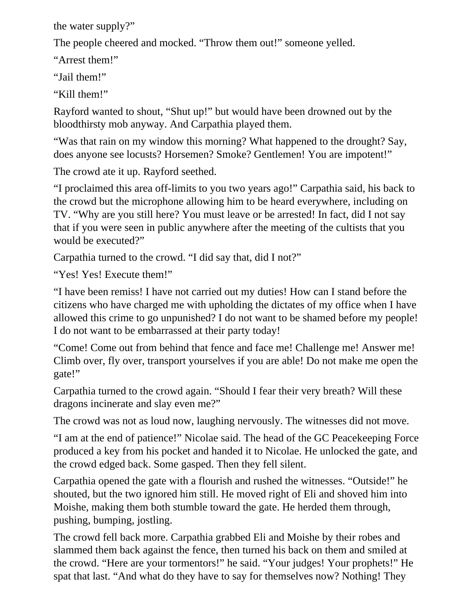the water supply?"

The people cheered and mocked. "Throw them out!" someone yelled.

"Arrest them!"

"Jail them!"

"Kill them!"

Rayford wanted to shout, "Shut up!" but would have been drowned out by the bloodthirsty mob anyway. And Carpathia played them.

"Was that rain on my window this morning? What happened to the drought? Say, does anyone see locusts? Horsemen? Smoke? Gentlemen! You are impotent!"

The crowd ate it up. Rayford seethed.

"I proclaimed this area off-limits to you two years ago!" Carpathia said, his back to the crowd but the microphone allowing him to be heard everywhere, including on TV. "Why are you still here? You must leave or be arrested! In fact, did I not say that if you were seen in public anywhere after the meeting of the cultists that you would be executed?"

Carpathia turned to the crowd. "I did say that, did I not?"

"Yes! Yes! Execute them!"

"I have been remiss! I have not carried out my duties! How can I stand before the citizens who have charged me with upholding the dictates of my office when I have allowed this crime to go unpunished? I do not want to be shamed before my people! I do not want to be embarrassed at their party today!

"Come! Come out from behind that fence and face me! Challenge me! Answer me! Climb over, fly over, transport yourselves if you are able! Do not make me open the gate!"

Carpathia turned to the crowd again. "Should I fear their very breath? Will these dragons incinerate and slay even me?"

The crowd was not as loud now, laughing nervously. The witnesses did not move.

"I am at the end of patience!" Nicolae said. The head of the GC Peacekeeping Force produced a key from his pocket and handed it to Nicolae. He unlocked the gate, and the crowd edged back. Some gasped. Then they fell silent.

Carpathia opened the gate with a flourish and rushed the witnesses. "Outside!" he shouted, but the two ignored him still. He moved right of Eli and shoved him into Moishe, making them both stumble toward the gate. He herded them through, pushing, bumping, jostling.

The crowd fell back more. Carpathia grabbed Eli and Moishe by their robes and slammed them back against the fence, then turned his back on them and smiled at the crowd. "Here are your tormentors!" he said. "Your judges! Your prophets!" He spat that last. "And what do they have to say for themselves now? Nothing! They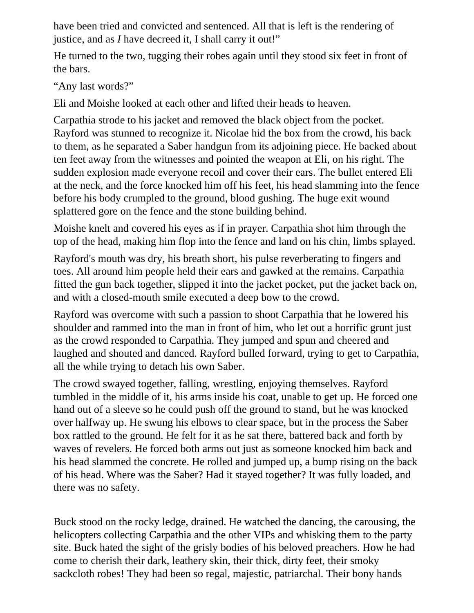have been tried and convicted and sentenced. All that is left is the rendering of justice, and as *I* have decreed it, I shall carry it out!"

He turned to the two, tugging their robes again until they stood six feet in front of the bars.

"Any last words?"

Eli and Moishe looked at each other and lifted their heads to heaven.

Carpathia strode to his jacket and removed the black object from the pocket. Rayford was stunned to recognize it. Nicolae hid the box from the crowd, his back to them, as he separated a Saber handgun from its adjoining piece. He backed about ten feet away from the witnesses and pointed the weapon at Eli, on his right. The sudden explosion made everyone recoil and cover their ears. The bullet entered Eli at the neck, and the force knocked him off his feet, his head slamming into the fence before his body crumpled to the ground, blood gushing. The huge exit wound splattered gore on the fence and the stone building behind.

Moishe knelt and covered his eyes as if in prayer. Carpathia shot him through the top of the head, making him flop into the fence and land on his chin, limbs splayed.

Rayford's mouth was dry, his breath short, his pulse reverberating to fingers and toes. All around him people held their ears and gawked at the remains. Carpathia fitted the gun back together, slipped it into the jacket pocket, put the jacket back on, and with a closed-mouth smile executed a deep bow to the crowd.

Rayford was overcome with such a passion to shoot Carpathia that he lowered his shoulder and rammed into the man in front of him, who let out a horrific grunt just as the crowd responded to Carpathia. They jumped and spun and cheered and laughed and shouted and danced. Rayford bulled forward, trying to get to Carpathia, all the while trying to detach his own Saber.

The crowd swayed together, falling, wrestling, enjoying themselves. Rayford tumbled in the middle of it, his arms inside his coat, unable to get up. He forced one hand out of a sleeve so he could push off the ground to stand, but he was knocked over halfway up. He swung his elbows to clear space, but in the process the Saber box rattled to the ground. He felt for it as he sat there, battered back and forth by waves of revelers. He forced both arms out just as someone knocked him back and his head slammed the concrete. He rolled and jumped up, a bump rising on the back of his head. Where was the Saber? Had it stayed together? It was fully loaded, and there was no safety.

Buck stood on the rocky ledge, drained. He watched the dancing, the carousing, the helicopters collecting Carpathia and the other VIPs and whisking them to the party site. Buck hated the sight of the grisly bodies of his beloved preachers. How he had come to cherish their dark, leathery skin, their thick, dirty feet, their smoky sackcloth robes! They had been so regal, majestic, patriarchal. Their bony hands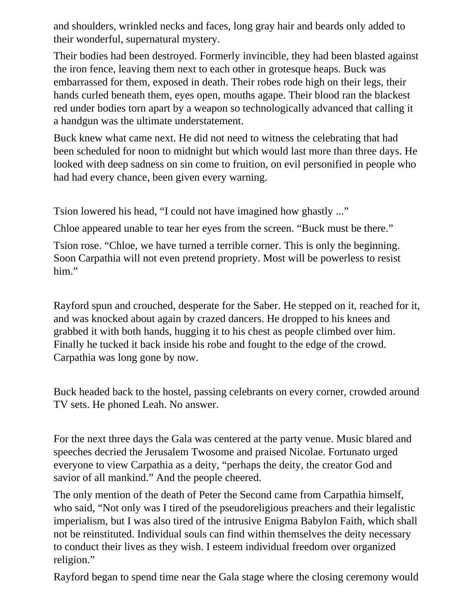and shoulders, wrinkled necks and faces, long gray hair and beards only added to their wonderful, supernatural mystery.

Their bodies had been destroyed. Formerly invincible, they had been blasted against the iron fence, leaving them next to each other in grotesque heaps. Buck was embarrassed for them, exposed in death. Their robes rode high on their legs, their hands curled beneath them, eyes open, mouths agape. Their blood ran the blackest red under bodies torn apart by a weapon so technologically advanced that calling it a handgun was the ultimate understatement.

Buck knew what came next. He did not need to witness the celebrating that had been scheduled for noon to midnight but which would last more than three days. He looked with deep sadness on sin come to fruition, on evil personified in people who had had every chance, been given every warning.

Tsion lowered his head, "I could not have imagined how ghastly ..."

Chloe appeared unable to tear her eyes from the screen. "Buck must be there."

Tsion rose. "Chloe, we have turned a terrible corner. This is only the beginning. Soon Carpathia will not even pretend propriety. Most will be powerless to resist him."

Rayford spun and crouched, desperate for the Saber. He stepped on it, reached for it, and was knocked about again by crazed dancers. He dropped to his knees and grabbed it with both hands, hugging it to his chest as people climbed over him. Finally he tucked it back inside his robe and fought to the edge of the crowd. Carpathia was long gone by now.

Buck headed back to the hostel, passing celebrants on every corner, crowded around TV sets. He phoned Leah. No answer.

For the next three days the Gala was centered at the party venue. Music blared and speeches decried the Jerusalem Twosome and praised Nicolae. Fortunato urged everyone to view Carpathia as a deity, "perhaps the deity, the creator God and savior of all mankind." And the people cheered.

The only mention of the death of Peter the Second came from Carpathia himself, who said, "Not only was I tired of the pseudoreligious preachers and their legalistic imperialism, but I was also tired of the intrusive Enigma Babylon Faith, which shall not be reinstituted. Individual souls can find within themselves the deity necessary to conduct their lives as they wish. I esteem individual freedom over organized religion."

Rayford began to spend time near the Gala stage where the closing ceremony would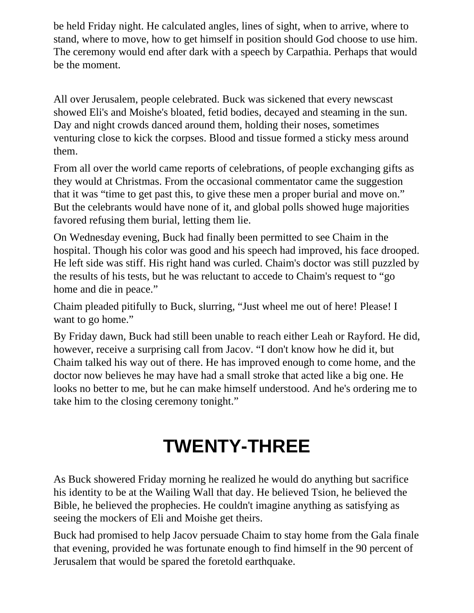be held Friday night. He calculated angles, lines of sight, when to arrive, where to stand, where to move, how to get himself in position should God choose to use him. The ceremony would end after dark with a speech by Carpathia. Perhaps that would be the moment.

All over Jerusalem, people celebrated. Buck was sickened that every newscast showed Eli's and Moishe's bloated, fetid bodies, decayed and steaming in the sun. Day and night crowds danced around them, holding their noses, sometimes venturing close to kick the corpses. Blood and tissue formed a sticky mess around them.

From all over the world came reports of celebrations, of people exchanging gifts as they would at Christmas. From the occasional commentator came the suggestion that it was "time to get past this, to give these men a proper burial and move on." But the celebrants would have none of it, and global polls showed huge majorities favored refusing them burial, letting them lie.

On Wednesday evening, Buck had finally been permitted to see Chaim in the hospital. Though his color was good and his speech had improved, his face drooped. He left side was stiff. His right hand was curled. Chaim's doctor was still puzzled by the results of his tests, but he was reluctant to accede to Chaim's request to "go home and die in peace."

Chaim pleaded pitifully to Buck, slurring, "Just wheel me out of here! Please! I want to go home."

By Friday dawn, Buck had still been unable to reach either Leah or Rayford. He did, however, receive a surprising call from Jacov. "I don't know how he did it, but Chaim talked his way out of there. He has improved enough to come home, and the doctor now believes he may have had a small stroke that acted like a big one. He looks no better to me, but he can make himself understood. And he's ordering me to take him to the closing ceremony tonight."

## **TWENTY-THREE**

As Buck showered Friday morning he realized he would do anything but sacrifice his identity to be at the Wailing Wall that day. He believed Tsion, he believed the Bible, he believed the prophecies. He couldn't imagine anything as satisfying as seeing the mockers of Eli and Moishe get theirs.

Buck had promised to help Jacov persuade Chaim to stay home from the Gala finale that evening, provided he was fortunate enough to find himself in the 90 percent of Jerusalem that would be spared the foretold earthquake.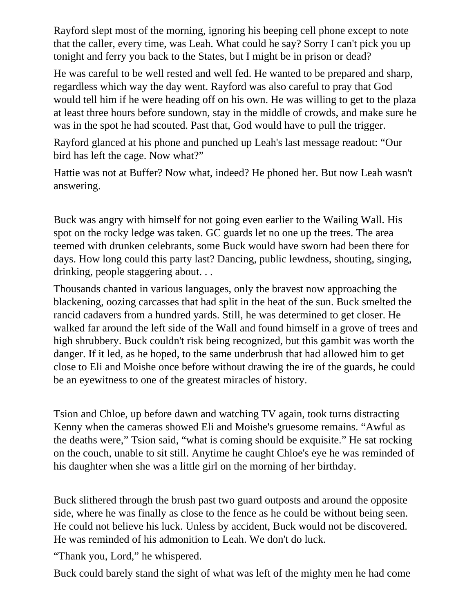Rayford slept most of the morning, ignoring his beeping cell phone except to note that the caller, every time, was Leah. What could he say? Sorry I can't pick you up tonight and ferry you back to the States, but I might be in prison or dead?

He was careful to be well rested and well fed. He wanted to be prepared and sharp, regardless which way the day went. Rayford was also careful to pray that God would tell him if he were heading off on his own. He was willing to get to the plaza at least three hours before sundown, stay in the middle of crowds, and make sure he was in the spot he had scouted. Past that, God would have to pull the trigger.

Rayford glanced at his phone and punched up Leah's last message readout: "Our bird has left the cage. Now what?"

Hattie was not at Buffer? Now what, indeed? He phoned her. But now Leah wasn't answering.

Buck was angry with himself for not going even earlier to the Wailing Wall. His spot on the rocky ledge was taken. GC guards let no one up the trees. The area teemed with drunken celebrants, some Buck would have sworn had been there for days. How long could this party last? Dancing, public lewdness, shouting, singing, drinking, people staggering about...

Thousands chanted in various languages, only the bravest now approaching the blackening, oozing carcasses that had split in the heat of the sun. Buck smelted the rancid cadavers from a hundred yards. Still, he was determined to get closer. He walked far around the left side of the Wall and found himself in a grove of trees and high shrubbery. Buck couldn't risk being recognized, but this gambit was worth the danger. If it led, as he hoped, to the same underbrush that had allowed him to get close to Eli and Moishe once before without drawing the ire of the guards, he could be an eyewitness to one of the greatest miracles of history.

Tsion and Chloe, up before dawn and watching TV again, took turns distracting Kenny when the cameras showed Eli and Moishe's gruesome remains. "Awful as the deaths were," Tsion said, "what is coming should be exquisite." He sat rocking on the couch, unable to sit still. Anytime he caught Chloe's eye he was reminded of his daughter when she was a little girl on the morning of her birthday.

Buck slithered through the brush past two guard outposts and around the opposite side, where he was finally as close to the fence as he could be without being seen. He could not believe his luck. Unless by accident, Buck would not be discovered. He was reminded of his admonition to Leah. We don't do luck.

"Thank you, Lord," he whispered.

Buck could barely stand the sight of what was left of the mighty men he had come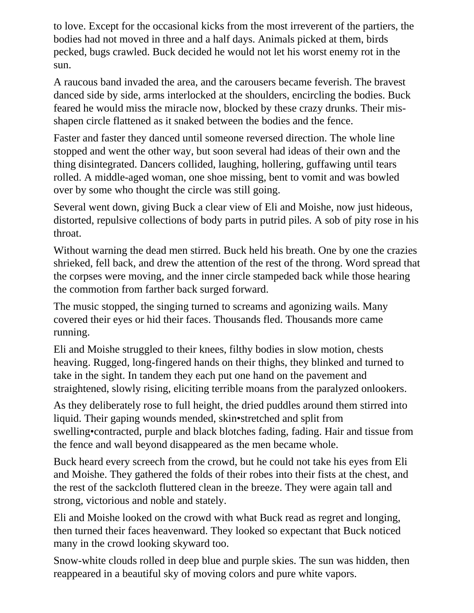to love. Except for the occasional kicks from the most irreverent of the partiers, the bodies had not moved in three and a half days. Animals picked at them, birds pecked, bugs crawled. Buck decided he would not let his worst enemy rot in the sun.

A raucous band invaded the area, and the carousers became feverish. The bravest danced side by side, arms interlocked at the shoulders, encircling the bodies. Buck feared he would miss the miracle now, blocked by these crazy drunks. Their misshapen circle flattened as it snaked between the bodies and the fence.

Faster and faster they danced until someone reversed direction. The whole line stopped and went the other way, but soon several had ideas of their own and the thing disintegrated. Dancers collided, laughing, hollering, guffawing until tears rolled. A middle-aged woman, one shoe missing, bent to vomit and was bowled over by some who thought the circle was still going.

Several went down, giving Buck a clear view of Eli and Moishe, now just hideous, distorted, repulsive collections of body parts in putrid piles. A sob of pity rose in his throat.

Without warning the dead men stirred. Buck held his breath. One by one the crazies shrieked, fell back, and drew the attention of the rest of the throng. Word spread that the corpses were moving, and the inner circle stampeded back while those hearing the commotion from farther back surged forward.

The music stopped, the singing turned to screams and agonizing wails. Many covered their eyes or hid their faces. Thousands fled. Thousands more came running.

Eli and Moishe struggled to their knees, filthy bodies in slow motion, chests heaving. Rugged, long-fingered hands on their thighs, they blinked and turned to take in the sight. In tandem they each put one hand on the pavement and straightened, slowly rising, eliciting terrible moans from the paralyzed onlookers.

As they deliberately rose to full height, the dried puddles around them stirred into liquid. Their gaping wounds mended, skin•stretched and split from swelling•contracted, purple and black blotches fading, fading. Hair and tissue from the fence and wall beyond disappeared as the men became whole.

Buck heard every screech from the crowd, but he could not take his eyes from Eli and Moishe. They gathered the folds of their robes into their fists at the chest, and the rest of the sackcloth fluttered clean in the breeze. They were again tall and strong, victorious and noble and stately.

Eli and Moishe looked on the crowd with what Buck read as regret and longing, then turned their faces heavenward. They looked so expectant that Buck noticed many in the crowd looking skyward too.

Snow-white clouds rolled in deep blue and purple skies. The sun was hidden, then reappeared in a beautiful sky of moving colors and pure white vapors.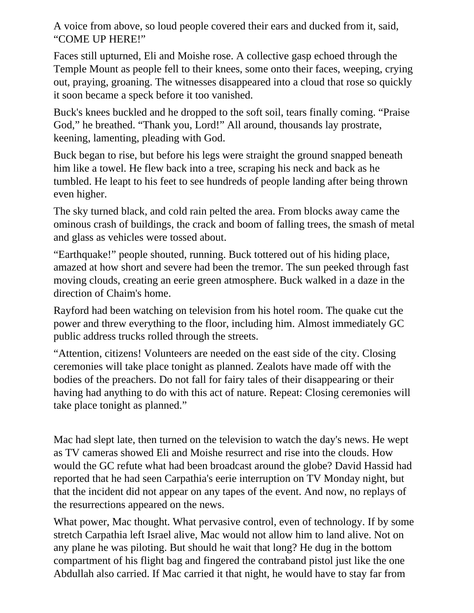A voice from above, so loud people covered their ears and ducked from it, said, "COME UP HERE!"

Faces still upturned, Eli and Moishe rose. A collective gasp echoed through the Temple Mount as people fell to their knees, some onto their faces, weeping, crying out, praying, groaning. The witnesses disappeared into a cloud that rose so quickly it soon became a speck before it too vanished.

Buck's knees buckled and he dropped to the soft soil, tears finally coming. "Praise God," he breathed. "Thank you, Lord!" All around, thousands lay prostrate, keening, lamenting, pleading with God.

Buck began to rise, but before his legs were straight the ground snapped beneath him like a towel. He flew back into a tree, scraping his neck and back as he tumbled. He leapt to his feet to see hundreds of people landing after being thrown even higher.

The sky turned black, and cold rain pelted the area. From blocks away came the ominous crash of buildings, the crack and boom of falling trees, the smash of metal and glass as vehicles were tossed about.

"Earthquake!" people shouted, running. Buck tottered out of his hiding place, amazed at how short and severe had been the tremor. The sun peeked through fast moving clouds, creating an eerie green atmosphere. Buck walked in a daze in the direction of Chaim's home.

Rayford had been watching on television from his hotel room. The quake cut the power and threw everything to the floor, including him. Almost immediately GC public address trucks rolled through the streets.

"Attention, citizens! Volunteers are needed on the east side of the city. Closing ceremonies will take place tonight as planned. Zealots have made off with the bodies of the preachers. Do not fall for fairy tales of their disappearing or their having had anything to do with this act of nature. Repeat: Closing ceremonies will take place tonight as planned."

Mac had slept late, then turned on the television to watch the day's news. He wept as TV cameras showed Eli and Moishe resurrect and rise into the clouds. How would the GC refute what had been broadcast around the globe? David Hassid had reported that he had seen Carpathia's eerie interruption on TV Monday night, but that the incident did not appear on any tapes of the event. And now, no replays of the resurrections appeared on the news.

What power, Mac thought. What pervasive control, even of technology. If by some stretch Carpathia left Israel alive, Mac would not allow him to land alive. Not on any plane he was piloting. But should he wait that long? He dug in the bottom compartment of his flight bag and fingered the contraband pistol just like the one Abdullah also carried. If Mac carried it that night, he would have to stay far from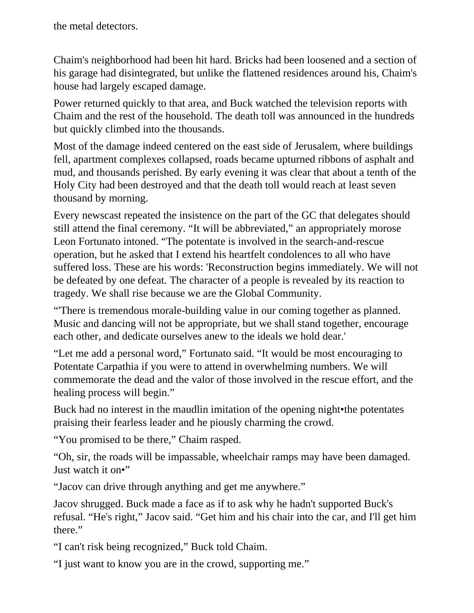Chaim's neighborhood had been hit hard. Bricks had been loosened and a section of his garage had disintegrated, but unlike the flattened residences around his, Chaim's house had largely escaped damage.

Power returned quickly to that area, and Buck watched the television reports with Chaim and the rest of the household. The death toll was announced in the hundreds but quickly climbed into the thousands.

Most of the damage indeed centered on the east side of Jerusalem, where buildings fell, apartment complexes collapsed, roads became upturned ribbons of asphalt and mud, and thousands perished. By early evening it was clear that about a tenth of the Holy City had been destroyed and that the death toll would reach at least seven thousand by morning.

Every newscast repeated the insistence on the part of the GC that delegates should still attend the final ceremony. "It will be abbreviated," an appropriately morose Leon Fortunato intoned. "The potentate is involved in the search-and-rescue operation, but he asked that I extend his heartfelt condolences to all who have suffered loss. These are his words: 'Reconstruction begins immediately. We will not be defeated by one defeat. The character of a people is revealed by its reaction to tragedy. We shall rise because we are the Global Community.

"'There is tremendous morale-building value in our coming together as planned. Music and dancing will not be appropriate, but we shall stand together, encourage each other, and dedicate ourselves anew to the ideals we hold dear.'

"Let me add a personal word," Fortunato said. "It would be most encouraging to Potentate Carpathia if you were to attend in overwhelming numbers. We will commemorate the dead and the valor of those involved in the rescue effort, and the healing process will begin."

Buck had no interest in the maudlin imitation of the opening night•the potentates praising their fearless leader and he piously charming the crowd.

"You promised to be there," Chaim rasped.

"Oh, sir, the roads will be impassable, wheelchair ramps may have been damaged. Just watch it on•"

"Jacov can drive through anything and get me anywhere."

Jacov shrugged. Buck made a face as if to ask why he hadn't supported Buck's refusal. "He's right," Jacov said. "Get him and his chair into the car, and I'll get him there."

"I can't risk being recognized," Buck told Chaim.

"I just want to know you are in the crowd, supporting me."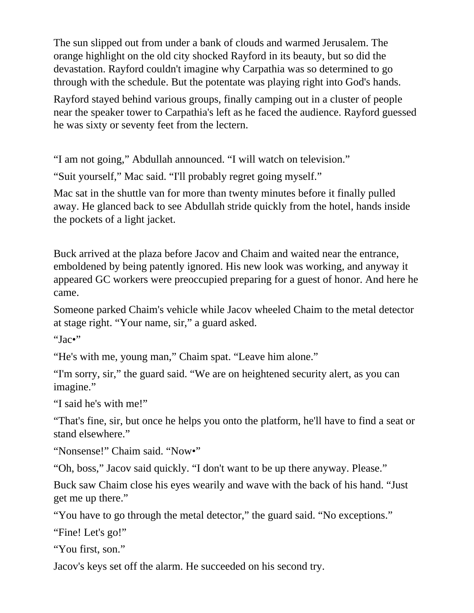The sun slipped out from under a bank of clouds and warmed Jerusalem. The orange highlight on the old city shocked Rayford in its beauty, but so did the devastation. Rayford couldn't imagine why Carpathia was so determined to go through with the schedule. But the potentate was playing right into God's hands.

Rayford stayed behind various groups, finally camping out in a cluster of people near the speaker tower to Carpathia's left as he faced the audience. Rayford guessed he was sixty or seventy feet from the lectern.

"I am not going," Abdullah announced. "I will watch on television."

"Suit yourself," Mac said. "I'll probably regret going myself."

Mac sat in the shuttle van for more than twenty minutes before it finally pulled away. He glanced back to see Abdullah stride quickly from the hotel, hands inside the pockets of a light jacket.

Buck arrived at the plaza before Jacov and Chaim and waited near the entrance, emboldened by being patently ignored. His new look was working, and anyway it appeared GC workers were preoccupied preparing for a guest of honor. And here he came.

Someone parked Chaim's vehicle while Jacov wheeled Chaim to the metal detector at stage right. "Your name, sir," a guard asked.

"Jac•"

"He's with me, young man," Chaim spat. "Leave him alone."

"I'm sorry, sir," the guard said. "We are on heightened security alert, as you can imagine."

"I said he's with me!"

"That's fine, sir, but once he helps you onto the platform, he'll have to find a seat or stand elsewhere."

"Nonsense!" Chaim said. "Now•"

"Oh, boss," Jacov said quickly. "I don't want to be up there anyway. Please."

Buck saw Chaim close his eyes wearily and wave with the back of his hand. "Just get me up there."

"You have to go through the metal detector," the guard said. "No exceptions."

"Fine! Let's go!"

"You first, son."

Jacov's keys set off the alarm. He succeeded on his second try.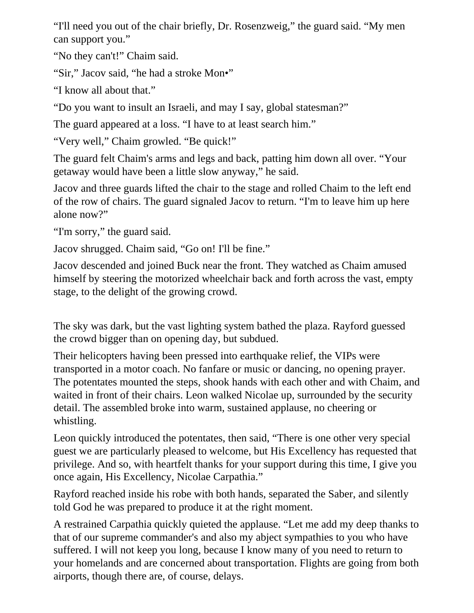"I'll need you out of the chair briefly, Dr. Rosenzweig," the guard said. "My men can support you."

"No they can't!" Chaim said.

"Sir," Jacov said, "he had a stroke Mon•"

"I know all about that."

"Do you want to insult an Israeli, and may I say, global statesman?"

The guard appeared at a loss. "I have to at least search him."

"Very well," Chaim growled. "Be quick!"

The guard felt Chaim's arms and legs and back, patting him down all over. "Your getaway would have been a little slow anyway," he said.

Jacov and three guards lifted the chair to the stage and rolled Chaim to the left end of the row of chairs. The guard signaled Jacov to return. "I'm to leave him up here alone now?"

"I'm sorry," the guard said.

Jacov shrugged. Chaim said, "Go on! I'll be fine."

Jacov descended and joined Buck near the front. They watched as Chaim amused himself by steering the motorized wheelchair back and forth across the vast, empty stage, to the delight of the growing crowd.

The sky was dark, but the vast lighting system bathed the plaza. Rayford guessed the crowd bigger than on opening day, but subdued.

Their helicopters having been pressed into earthquake relief, the VIPs were transported in a motor coach. No fanfare or music or dancing, no opening prayer. The potentates mounted the steps, shook hands with each other and with Chaim, and waited in front of their chairs. Leon walked Nicolae up, surrounded by the security detail. The assembled broke into warm, sustained applause, no cheering or whistling.

Leon quickly introduced the potentates, then said, "There is one other very special guest we are particularly pleased to welcome, but His Excellency has requested that privilege. And so, with heartfelt thanks for your support during this time, I give you once again, His Excellency, Nicolae Carpathia."

Rayford reached inside his robe with both hands, separated the Saber, and silently told God he was prepared to produce it at the right moment.

A restrained Carpathia quickly quieted the applause. "Let me add my deep thanks to that of our supreme commander's and also my abject sympathies to you who have suffered. I will not keep you long, because I know many of you need to return to your homelands and are concerned about transportation. Flights are going from both airports, though there are, of course, delays.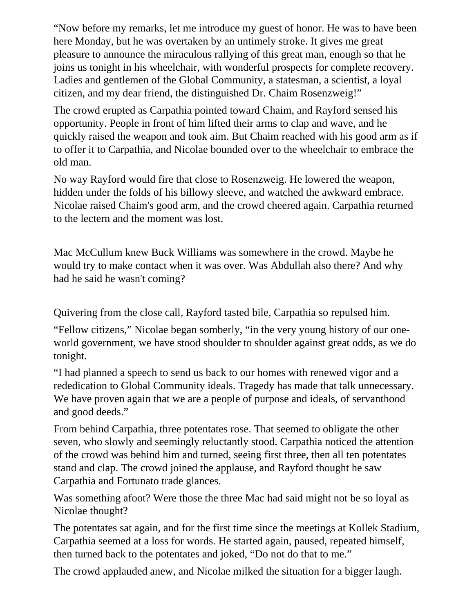"Now before my remarks, let me introduce my guest of honor. He was to have been here Monday, but he was overtaken by an untimely stroke. It gives me great pleasure to announce the miraculous rallying of this great man, enough so that he joins us tonight in his wheelchair, with wonderful prospects for complete recovery. Ladies and gentlemen of the Global Community, a statesman, a scientist, a loyal citizen, and my dear friend, the distinguished Dr. Chaim Rosenzweig!"

The crowd erupted as Carpathia pointed toward Chaim, and Rayford sensed his opportunity. People in front of him lifted their arms to clap and wave, and he quickly raised the weapon and took aim. But Chaim reached with his good arm as if to offer it to Carpathia, and Nicolae bounded over to the wheelchair to embrace the old man.

No way Rayford would fire that close to Rosenzweig. He lowered the weapon, hidden under the folds of his billowy sleeve, and watched the awkward embrace. Nicolae raised Chaim's good arm, and the crowd cheered again. Carpathia returned to the lectern and the moment was lost.

Mac McCullum knew Buck Williams was somewhere in the crowd. Maybe he would try to make contact when it was over. Was Abdullah also there? And why had he said he wasn't coming?

Quivering from the close call, Rayford tasted bile, Carpathia so repulsed him.

"Fellow citizens," Nicolae began somberly, "in the very young history of our oneworld government, we have stood shoulder to shoulder against great odds, as we do tonight.

"I had planned a speech to send us back to our homes with renewed vigor and a rededication to Global Community ideals. Tragedy has made that talk unnecessary. We have proven again that we are a people of purpose and ideals, of servanthood and good deeds."

From behind Carpathia, three potentates rose. That seemed to obligate the other seven, who slowly and seemingly reluctantly stood. Carpathia noticed the attention of the crowd was behind him and turned, seeing first three, then all ten potentates stand and clap. The crowd joined the applause, and Rayford thought he saw Carpathia and Fortunato trade glances.

Was something afoot? Were those the three Mac had said might not be so loyal as Nicolae thought?

The potentates sat again, and for the first time since the meetings at Kollek Stadium, Carpathia seemed at a loss for words. He started again, paused, repeated himself, then turned back to the potentates and joked, "Do not do that to me."

The crowd applauded anew, and Nicolae milked the situation for a bigger laugh.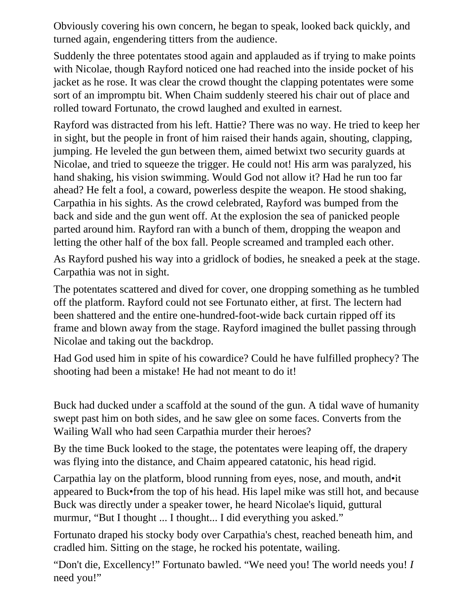Obviously covering his own concern, he began to speak, looked back quickly, and turned again, engendering titters from the audience.

Suddenly the three potentates stood again and applauded as if trying to make points with Nicolae, though Rayford noticed one had reached into the inside pocket of his jacket as he rose. It was clear the crowd thought the clapping potentates were some sort of an impromptu bit. When Chaim suddenly steered his chair out of place and rolled toward Fortunato, the crowd laughed and exulted in earnest.

Rayford was distracted from his left. Hattie? There was no way. He tried to keep her in sight, but the people in front of him raised their hands again, shouting, clapping, jumping. He leveled the gun between them, aimed betwixt two security guards at Nicolae, and tried to squeeze the trigger. He could not! His arm was paralyzed, his hand shaking, his vision swimming. Would God not allow it? Had he run too far ahead? He felt a fool, a coward, powerless despite the weapon. He stood shaking, Carpathia in his sights. As the crowd celebrated, Rayford was bumped from the back and side and the gun went off. At the explosion the sea of panicked people parted around him. Rayford ran with a bunch of them, dropping the weapon and letting the other half of the box fall. People screamed and trampled each other.

As Rayford pushed his way into a gridlock of bodies, he sneaked a peek at the stage. Carpathia was not in sight.

The potentates scattered and dived for cover, one dropping something as he tumbled off the platform. Rayford could not see Fortunato either, at first. The lectern had been shattered and the entire one-hundred-foot-wide back curtain ripped off its frame and blown away from the stage. Rayford imagined the bullet passing through Nicolae and taking out the backdrop.

Had God used him in spite of his cowardice? Could he have fulfilled prophecy? The shooting had been a mistake! He had not meant to do it!

Buck had ducked under a scaffold at the sound of the gun. A tidal wave of humanity swept past him on both sides, and he saw glee on some faces. Converts from the Wailing Wall who had seen Carpathia murder their heroes?

By the time Buck looked to the stage, the potentates were leaping off, the drapery was flying into the distance, and Chaim appeared catatonic, his head rigid.

Carpathia lay on the platform, blood running from eyes, nose, and mouth, and•it appeared to Buck•from the top of his head. His lapel mike was still hot, and because Buck was directly under a speaker tower, he heard Nicolae's liquid, guttural murmur, "But I thought ... I thought... I did everything you asked."

Fortunato draped his stocky body over Carpathia's chest, reached beneath him, and cradled him. Sitting on the stage, he rocked his potentate, wailing.

"Don't die, Excellency!" Fortunato bawled. "We need you! The world needs you! *I* need you!"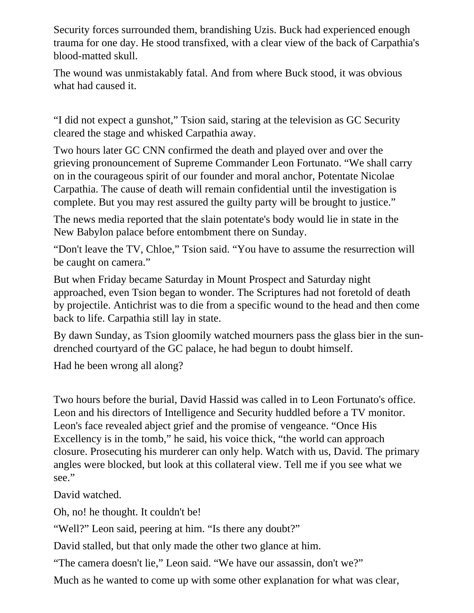Security forces surrounded them, brandishing Uzis. Buck had experienced enough trauma for one day. He stood transfixed, with a clear view of the back of Carpathia's blood-matted skull.

The wound was unmistakably fatal. And from where Buck stood, it was obvious what had caused it.

"I did not expect a gunshot," Tsion said, staring at the television as GC Security cleared the stage and whisked Carpathia away.

Two hours later GC CNN confirmed the death and played over and over the grieving pronouncement of Supreme Commander Leon Fortunato. "We shall carry on in the courageous spirit of our founder and moral anchor, Potentate Nicolae Carpathia. The cause of death will remain confidential until the investigation is complete. But you may rest assured the guilty party will be brought to justice."

The news media reported that the slain potentate's body would lie in state in the New Babylon palace before entombment there on Sunday.

"Don't leave the TV, Chloe," Tsion said. "You have to assume the resurrection will be caught on camera."

But when Friday became Saturday in Mount Prospect and Saturday night approached, even Tsion began to wonder. The Scriptures had not foretold of death by projectile. Antichrist was to die from a specific wound to the head and then come back to life. Carpathia still lay in state.

By dawn Sunday, as Tsion gloomily watched mourners pass the glass bier in the sundrenched courtyard of the GC palace, he had begun to doubt himself.

Had he been wrong all along?

Two hours before the burial, David Hassid was called in to Leon Fortunato's office. Leon and his directors of Intelligence and Security huddled before a TV monitor. Leon's face revealed abject grief and the promise of vengeance. "Once His Excellency is in the tomb," he said, his voice thick, "the world can approach closure. Prosecuting his murderer can only help. Watch with us, David. The primary angles were blocked, but look at this collateral view. Tell me if you see what we see."

David watched.

Oh, no! he thought. It couldn't be!

"Well?" Leon said, peering at him. "Is there any doubt?"

David stalled, but that only made the other two glance at him.

"The camera doesn't lie," Leon said. "We have our assassin, don't we?"

Much as he wanted to come up with some other explanation for what was clear,